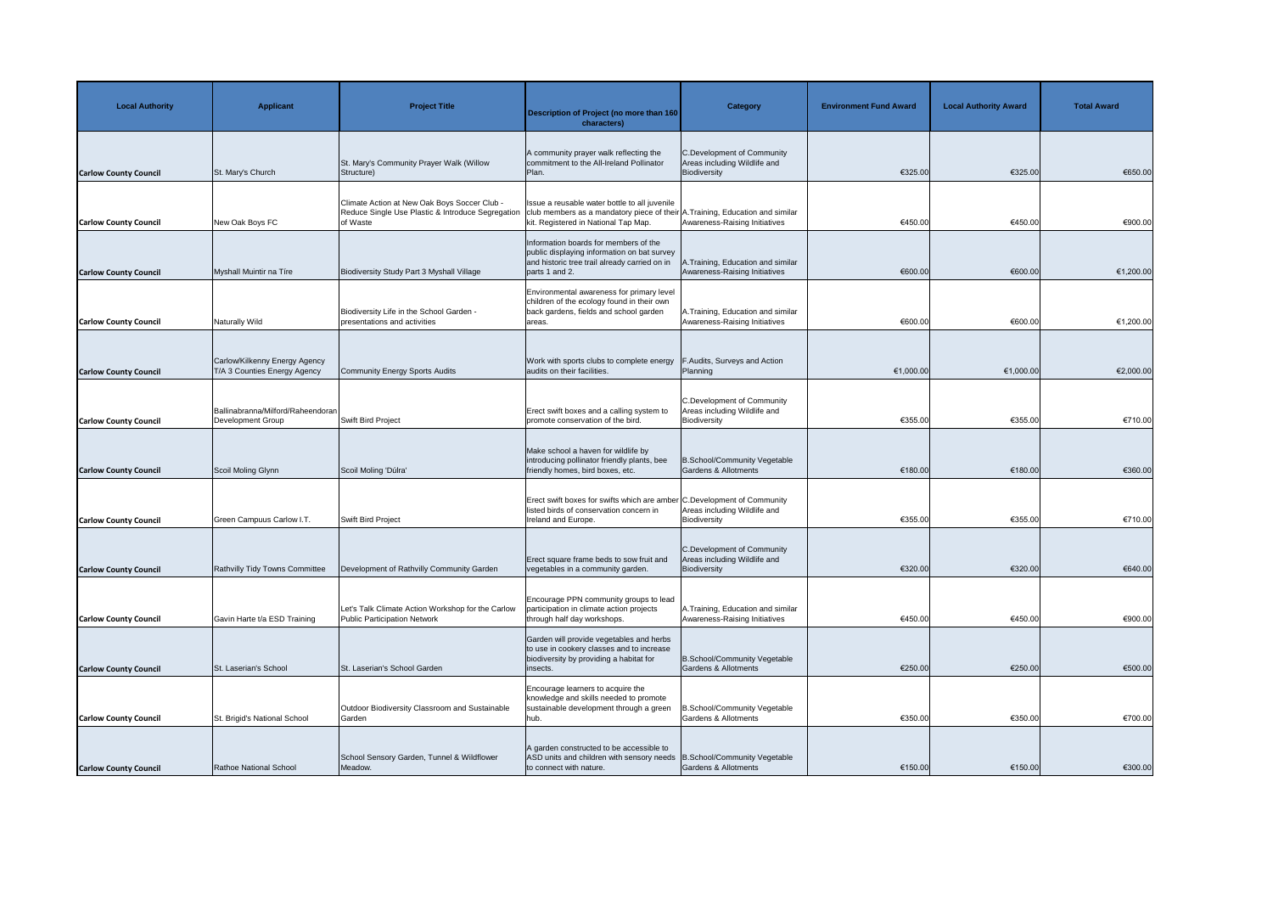| <b>Local Authority</b>       | <b>Applicant</b>                                              | <b>Project Title</b>                                                                                          | Description of Project (no more than 160<br>characters)                                                                                                                | <b>Category</b>                                                                   | <b>Environment Fund Award</b> | <b>Local Authority Award</b> | <b>Total Award</b> |
|------------------------------|---------------------------------------------------------------|---------------------------------------------------------------------------------------------------------------|------------------------------------------------------------------------------------------------------------------------------------------------------------------------|-----------------------------------------------------------------------------------|-------------------------------|------------------------------|--------------------|
| <b>Carlow County Council</b> | St. Mary's Church                                             | St. Mary's Community Prayer Walk (Willow<br>Structure)                                                        | A community prayer walk reflecting the<br>commitment to the All-Ireland Pollinator<br>Plan.                                                                            | <b>C.Development of Community</b><br>Areas including Wildlife and<br>Biodiversity | €325.00                       | €325.00                      | €650.00            |
| <b>Carlow County Council</b> | New Oak Boys FC                                               | Climate Action at New Oak Boys Soccer Club -<br>Reduce Single Use Plastic & Introduce Segregation<br>of Waste | Issue a reusable water bottle to all juvenile<br>club members as a mandatory piece of their A. Training, Education and similar<br>kit. Registered in National Tap Map. | Awareness-Raising Initiatives                                                     | €450.00                       | €450.00                      | €900.00            |
| <b>Carlow County Council</b> | Myshall Muintir na Tíre                                       | Biodiversity Study Part 3 Myshall Village                                                                     | Information boards for members of the<br>public displaying information on bat survey<br>and historic tree trail already carried on in<br>parts 1 and 2.                | A.Training, Education and similar<br>Awareness-Raising Initiatives                | €600.00                       | €600.00                      | €1,200.00          |
| <b>Carlow County Council</b> | Naturally Wild                                                | Biodiversity Life in the School Garden -<br>presentations and activities                                      | Environmental awareness for primary level<br>children of the ecology found in their own<br>back gardens, fields and school garden<br>lareas.                           | A. Training, Education and similar<br>Awareness-Raising Initiatives               | €600.00                       | €600.00                      | €1,200.00          |
| <b>Carlow County Council</b> | Carlow/Kilkenny Energy Agency<br>T/A 3 Counties Energy Agency | Community Energy Sports Audits                                                                                | Work with sports clubs to complete energy<br>audits on their facilities.                                                                                               | <b>F.Audits, Surveys and Action</b><br>Planning                                   | €1,000.00                     | €1,000.00                    | €2,000.00          |
| <b>Carlow County Council</b> | Ballinabranna/Milford/Raheendoran<br>Development Group        | Swift Bird Project                                                                                            | Erect swift boxes and a calling system to<br>promote conservation of the bird.                                                                                         | <b>C.Development of Community</b><br>Areas including Wildlife and<br>Biodiversity | €355.00                       | €355.00                      | €710.00            |
| <b>Carlow County Council</b> | Scoil Moling Glynn                                            | Scoil Moling 'Dúlra'                                                                                          | Make school a haven for wildlife by<br>introducing pollinator friendly plants, bee<br>friendly homes, bird boxes, etc.                                                 | B.School/Community Vegetable<br><b>Gardens &amp; Allotments</b>                   | €180.00                       | €180.00                      | €360.00            |
| <b>Carlow County Council</b> | Green Campuus Carlow I.T.                                     | <b>Swift Bird Project</b>                                                                                     | Erect swift boxes for swifts which are amber C. Development of Community<br>listed birds of conservation concern in<br>Ireland and Europe.                             | Areas including Wildlife and<br>Biodiversity                                      | €355.00                       | €355.00                      | €710.00            |
| <b>Carlow County Council</b> | Rathvilly Tidy Towns Committee                                | Development of Rathvilly Community Garden                                                                     | Erect square frame beds to sow fruit and<br>vegetables in a community garden.                                                                                          | C.Development of Community<br>Areas including Wildlife and<br>Biodiversity        | €320.00                       | €320.00                      | €640.00            |
| <b>Carlow County Council</b> | Gavin Harte t/a ESD Training                                  | Let's Talk Climate Action Workshop for the Carlow<br>Public Participation Network                             | Encourage PPN community groups to lead<br>participation in climate action projects<br>through half day workshops.                                                      | A. Training, Education and similar<br>Awareness-Raising Initiatives               | €450.00                       | €450.00                      | €900.00            |
| <b>Carlow County Council</b> | St. Laserian's School                                         | St. Laserian's School Garden                                                                                  | Garden will provide vegetables and herbs<br>to use in cookery classes and to increase<br>biodiversity by providing a habitat for<br>insects.                           | B.School/Community Vegetable<br><b>Gardens &amp; Allotments</b>                   | €250.00                       | €250.00                      | €500.00            |
| <b>Carlow County Council</b> | St. Brigid's National School                                  | Outdoor Biodiversity Classroom and Sustainable<br>Garden                                                      | Encourage learners to acquire the<br>knowledge and skills needed to promote<br>sustainable development through a green<br>hub.                                         | <b>B.School/Community Vegetable</b><br><b>Gardens &amp; Allotments</b>            | €350.00                       | €350.00                      | €700.00            |
| <b>Carlow County Council</b> | Rathoe National School                                        | School Sensory Garden, Tunnel & Wildflower<br>Meadow.                                                         | A garden constructed to be accessible to<br>ASD units and children with sensory needs   B.School/Community Vegetable<br>to connect with nature.                        | <b>Gardens &amp; Allotments</b>                                                   | €150.00                       | €150.00                      | €300.00            |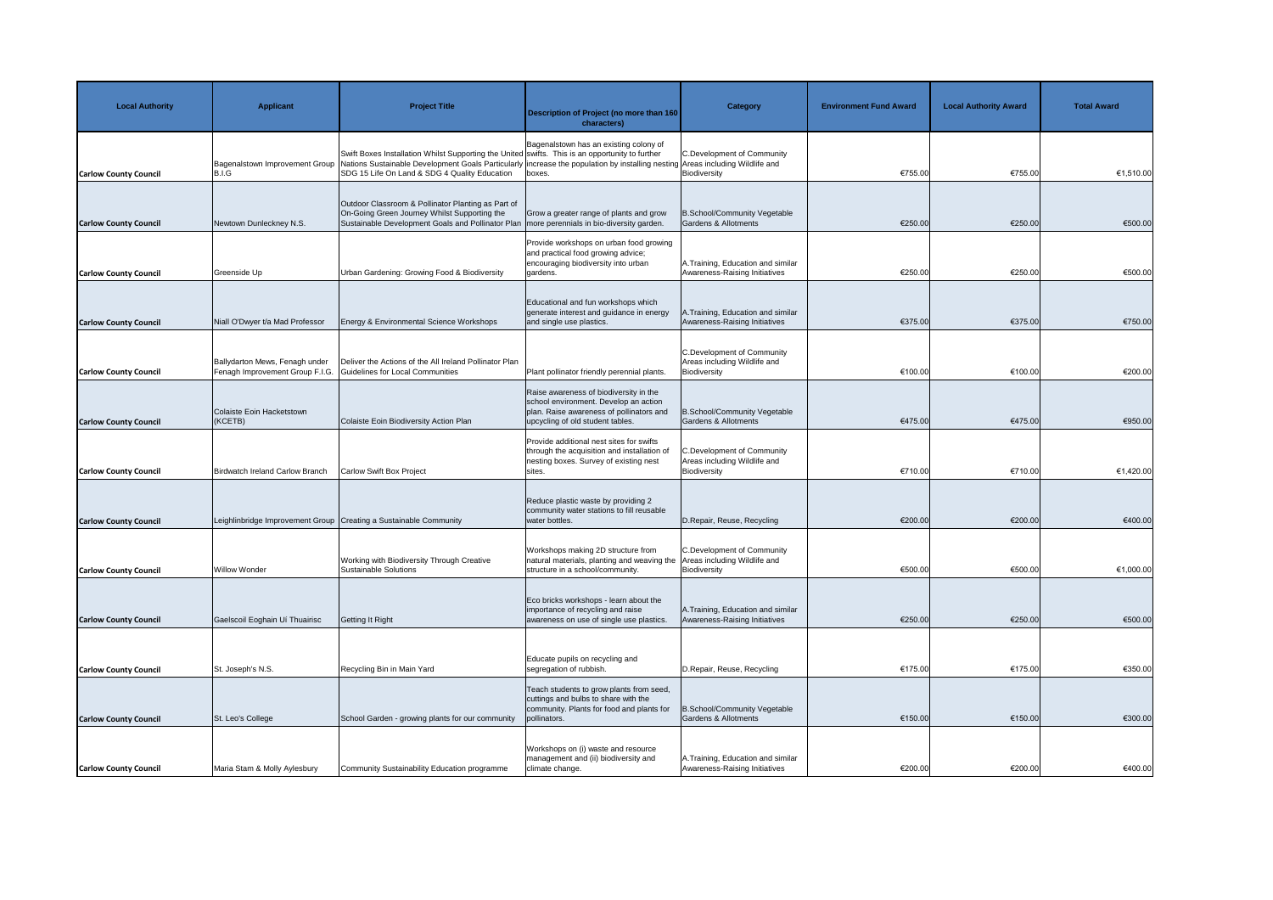| <b>Local Authority</b>       | <b>Applicant</b>                                                  | <b>Project Title</b>                                                                                                                                                                                                                                                              | Description of Project (no more than 160<br>characters)                                                                                                         | <b>Category</b>                                                                   | <b>Environment Fund Award</b> | <b>Local Authority Award</b> | <b>Total Award</b> |
|------------------------------|-------------------------------------------------------------------|-----------------------------------------------------------------------------------------------------------------------------------------------------------------------------------------------------------------------------------------------------------------------------------|-----------------------------------------------------------------------------------------------------------------------------------------------------------------|-----------------------------------------------------------------------------------|-------------------------------|------------------------------|--------------------|
| <b>Carlow County Council</b> | Bagenalstown Improvement Group<br>B.I.G                           | Swift Boxes Installation Whilst Supporting the United swifts. This is an opportunity to further<br>Nations Sustainable Development Goals Particularly increase the population by installing nesting Areas including Wildlife and<br>SDG 15 Life On Land & SDG 4 Quality Education | Bagenalstown has an existing colony of<br>boxes.                                                                                                                | <b>C.Development of Community</b><br>Biodiversity                                 | €755.00                       | €755.00                      | €1,510.00          |
| <b>Carlow County Council</b> | Newtown Dunleckney N.S.                                           | Outdoor Classroom & Pollinator Planting as Part of<br>On-Going Green Journey Whilst Supporting the<br>Sustainable Development Goals and Pollinator Plan                                                                                                                           | Grow a greater range of plants and grow<br>more perennials in bio-diversity garden.                                                                             | <b>B.School/Community Vegetable</b><br>Gardens & Allotments                       | €250.00                       | €250.00                      | €500.00            |
| <b>Carlow County Council</b> | Greenside Up                                                      | Urban Gardening: Growing Food & Biodiversity                                                                                                                                                                                                                                      | Provide workshops on urban food growing<br>and practical food growing advice;<br>encouraging biodiversity into urban<br>gardens.                                | A.Training, Education and similar<br>Awareness-Raising Initiatives                | €250.00                       | €250.00                      | €500.00            |
| <b>Carlow County Council</b> | Niall O'Dwyer t/a Mad Professor                                   | Energy & Environmental Science Workshops                                                                                                                                                                                                                                          | Educational and fun workshops which<br>generate interest and guidance in energy<br>and single use plastics.                                                     | A.Training, Education and similar<br>Awareness-Raising Initiatives                | €375.00                       | €375.00                      | €750.00            |
| <b>Carlow County Council</b> | Ballydarton Mews, Fenagh under<br>Fenagh Improvement Group F.I.G. | Deliver the Actions of the All Ireland Pollinator Plan<br>Guidelines for Local Communities                                                                                                                                                                                        | Plant pollinator friendly perennial plants.                                                                                                                     | <b>C.Development of Community</b><br>Areas including Wildlife and<br>Biodiversity | €100.00                       | €100.00                      | €200.00            |
| <b>Carlow County Council</b> | Colaiste Eoin Hacketstown<br>(KCETB)                              | Colaiste Eoin Biodiversity Action Plan                                                                                                                                                                                                                                            | Raise awareness of biodiversity in the<br>school environment. Develop an action<br>plan. Raise awareness of pollinators and<br>upcycling of old student tables. | <b>B.School/Community Vegetable</b><br><b>Gardens &amp; Allotments</b>            | €475.00                       | €475.00                      | €950.00            |
| <b>Carlow County Council</b> | Birdwatch Ireland Carlow Branch                                   | <b>Carlow Swift Box Project</b>                                                                                                                                                                                                                                                   | Provide additional nest sites for swifts<br>through the acquisition and installation of<br>nesting boxes. Survey of existing nest<br>sites.                     | <b>C.Development of Community</b><br>Areas including Wildlife and<br>Biodiversity | €710.00                       | €710.00                      | €1,420.00          |
| <b>Carlow County Council</b> | Leighlinbridge Improvement Group                                  | Creating a Sustainable Community                                                                                                                                                                                                                                                  | Reduce plastic waste by providing 2<br>community water stations to fill reusable<br>water bottles.                                                              | D.Repair, Reuse, Recycling                                                        | €200.00                       | €200.00                      | €400.00            |
| <b>Carlow County Council</b> | <b>Willow Wonder</b>                                              | Working with Biodiversity Through Creative<br>Sustainable Solutions                                                                                                                                                                                                               | Workshops making 2D structure from<br>Inatural materials, planting and weaving the   Areas including Wildlife and<br>structure in a school/community.           | <b>C.Development of Community</b><br>Biodiversity                                 | €500.00                       | €500.00                      | €1,000.00          |
| <b>Carlow County Council</b> | Gaelscoil Eoghain Uí Thuairisc                                    | Getting It Right                                                                                                                                                                                                                                                                  | Eco bricks workshops - learn about the<br>importance of recycling and raise<br>awareness on use of single use plastics.                                         | A. Training, Education and similar<br>Awareness-Raising Initiatives               | €250.00                       | €250.00                      | €500.00            |
| <b>Carlow County Council</b> | St. Joseph's N.S.                                                 | Recycling Bin in Main Yard                                                                                                                                                                                                                                                        | Educate pupils on recycling and<br>segregation of rubbish.                                                                                                      | D.Repair, Reuse, Recycling                                                        | €175.00                       | €175.00                      | €350.00            |
| <b>Carlow County Council</b> | St. Leo's College                                                 | School Garden - growing plants for our community                                                                                                                                                                                                                                  | Teach students to grow plants from seed,<br>cuttings and bulbs to share with the<br>community. Plants for food and plants for<br>pollinators.                   | <b>B.School/Community Vegetable</b><br><b>Gardens &amp; Allotments</b>            | €150.00                       | €150.00                      | €300.00            |
| <b>Carlow County Council</b> | Maria Stam & Molly Aylesbury                                      | Community Sustainability Education programme                                                                                                                                                                                                                                      | Workshops on (i) waste and resource<br>management and (ii) biodiversity and<br>climate change.                                                                  | A. Training, Education and similar<br>Awareness-Raising Initiatives               | €200.00                       | €200.00                      | €400.00            |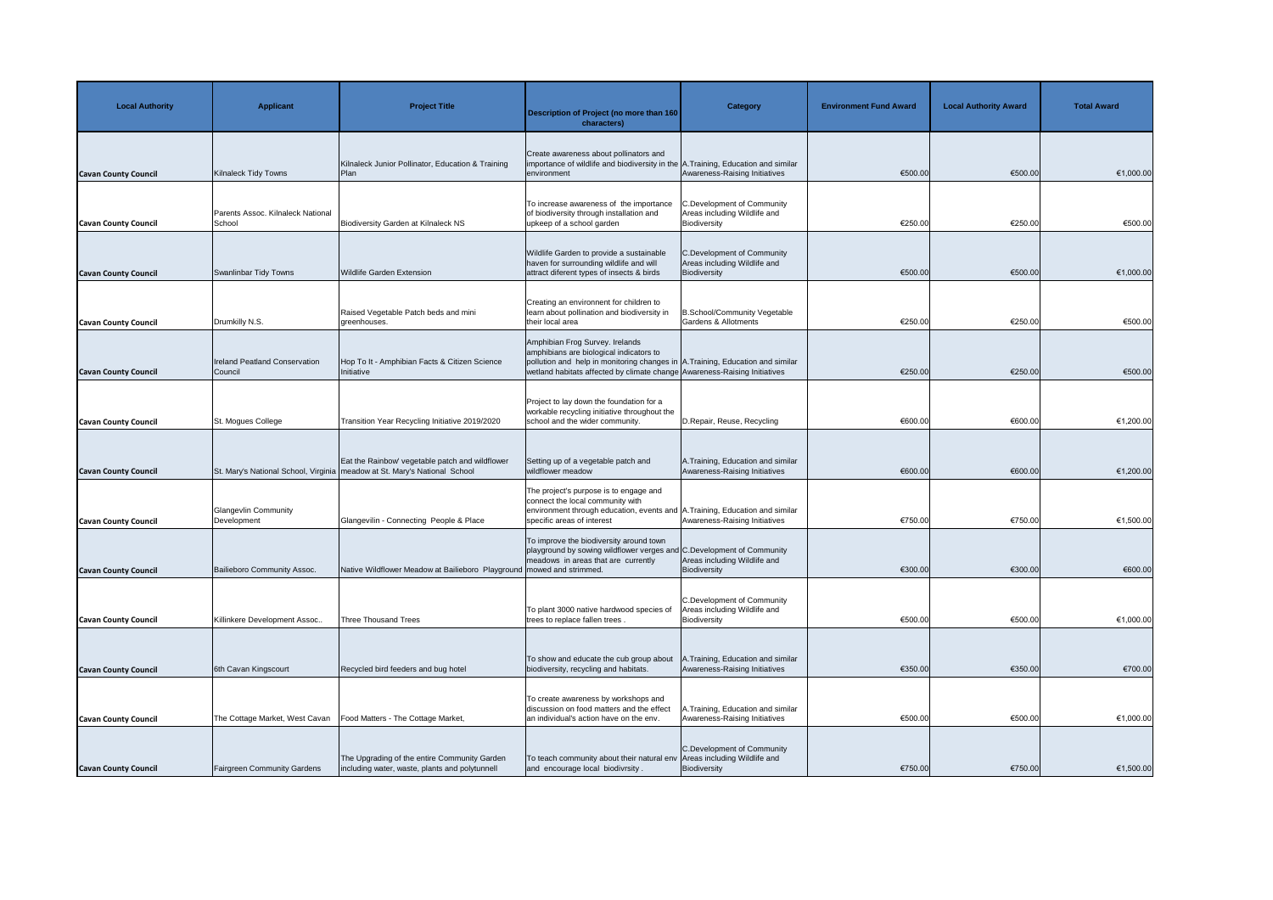| <b>Local Authority</b>      | <b>Applicant</b>                                | <b>Project Title</b>                                                                                                           | <b>Description of Project (no more than 160</b><br>characters)                                                                                                                                                                            | <b>Category</b>                                                                   | <b>Environment Fund Award</b> | <b>Local Authority Award</b> | <b>Total Award</b> |
|-----------------------------|-------------------------------------------------|--------------------------------------------------------------------------------------------------------------------------------|-------------------------------------------------------------------------------------------------------------------------------------------------------------------------------------------------------------------------------------------|-----------------------------------------------------------------------------------|-------------------------------|------------------------------|--------------------|
| <b>Cavan County Council</b> | Kilnaleck Tidy Towns                            | Kilnaleck Junior Pollinator, Education & Training<br>Plan                                                                      | Create awareness about pollinators and<br>importance of wildlife and biodiversity in the A. Training, Education and similar<br>environment                                                                                                | Awareness-Raising Initiatives                                                     | €500.00                       | €500.00                      | €1,000.00          |
| <b>Cavan County Council</b> | Parents Assoc. Kilnaleck National<br>School     | <b>Biodiversity Garden at Kilnaleck NS</b>                                                                                     | To increase awareness of the importance<br>of biodiversity through installation and<br>upkeep of a school garden                                                                                                                          | <b>C.Development of Community</b><br>Areas including Wildlife and<br>Biodiversity | €250.00                       | €250.00                      | €500.00            |
| <b>Cavan County Council</b> | Swanlinbar Tidy Towns                           | <b>Wildlife Garden Extension</b>                                                                                               | Wildlife Garden to provide a sustainable<br>haven for surrounding wildlife and will<br>attract diferent types of insects & birds                                                                                                          | <b>C.Development of Community</b><br>Areas including Wildlife and<br>Biodiversity | €500.00                       | €500.00                      | €1,000.00          |
| <b>Cavan County Council</b> | Drumkilly N.S.                                  | Raised Vegetable Patch beds and mini<br>greenhouses.                                                                           | Creating an environnent for children to<br>learn about pollination and biodiversity in<br>their local area                                                                                                                                | <b>B.School/Community Vegetable</b><br>Gardens & Allotments                       | €250.00                       | €250.00                      | €500.00            |
| <b>Cavan County Council</b> | <b>Ireland Peatland Conservation</b><br>Council | Hop To It - Amphibian Facts & Citizen Science<br>Initiative                                                                    | Amphibian Frog Survey. Irelands<br>amphibians are biological indicators to<br>pollution and help in monitoring changes in A. Training, Education and similar<br>wetland habitats affected by climate change Awareness-Raising Initiatives |                                                                                   | €250.00                       | €250.00                      | €500.00            |
| <b>Cavan County Council</b> | St. Mogues College                              | Transition Year Recycling Initiative 2019/2020                                                                                 | Project to lay down the foundation for a<br>workable recycling initiative throughout the<br>school and the wider community.                                                                                                               | D. Repair, Reuse, Recycling                                                       | €600.00                       | €600.00                      | €1,200.00          |
| <b>Cavan County Council</b> |                                                 | Eat the Rainbow' vegetable patch and wildflower<br>St. Mary's National School, Virginia   meadow at St. Mary's National School | Setting up of a vegetable patch and<br>wildflower meadow                                                                                                                                                                                  | A. Training, Education and similar<br>Awareness-Raising Initiatives               | €600.00                       | €600.00                      | €1,200.00          |
| <b>Cavan County Council</b> | <b>Glangevlin Community</b><br>Development      | Glangevilin - Connecting People & Place                                                                                        | The project's purpose is to engage and<br>connect the local community with<br>environment through education, events and A.Training, Education and similar<br>specific areas of interest                                                   | Awareness-Raising Initiatives                                                     | €750.00                       | €750.00                      | €1,500.00          |
| <b>Cavan County Council</b> | Bailieboro Community Assoc.                     | Native Wildflower Meadow at Bailieboro Playground   mowed and strimmed.                                                        | To improve the biodiversity around town<br>playground by sowing wildflower verges and C.Development of Community<br>meadows in areas that are currently                                                                                   | Areas including Wildlife and<br>Biodiversity                                      | €300.00                       | €300.00                      | €600.00            |
| <b>Cavan County Council</b> | Killinkere Development Assoc                    | <b>Three Thousand Trees</b>                                                                                                    | To plant 3000 native hardwood species of<br>trees to replace fallen trees.                                                                                                                                                                | <b>C.Development of Community</b><br>Areas including Wildlife and<br>Biodiversity | €500.00                       | €500.00                      | €1,000.00          |
| <b>Cavan County Council</b> | 6th Cavan Kingscourt                            | Recycled bird feeders and bug hotel                                                                                            | To show and educate the cub group about<br>biodiversity, recycling and habitats.                                                                                                                                                          | 1. Training, Education and similar<br>Awareness-Raising Initiatives               | €350.00                       | €350.00                      | €700.00            |
| <b>Cavan County Council</b> | The Cottage Market, West Cavan                  | Food Matters - The Cottage Market,                                                                                             | To create awareness by workshops and<br>discussion on food matters and the effect<br>an individual's action have on the env.                                                                                                              | 1. Training, Education and similar<br>Awareness-Raising Initiatives               | €500.00                       | €500.00                      | €1,000.00          |
| <b>Cavan County Council</b> | <b>Fairgreen Community Gardens</b>              | The Upgrading of the entire Community Garden<br>including water, waste, plants and polytunnell                                 | To teach community about their natural env Areas including Wildlife and<br>and encourage local biodivrsity.                                                                                                                               | C.Development of Community<br>Biodiversity                                        | €750.00                       | €750.00                      | €1,500.00          |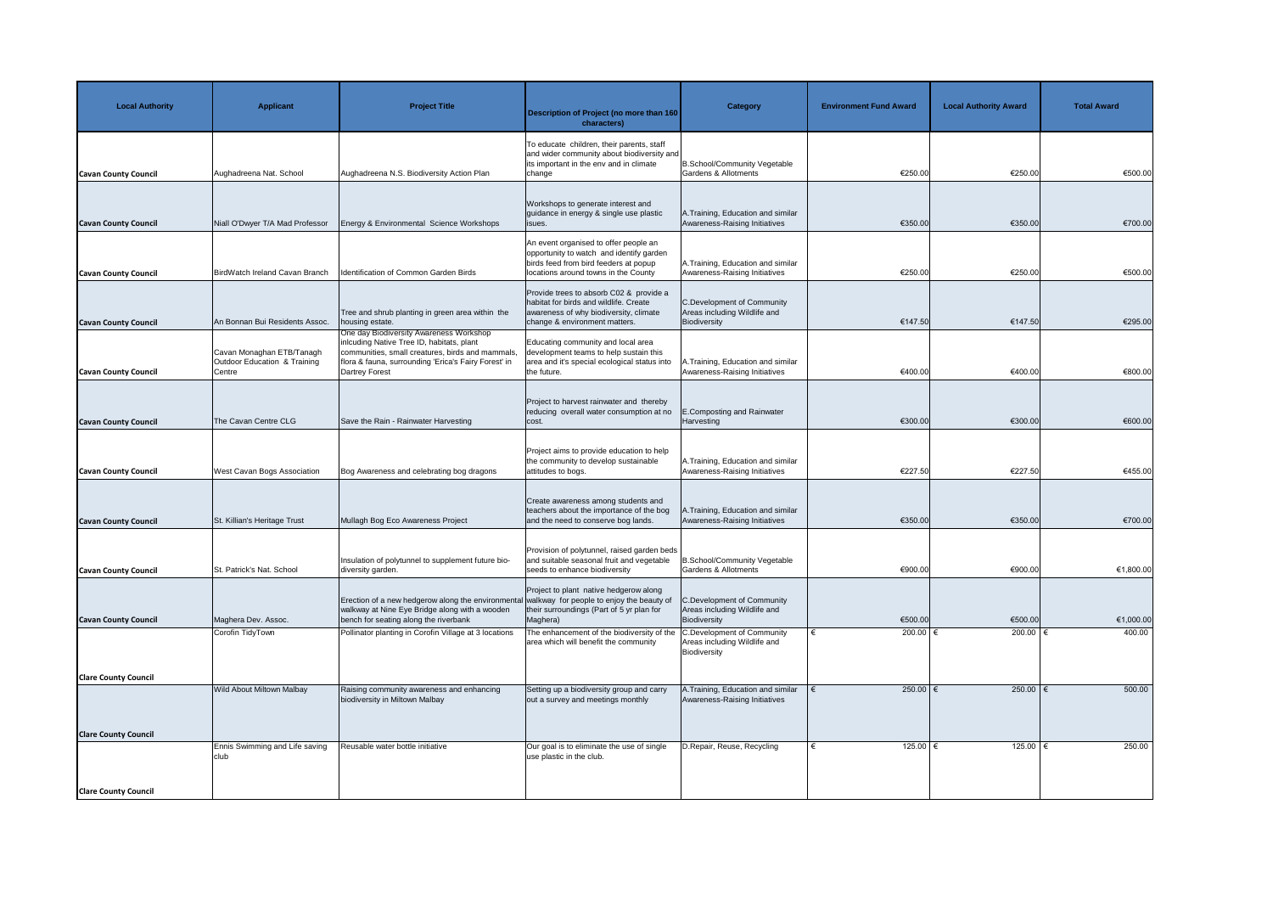| <b>Local Authority</b>      | <b>Applicant</b>                                                    | <b>Project Title</b>                                                                                                                                                                                               | Description of Project (no more than 160<br>characters)                                                                                                            | <b>Category</b>                                                                   | <b>Environment Fund Award</b> | <b>Local Authority Award</b> | <b>Total Award</b> |
|-----------------------------|---------------------------------------------------------------------|--------------------------------------------------------------------------------------------------------------------------------------------------------------------------------------------------------------------|--------------------------------------------------------------------------------------------------------------------------------------------------------------------|-----------------------------------------------------------------------------------|-------------------------------|------------------------------|--------------------|
| <b>Cavan County Council</b> | Aughadreena Nat. School                                             | Aughadreena N.S. Biodiversity Action Plan                                                                                                                                                                          | To educate children, their parents, staff<br>and wider community about biodiversity and<br>its important in the env and in climate<br>change                       | <b>B.School/Community Vegetable</b><br><b>Gardens &amp; Allotments</b>            | €250.00                       | €250.00                      | €500.00            |
| <b>Cavan County Council</b> | Niall O'Dwyer T/A Mad Professor                                     | Energy & Environmental Science Workshops                                                                                                                                                                           | Workshops to generate interest and<br>guidance in energy & single use plastic<br>lisues.                                                                           | A. Training, Education and similar<br>Awareness-Raising Initiatives               | €350.00                       | €350.00                      | €700.00            |
| <b>Cavan County Council</b> | BirdWatch Ireland Cavan Branch                                      | Identification of Common Garden Birds                                                                                                                                                                              | An event organised to offer people an<br>opportunity to watch and identify garden<br>birds feed from bird feeders at popup<br>locations around towns in the County | A. Training, Education and similar<br>Awareness-Raising Initiatives               | €250.00                       | €250.00                      | €500.00            |
| <b>Cavan County Council</b> | An Bonnan Bui Residents Assoc.                                      | Tree and shrub planting in green area within the<br>housing estate.                                                                                                                                                | Provide trees to absorb C02 & provide a<br>I habitat for birds and wildlife. Create<br>awareness of why biodiversity, climate<br>change & environment matters.     | <b>C.Development of Community</b><br>Areas including Wildlife and<br>Biodiversity | €147.50                       | €147.50                      | €295.00            |
| <b>Cavan County Council</b> | Cavan Monaghan ETB/Tanagh<br>Outdoor Education & Training<br>Centre | One day Biodiversity Awareness Workshop<br>inlcuding Native Tree ID, habitats, plant<br>communities, small creatures, birds and mammals,<br>flora & fauna, surrounding 'Erica's Fairy Forest' in<br>Dartrey Forest | Educating community and local area<br>development teams to help sustain this<br>area and it's special ecological status into<br>the future.                        | A.Training, Education and similar<br>Awareness-Raising Initiatives                | €400.00                       | €400.00                      | €800.00            |
| <b>Cavan County Council</b> | The Cavan Centre CLG                                                | Save the Rain - Rainwater Harvesting                                                                                                                                                                               | Project to harvest rainwater and thereby<br>reducing overall water consumption at no<br>cost.                                                                      | <b>E.Composting and Rainwater</b><br>Harvesting                                   | €300.00                       | €300.00                      | €600.00            |
| <b>Cavan County Council</b> | <b>West Cavan Bogs Association</b>                                  | Bog Awareness and celebrating bog dragons                                                                                                                                                                          | Project aims to provide education to help<br>the community to develop sustainable<br>attitudes to bogs.                                                            | A. Training, Education and similar<br>Awareness-Raising Initiatives               | €227.50                       | €227.50                      | €455.00            |
| <b>Cavan County Council</b> | St. Killian's Heritage Trust                                        | Mullagh Bog Eco Awareness Project                                                                                                                                                                                  | Create awareness among students and<br>teachers about the importance of the bog<br>and the need to conserve bog lands.                                             | A.Training, Education and similar<br>Awareness-Raising Initiatives                | €350.00                       | €350.00                      | €700.00            |
| <b>Cavan County Council</b> | St. Patrick's Nat. School                                           | Insulation of polytunnel to supplement future bio-<br>diversity garden.                                                                                                                                            | Provision of polytunnel, raised garden beds<br>and suitable seasonal fruit and vegetable<br>seeds to enhance biodiversity                                          | <b>B.School/Community Vegetable</b><br><b>Gardens &amp; Allotments</b>            | €900.00                       | €900.00                      | €1,800.00          |
| <b>Cavan County Council</b> | Maghera Dev. Assoc.                                                 | Erection of a new hedgerow along the environmental walkway for people to enjoy the beauty of<br>walkway at Nine Eye Bridge along with a wooden<br>bench for seating along the riverbank                            | Project to plant native hedgerow along<br>their surroundings (Part of 5 yr plan for<br>Maghera)                                                                    | <b>C.Development of Community</b><br>Areas including Wildlife and<br>Biodiversity | €500.00                       | €500.00                      | €1,000.00          |
|                             | Corofin TidyTown                                                    | Pollinator planting in Corofin Village at 3 locations                                                                                                                                                              | The enhancement of the biodiversity of the<br>area which will benefit the community                                                                                | <b>C.Development of Community</b><br>Areas including Wildlife and<br>Biodiversity | 200.00 $ \epsilon$            | 200.00   €                   | 400.00             |
| <b>Clare County Council</b> | <b>Wild About Miltown Malbay</b>                                    | Raising community awareness and enhancing<br>biodiversity in Miltown Malbay                                                                                                                                        | Setting up a biodiversity group and carry<br>out a survey and meetings monthly                                                                                     | A.Training, Education and similar<br>Awareness-Raising Initiatives                | 250.00   €                    | 250.00   €                   | 500.00             |
| <b>Clare County Council</b> | Ennis Swimming and Life saving                                      | Reusable water bottle initiative                                                                                                                                                                                   | Our goal is to eliminate the use of single                                                                                                                         | D.Repair, Reuse, Recycling                                                        | 125.00 €                      | 125.00 €                     | 250.00             |
| <b>Clare County Council</b> | club                                                                |                                                                                                                                                                                                                    | use plastic in the club.                                                                                                                                           |                                                                                   |                               |                              |                    |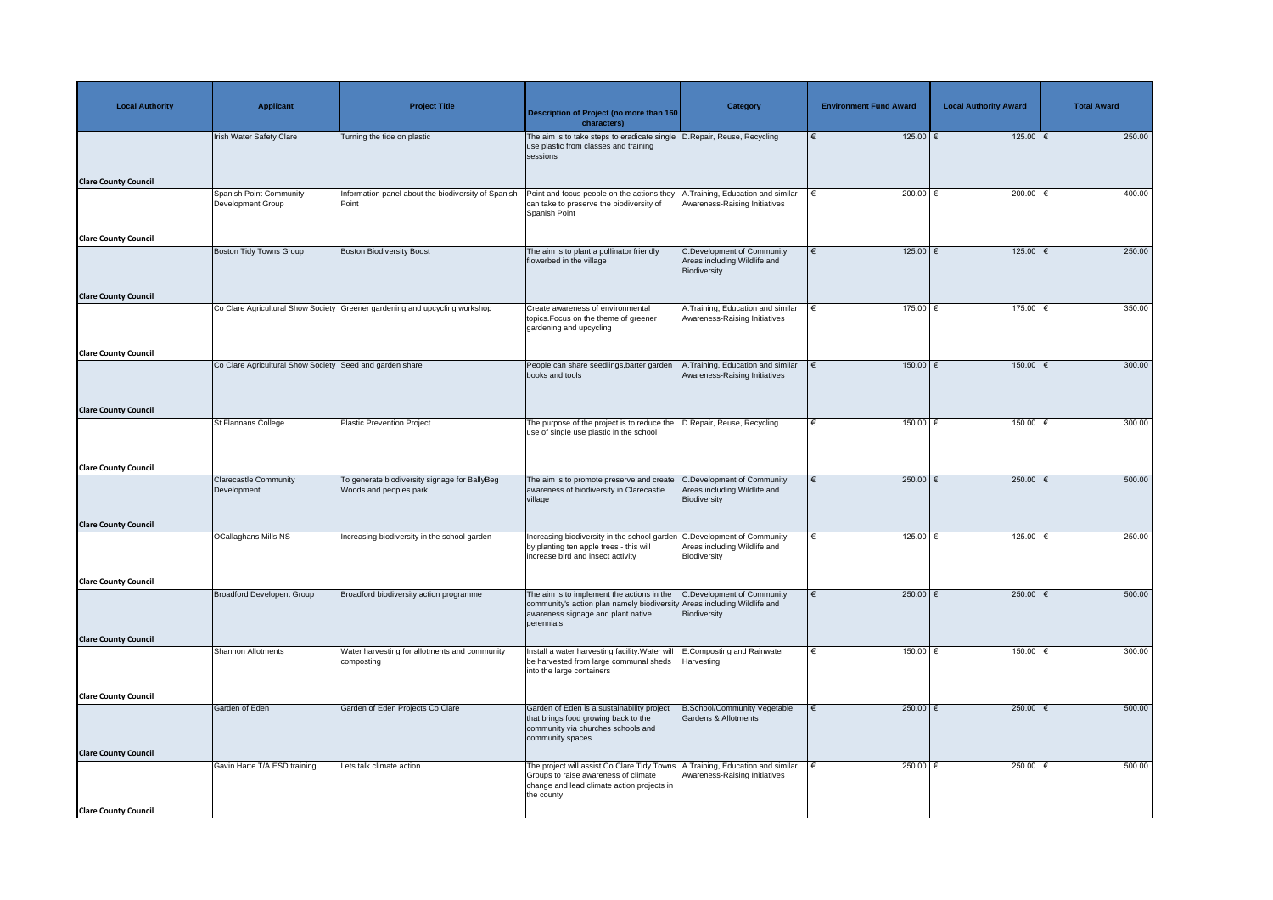| <b>Local Authority</b>      | <b>Applicant</b>                                         | <b>Project Title</b>                                                        | <b>Description of Project (no more than 160</b><br>characters)                                                                                                             | <b>Category</b>                                                                   | <b>Environment Fund Award</b> | <b>Local Authority Award</b> | <b>Total Award</b> |
|-----------------------------|----------------------------------------------------------|-----------------------------------------------------------------------------|----------------------------------------------------------------------------------------------------------------------------------------------------------------------------|-----------------------------------------------------------------------------------|-------------------------------|------------------------------|--------------------|
|                             | <b>Irish Water Safety Clare</b>                          | Turning the tide on plastic                                                 | The aim is to take steps to eradicate single  D.Repair, Reuse, Recycling<br>use plastic from classes and training<br>sessions                                              |                                                                                   | $125.00$ €                    | $125.00$ €                   | 250.00             |
| <b>Clare County Council</b> | <b>Spanish Point Community</b>                           | Information panel about the biodiversity of Spanish                         | Point and focus people on the actions they                                                                                                                                 | A. Training, Education and similar                                                | 200.00 $\epsilon$             | 200.00 $\epsilon$            | 400.00             |
|                             | <b>Development Group</b>                                 | Point                                                                       | can take to preserve the biodiversity of<br>Spanish Point                                                                                                                  | Awareness-Raising Initiatives                                                     |                               |                              |                    |
| <b>Clare County Council</b> |                                                          |                                                                             |                                                                                                                                                                            |                                                                                   |                               |                              |                    |
|                             | <b>Boston Tidy Towns Group</b>                           | <b>Boston Biodiversity Boost</b>                                            | The aim is to plant a pollinator friendly<br>flowerbed in the village                                                                                                      | <b>C.Development of Community</b><br>Areas including Wildlife and<br>Biodiversity | $125.00$ €                    | $125.00$ €                   | 250.00             |
| <b>Clare County Council</b> |                                                          |                                                                             |                                                                                                                                                                            |                                                                                   |                               |                              |                    |
|                             |                                                          | Co Clare Agricultural Show Society Greener gardening and upcycling workshop | Create awareness of environmental<br>topics. Focus on the theme of greener<br>gardening and upcycling                                                                      | A. Training, Education and similar<br>Awareness-Raising Initiatives               | $175.00$ $\in$                | $175.00$ €                   | 350.00             |
| <b>Clare County Council</b> |                                                          |                                                                             |                                                                                                                                                                            |                                                                                   |                               |                              |                    |
|                             | Co Clare Agricultural Show Society Seed and garden share |                                                                             | People can share seedlings, barter garden<br>books and tools                                                                                                               | .Training, Education and similar<br>Awareness-Raising Initiatives                 | 150.00   €                    | $150.00$                     | 300.00             |
| <b>Clare County Council</b> |                                                          |                                                                             |                                                                                                                                                                            |                                                                                   |                               |                              |                    |
|                             | St Flannans College                                      | Plastic Prevention Project                                                  | The purpose of the project is to reduce the  D.Repair, Reuse, Recycling<br>use of single use plastic in the school                                                         |                                                                                   | 150.00                        | $150.00$ €                   | 300.00             |
| <b>Clare County Council</b> |                                                          |                                                                             |                                                                                                                                                                            |                                                                                   |                               |                              |                    |
|                             | <b>Clarecastle Community</b><br>Development              | To generate biodiversity signage for BallyBeg<br>Woods and peoples park.    | The aim is to promote preserve and create<br>awareness of biodiversity in Clarecastle<br>village                                                                           | <b>C.Development of Community</b><br>Areas including Wildlife and<br>Biodiversity | 250.00 $\epsilon$             | 250.00 €                     | 500.00             |
| <b>Clare County Council</b> |                                                          |                                                                             |                                                                                                                                                                            |                                                                                   |                               |                              |                    |
|                             | <b>OCallaghans Mills NS</b>                              | Increasing biodiversity in the school garden                                | Increasing biodiversity in the school garden C.Development of Community<br>by planting ten apple trees - this will<br>increase bird and insect activity                    | Areas including Wildlife and<br>Biodiversity                                      | 125.00 $\epsilon$             | 125.00 $\epsilon$            | 250.00             |
| <b>Clare County Council</b> |                                                          |                                                                             |                                                                                                                                                                            |                                                                                   |                               |                              |                    |
|                             | <b>Broadford Developent Group</b>                        | Broadford biodiversity action programme                                     | The aim is to implement the actions in the<br>community's action plan namely biodiversity Areas including Wildlife and<br>awareness signage and plant native<br>perennials | C.Development of Community<br>Biodiversity                                        | 250.00 $ \epsilon$            | 250.00                       | 500.00             |
| <b>Clare County Council</b> |                                                          |                                                                             |                                                                                                                                                                            |                                                                                   |                               |                              |                    |
|                             | <b>Shannon Allotments</b>                                | <b>Nater harvesting for allotments and community</b><br>composting          | Install a water harvesting facility. Water will<br>be harvested from large communal sheds<br>into the large containers                                                     | <b>E.Composting and Rainwater</b><br>Harvesting                                   | 150.00 $ \epsilon$            | 150.00   €                   | 300.00             |
| <b>Clare County Council</b> |                                                          |                                                                             |                                                                                                                                                                            |                                                                                   |                               |                              |                    |
|                             | Garden of Eden                                           | Garden of Eden Projects Co Clare                                            | Garden of Eden is a sustainability project<br>that brings food growing back to the<br>community via churches schools and<br>community spaces.                              | <b>B.School/Community Vegetable</b><br>Gardens & Allotments                       | 250.00 $\epsilon$             | 250.00                       | 500.00             |
| <b>Clare County Council</b> | Gavin Harte T/A ESD training                             | Lets talk climate action                                                    | The project will assist Co Clare Tidy Towns   A. Training, Education and similar                                                                                           |                                                                                   | 250.00 $ \epsilon$            | 250.00   €                   | 500.00             |
|                             |                                                          |                                                                             | Groups to raise awareness of climate<br>change and lead climate action projects in<br>the county                                                                           | Awareness-Raising Initiatives                                                     |                               |                              |                    |
| <b>Clare County Council</b> |                                                          |                                                                             |                                                                                                                                                                            |                                                                                   |                               |                              |                    |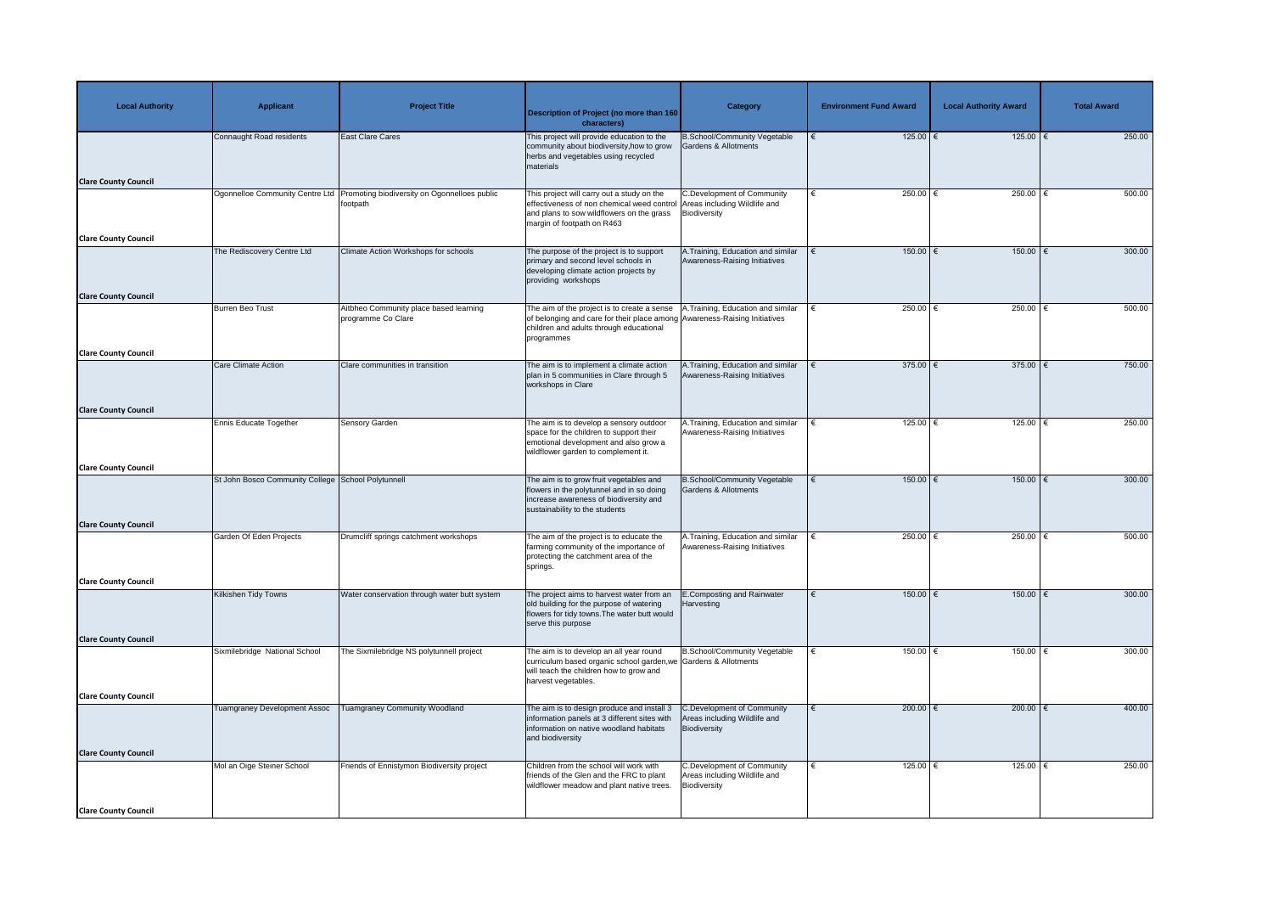| <b>Local Authority</b>      | <b>Applicant</b>                                   | <b>Project Title</b>                                                                       | <b>Description of Project (no more than 160</b><br>characters)                                                                                                                                   | <b>Category</b>                                                                          | <b>Environment Fund Award</b> | <b>Local Authority Award</b> | <b>Total Award</b> |
|-----------------------------|----------------------------------------------------|--------------------------------------------------------------------------------------------|--------------------------------------------------------------------------------------------------------------------------------------------------------------------------------------------------|------------------------------------------------------------------------------------------|-------------------------------|------------------------------|--------------------|
|                             | Connaught Road residents                           | <b>East Clare Cares</b>                                                                    | This project will provide education to the<br>community about biodiversity, how to grow<br>herbs and vegetables using recycled<br>materials                                                      | <b>B.School/Community Vegetable</b><br><b>Gardens &amp; Allotments</b>                   | $125.00$ €                    | 125.00   €                   | 250.00             |
| <b>Clare County Council</b> |                                                    |                                                                                            |                                                                                                                                                                                                  |                                                                                          |                               |                              |                    |
|                             |                                                    | Ogonnelloe Community Centre Ltd   Promoting biodiversity on Ogonnelloes public<br>footpath | This project will carry out a study on the<br>effectiveness of non chemical weed control Areas including Wildlife and<br>and plans to sow wildflowers on the grass<br>margin of footpath on R463 | <b>C.Development of Community</b><br>Biodiversity                                        | 250.00 $ \epsilon$            | 250.00                       | 500.00             |
| <b>Clare County Council</b> | The Rediscovery Centre Ltd                         | Climate Action Workshops for schools                                                       | The purpose of the project is to support                                                                                                                                                         | A. Training, Education and similar                                                       | 150.00   €                    | 150.00   €                   | 300.00             |
|                             |                                                    |                                                                                            | primary and second level schools in<br>developing climate action projects by<br>providing workshops                                                                                              | Awareness-Raising Initiatives                                                            |                               |                              |                    |
| <b>Clare County Council</b> | <b>Burren Beo Trust</b>                            | Aitbheo Community place based learning                                                     | The aim of the project is to create a sense                                                                                                                                                      | .Training, Education and similar                                                         | 250.00 $ \epsilon$            | 250.00                       | 500.00             |
|                             |                                                    | programme Co Clare                                                                         | of belonging and care for their place among Awareness-Raising Initiatives<br>children and adults through educational<br>programmes                                                               |                                                                                          |                               |                              |                    |
| <b>Clare County Council</b> |                                                    |                                                                                            |                                                                                                                                                                                                  |                                                                                          |                               |                              |                    |
|                             | Care Climate Action                                | Clare communities in transition                                                            | The aim is to implement a climate action<br>plan in 5 communities in Clare through 5<br>workshops in Clare                                                                                       | A.Training, Education and similar<br>Awareness-Raising Initiatives                       | 375.00 $\epsilon$             | 375.00 $\epsilon$            | 750.00             |
| <b>Clare County Council</b> |                                                    |                                                                                            |                                                                                                                                                                                                  |                                                                                          |                               |                              |                    |
|                             | Ennis Educate Together                             | <b>Sensory Garden</b>                                                                      | The aim is to develop a sensory outdoor<br>space for the children to support their<br>emotional development and also grow a<br>wildflower garden to complement it.                               | A.Training, Education and similar<br>Awareness-Raising Initiatives                       | 125.00 €                      | 125.00                       | 250.00             |
| <b>Clare County Council</b> |                                                    |                                                                                            |                                                                                                                                                                                                  |                                                                                          |                               |                              |                    |
|                             | St John Bosco Community College School Polytunnell |                                                                                            | The aim is to grow fruit vegetables and<br>flowers in the polytunnel and in so doing<br>increase awareness of biodiversity and<br>sustainability to the students                                 | <b>B.School/Community Vegetable</b><br><b>Gardens &amp; Allotments</b>                   | $150.00$ €                    | $150.00$ $∈$                 | 300.00             |
| <b>Clare County Council</b> |                                                    |                                                                                            |                                                                                                                                                                                                  |                                                                                          |                               |                              |                    |
|                             | Garden Of Eden Projects                            | Drumcliff springs catchment workshops                                                      | The aim of the project is to educate the<br>farming community of the importance of<br>protecting the catchment area of the<br>springs.                                                           | A. Training, Education and similar<br>Awareness-Raising Initiatives                      | 250.00 $\epsilon$             | 250.00                       | 500.00             |
| <b>Clare County Council</b> |                                                    |                                                                                            |                                                                                                                                                                                                  |                                                                                          |                               |                              |                    |
|                             | Kilkishen Tidy Towns                               | Water conservation through water butt system                                               | The project aims to harvest water from an<br>old building for the purpose of watering<br>flowers for tidy towns. The water butt would<br>serve this purpose                                      | E.Composting and Rainwater<br>Harvesting                                                 | $150.00$ €                    | $150.00$ €                   | 300.00             |
| <b>Clare County Council</b> |                                                    |                                                                                            |                                                                                                                                                                                                  |                                                                                          |                               |                              |                    |
|                             | Sixmilebridge National School                      | The Sixmilebridge NS polytunnell project                                                   | The aim is to develop an all year round<br>curriculum based organic school garden, we Gardens & Allotments<br>will teach the children how to grow and<br>harvest vegetables.                     | B.School/Community Vegetable                                                             | 150.00 €                      | 150.00                       | 300.00             |
| <b>Clare County Council</b> |                                                    |                                                                                            |                                                                                                                                                                                                  |                                                                                          |                               |                              |                    |
|                             | <b>Tuamgraney Development Assoc</b>                | <b>Tuamgraney Community Woodland</b>                                                       | The aim is to design produce and install 3<br>information panels at 3 different sites with<br>information on native woodland habitats<br>and biodiversity                                        | <b>C.Development of Community</b><br>Areas including Wildlife and<br><b>Biodiversity</b> | 200.00 $\epsilon$             | 200.00 $\epsilon$            | 400.00             |
| <b>Clare County Council</b> |                                                    |                                                                                            |                                                                                                                                                                                                  |                                                                                          |                               |                              |                    |
|                             | Mol an Oige Steiner School                         | Friends of Ennistymon Biodiversity project                                                 | Children from the school will work with<br>friends of the Glen and the FRC to plant<br>wildflower meadow and plant native trees.                                                                 | <b>C.Development of Community</b><br>Areas including Wildlife and<br>Biodiversity        | 125.00 €                      | 125.00 $\sqrt{ }$            | 250.00             |
| <b>Clare County Council</b> |                                                    |                                                                                            |                                                                                                                                                                                                  |                                                                                          |                               |                              |                    |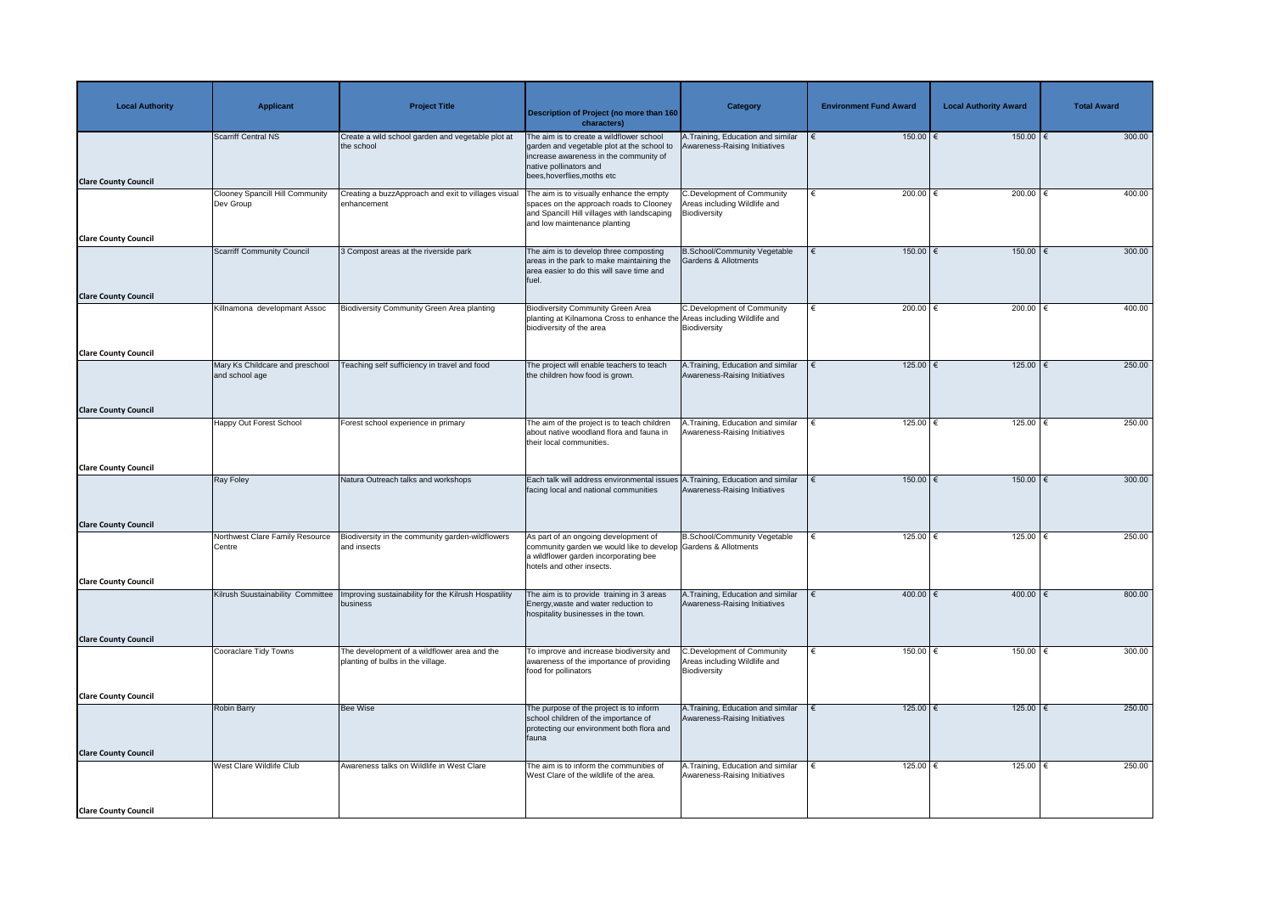| <b>Local Authority</b>                                     | <b>Applicant</b>                                    | <b>Project Title</b>                                                              | <b>Description of Project (no more than 160</b><br>characters)                                                                                                                            | Category                                                                          | <b>Environment Fund Award</b> | <b>Local Authority Award</b> | <b>Total Award</b> |
|------------------------------------------------------------|-----------------------------------------------------|-----------------------------------------------------------------------------------|-------------------------------------------------------------------------------------------------------------------------------------------------------------------------------------------|-----------------------------------------------------------------------------------|-------------------------------|------------------------------|--------------------|
| <b>Clare County Council</b>                                | Scarriff Central NS                                 | Create a wild school garden and vegetable plot at<br>the school                   | The aim is to create a wildflower school<br>garden and vegetable plot at the school to<br>increase awareness in the community of<br>native pollinators and<br>bees, hoverflies, moths etc | A.Training, Education and similar<br>Awareness-Raising Initiatives                | $150.00$ €                    | $150.00$ €                   | 300.00             |
|                                                            | <b>Clooney Spancill Hill Community</b><br>Dev Group | Creating a buzzApproach and exit to villages visual<br>enhancement                | The aim is to visually enhance the empty<br>spaces on the approach roads to Clooney<br>and Spancill Hill villages with landscaping<br>and low maintenance planting                        | <b>C.Development of Community</b><br>Areas including Wildlife and<br>Biodiversity | 200.00 $\in$                  | 200.00                       | 400.00             |
| <b>Clare County Council</b><br><b>Clare County Council</b> | <b>Scarriff Community Council</b>                   | 3 Compost areas at the riverside park                                             | The aim is to develop three composting<br>areas in the park to make maintaining the<br>area easier to do this will save time and<br>fuel.                                                 | <b>B.School/Community Vegetable</b><br><b>Gardens &amp; Allotments</b>            | $150.00$ $\in$<br>€           | $150.00$ €                   | 300.00             |
|                                                            | Killnamona developmant Assoc                        | <b>Biodiversity Community Green Area planting</b>                                 | <b>Biodiversity Community Green Area</b><br>planting at Kilnamona Cross to enhance the Areas including Wildlife and<br>biodiversity of the area                                           | <b>C.Development of Community</b><br>Biodiversity                                 | 200.00 $\epsilon$             | 200.00 €                     | 400.00             |
| <b>Clare County Council</b>                                | Mary Ks Childcare and preschool<br>and school age   | Teaching self sufficiency in travel and food                                      | The project will enable teachers to teach<br>the children how food is grown.                                                                                                              | A.Training, Education and similar<br>Awareness-Raising Initiatives                | $125.00$ €                    | $125.00$ €                   | 250.00             |
| <b>Clare County Council</b>                                | Happy Out Forest School                             | Forest school experience in primary                                               | The aim of the project is to teach children<br>about native woodland flora and fauna in<br>their local communities.                                                                       | A.Training, Education and similar<br>Awareness-Raising Initiatives                | 125.00 €                      | 125.00                       | 250.00             |
| <b>Clare County Council</b>                                | <b>Ray Foley</b>                                    | Natura Outreach talks and workshops                                               | Each talk will address environmental issues A. Training, Education and similar<br>facing local and national communities                                                                   | Awareness-Raising Initiatives                                                     | $150.00$ €                    | $150.00$ $∈$                 | 300.00             |
| <b>Clare County Council</b>                                | Northwest Clare Family Resource<br>Centre           | Biodiversity in the community garden-wildflowers<br>and insects                   | As part of an ongoing development of<br>community garden we would like to develop Gardens & Allotments<br>a wildflower garden incorporating bee<br>hotels and other insects.              | B.School/Community Vegetable                                                      | 125.00 $\epsilon$             | $125.00$ €                   | 250.00             |
| <b>Clare County Council</b>                                | Kilrush Suustainability Committee                   | Improving sustainability for the Kilrush Hospatility<br>business                  | The aim is to provide training in 3 areas<br>Energy, waste and water reduction to<br>hospitality businesses in the town.                                                                  | A.Training, Education and similar<br>Awareness-Raising Initiatives                | 400.00 $ \epsilon$            | 400.00   €                   | 800.00             |
| <b>Clare County Council</b>                                | Cooraclare Tidy Towns                               | The development of a wildflower area and the<br>planting of bulbs in the village. | To improve and increase biodiversity and<br>awareness of the importance of providing<br>food for pollinators                                                                              | <b>C.Development of Community</b><br>Areas including Wildlife and<br>Biodiversity | 150.00 $ \epsilon$            | 150.00   €                   | 300.00             |
| <b>Clare County Council</b>                                | <b>Robin Barry</b>                                  | <b>Bee Wise</b>                                                                   | The purpose of the project is to inform<br>school children of the importance of<br>protecting our environment both flora and<br>fauna                                                     | A. Training, Education and similar<br>Awareness-Raising Initiatives               | $125.00$ €                    | $125.00$ €                   | 250.00             |
| <b>Clare County Council</b>                                | West Clare Wildlife Club                            | Awareness talks on Wildlife in West Clare                                         | The aim is to inform the communities of<br>West Clare of the wildlife of the area.                                                                                                        | A.Training, Education and similar<br>Awareness-Raising Initiatives                | 125.00 $ \epsilon$            | 125.00 €                     | 250.00             |
| <b>Clare County Council</b>                                |                                                     |                                                                                   |                                                                                                                                                                                           |                                                                                   |                               |                              |                    |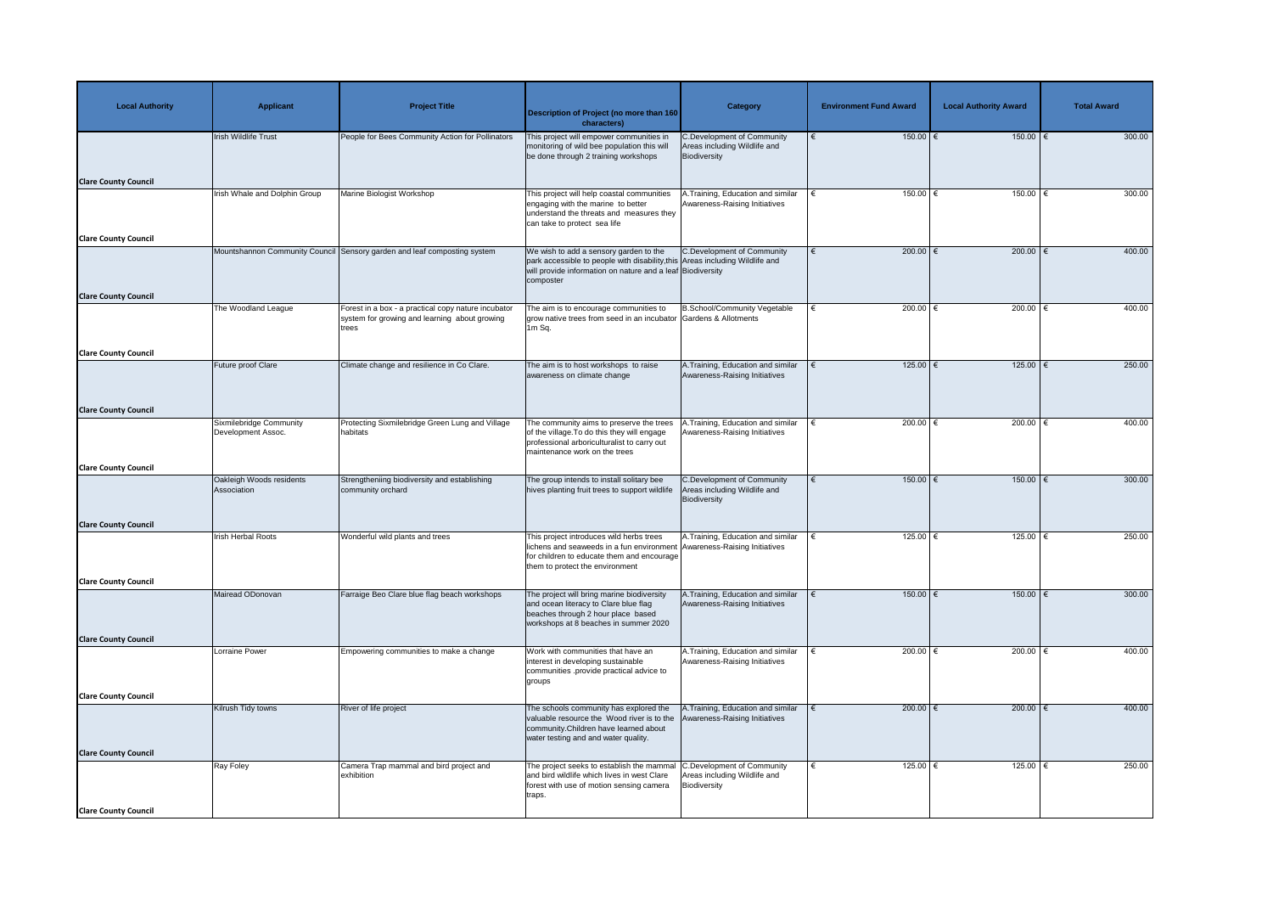| <b>Local Authority</b>      | <b>Applicant</b>                              | <b>Project Title</b>                                                     | <b>Description of Project (no more than 160</b><br>characters)                                                                                                                                       | Category                                                                          | <b>Environment Fund Award</b> | <b>Local Authority Award</b> | <b>Total Award</b> |
|-----------------------------|-----------------------------------------------|--------------------------------------------------------------------------|------------------------------------------------------------------------------------------------------------------------------------------------------------------------------------------------------|-----------------------------------------------------------------------------------|-------------------------------|------------------------------|--------------------|
|                             | <b>Irish Wildlife Trust</b>                   | People for Bees Community Action for Pollinators                         | This project will empower communities in<br>monitoring of wild bee population this will<br>be done through 2 training workshops                                                                      | <b>C.Development of Community</b><br>Areas including Wildlife and<br>Biodiversity | $150.00$ €                    | $150.00$ €                   | 300.00             |
| <b>Clare County Council</b> |                                               |                                                                          |                                                                                                                                                                                                      |                                                                                   |                               |                              |                    |
|                             | Irish Whale and Dolphin Group                 | Marine Biologist Workshop                                                | This project will help coastal communities<br>engaging with the marine to better<br>understand the threats and measures they<br>can take to protect sea life                                         | .Training, Education and similar<br>Awareness-Raising Initiatives                 | 150.00 $\in$                  | $150.00$ (                   | 300.00             |
| <b>Clare County Council</b> |                                               | Mountshannon Community Council Sensory garden and leaf composting system | We wish to add a sensory garden to the                                                                                                                                                               | <b>C.Development of Community</b>                                                 | 200.00 $\epsilon$<br>€        | 200.00 $\epsilon$            | 400.00             |
|                             |                                               |                                                                          | park accessible to people with disability, this Areas including Wildlife and<br>will provide information on nature and a leaf Biodiversity<br>composter                                              |                                                                                   |                               |                              |                    |
| <b>Clare County Council</b> | The Woodland League                           | Forest in a box - a practical copy nature incubator                      | The aim is to encourage communities to                                                                                                                                                               | <b>B.School/Community Vegetable</b>                                               | 200.00 $\epsilon$             | 200.00 $\in$                 | 400.00             |
|                             |                                               | system for growing and learning about growing<br>trees                   | grow native trees from seed in an incubator Gardens & Allotments<br>1m Sq.                                                                                                                           |                                                                                   |                               |                              |                    |
| <b>Clare County Council</b> |                                               |                                                                          |                                                                                                                                                                                                      |                                                                                   |                               |                              |                    |
|                             | Future proof Clare                            | Climate change and resilience in Co Clare.                               | The aim is to host workshops to raise<br>awareness on climate change                                                                                                                                 | A. Training, Education and similar<br>Awareness-Raising Initiatives               | 125.00 $\epsilon$             | 125.00   €                   | 250.00             |
| <b>Clare County Council</b> |                                               |                                                                          |                                                                                                                                                                                                      |                                                                                   |                               |                              |                    |
|                             | Sixmilebridge Community<br>Development Assoc. | Protecting Sixmilebridge Green Lung and Village<br>habitats              | The community aims to preserve the trees<br>of the village. To do this they will engage<br>professional arboriculturalist to carry out<br>maintenance work on the trees                              | A.Training, Education and similar<br>Awareness-Raising Initiatives                | 200.00 $\in$                  | 200.00                       | 400.00             |
| <b>Clare County Council</b> |                                               |                                                                          |                                                                                                                                                                                                      |                                                                                   |                               |                              |                    |
|                             | Oakleigh Woods residents<br>Association       | Strengtheniing biodiversity and establishing<br>community orchard        | The group intends to install solitary bee<br>hives planting fruit trees to support wildlife                                                                                                          | <b>C.Development of Community</b><br>Areas including Wildlife and<br>Biodiversity | $150.00$ €                    | $150.00$ $∈$                 | 300.00             |
| <b>Clare County Council</b> |                                               |                                                                          |                                                                                                                                                                                                      |                                                                                   |                               |                              |                    |
|                             | <b>Irish Herbal Roots</b>                     | Wonderful wild plants and trees                                          | This project introduces wild herbs trees<br>lichens and seaweeds in a fun environment Awareness-Raising Initiatives<br>for children to educate them and encourage<br>them to protect the environment | A.Training, Education and similar                                                 | 125.00 $\epsilon$             | 125.00 $\epsilon$            | 250.00             |
| <b>Clare County Council</b> |                                               |                                                                          |                                                                                                                                                                                                      |                                                                                   |                               |                              |                    |
|                             | Mairead ODonovan                              | Farraige Beo Clare blue flag beach workshops                             | The project will bring marine biodiversity<br>and ocean literacy to Clare blue flag<br>beaches through 2 hour place based<br>workshops at 8 beaches in summer 2020                                   | A.Training, Education and similar<br>Awareness-Raising Initiatives                | 150.00   €                    | 150.00   €                   | 300.00             |
| <b>Clare County Council</b> |                                               |                                                                          |                                                                                                                                                                                                      |                                                                                   |                               |                              |                    |
|                             | Lorraine Power                                | Empowering communities to make a change                                  | Work with communities that have an<br>interest in developing sustainable<br>communities .provide practical advice to<br>groups                                                                       | 1. Training, Education and similar<br>Awareness-Raising Initiatives               | 200.00 $ \epsilon$            | 200.00   €                   | 400.00             |
| <b>Clare County Council</b> |                                               |                                                                          |                                                                                                                                                                                                      |                                                                                   |                               |                              |                    |
|                             | Kilrush Tidy towns                            | River of life project                                                    | The schools community has explored the<br>valuable resource the Wood river is to the<br>community.Children have learned about<br>water testing and and water quality.                                | A. Training, Education and similar<br><b>Awareness-Raising Initiatives</b>        | 200.00 $\epsilon$             | 200.00   €                   | 400.00             |
| <b>Clare County Council</b> |                                               |                                                                          |                                                                                                                                                                                                      |                                                                                   |                               |                              | 250.00             |
|                             | Ray Foley                                     | Camera Trap mammal and bird project and<br>exhibition                    | The project seeks to establish the mammal<br>and bird wildlife which lives in west Clare<br>forest with use of motion sensing camera   Biodiversity<br>traps.                                        | C.Development of Community<br>Areas including Wildlife and                        | 125.00 $ \epsilon$            | 125.00 €                     |                    |
| <b>Clare County Council</b> |                                               |                                                                          |                                                                                                                                                                                                      |                                                                                   |                               |                              |                    |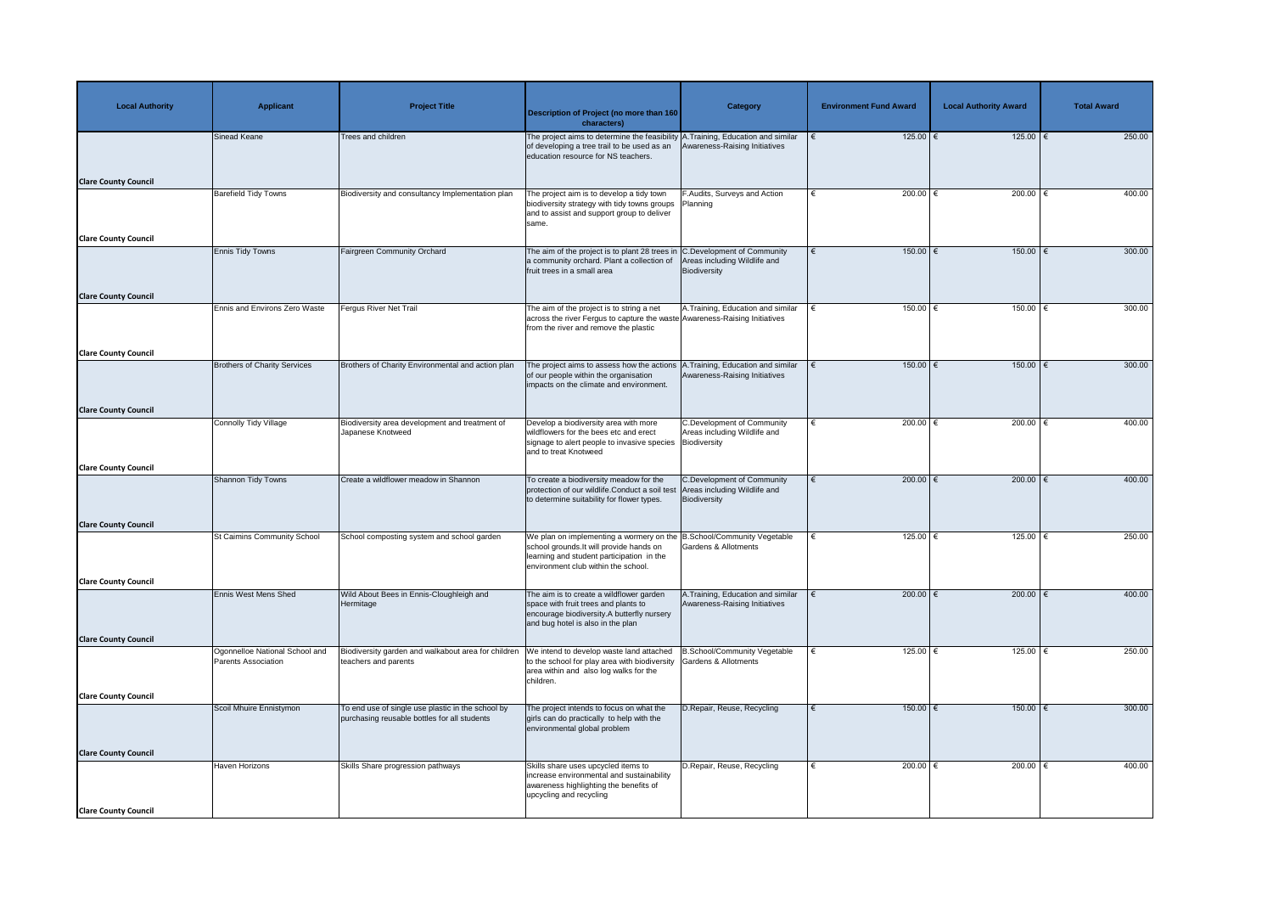| <b>Local Authority</b>      | <b>Applicant</b>                                             | <b>Project Title</b>                                                                              | <b>Description of Project (no more than 160</b><br>characters)                                                                                                                                        | Category                                                                          | <b>Environment Fund Award</b> | <b>Local Authority Award</b> | <b>Total Award</b> |
|-----------------------------|--------------------------------------------------------------|---------------------------------------------------------------------------------------------------|-------------------------------------------------------------------------------------------------------------------------------------------------------------------------------------------------------|-----------------------------------------------------------------------------------|-------------------------------|------------------------------|--------------------|
|                             | Sinead Keane                                                 | <b>Trees and children</b>                                                                         | The project aims to determine the feasibility A. Training, Education and similar<br>of developing a tree trail to be used as an<br>education resource for NS teachers.                                | Awareness-Raising Initiatives                                                     | 125.00 $\epsilon$             | $125.00$ €                   | 250.00             |
| <b>Clare County Council</b> |                                                              |                                                                                                   |                                                                                                                                                                                                       |                                                                                   |                               |                              |                    |
|                             | <b>Barefield Tidy Towns</b>                                  | Biodiversity and consultancy Implementation plan                                                  | The project aim is to develop a tidy town<br>biodiversity strategy with tidy towns groups   Planning<br>and to assist and support group to deliver<br>same.                                           | F.Audits, Surveys and Action                                                      | 200.00 $\in$                  | $200.00$ (                   | 400.00             |
| <b>Clare County Council</b> | <b>Ennis Tidy Towns</b>                                      | <b>Fairgreen Community Orchard</b>                                                                | The aim of the project is to plant 28 trees in $ C$ . Development of Community                                                                                                                        |                                                                                   | $150.00$ $\in$<br>€           | $150.00$ €                   | 300.00             |
| <b>Clare County Council</b> |                                                              |                                                                                                   | a community orchard. Plant a collection of<br>fruit trees in a small area                                                                                                                             | Areas including Wildlife and<br>Biodiversity                                      |                               |                              |                    |
|                             | Ennis and Environs Zero Waste                                | Fergus River Net Trail                                                                            | The aim of the project is to string a net<br>across the river Fergus to capture the waste Awareness-Raising Initiatives<br>from the river and remove the plastic                                      | A. Training, Education and similar                                                | 150.00                        | 150.00 €                     | 300.00             |
| <b>Clare County Council</b> |                                                              |                                                                                                   |                                                                                                                                                                                                       |                                                                                   |                               |                              |                    |
|                             | <b>Brothers of Charity Services</b>                          | Brothers of Charity Environmental and action plan                                                 | The project aims to assess how the actions<br>of our people within the organisation<br>impacts on the climate and environment.                                                                        | .Training, Education and similar<br>Awareness-Raising Initiatives                 | $150.00$ $\in$                | 150.00   €                   | 300.00             |
| <b>Clare County Council</b> |                                                              |                                                                                                   |                                                                                                                                                                                                       |                                                                                   |                               |                              |                    |
|                             | <b>Connolly Tidy Village</b>                                 | Biodiversity area development and treatment of<br>Japanese Knotweed                               | Develop a biodiversity area with more<br>wildflowers for the bees etc and erect<br>signage to alert people to invasive species   Biodiversity<br>and to treat Knotweed                                | <b>C.Development of Community</b><br>Areas including Wildlife and                 | 200.00 $\in$                  | 200.00                       | 400.00             |
| <b>Clare County Council</b> |                                                              |                                                                                                   |                                                                                                                                                                                                       |                                                                                   |                               |                              |                    |
|                             | <b>Shannon Tidy Towns</b>                                    | Create a wildflower meadow in Shannon                                                             | To create a biodiversity meadow for the<br>protection of our wildlife.Conduct a soil test<br>to determine suitability for flower types.                                                               | <b>C.Development of Community</b><br>Areas including Wildlife and<br>Biodiversity | 200.00 $\epsilon$             | 200.00 $\epsilon$            | 400.00             |
| <b>Clare County Council</b> |                                                              |                                                                                                   |                                                                                                                                                                                                       |                                                                                   |                               |                              |                    |
|                             | <b>St Caimins Community School</b>                           | School composting system and school garden                                                        | We plan on implementing a wormery on the B.School/Community Vegetable<br>school grounds. It will provide hands on<br>learning and student participation in the<br>environment club within the school. | <b>Gardens &amp; Allotments</b>                                                   | 125.00 $\epsilon$             | 125.00 $\epsilon$            | 250.00             |
| <b>Clare County Council</b> |                                                              |                                                                                                   |                                                                                                                                                                                                       |                                                                                   |                               |                              |                    |
|                             | <b>Ennis West Mens Shed</b>                                  | Wild About Bees in Ennis-Cloughleigh and<br>Hermitage                                             | The aim is to create a wildflower garden<br>space with fruit trees and plants to<br>encourage biodiversity.A butterfly nursery<br>and bug hotel is also in the plan                                   | A. Training, Education and similar<br>Awareness-Raising Initiatives               | 200.00 $ \epsilon$            | 200.00   €                   | 400.00             |
| <b>Clare County Council</b> |                                                              |                                                                                                   |                                                                                                                                                                                                       |                                                                                   |                               |                              |                    |
|                             | Ogonnelloe National School and<br><b>Parents Association</b> | Biodiversity garden and walkabout area for children<br>teachers and parents                       | We intend to develop waste land attached<br>to the school for play area with biodiversity<br>area within and also log walks for the<br>children.                                                      | B.School/Community Vegetable<br><b>Gardens &amp; Allotments</b>                   | 125.00 $ \epsilon$            | 125.00   €                   | 250.00             |
| <b>Clare County Council</b> |                                                              |                                                                                                   |                                                                                                                                                                                                       |                                                                                   |                               |                              |                    |
|                             | Scoil Mhuire Ennistymon                                      | To end use of single use plastic in the school by<br>purchasing reusable bottles for all students | The project intends to focus on what the<br>girls can do practically to help with the<br>environmental global problem                                                                                 | D.Repair, Reuse, Recycling                                                        | $150.00$ $\in$                | $150.00$ €                   | 300.00             |
| <b>Clare County Council</b> |                                                              |                                                                                                   |                                                                                                                                                                                                       |                                                                                   |                               |                              |                    |
|                             | <b>Haven Horizons</b>                                        | Skills Share progression pathways                                                                 | Skills share uses upcycled items to<br>increase environmental and sustainability<br>awareness highlighting the benefits of<br>upcycling and recycling                                                 | D.Repair, Reuse, Recycling                                                        | 200.00 $ \epsilon$            | 200.00 $ \epsilon$           | 400.00             |
| <b>Clare County Council</b> |                                                              |                                                                                                   |                                                                                                                                                                                                       |                                                                                   |                               |                              |                    |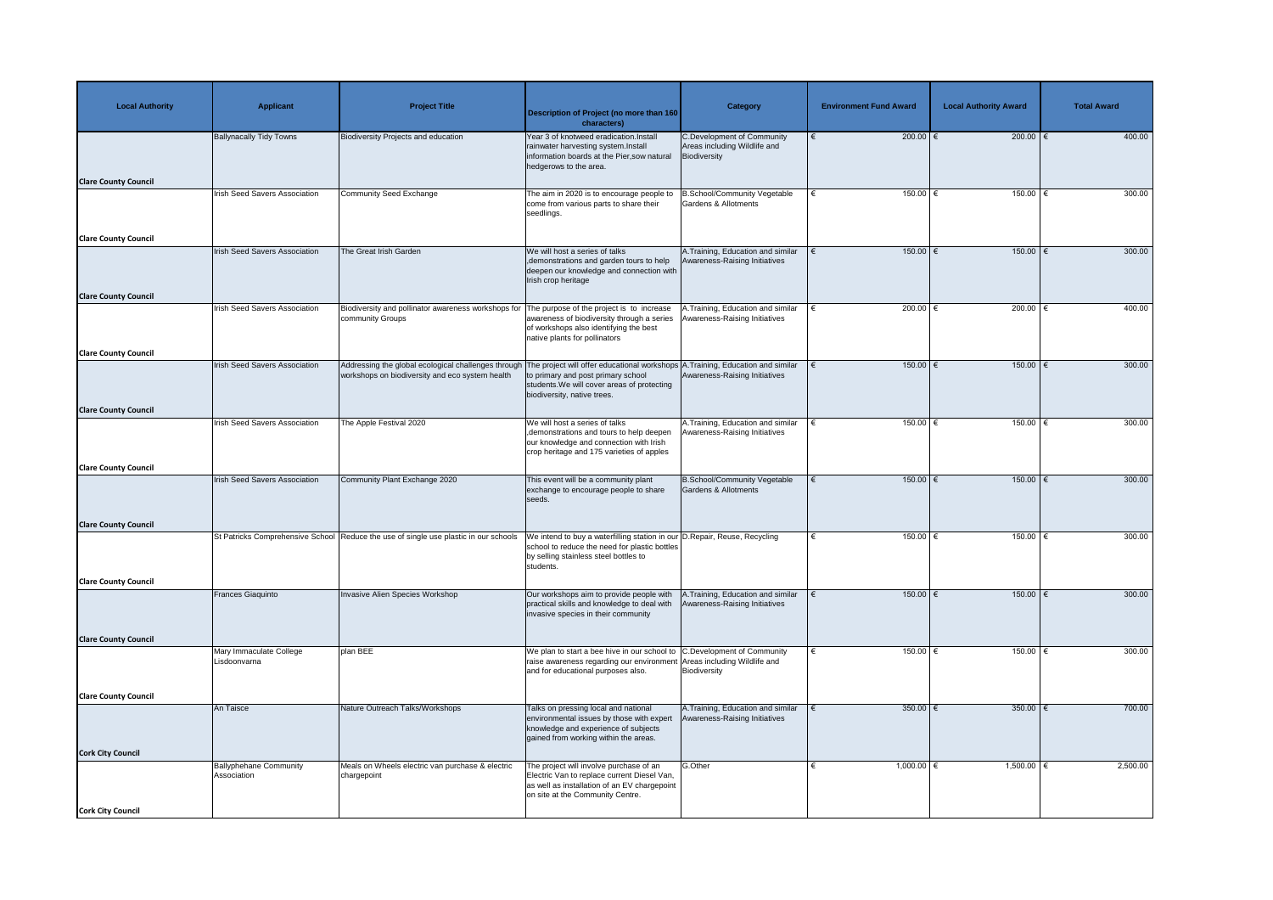| <b>Local Authority</b>      | <b>Applicant</b>                             | <b>Project Title</b>                                                                                   | <b>Description of Project (no more than 160</b><br>characters)                                                                                                                                      | <b>Category</b>                                                                   | <b>Environment Fund Award</b> | <b>Local Authority Award</b> | <b>Total Award</b> |
|-----------------------------|----------------------------------------------|--------------------------------------------------------------------------------------------------------|-----------------------------------------------------------------------------------------------------------------------------------------------------------------------------------------------------|-----------------------------------------------------------------------------------|-------------------------------|------------------------------|--------------------|
|                             | <b>Ballynacally Tidy Towns</b>               | <b>Biodiversity Projects and education</b>                                                             | Year 3 of knotweed eradication. Install<br>rainwater harvesting system.Install<br>information boards at the Pier, sow natural<br>hedgerows to the area.                                             | <b>C.Development of Community</b><br>Areas including Wildlife and<br>Biodiversity | 200.00 €                      | 200.00   €                   | 400.00             |
| <b>Clare County Council</b> |                                              |                                                                                                        |                                                                                                                                                                                                     |                                                                                   |                               |                              |                    |
|                             | Irish Seed Savers Association                | <b>Community Seed Exchange</b>                                                                         | The aim in 2020 is to encourage people to<br>come from various parts to share their<br>seedlings.                                                                                                   | <b>B.School/Community Vegetable</b><br><b>Gardens &amp; Allotments</b>            | 150.00 $ \epsilon$            | 150.00   €                   | 300.00             |
| <b>Clare County Council</b> |                                              |                                                                                                        |                                                                                                                                                                                                     |                                                                                   |                               |                              |                    |
|                             | <b>Irish Seed Savers Association</b>         | The Great Irish Garden                                                                                 | We will host a series of talks<br>, demonstrations and garden tours to help<br>deepen our knowledge and connection with<br>Irish crop heritage                                                      | A. Training, Education and similar<br>Awareness-Raising Initiatives               | $150.00$ €                    | 150.00   €                   | 300.00             |
| <b>Clare County Council</b> | <b>Irish Seed Savers Association</b>         | Biodiversity and pollinator awareness workshops for                                                    | The purpose of the project is to increase                                                                                                                                                           | A.Training, Education and similar                                                 | 200.00 $ \epsilon$            | $200.00$                     | 400.00             |
|                             |                                              | community Groups                                                                                       | awareness of biodiversity through a series<br>of workshops also identifying the best<br>native plants for pollinators                                                                               | Awareness-Raising Initiatives                                                     |                               |                              |                    |
| <b>Clare County Council</b> |                                              |                                                                                                        |                                                                                                                                                                                                     |                                                                                   |                               |                              |                    |
|                             | <b>Irish Seed Savers Association</b>         | Addressing the global ecological challenges through<br>workshops on biodiversity and eco system health | The project will offer educational workshops A. Training, Education and similar<br>to primary and post primary school<br>students. We will cover areas of protecting<br>biodiversity, native trees. | Awareness-Raising Initiatives                                                     | $150.00$ €                    | 150.00   €                   | 300.00             |
| <b>Clare County Council</b> |                                              |                                                                                                        |                                                                                                                                                                                                     |                                                                                   |                               |                              |                    |
|                             | <b>Irish Seed Savers Association</b>         | The Apple Festival 2020                                                                                | We will host a series of talks<br>, demonstrations and tours to help deepen   Awareness-Raising Initiatives<br>our knowledge and connection with Irish<br>crop heritage and 175 varieties of apples | A. Training, Education and similar                                                | 150.00 €                      | 150.00 €                     | 300.00             |
| <b>Clare County Council</b> |                                              |                                                                                                        |                                                                                                                                                                                                     |                                                                                   |                               |                              |                    |
|                             | <b>Irish Seed Savers Association</b>         | Community Plant Exchange 2020                                                                          | This event will be a community plant<br>exchange to encourage people to share<br>seeds.                                                                                                             | <b>B.School/Community Vegetable</b><br>Gardens & Allotments                       | $150.00$ €                    | $150.00$ $∈$                 | 300.00             |
| <b>Clare County Council</b> |                                              |                                                                                                        |                                                                                                                                                                                                     |                                                                                   |                               |                              |                    |
|                             |                                              | St Patricks Comprehensive School Reduce the use of single use plastic in our schools                   | We intend to buy a waterfilling station in our D. Repair, Reuse, Recycling<br>school to reduce the need for plastic bottles<br>by selling stainless steel bottles to<br>students.                   |                                                                                   | $150.00$ €                    | 150.00                       | 300.00             |
| <b>Clare County Council</b> |                                              |                                                                                                        |                                                                                                                                                                                                     |                                                                                   |                               |                              |                    |
|                             | <b>Frances Giaquinto</b>                     | <b>Invasive Alien Species Workshop</b>                                                                 | Our workshops aim to provide people with<br>practical skills and knowledge to deal with<br>invasive species in their community                                                                      | A. Training, Education and similar<br>Awareness-Raising Initiatives               | $150.00$ €                    | $150.00$ €                   | 300.00             |
| <b>Clare County Council</b> |                                              |                                                                                                        |                                                                                                                                                                                                     |                                                                                   |                               |                              |                    |
|                             | Mary Immaculate College<br>Lisdoonvarna      | plan BEE                                                                                               | We plan to start a bee hive in our school to $ C$ . Development of Community<br>raise awareness regarding our environment Areas including Wildlife and<br>and for educational purposes also.        | Biodiversity                                                                      | 150.00 $ \epsilon$            | 150.00   €                   | 300.00             |
| <b>Clare County Council</b> |                                              |                                                                                                        |                                                                                                                                                                                                     |                                                                                   |                               |                              |                    |
|                             | An Taisce                                    | Nature Outreach Talks/Workshops                                                                        | Talks on pressing local and national<br>environmental issues by those with expert<br>knowledge and experience of subjects<br>gained from working within the areas.                                  | A. Training, Education and similar<br>Awareness-Raising Initiatives               | $350.00$ €                    | 350.00   €                   | 700.00             |
| <b>Cork City Council</b>    |                                              |                                                                                                        |                                                                                                                                                                                                     |                                                                                   |                               |                              |                    |
|                             | <b>Ballyphehane Community</b><br>Association | Meals on Wheels electric van purchase & electric<br>chargepoint                                        | The project will involve purchase of an<br>Electric Van to replace current Diesel Van,<br>as well as installation of an EV chargepoint<br>on site at the Community Centre.                          | G.Other                                                                           | 1,000.00 €                    | $1,500.00$   €               | 2,500.00           |
| <b>Cork City Council</b>    |                                              |                                                                                                        |                                                                                                                                                                                                     |                                                                                   |                               |                              |                    |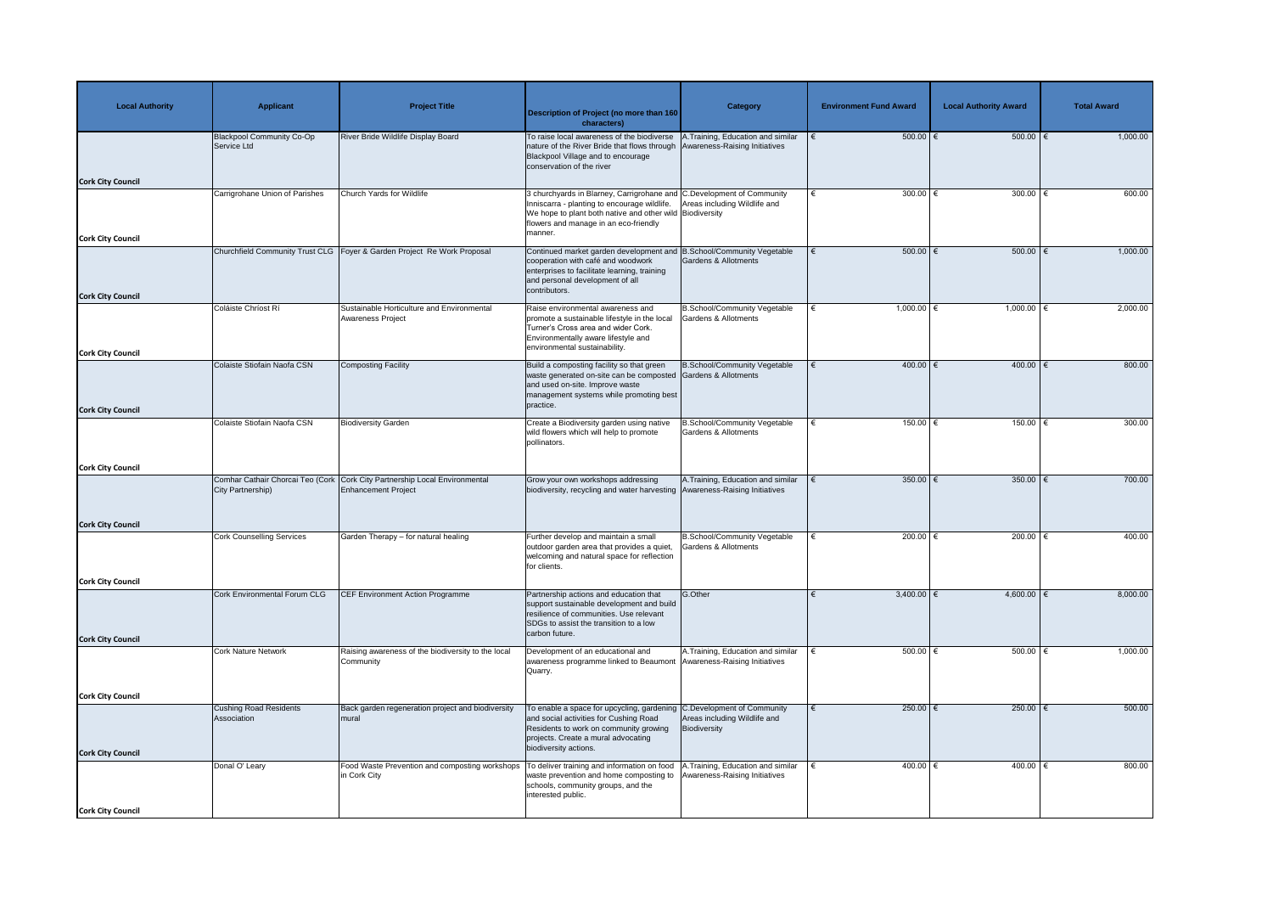| <b>Local Authority</b>   | <b>Applicant</b>                                      | <b>Project Title</b>                                                      | <b>Description of Project (no more than 160</b><br>characters)                                                                                                                                                                        | <b>Category</b>                                                        | <b>Environment Fund Award</b> | <b>Local Authority Award</b> | <b>Total Award</b> |
|--------------------------|-------------------------------------------------------|---------------------------------------------------------------------------|---------------------------------------------------------------------------------------------------------------------------------------------------------------------------------------------------------------------------------------|------------------------------------------------------------------------|-------------------------------|------------------------------|--------------------|
|                          | Blackpool Community Co-Op<br>Service Ltd              | River Bride Wildlife Display Board                                        | To raise local awareness of the biodiverse   A. Training, Education and similar<br>nature of the River Bride that flows through Awareness-Raising Initiatives<br>Blackpool Village and to encourage<br>conservation of the river      |                                                                        | $500.00$ $\in$                | 500.00   €                   | 1,000.00           |
| <b>Cork City Council</b> |                                                       |                                                                           |                                                                                                                                                                                                                                       |                                                                        |                               |                              |                    |
|                          | Carrigrohane Union of Parishes                        | Church Yards for Wildlife                                                 | 3 churchyards in Blarney, Carrigrohane and C.Development of Community<br>Inniscarra - planting to encourage wildlife.<br>We hope to plant both native and other wild Biodiversity<br>flowers and manage in an eco-friendly<br>manner. | Areas including Wildlife and                                           | 300.00 $ \epsilon$            | 300.00                       | 600.00             |
| <b>Cork City Council</b> |                                                       | Churchfield Community Trust CLG   Foyer & Garden Project Re Work Proposal | Continued market garden development and B.School/Community Vegetable                                                                                                                                                                  |                                                                        | $500.00$   €                  | 500.00   €                   | 1,000.00           |
| <b>Cork City Council</b> |                                                       |                                                                           | cooperation with café and woodwork<br>enterprises to facilitate learning, training<br>and personal development of all<br>contributors.                                                                                                | <b>Gardens &amp; Allotments</b>                                        |                               |                              |                    |
|                          | Coláiste Chríost Rí                                   | Sustainable Horticulture and Environmental<br>Awareness Project           | Raise environmental awareness and<br>promote a sustainable lifestyle in the local<br>Turner's Cross area and wider Cork.<br>Environmentally aware lifestyle and<br>environmental sustainability.                                      | <b>B.School/Community Vegetable</b><br><b>Gardens &amp; Allotments</b> | 1,000.00 $\in$                | 1,000.00                     | 2,000.00           |
| <b>Cork City Council</b> | Colaiste Stiofain Naofa CSN                           | Composting Facility                                                       | Build a composting facility so that green<br>waste generated on-site can be composted Gardens & Allotments<br>and used on-site. Improve waste                                                                                         | B.School/Community Vegetable                                           | 400.00 €                      | 400.00   €                   | 800.00             |
|                          |                                                       |                                                                           | management systems while promoting best<br>practice.                                                                                                                                                                                  |                                                                        |                               |                              |                    |
| <b>Cork City Council</b> | Colaiste Stiofain Naofa CSN                           | <b>Biodiversity Garden</b>                                                | Create a Biodiversity garden using native                                                                                                                                                                                             | B.School/Community Vegetable                                           | 150.00 €                      | 150.00                       | 300.00             |
|                          |                                                       |                                                                           | wild flowers which will help to promote<br>pollinators.                                                                                                                                                                               | Gardens & Allotments                                                   |                               |                              |                    |
| <b>Cork City Council</b> |                                                       |                                                                           |                                                                                                                                                                                                                                       |                                                                        |                               |                              |                    |
|                          | Comhar Cathair Chorcai Teo (Cork<br>City Partnership) | Cork City Partnership Local Environmental<br><b>Enhancement Project</b>   | Grow your own workshops addressing<br>biodiversity, recycling and water harvesting Awareness-Raising Initiatives                                                                                                                      | A. Training, Education and similar                                     | 350.00 $\epsilon$             | 350.00 $\epsilon$            | 700.00             |
| <b>Cork City Council</b> |                                                       |                                                                           |                                                                                                                                                                                                                                       |                                                                        |                               |                              |                    |
|                          | <b>Cork Counselling Services</b>                      | Garden Therapy - for natural healing                                      | Further develop and maintain a small<br>outdoor garden area that provides a quiet,<br>welcoming and natural space for reflection<br>for clients.                                                                                      | <b>B.School/Community Vegetable</b><br>Gardens & Allotments            | 200.00 $\epsilon$             | 200.00                       | 400.00             |
| <b>Cork City Council</b> |                                                       |                                                                           |                                                                                                                                                                                                                                       |                                                                        |                               |                              |                    |
|                          | Cork Environmental Forum CLG                          | <b>CEF Environment Action Programme</b>                                   | Partnership actions and education that<br>support sustainable development and build<br>resilience of communities. Use relevant<br>SDGs to assist the transition to a low<br>carbon future.                                            | G.Other                                                                | $3,400.00$ €                  | $4,600.00$ €                 | 8,000.00           |
| <b>Cork City Council</b> |                                                       |                                                                           |                                                                                                                                                                                                                                       |                                                                        |                               |                              |                    |
|                          | <b>Cork Nature Network</b>                            | Raising awareness of the biodiversity to the local<br>Community           | Development of an educational and<br>awareness programme linked to Beaumont   Awareness-Raising Initiatives<br>Quarry.                                                                                                                | A. Training, Education and similar                                     | $500.00$   €                  | 500.00                       | 1,000.00           |
| <b>Cork City Council</b> |                                                       |                                                                           |                                                                                                                                                                                                                                       |                                                                        |                               |                              |                    |
| <b>Cork City Council</b> | <b>Cushing Road Residents</b><br>Association          | Back garden regeneration project and biodiversity<br>mural                | To enable a space for upcycling, gardening C.Development of Community<br>and social activities for Cushing Road<br>Residents to work on community growing<br>projects. Create a mural advocating<br>biodiversity actions.             | Areas including Wildlife and<br>Biodiversity                           | 250.00 $\epsilon$             | 250.00 $\epsilon$            | 500.00             |
|                          | Donal O' Leary                                        | Food Waste Prevention and composting workshops<br>in Cork City            | To deliver training and information on food   A. Training, Education and similar<br>waste prevention and home composting to   Awareness-Raising Initiatives<br>schools, community groups, and the<br>interested public.               |                                                                        | 400.00 $\in$                  | 400.00                       | 800.00             |
| <b>Cork City Council</b> |                                                       |                                                                           |                                                                                                                                                                                                                                       |                                                                        |                               |                              |                    |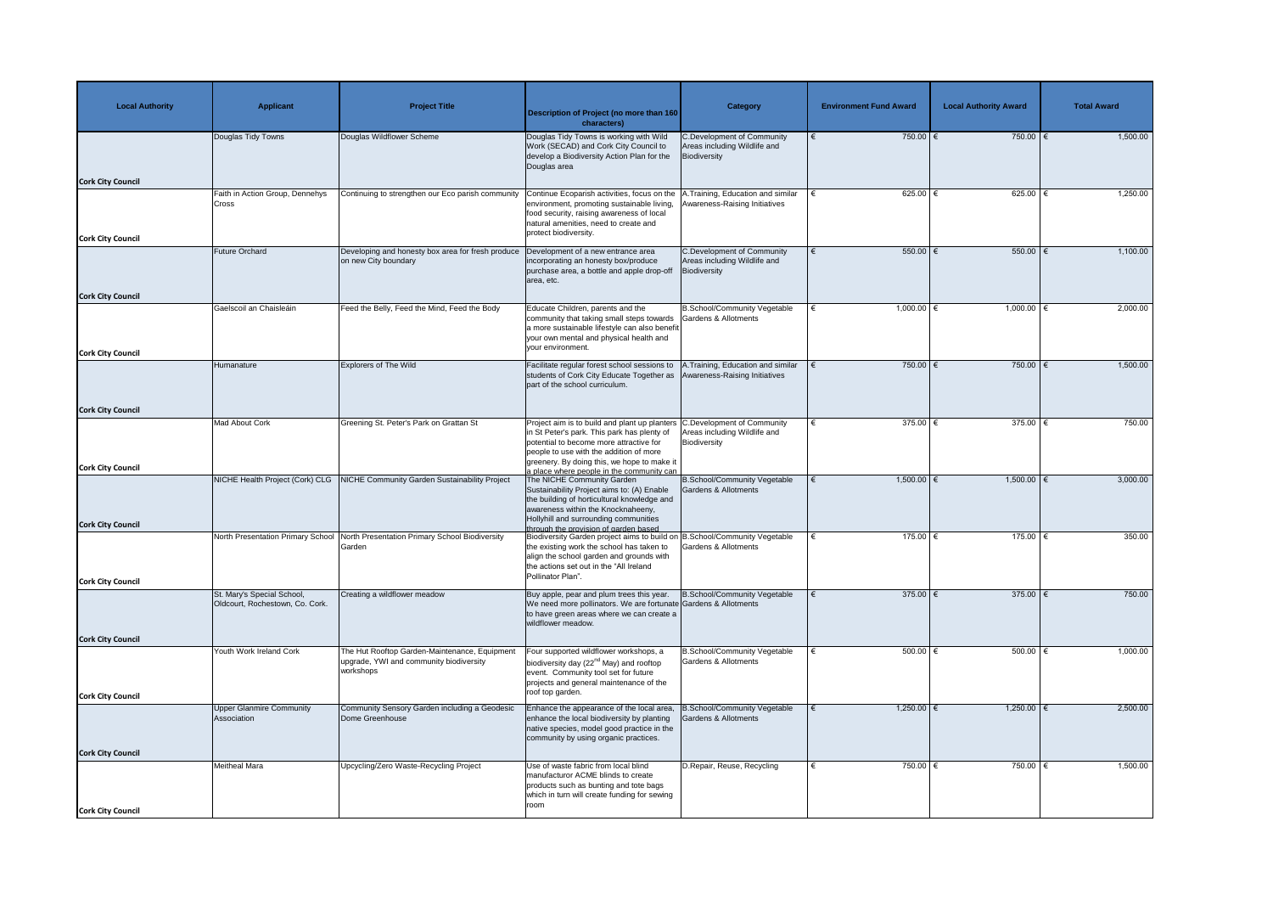| <b>Local Authority</b>   | <b>Applicant</b>                                              | <b>Project Title</b>                                                                                  | <b>Description of Project (no more than 160</b><br>characters)                                                                                                                                                                                                                               | <b>Category</b>                                                                   | <b>Environment Fund Award</b> | <b>Local Authority Award</b> | <b>Total Award</b> |
|--------------------------|---------------------------------------------------------------|-------------------------------------------------------------------------------------------------------|----------------------------------------------------------------------------------------------------------------------------------------------------------------------------------------------------------------------------------------------------------------------------------------------|-----------------------------------------------------------------------------------|-------------------------------|------------------------------|--------------------|
|                          | Douglas Tidy Towns                                            | Douglas Wildflower Scheme                                                                             | Douglas Tidy Towns is working with Wild<br>Work (SECAD) and Cork City Council to<br>develop a Biodiversity Action Plan for the<br>Douglas area                                                                                                                                               | <b>C.Development of Community</b><br>Areas including Wildlife and<br>Biodiversity | 750.00 €                      | 750.00   €                   | 1,500.00           |
| <b>Cork City Council</b> | Faith in Action Group, Dennehys                               | Continuing to strengthen our Eco parish community                                                     | Continue Ecoparish activities, focus on the                                                                                                                                                                                                                                                  | 1. Training, Education and similar                                                | 625.00 $ \epsilon$            | 625.00   €                   | 1,250.00           |
| <b>Cork City Council</b> | <b>Cross</b>                                                  |                                                                                                       | environment, promoting sustainable living,<br>food security, raising awareness of local<br>natural amenities, need to create and<br>protect biodiversity.                                                                                                                                    | Awareness-Raising Initiatives                                                     |                               |                              |                    |
|                          | Future Orchard                                                | Developing and honesty box area for fresh produce                                                     | Development of a new entrance area                                                                                                                                                                                                                                                           | <b>C.Development of Community</b>                                                 | 550.00 $\epsilon$             | 550.00   €                   | 1,100.00           |
| <b>Cork City Council</b> |                                                               | on new City boundary                                                                                  | incorporating an honesty box/produce<br>purchase area, a bottle and apple drop-off<br>area, etc.                                                                                                                                                                                             | Areas including Wildlife and<br>Biodiversity                                      |                               |                              |                    |
|                          | Gaelscoil an Chaisleáin                                       | Feed the Belly, Feed the Mind, Feed the Body                                                          | Educate Children, parents and the                                                                                                                                                                                                                                                            | B.School/Community Vegetable                                                      | 1,000.00 $∈$                  | 1,000.00   €                 | 2,000.00           |
| <b>Cork City Council</b> |                                                               |                                                                                                       | community that taking small steps towards<br>a more sustainable lifestyle can also benefit<br>your own mental and physical health and<br>your environment.                                                                                                                                   | Gardens & Allotments                                                              |                               |                              |                    |
|                          | Humanature                                                    | <b>Explorers of The Wild</b>                                                                          | Facilitate regular forest school sessions to                                                                                                                                                                                                                                                 | A.Training, Education and similar                                                 | 750.00 $\epsilon$             | 750.00   €                   | 1,500.00           |
|                          |                                                               |                                                                                                       | students of Cork City Educate Together as<br>part of the school curriculum.                                                                                                                                                                                                                  | Awareness-Raising Initiatives                                                     |                               |                              |                    |
| <b>Cork City Council</b> |                                                               |                                                                                                       |                                                                                                                                                                                                                                                                                              |                                                                                   |                               |                              |                    |
| <b>Cork City Council</b> | Mad About Cork                                                | Greening St. Peter's Park on Grattan St                                                               | Project aim is to build and plant up planters C. Development of Community<br>in St Peter's park. This park has plenty of   Areas including Wildlife and<br>potential to become more attractive for<br>people to use with the addition of more<br>greenery. By doing this, we hope to make it | Biodiversity                                                                      | 375.00 $ \epsilon$            | 375.00   €                   | 750.00             |
|                          |                                                               | NICHE Health Project (Cork) CLG NICHE Community Garden Sustainability Project                         | a place where people in the community can<br>The NICHE Community Garden                                                                                                                                                                                                                      | <b>B.School/Community Vegetable</b>                                               | $1,500.00$ €                  | $1,500.00$ €                 | 3,000.00           |
| <b>Cork City Council</b> |                                                               |                                                                                                       | Sustainability Project aims to: (A) Enable<br>the building of horticultural knowledge and<br>awareness within the Knocknaheeny,<br>Hollyhill and surrounding communities<br>through the provision of garden based                                                                            | Gardens & Allotments                                                              |                               |                              |                    |
|                          |                                                               | North Presentation Primary School North Presentation Primary School Biodiversity                      | Biodiversity Garden project aims to build on B.School/Community Vegetable                                                                                                                                                                                                                    |                                                                                   | 175.00 $\epsilon$             | $175.00$   $\leftarrow$      | 350.00             |
|                          |                                                               | Garden                                                                                                | the existing work the school has taken to<br>align the school garden and grounds with<br>the actions set out in the "All Ireland<br>Pollinator Plan".                                                                                                                                        | <b>Gardens &amp; Allotments</b>                                                   |                               |                              |                    |
| <b>Cork City Council</b> |                                                               |                                                                                                       |                                                                                                                                                                                                                                                                                              |                                                                                   | 375.00 $\epsilon$             | 375.00 $\overline{\epsilon}$ | 750.00             |
|                          | St. Mary's Special School,<br>Oldcourt, Rochestown, Co. Cork. | Creating a wildflower meadow                                                                          | Buy apple, pear and plum trees this year.<br>We need more pollinators. We are fortunate Gardens & Allotments<br>to have green areas where we can create a<br>wildflower meadow.                                                                                                              | B.School/Community Vegetable                                                      |                               |                              |                    |
| <b>Cork City Council</b> |                                                               |                                                                                                       |                                                                                                                                                                                                                                                                                              |                                                                                   |                               |                              |                    |
| <b>Cork City Council</b> | Youth Work Ireland Cork                                       | The Hut Rooftop Garden-Maintenance, Equipment<br>upgrade, YWI and community biodiversity<br>workshops | Four supported wildflower workshops, a<br>biodiversity day (22 <sup>nd</sup> May) and rooftop<br>event. Community tool set for future<br>projects and general maintenance of the<br>roof top garden.                                                                                         | <b>B.School/Community Vegetable</b><br><b>Gardens &amp; Allotments</b>            | 500.00 $\in$                  | $500.00$   €                 | 1,000.00           |
|                          | Upper Glanmire Community                                      | Community Sensory Garden including a Geodesic                                                         | Enhance the appearance of the local area,                                                                                                                                                                                                                                                    | <b>B.School/Community Vegetable</b>                                               | $1,250.00$ €                  | $1,250.00$ $∈$               | 2,500.00           |
|                          | Association                                                   | Dome Greenhouse                                                                                       | enhance the local biodiversity by planting<br>native species, model good practice in the<br>community by using organic practices.                                                                                                                                                            | Gardens & Allotments                                                              |                               |                              |                    |
| <b>Cork City Council</b> |                                                               |                                                                                                       |                                                                                                                                                                                                                                                                                              |                                                                                   |                               |                              |                    |
|                          | <b>Meitheal Mara</b>                                          | Upcycling/Zero Waste-Recycling Project                                                                | Use of waste fabric from local blind<br>manufacturor ACME blinds to create<br>products such as bunting and tote bags<br>which in turn will create funding for sewing<br>room                                                                                                                 | D.Repair, Reuse, Recycling                                                        | 750.00   €                    | 750.00 €                     | 1,500.00           |
| <b>Cork City Council</b> |                                                               |                                                                                                       |                                                                                                                                                                                                                                                                                              |                                                                                   |                               |                              |                    |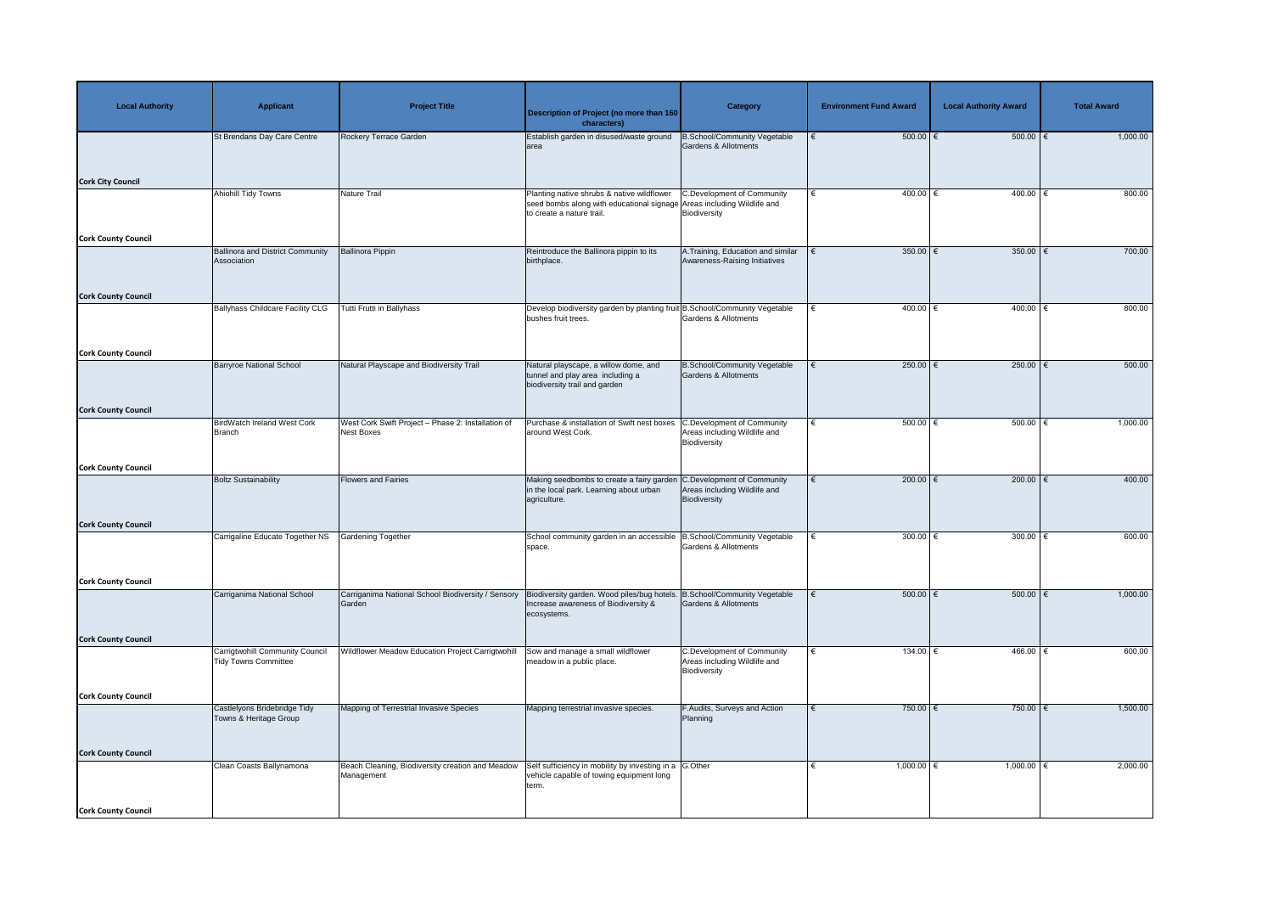| <b>Local Authority</b>     | <b>Applicant</b>                                                      | <b>Project Title</b>                                                    | Description of Project (no more than 160<br>characters)                                                                                           | <b>Category</b>                                                                   | <b>Environment Fund Award</b> | <b>Local Authority Award</b> | <b>Total Award</b> |
|----------------------------|-----------------------------------------------------------------------|-------------------------------------------------------------------------|---------------------------------------------------------------------------------------------------------------------------------------------------|-----------------------------------------------------------------------------------|-------------------------------|------------------------------|--------------------|
| <b>Cork City Council</b>   | St Brendans Day Care Centre                                           | Rockery Terrace Garden                                                  | Establish garden in disused/waste ground<br>larea                                                                                                 | <b>B.School/Community Vegetable</b><br><b>Gardens &amp; Allotments</b>            | $500.00$ $\in$                | 500.00                       | 1,000.00           |
|                            | Ahiohill Tidy Towns                                                   | Nature Trail                                                            | Planting native shrubs & native wildflower<br>seed bombs along with educational signage Areas including Wildlife and<br>to create a nature trail. | <b>C.Development of Community</b><br>Biodiversity                                 | $400.00$ €<br>€               | $400.00$ €                   | 800.00             |
| <b>Cork County Council</b> | <b>Ballinora and District Community</b><br>Association                | <b>Ballinora Pippin</b>                                                 | Reintroduce the Ballinora pippin to its<br>birthplace.                                                                                            | A. Training, Education and similar<br>Awareness-Raising Initiatives               | 350.00 $\epsilon$             | 350.00 $\epsilon$            | 700.00             |
| <b>Cork County Council</b> | <b>Ballyhass Childcare Facility CLG</b>                               | <b>Tutti Frutti in Ballyhass</b>                                        | Develop biodiversity garden by planting fruit B.School/Community Vegetable<br>bushes fruit trees.                                                 | <b>Gardens &amp; Allotments</b>                                                   | $400.00$ €<br>€               | $400.00$ €                   | 800.00             |
| <b>Cork County Council</b> | Barryroe National School                                              | Natural Playscape and Biodiversity Trail                                | Natural playscape, a willow dome, and<br>tunnel and play area including a<br>biodiversity trail and garden                                        | <b>B.School/Community Vegetable</b><br><b>Gardens &amp; Allotments</b>            | 250.00 $\epsilon$             | $250.00$ €                   | 500.00             |
| <b>Cork County Council</b> | <b>BirdWatch Ireland West Cork</b><br><b>Branch</b>                   | West Cork Swift Project - Phase 2: Installation of<br><b>Nest Boxes</b> | Purchase & installation of Swift nest boxes C.Development of Community<br>around West Cork.                                                       | Areas including Wildlife and<br>Biodiversity                                      | $500.00$ $\in$                | $500.00$ $\in$               | 1,000.00           |
| <b>Cork County Council</b> | <b>Boltz Sustainability</b>                                           | <b>Flowers and Fairies</b>                                              | Making seedbombs to create a fairy garden C.Development of Community<br>in the local park. Learning about urban<br>agriculture.                   | Areas including Wildlife and<br>Biodiversity                                      | 200.00 $\epsilon$             | 200.00 $\epsilon$            | 400.00             |
| <b>Cork County Council</b> | Carrigaline Educate Together NS                                       | <b>Gardening Together</b>                                               | School community garden in an accessible   B.School/Community Vegetable<br>space.                                                                 | Gardens & Allotments                                                              | 300.00 $\epsilon$             | 300.00                       | 600.00             |
| <b>Cork County Council</b> | Carriganima National School                                           | Carriganima National School Biodiversity / Sensory<br>Garden            | Biodiversity garden. Wood piles/bug hotels. B.School/Community Vegetable<br>Increase awareness of Biodiversity &<br>ecosystems.                   | <b>Gardens &amp; Allotments</b>                                                   | $500.00$   €                  | 500.00   €                   | 1,000.00           |
| <b>Cork County Council</b> | <b>Carrigtwohill Community Council</b><br><b>Tidy Towns Committee</b> | Wildflower Meadow Education Project Carrigtwohill                       | Sow and manage a small wildflower<br>meadow in a public place.                                                                                    | <b>C.Development of Community</b><br>Areas including Wildlife and<br>Biodiversity | $134.00$ $∈$                  | $466.00$ €                   | 600.00             |
| <b>Cork County Council</b> | Castlelyons Bridebridge Tidy<br>Towns & Heritage Group                | Mapping of Terrestrial Invasive Species                                 | Mapping terrestrial invasive species.                                                                                                             | F.Audits, Surveys and Action<br>Planning                                          | 750.00 $\epsilon$             | 750.00 $\epsilon$            | 1,500.00           |
| <b>Cork County Council</b> | Clean Coasts Ballynamona                                              | Beach Cleaning, Biodiversity creation and Meadow<br>Management          | Self sufficiency in mobility by investing in a G.Other<br>vehicle capable of towing equipment long<br>term.                                       |                                                                                   | 1,000.00 $\in$                | 1,000.00   €                 | 2,000.00           |
| <b>Cork County Council</b> |                                                                       |                                                                         |                                                                                                                                                   |                                                                                   |                               |                              |                    |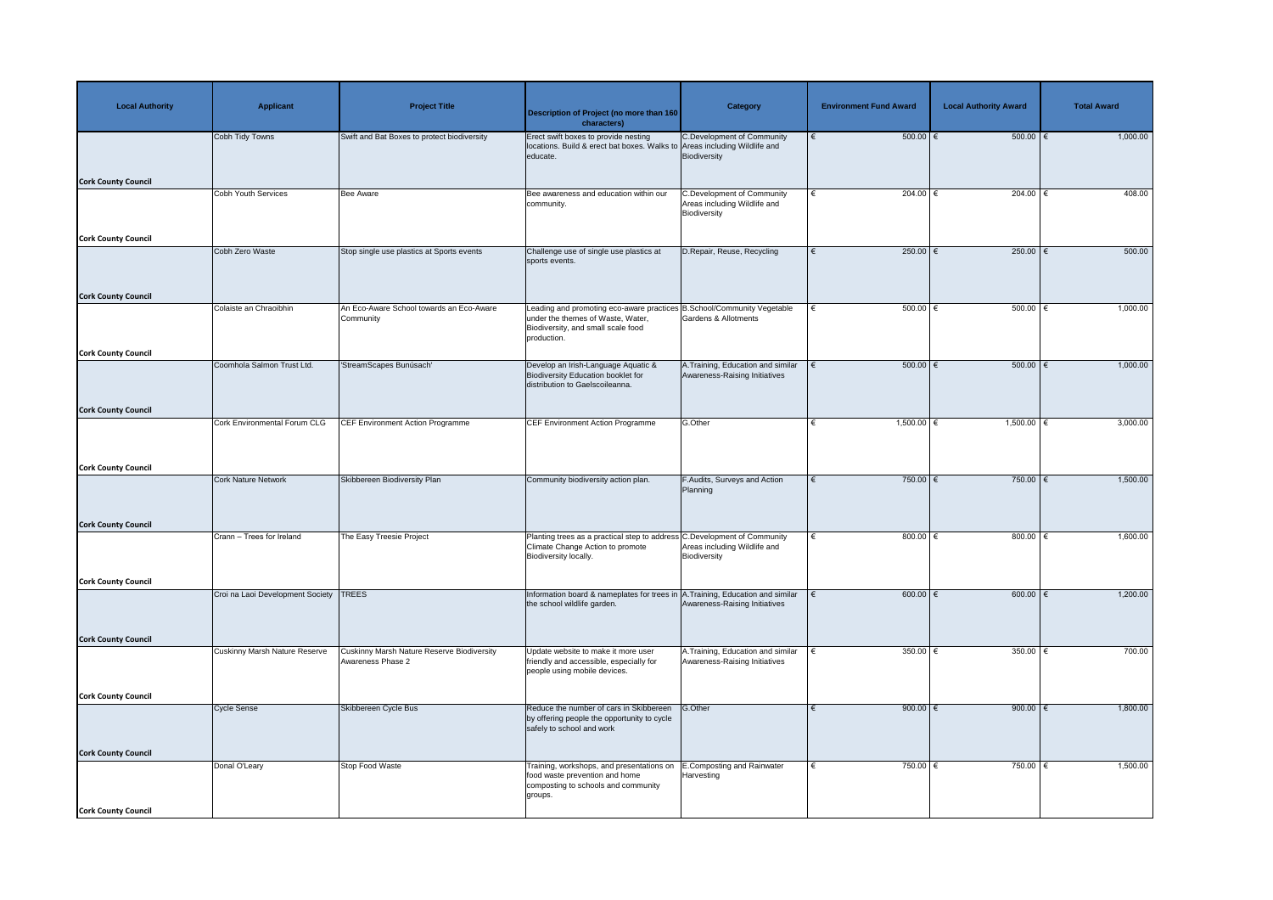| <b>Local Authority</b>     | <b>Applicant</b>                     | <b>Project Title</b>                                                   | Description of Project (no more than 160<br>characters)                                                                                                          | <b>Category</b>                                                                   | <b>Environment Fund Award</b> | <b>Local Authority Award</b> | <b>Total Award</b> |
|----------------------------|--------------------------------------|------------------------------------------------------------------------|------------------------------------------------------------------------------------------------------------------------------------------------------------------|-----------------------------------------------------------------------------------|-------------------------------|------------------------------|--------------------|
| <b>Cork County Council</b> | Cobh Tidy Towns                      | Swift and Bat Boxes to protect biodiversity                            | Erect swift boxes to provide nesting<br>locations. Build & erect bat boxes. Walks to Areas including Wildlife and<br>educate.                                    | C.Development of Community<br>Biodiversity                                        | $500.00$ $\epsilon$           | 500.00                       | 1,000.00           |
|                            | <b>Cobh Youth Services</b>           | <b>Bee Aware</b>                                                       | Bee awareness and education within our<br>community.                                                                                                             | <b>C.Development of Community</b><br>Areas including Wildlife and<br>Biodiversity | 204.00 $\epsilon$             | 204.00 $ \epsilon$           | 408.00             |
| <b>Cork County Council</b> |                                      |                                                                        |                                                                                                                                                                  |                                                                                   |                               |                              |                    |
|                            | Cobh Zero Waste                      | Stop single use plastics at Sports events                              | Challenge use of single use plastics at<br>sports events.                                                                                                        | D. Repair, Reuse, Recycling                                                       | $250.00$ €                    | 250.00 $\overline{\epsilon}$ | 500.00             |
| <b>Cork County Council</b> | Colaiste an Chraoibhin               | An Eco-Aware School towards an Eco-Aware<br>Community                  | Leading and promoting eco-aware practices B.School/Community Vegetable<br>under the themes of Waste, Water,<br>Biodiversity, and small scale food<br>production. | Gardens & Allotments                                                              | $500.00$ $\in$                | $500.00$ $\in$               | 1,000.00           |
| <b>Cork County Council</b> |                                      |                                                                        |                                                                                                                                                                  |                                                                                   |                               |                              |                    |
|                            | Coomhola Salmon Trust Ltd.           | 'StreamScapes Bunúsach'                                                | Develop an Irish-Language Aquatic &<br>Biodiversity Education booklet for<br>distribution to Gaelscoileanna.                                                     | A.Training, Education and similar<br>Awareness-Raising Initiatives                | $500.00$ $\in$                | $500.00$ $\in$               | 1,000.00           |
| <b>Cork County Council</b> |                                      |                                                                        |                                                                                                                                                                  |                                                                                   |                               |                              |                    |
|                            | <b>Cork Environmental Forum CLG</b>  | <b>CEF Environment Action Programme</b>                                | <b>CEF Environment Action Programme</b>                                                                                                                          | G.Other                                                                           | $1,500.00$ €                  | $1,500.00$ €                 | 3,000.00           |
| <b>Cork County Council</b> |                                      |                                                                        |                                                                                                                                                                  |                                                                                   |                               |                              |                    |
|                            | <b>Cork Nature Network</b>           | Skibbereen Biodiversity Plan                                           | Community biodiversity action plan.                                                                                                                              | <b>F.Audits, Surveys and Action</b><br>Planning                                   | 750.00 €                      | 750.00 $\overline{\epsilon}$ | 1,500.00           |
| <b>Cork County Council</b> |                                      |                                                                        |                                                                                                                                                                  |                                                                                   |                               |                              |                    |
|                            | Crann - Trees for Ireland            | The Easy Treesie Project                                               | Planting trees as a practical step to address C. Development of Community<br>Climate Change Action to promote<br>Biodiversity locally.                           | Areas including Wildlife and<br>Biodiversity                                      | 800.00 $\epsilon$             | 800.00 $\xi$                 | 1,600.00           |
| <b>Cork County Council</b> |                                      |                                                                        |                                                                                                                                                                  |                                                                                   |                               |                              |                    |
|                            | Croi na Laoi Development Society     | <b>TREES</b>                                                           | Information board & nameplates for trees in A. Training, Education and similar<br>the school wildlife garden.                                                    | Awareness-Raising Initiatives                                                     | $600.00$ $\in$                | $600.00$ $\epsilon$          | 1,200.00           |
| <b>Cork County Council</b> |                                      |                                                                        |                                                                                                                                                                  |                                                                                   |                               |                              |                    |
|                            | <b>Cuskinny Marsh Nature Reserve</b> | <b>Cuskinny Marsh Nature Reserve Biodiversity</b><br>Awareness Phase 2 | Update website to make it more user<br>friendly and accessible, especially for<br>people using mobile devices.                                                   | A.Training, Education and similar<br>Awareness-Raising Initiatives                | 350.00 $\xi$                  | 350.00   €                   | 700.00             |
| <b>Cork County Council</b> |                                      |                                                                        |                                                                                                                                                                  |                                                                                   |                               |                              |                    |
|                            | <b>Cycle Sense</b>                   | Skibbereen Cycle Bus                                                   | Reduce the number of cars in Skibbereen<br>by offering people the opportunity to cycle<br>safely to school and work                                              | G.Other                                                                           | 900.00 $\xi$                  | 900.00 $\xi$                 | 1,800.00           |
| <b>Cork County Council</b> |                                      |                                                                        |                                                                                                                                                                  |                                                                                   |                               |                              |                    |
|                            | Donal O'Leary                        | Stop Food Waste                                                        | Training, workshops, and presentations on<br>food waste prevention and home<br>composting to schools and community<br>groups.                                    | E.Composting and Rainwater<br>Harvesting                                          | 750.00 $\epsilon$             | 750.00 $\overline{\epsilon}$ | 1,500.00           |
| <b>Cork County Council</b> |                                      |                                                                        |                                                                                                                                                                  |                                                                                   |                               |                              |                    |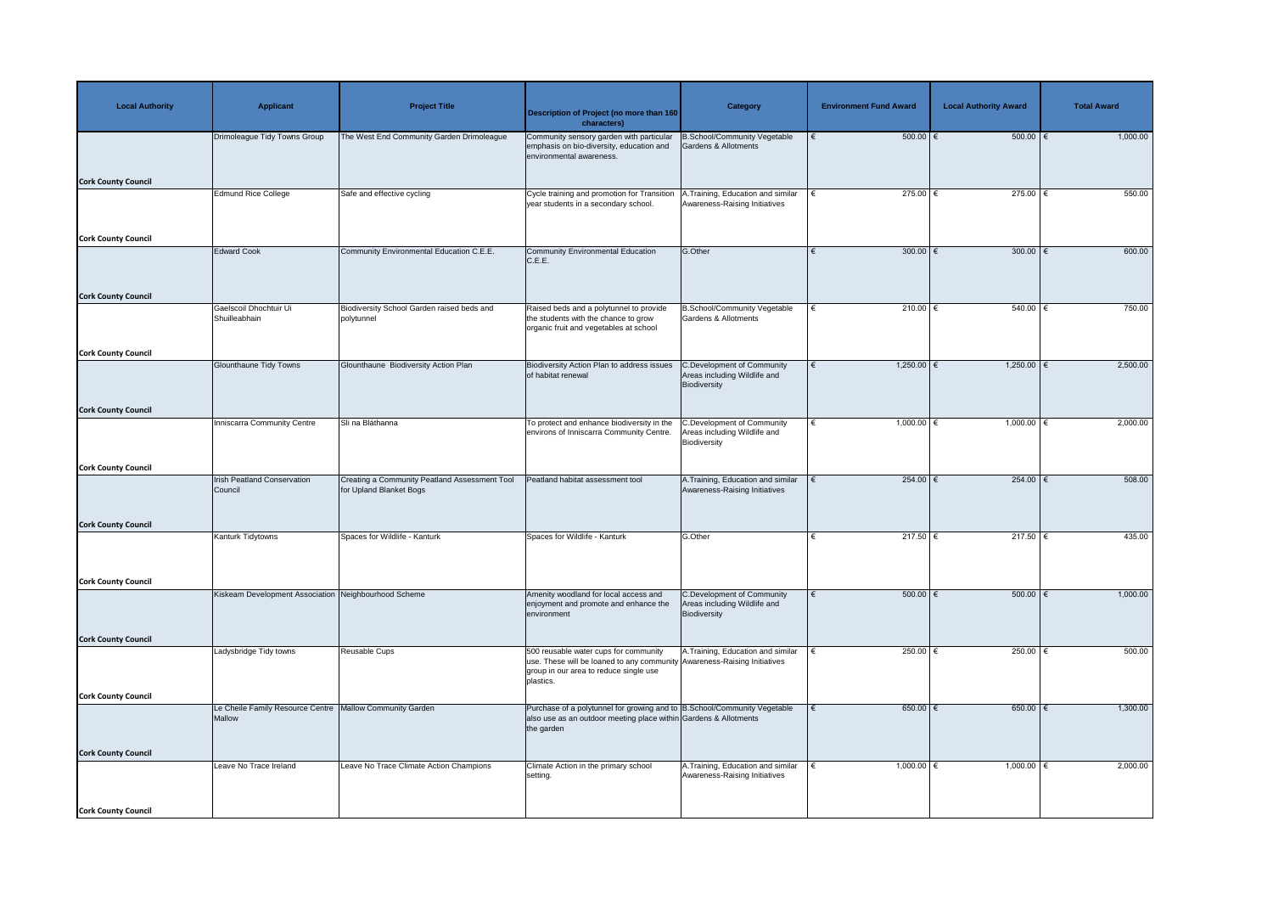| <b>Local Authority</b>     | <b>Applicant</b>                                                     | <b>Project Title</b>                                                     | Description of Project (no more than 160<br>characters)                                                                                                                  | <b>Category</b>                                                                   | <b>Environment Fund Award</b> | <b>Local Authority Award</b> | <b>Total Award</b> |
|----------------------------|----------------------------------------------------------------------|--------------------------------------------------------------------------|--------------------------------------------------------------------------------------------------------------------------------------------------------------------------|-----------------------------------------------------------------------------------|-------------------------------|------------------------------|--------------------|
|                            | Drimoleague Tidy Towns Group                                         | The West End Community Garden Drimoleague                                | Community sensory garden with particular<br>emphasis on bio-diversity, education and<br>environmental awareness.                                                         | B.School/Community Vegetable<br>Gardens & Allotments                              | $500.00$ $\in$                | $500.00$ $\in$               | 1,000.00           |
| <b>Cork County Council</b> | <b>Edmund Rice College</b>                                           | Safe and effective cycling                                               | Cycle training and promotion for Transition                                                                                                                              | .Training, Education and similar                                                  | 275.00 $ \epsilon$            | 275.00   €                   | 550.00             |
|                            |                                                                      |                                                                          | year students in a secondary school.                                                                                                                                     | Awareness-Raising Initiatives                                                     |                               |                              |                    |
| <b>Cork County Council</b> |                                                                      |                                                                          |                                                                                                                                                                          |                                                                                   |                               |                              |                    |
| <b>Cork County Council</b> | <b>Edward Cook</b>                                                   | Community Environmental Education C.E.E.                                 | <b>Community Environmental Education</b><br>C.E.E.                                                                                                                       | G.Other                                                                           | $300.00$ $\in$                | 300.00 $\xi$                 | 600.00             |
|                            | Gaelscoil Dhochtuir Ui                                               | Biodiversity School Garden raised beds and                               | Raised beds and a polytunnel to provide                                                                                                                                  | <b>B.School/Community Vegetable</b>                                               | 210.00 $\epsilon$             | 540.00                       | 750.00             |
|                            | Shuilleabhain                                                        | polytunnel                                                               | the students with the chance to grow<br>organic fruit and vegetables at school                                                                                           | <b>Gardens &amp; Allotments</b>                                                   |                               |                              |                    |
| <b>Cork County Council</b> |                                                                      |                                                                          |                                                                                                                                                                          |                                                                                   |                               |                              |                    |
|                            | <b>Glounthaune Tidy Towns</b>                                        | Glounthaune Biodiversity Action Plan                                     | Biodiversity Action Plan to address issues<br>of habitat renewal                                                                                                         | C.Development of Community<br>Areas including Wildlife and<br>Biodiversity        | $1,250.00$ €<br>€             | $1,250.00$ €                 | 2,500.00           |
| <b>Cork County Council</b> |                                                                      |                                                                          |                                                                                                                                                                          |                                                                                   |                               |                              |                    |
|                            | <b>Inniscarra Community Centre</b>                                   | Sli na Bláthanna                                                         | To protect and enhance biodiversity in the<br>environs of Inniscarra Community Centre.   Areas including Wildlife and                                                    | C.Development of Community<br>Biodiversity                                        | $1,000.00$ €                  | $1,000.00$ €                 | 2,000.00           |
| <b>Cork County Council</b> |                                                                      |                                                                          |                                                                                                                                                                          |                                                                                   |                               |                              |                    |
|                            | <b>Irish Peatland Conservation</b><br>Council                        | Creating a Community Peatland Assessment Tool<br>for Upland Blanket Bogs | Peatland habitat assessment tool                                                                                                                                         | A. Training, Education and similar<br>Awareness-Raising Initiatives               | 254.00 $\epsilon$             | $254.00$ €                   | 508.00             |
| <b>Cork County Council</b> |                                                                      |                                                                          |                                                                                                                                                                          |                                                                                   |                               |                              |                    |
|                            | Kanturk Tidytowns                                                    | Spaces for Wildlife - Kanturk                                            | Spaces for Wildlife - Kanturk                                                                                                                                            | G.Other                                                                           | 217.50 $\epsilon$             | 217.50 $\epsilon$            | 435.00             |
| <b>Cork County Council</b> |                                                                      |                                                                          |                                                                                                                                                                          |                                                                                   |                               |                              |                    |
|                            | Kiskeam Development Association Neighbourhood Scheme                 |                                                                          | Amenity woodland for local access and<br>enjoyment and promote and enhance the<br>environment                                                                            | <b>C.Development of Community</b><br>Areas including Wildlife and<br>Biodiversity | $500.00$ $\in$                | 500.00   €                   | 1,000.00           |
| <b>Cork County Council</b> |                                                                      |                                                                          |                                                                                                                                                                          |                                                                                   |                               |                              |                    |
|                            | Ladysbridge Tidy towns                                               | Reusable Cups                                                            | 500 reusable water cups for community<br>use. These will be loaned to any community Awareness-Raising Initiatives<br>group in our area to reduce single use<br>plastics. | A. Training, Education and similar                                                | 250.00 $\in$                  | 250.00   €                   | 500.00             |
| <b>Cork County Council</b> |                                                                      |                                                                          |                                                                                                                                                                          |                                                                                   |                               |                              |                    |
|                            | Le Cheile Family Resource Centre   Mallow Community Garden<br>Mallow |                                                                          | Purchase of a polytunnel for growing and to B.School/Community Vegetable<br>also use as an outdoor meeting place within Gardens & Allotments<br>the garden               |                                                                                   | $650.00$ €                    | $650.00$ $\in$               | 1,300.00           |
| <b>Cork County Council</b> |                                                                      |                                                                          |                                                                                                                                                                          |                                                                                   |                               |                              |                    |
|                            | Leave No Trace Ireland                                               | Leave No Trace Climate Action Champions                                  | Climate Action in the primary school<br>setting.                                                                                                                         | A.Training, Education and similar<br>Awareness-Raising Initiatives                | $1,000.00$ €                  | 1,000.00 $ \epsilon$         | 2,000.00           |
| <b>Cork County Council</b> |                                                                      |                                                                          |                                                                                                                                                                          |                                                                                   |                               |                              |                    |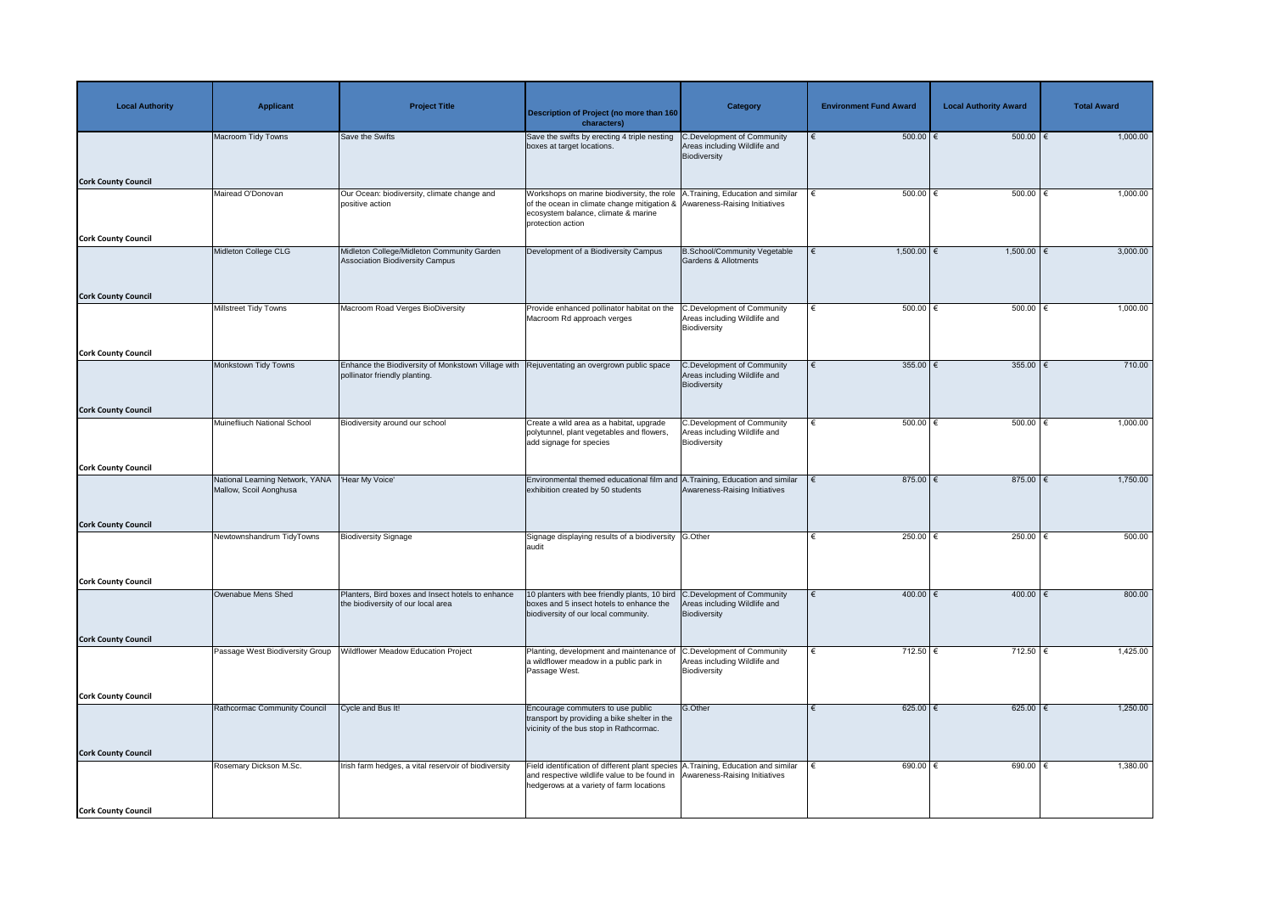| <b>Local Authority</b>     | <b>Applicant</b>                                          | <b>Project Title</b>                                                                    | Description of Project (no more than 160<br>characters)                                                                                                                                                      | <b>Category</b>                                                                   | <b>Environment Fund Award</b> | <b>Local Authority Award</b> | <b>Total Award</b> |
|----------------------------|-----------------------------------------------------------|-----------------------------------------------------------------------------------------|--------------------------------------------------------------------------------------------------------------------------------------------------------------------------------------------------------------|-----------------------------------------------------------------------------------|-------------------------------|------------------------------|--------------------|
|                            | Macroom Tidy Towns                                        | Save the Swifts                                                                         | Save the swifts by erecting 4 triple nesting<br>boxes at target locations.                                                                                                                                   | <b>C.Development of Community</b><br>Areas including Wildlife and<br>Biodiversity | $500.00$ $\in$                | 500.00                       | 1,000.00           |
| <b>Cork County Council</b> | Mairead O'Donovan                                         | Our Ocean: biodiversity, climate change and                                             | Workshops on marine biodiversity, the role   A. Training, Education and similar                                                                                                                              |                                                                                   | $500.00$ $\in$                | 500.00                       | 1,000.00           |
|                            |                                                           | positive action                                                                         | of the ocean in climate change mitigation & Awareness-Raising Initiatives<br>ecosystem balance, climate & marine<br>protection action                                                                        |                                                                                   |                               |                              |                    |
| <b>Cork County Council</b> | Midleton College CLG                                      | Midleton College/Midleton Community Garden                                              |                                                                                                                                                                                                              |                                                                                   | $1,500.00$ €                  | 1,500.00   €                 | 3,000.00           |
|                            |                                                           | <b>Association Biodiversity Campus</b>                                                  | Development of a Biodiversity Campus                                                                                                                                                                         | <b>B.School/Community Vegetable</b><br>Gardens & Allotments                       |                               |                              |                    |
| <b>Cork County Council</b> |                                                           |                                                                                         |                                                                                                                                                                                                              |                                                                                   |                               |                              |                    |
|                            | Millstreet Tidy Towns                                     | Macroom Road Verges BioDiversity                                                        | Provide enhanced pollinator habitat on the<br>Macroom Rd approach verges                                                                                                                                     | <b>C.Development of Community</b><br>Areas including Wildlife and<br>Biodiversity | $500.00$ $\in$<br>€           | $500.00$ $\in$               | 1,000.00           |
| <b>Cork County Council</b> |                                                           |                                                                                         |                                                                                                                                                                                                              |                                                                                   |                               |                              |                    |
|                            | Monkstown Tidy Towns                                      | Enhance the Biodiversity of Monkstown Village with<br>pollinator friendly planting.     | Rejuventating an overgrown public space                                                                                                                                                                      | C.Development of Community<br>Areas including Wildlife and<br><b>Biodiversity</b> | 355.00   €                    | 355.00                       | 710.00             |
| <b>Cork County Council</b> |                                                           |                                                                                         |                                                                                                                                                                                                              |                                                                                   |                               |                              |                    |
|                            | Muinefliuch National School                               | Biodiversity around our school                                                          | Create a wild area as a habitat, upgrade<br>polytunnel, plant vegetables and flowers,<br>add signage for species                                                                                             | C.Development of Community<br>Areas including Wildlife and<br>Biodiversity        | $500.00$ $\in$                | $500.00$ $\in$               | 1,000.00           |
| <b>Cork County Council</b> |                                                           |                                                                                         |                                                                                                                                                                                                              |                                                                                   |                               |                              |                    |
|                            | National Learning Network, YANA<br>Mallow, Scoil Aonghusa | 'Hear My Voice'                                                                         | Environmental themed educational film and A. Training, Education and similar<br>exhibition created by 50 students                                                                                            | Awareness-Raising Initiatives                                                     | 875.00 $\epsilon$             | 875.00 $\epsilon$            | 1,750.00           |
| <b>Cork County Council</b> |                                                           |                                                                                         |                                                                                                                                                                                                              |                                                                                   |                               |                              |                    |
|                            | Newtownshandrum TidyTowns                                 | <b>Biodiversity Signage</b>                                                             | Signage displaying results of a biodiversity G.Other<br>audit                                                                                                                                                |                                                                                   | 250.00 $\epsilon$             | 250.00 $\epsilon$            | 500.00             |
| <b>Cork County Council</b> |                                                           |                                                                                         |                                                                                                                                                                                                              |                                                                                   |                               |                              |                    |
|                            | Owenabue Mens Shed                                        | Planters, Bird boxes and Insect hotels to enhance<br>the biodiversity of our local area | 10 planters with bee friendly plants, 10 bird<br>boxes and 5 insect hotels to enhance the<br>biodiversity of our local community.                                                                            | C.Development of Community<br>Areas including Wildlife and<br>Biodiversity        | 400.00   €                    | 400.00                       | 800.00             |
| <b>Cork County Council</b> |                                                           |                                                                                         |                                                                                                                                                                                                              |                                                                                   |                               |                              |                    |
|                            | Passage West Biodiversity Group                           | <b>Nildflower Meadow Education Project</b>                                              | Planting, development and maintenance of<br>a wildflower meadow in a public park in<br>Passage West.                                                                                                         | <b>C.Development of Community</b><br>Areas including Wildlife and<br>Biodiversity | 712.50 €                      | $712.50$ €                   | 1,425.00           |
| <b>Cork County Council</b> |                                                           |                                                                                         |                                                                                                                                                                                                              |                                                                                   |                               |                              |                    |
|                            | Rathcormac Community Council                              | Cycle and Bus It!                                                                       | Encourage commuters to use public<br>transport by providing a bike shelter in the<br>vicinity of the bus stop in Rathcormac.                                                                                 | G.Other                                                                           | $625.00$ $\in$                | $625.00$ $\in$               | 1,250.00           |
| <b>Cork County Council</b> |                                                           |                                                                                         |                                                                                                                                                                                                              |                                                                                   |                               |                              |                    |
|                            | Rosemary Dickson M.Sc.                                    | Irish farm hedges, a vital reservoir of biodiversity                                    | Field identification of different plant species A. Training, Education and similar<br>and respective wildlife value to be found in Awareness-Raising Initiatives<br>hedgerows at a variety of farm locations |                                                                                   | 690.00 $ \epsilon$            | 690.00 $ \epsilon$           | 1,380.00           |
| <b>Cork County Council</b> |                                                           |                                                                                         |                                                                                                                                                                                                              |                                                                                   |                               |                              |                    |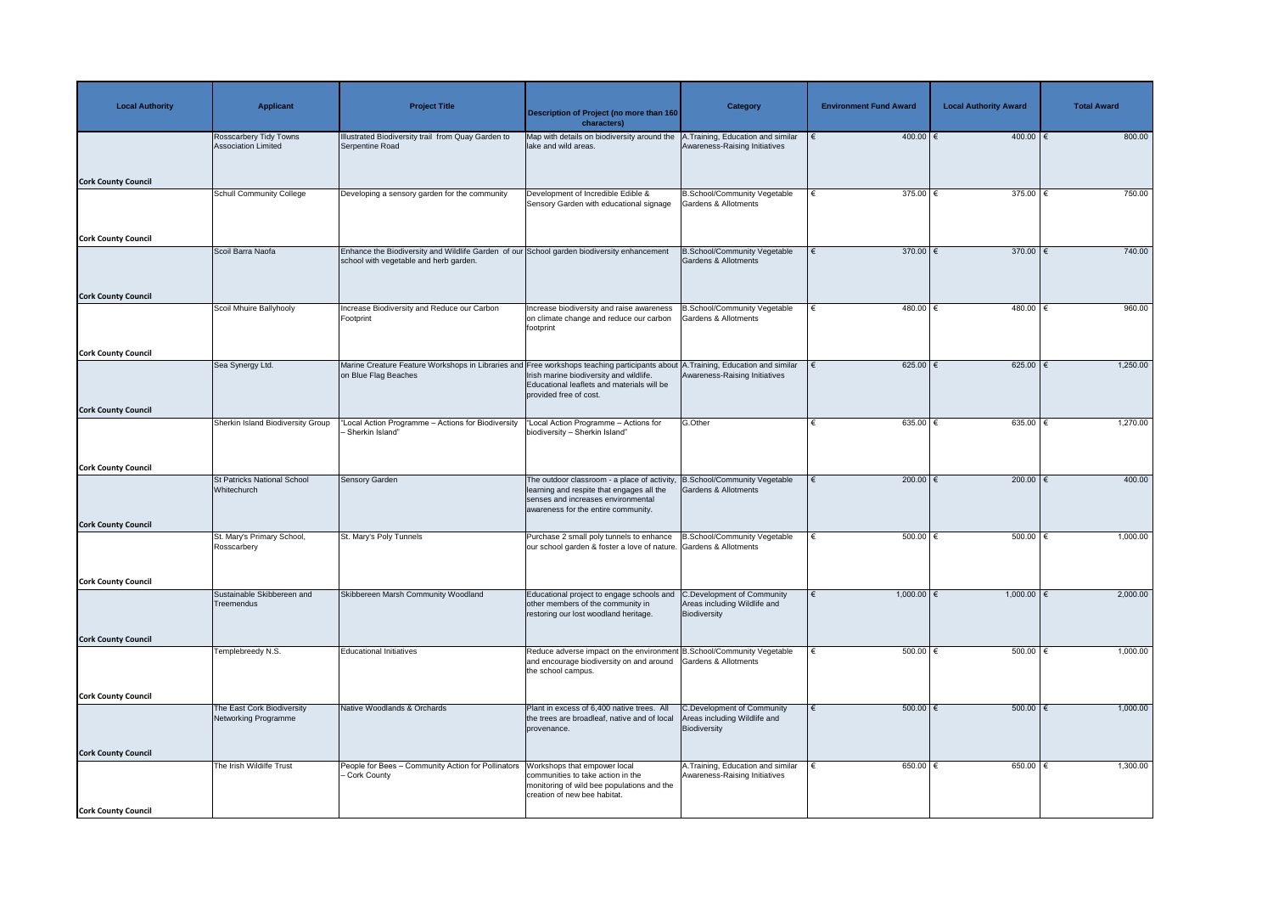| <b>Local Authority</b>     | <b>Applicant</b>                                            | <b>Project Title</b>                                                                                                                                     | <b>Description of Project (no more than 160</b><br>characters)                                                                                                        | <b>Category</b>                                                            | <b>Environment Fund Award</b> | <b>Local Authority Award</b> | <b>Total Award</b> |
|----------------------------|-------------------------------------------------------------|----------------------------------------------------------------------------------------------------------------------------------------------------------|-----------------------------------------------------------------------------------------------------------------------------------------------------------------------|----------------------------------------------------------------------------|-------------------------------|------------------------------|--------------------|
|                            | <b>Rosscarbery Tidy Towns</b><br><b>Association Limited</b> | Ilustrated Biodiversity trail from Quay Garden to<br>Serpentine Road                                                                                     | Map with details on biodiversity around the A.Training, Education and similar<br>lake and wild areas.                                                                 | Awareness-Raising Initiatives                                              | $400.00$ €                    | $400.00$ €                   | 800.00             |
| <b>Cork County Council</b> |                                                             |                                                                                                                                                          |                                                                                                                                                                       |                                                                            |                               |                              |                    |
|                            | <b>Schull Community College</b>                             | Developing a sensory garden for the community                                                                                                            | Development of Incredible Edible &<br>Sensory Garden with educational signage                                                                                         | B.School/Community Vegetable<br>Gardens & Allotments                       | 375.00 $ \epsilon$            | $375.00$   €                 | 750.00             |
| <b>Cork County Council</b> |                                                             |                                                                                                                                                          |                                                                                                                                                                       |                                                                            |                               |                              |                    |
|                            | Scoil Barra Naofa                                           | Enhance the Biodiversity and Wildlife Garden of our School garden biodiversity enhancement<br>school with vegetable and herb garden.                     |                                                                                                                                                                       | B.School/Community Vegetable<br>Gardens & Allotments                       | 370.00 $\xi$<br>€             | 370.00 $\xi$                 | 740.00             |
| <b>Cork County Council</b> | Scoil Mhuire Ballyhooly                                     | <b>Increase Biodiversity and Reduce our Carbon</b>                                                                                                       | Increase biodiversity and raise awareness                                                                                                                             | <b>B.School/Community Vegetable</b>                                        | 480.00 €                      | $480.00$ €                   | 960.00             |
|                            |                                                             | Footprint                                                                                                                                                | on climate change and reduce our carbon<br>footprint                                                                                                                  | <b>Gardens &amp; Allotments</b>                                            |                               |                              |                    |
| <b>Cork County Council</b> |                                                             |                                                                                                                                                          |                                                                                                                                                                       |                                                                            |                               |                              |                    |
|                            | Sea Synergy Ltd.                                            | Marine Creature Feature Workshops in Libraries and Free workshops teaching participants about A. Training, Education and similar<br>on Blue Flag Beaches | Irish marine biodiversity and wildlife.<br>Educational leaflets and materials will be<br>provided free of cost.                                                       | Awareness-Raising Initiatives                                              | $625.00$ €<br>€               | 625.00   €                   | 1,250.00           |
| <b>Cork County Council</b> |                                                             |                                                                                                                                                          |                                                                                                                                                                       |                                                                            |                               |                              |                    |
|                            | Sherkin Island Biodiversity Group                           | Local Action Programme - Actions for Biodiversity<br>Sherkin Island"                                                                                     | 'Local Action Programme - Actions for<br>biodiversity - Sherkin Island"                                                                                               | G.Other                                                                    | 635.00 €                      | $635.00$ €                   | 1,270.00           |
| <b>Cork County Council</b> |                                                             |                                                                                                                                                          |                                                                                                                                                                       |                                                                            |                               |                              |                    |
|                            | <b>St Patricks National School</b><br>Whitechurch           | <b>Sensory Garden</b>                                                                                                                                    | The outdoor classroom - a place of activity<br>learning and respite that engages all the<br>senses and increases environmental<br>awareness for the entire community. | <b>B.School/Community Vegetable</b><br>Gardens & Allotments                | 200.00 $\epsilon$             | 200.00 $\epsilon$            | 400.00             |
| <b>Cork County Council</b> | St. Mary's Primary School,                                  | St. Mary's Poly Tunnels                                                                                                                                  | Purchase 2 small poly tunnels to enhance                                                                                                                              | B.School/Community Vegetable                                               | $500.00$ $\in$                | 500.00                       | 1,000.00           |
|                            | Rosscarbery                                                 |                                                                                                                                                          | our school garden & foster a love of nature. Gardens & Allotments                                                                                                     |                                                                            |                               |                              |                    |
| <b>Cork County Council</b> |                                                             |                                                                                                                                                          |                                                                                                                                                                       |                                                                            |                               |                              |                    |
|                            | Sustainable Skibbereen and<br>Treemendus                    | Skibbereen Marsh Community Woodland                                                                                                                      | Educational project to engage schools and<br>other members of the community in<br>restoring our lost woodland heritage.                                               | C.Development of Community<br>Areas including Wildlife and<br>Biodiversity | 1,000.00 $\in$                | 1,000.00   €                 | 2,000.00           |
| <b>Cork County Council</b> |                                                             |                                                                                                                                                          |                                                                                                                                                                       |                                                                            |                               |                              |                    |
|                            | Templebreedy N.S.                                           | <b>Educational Initiatives</b>                                                                                                                           | Reduce adverse impact on the environment B.School/Community Vegetable<br>and encourage biodiversity on and around<br>the school campus.                               | Gardens & Allotments                                                       | 500.00 $ \epsilon$            | 500.00   €                   | 1,000.00           |
| <b>Cork County Council</b> |                                                             |                                                                                                                                                          |                                                                                                                                                                       |                                                                            |                               |                              |                    |
|                            | The East Cork Biodiversity<br>Networking Programme          | Native Woodlands & Orchards                                                                                                                              | Plant in excess of 6,400 native trees. All<br>the trees are broadleaf, native and of local<br>provenance.                                                             | C.Development of Community<br>Areas including Wildlife and<br>Biodiversity | $500.00$ $\in$                | 500.00                       | 1,000.00           |
| <b>Cork County Council</b> |                                                             |                                                                                                                                                          |                                                                                                                                                                       |                                                                            |                               |                              |                    |
|                            | The Irish Wildilfe Trust                                    | People for Bees - Community Action for Pollinators<br>- Cork County                                                                                      | Workshops that empower local<br>communities to take action in the<br>monitoring of wild bee populations and the<br>creation of new bee habitat.                       | A. Training, Education and similar<br>Awareness-Raising Initiatives        | 650.00 $ \epsilon$            | 650.00   €                   | 1,300.00           |
| <b>Cork County Council</b> |                                                             |                                                                                                                                                          |                                                                                                                                                                       |                                                                            |                               |                              |                    |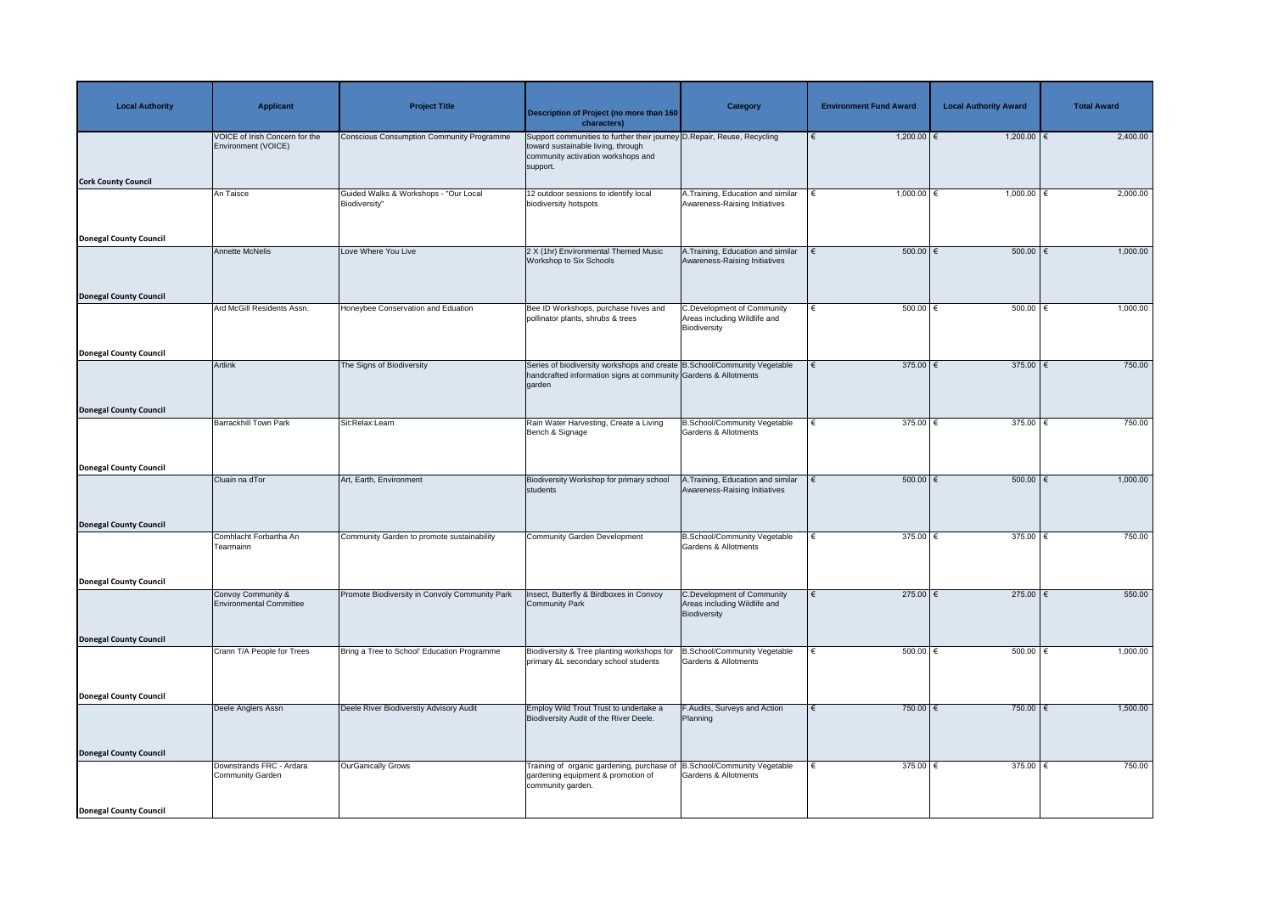| <b>Local Authority</b>        | <b>Applicant</b>                                             | <b>Project Title</b>                             | <b>Description of Project (no more than 160</b><br>characters)                                                                                                   | <b>Category</b>                                                                   | <b>Environment Fund Award</b> | <b>Local Authority Award</b> | <b>Total Award</b> |
|-------------------------------|--------------------------------------------------------------|--------------------------------------------------|------------------------------------------------------------------------------------------------------------------------------------------------------------------|-----------------------------------------------------------------------------------|-------------------------------|------------------------------|--------------------|
|                               | <b>VOICE of Irish Concern for the</b><br>Environment (VOICE) | <b>Conscious Consumption Community Programme</b> | Support communities to further their journey D. Repair, Reuse, Recycling<br>toward sustainable living, through<br>community activation workshops and<br>support. |                                                                                   | $1,200.00$ €                  | $1,200.00$ €                 | 2,400.00           |
| <b>Cork County Council</b>    | An Taisce                                                    | Guided Walks & Workshops - "Our Local            | 12 outdoor sessions to identify local                                                                                                                            | A. Training, Education and similar                                                | 1,000.00 $∈$                  | 1,000.00   €                 | 2,000.00           |
|                               |                                                              | Biodiversity"                                    | biodiversity hotspots                                                                                                                                            | Awareness-Raising Initiatives                                                     |                               |                              |                    |
| <b>Donegal County Council</b> |                                                              |                                                  |                                                                                                                                                                  |                                                                                   |                               |                              |                    |
|                               | <b>Annette McNelis</b>                                       | Love Where You Live                              | 2 X (1hr) Environmental Themed Music<br>Workshop to Six Schools                                                                                                  | A. Training, Education and similar<br>Awareness-Raising Initiatives               | $500.00$ $\in$<br>$\epsilon$  | $500.00$ $\in$               | 1,000.00           |
| <b>Donegal County Council</b> | Ard McGill Residents Assn.                                   | Honeybee Conservation and Eduation               | Bee ID Workshops, purchase hives and                                                                                                                             | <b>C.Development of Community</b>                                                 | $500.00$ $\in$                | $500.00$ $\in$               | 1,000.00           |
|                               |                                                              |                                                  | pollinator plants, shrubs & trees                                                                                                                                | Areas including Wildlife and<br>Biodiversity                                      |                               |                              |                    |
| <b>Donegal County Council</b> |                                                              |                                                  |                                                                                                                                                                  |                                                                                   |                               |                              |                    |
|                               | <b>Artlink</b>                                               | The Signs of Biodiversity                        | Series of biodiversity workshops and create B.School/Community Vegetable<br>handcrafted information signs at community Gardens & Allotments<br>garden            |                                                                                   | 375.00 $\xi$<br>€             | 375.00 $\xi$                 | 750.00             |
| <b>Donegal County Council</b> |                                                              |                                                  |                                                                                                                                                                  |                                                                                   |                               |                              |                    |
|                               | <b>Barrackhill Town Park</b>                                 | Sit:Relax:Learn                                  | Rain Water Harvesting, Create a Living<br>Bench & Signage                                                                                                        | <b>B.School/Community Vegetable</b><br>Gardens & Allotments                       | 375.00 $\epsilon$             | 375.00 $\epsilon$            | 750.00             |
| Donegal County Council        |                                                              |                                                  |                                                                                                                                                                  |                                                                                   |                               |                              |                    |
|                               | Cluain na dTor                                               | Art, Earth, Environment                          | Biodiversity Workshop for primary school<br>students                                                                                                             | A. Training, Education and similar<br>Awareness-Raising Initiatives               | $500.00$ $\in$                | $500.00$ $\epsilon$          | 1,000.00           |
| <b>Donegal County Council</b> |                                                              |                                                  |                                                                                                                                                                  |                                                                                   |                               |                              |                    |
|                               | Comhlacht Forbartha An<br>Tearmainn                          | Community Garden to promote sustainability       | Community Garden Development                                                                                                                                     | <b>B.School/Community Vegetable</b><br>Gardens & Allotments                       | 375.00 $\epsilon$             | 375.00 $\epsilon$            | 750.00             |
|                               |                                                              |                                                  |                                                                                                                                                                  |                                                                                   |                               |                              |                    |
| Donegal County Council        | Convoy Community &<br><b>Environmental Committee</b>         | Promote Biodiversity in Convoly Community Park   | Insect, Butterfly & Birdboxes in Convoy<br>Community Park                                                                                                        | <b>C.Development of Community</b><br>Areas including Wildlife and<br>Biodiversity | 275.00 $ \epsilon$            | 275.00 $\overline{\epsilon}$ | 550.00             |
| <b>Donegal County Council</b> |                                                              |                                                  |                                                                                                                                                                  |                                                                                   |                               |                              |                    |
|                               | Crann T/A People for Trees                                   | Bring a Tree to School' Education Programme      | Biodiversity & Tree planting workshops for<br>primary &L secondary school students                                                                               | B.School/Community Vegetable<br>Gardens & Allotments                              | $500.00$ €                    | 500.00   €                   | 1,000.00           |
| <b>Donegal County Council</b> |                                                              |                                                  |                                                                                                                                                                  |                                                                                   |                               |                              |                    |
|                               | Deele Anglers Assn                                           | Deele River Biodiverstiy Advisory Audit          | Employ Wild Trout Trust to undertake a<br>Biodiversity Audit of the River Deele.                                                                                 | F.Audits, Surveys and Action<br>Planning                                          | $750.00$ €                    | 750.00 $\epsilon$            | 1,500.00           |
| <b>Donegal County Council</b> |                                                              |                                                  |                                                                                                                                                                  |                                                                                   |                               |                              |                    |
|                               | Downstrands FRC - Ardara<br><b>Community Garden</b>          | <b>OurGanically Grows</b>                        | Training of organic gardening, purchase of<br>gardening equipment & promotion of<br>community garden.                                                            | <b>B.School/Community Vegetable</b><br>Gardens & Allotments                       | 375.00 $\epsilon$             | $375.00$   €                 | 750.00             |
| <b>Donegal County Council</b> |                                                              |                                                  |                                                                                                                                                                  |                                                                                   |                               |                              |                    |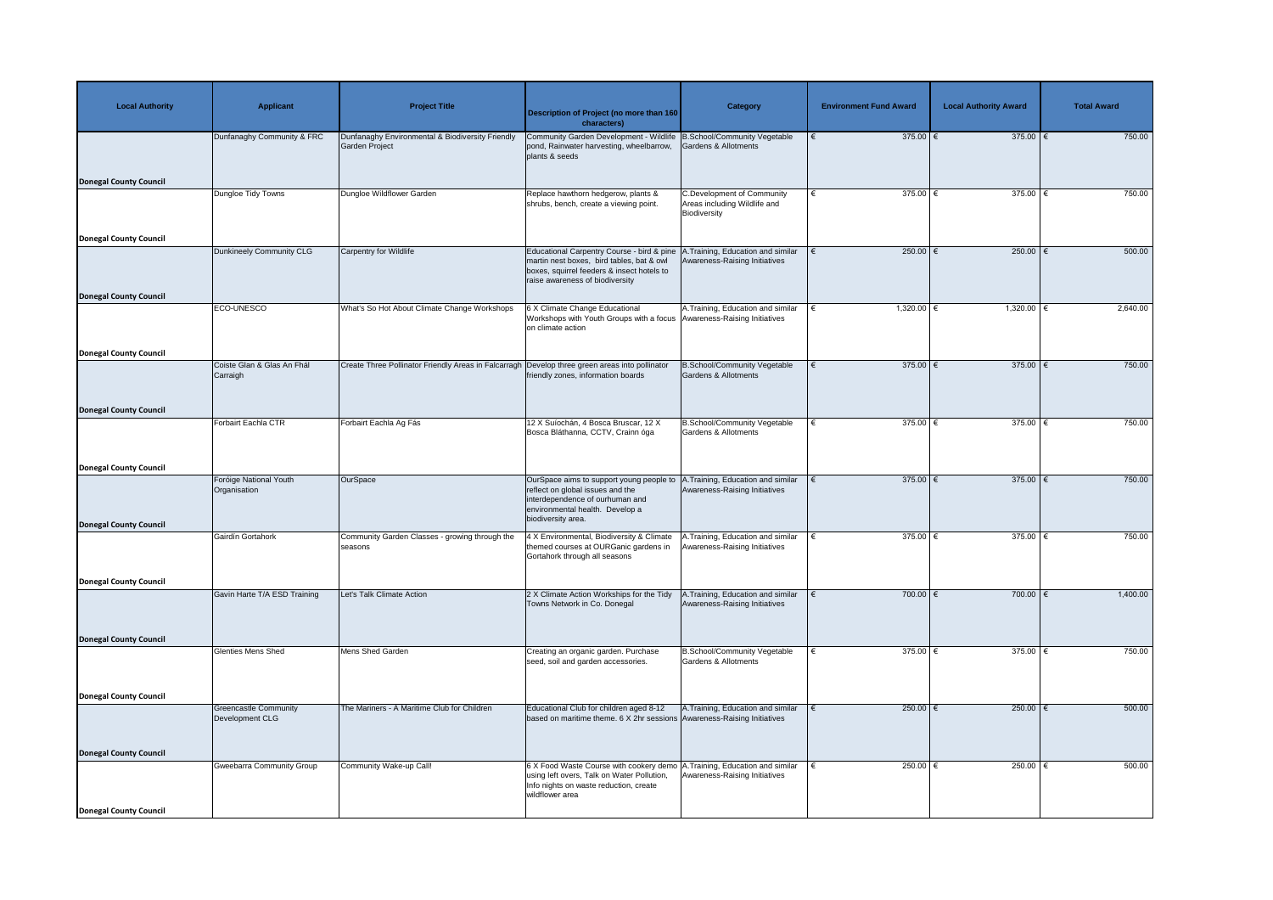| <b>Local Authority</b>        | <b>Applicant</b>                                | <b>Project Title</b>                                               | <b>Description of Project (no more than 160</b><br>characters)                                                                                                                        | <b>Category</b>                                                                   | <b>Environment Fund Award</b> | <b>Local Authority Award</b> | <b>Total Award</b> |
|-------------------------------|-------------------------------------------------|--------------------------------------------------------------------|---------------------------------------------------------------------------------------------------------------------------------------------------------------------------------------|-----------------------------------------------------------------------------------|-------------------------------|------------------------------|--------------------|
|                               | Dunfanaghy Community & FRC                      | Dunfanaghy Environmental & Biodiversity Friendly<br>Garden Project | Community Garden Development - Wildlife B.School/Community Vegetable<br>pond, Rainwater harvesting, wheelbarrow,<br>plants & seeds                                                    | Gardens & Allotments                                                              | 375.00 $\epsilon$             | 375.00 $\xi$                 | 750.00             |
| <b>Donegal County Council</b> |                                                 |                                                                    |                                                                                                                                                                                       |                                                                                   |                               |                              |                    |
|                               | Dungloe Tidy Towns                              | Dungloe Wildflower Garden                                          | Replace hawthorn hedgerow, plants &<br>shrubs, bench, create a viewing point.                                                                                                         | <b>C.Development of Community</b><br>Areas including Wildlife and<br>Biodiversity | $375.00$ $∈$<br>€             | 375.00   €                   | 750.00             |
| <b>Donegal County Council</b> |                                                 |                                                                    |                                                                                                                                                                                       |                                                                                   |                               |                              |                    |
|                               | Dunkineely Community CLG                        | <b>Carpentry for Wildlife</b>                                      | Educational Carpentry Course - bird & pine<br>martin nest boxes, bird tables, bat & owl<br>boxes, squirrel feeders & insect hotels to<br>raise awareness of biodiversity              | <b>A.Training, Education and similar</b><br>Awareness-Raising Initiatives         | 250.00 $\epsilon$             | 250.00   €                   | 500.00             |
| <b>Donegal County Council</b> | ECO-UNESCO                                      | What's So Hot About Climate Change Workshops                       | 6 X Climate Change Educational                                                                                                                                                        | A. Training, Education and similar                                                | $1,320.00$ €                  | $1,320.00$   €               | 2,640.00           |
|                               |                                                 |                                                                    | Workshops with Youth Groups with a focus Awareness-Raising Initiatives<br>on climate action                                                                                           |                                                                                   |                               |                              |                    |
| <b>Donegal County Council</b> |                                                 |                                                                    |                                                                                                                                                                                       |                                                                                   |                               |                              |                    |
|                               | Coiste Glan & Glas An Fhál<br>Carraigh          | Create Three Pollinator Friendly Areas in Falcarragh               | Develop three green areas into pollinator<br>friendly zones, information boards                                                                                                       | <b>B.School/Community Vegetable</b><br>Gardens & Allotments                       | $375.00$ €                    | 375.00 $\epsilon$            | 750.00             |
| <b>Donegal County Council</b> |                                                 |                                                                    |                                                                                                                                                                                       |                                                                                   |                               |                              |                    |
|                               | Forbairt Eachla CTR                             | Forbairt Eachla Ag Fás                                             | 12 X Suíochán, 4 Bosca Bruscar, 12 X<br>Bosca Bláthanna, CCTV, Crainn óga                                                                                                             | <b>B.School/Community Vegetable</b><br>Gardens & Allotments                       | 375.00   €<br>€               | $375.00$   €                 | 750.00             |
| <b>Donegal County Council</b> |                                                 |                                                                    |                                                                                                                                                                                       |                                                                                   |                               |                              |                    |
| <b>Donegal County Council</b> | Foróige National Youth<br>Organisation          | OurSpace                                                           | OurSpace aims to support young people to<br>reflect on global issues and the<br>interdependence of ourhuman and<br>environmental health. Develop a<br>biodiversity area.              | A.Training, Education and similar<br>Awareness-Raising Initiatives                | 375.00 $\epsilon$             | 375.00 $\xi$                 | 750.00             |
|                               | Gairdín Gortahork                               | Community Garden Classes - growing through the                     | 4 X Environmental, Biodiversity & Climate                                                                                                                                             | A.Training, Education and similar                                                 | 375.00 $\epsilon$             | 375.00 $\xi$                 | 750.00             |
|                               |                                                 | seasons                                                            | themed courses at OURGanic gardens in<br>Gortahork through all seasons                                                                                                                | Awareness-Raising Initiatives                                                     |                               |                              |                    |
| <b>Donegal County Council</b> |                                                 |                                                                    |                                                                                                                                                                                       |                                                                                   |                               |                              |                    |
|                               | Gavin Harte T/A ESD Training                    | Let's Talk Climate Action                                          | 2 X Climate Action Workships for the Tidy<br>Towns Network in Co. Donegal                                                                                                             | A.Training, Education and similar<br>Awareness-Raising Initiatives                | $700.00$ €                    | $700.00$ €                   | 1,400.00           |
| <b>Donegal County Council</b> |                                                 |                                                                    |                                                                                                                                                                                       |                                                                                   |                               |                              |                    |
|                               | <b>Glenties Mens Shed</b>                       | Mens Shed Garden                                                   | Creating an organic garden. Purchase<br>seed, soil and garden accessories.                                                                                                            | B.School/Community Vegetable<br><b>Gardens &amp; Allotments</b>                   | $375.00$ €                    | $375.00$   €                 | 750.00             |
| <b>Donegal County Council</b> |                                                 |                                                                    |                                                                                                                                                                                       |                                                                                   |                               |                              |                    |
|                               | <b>Greencastle Community</b><br>Development CLG | The Mariners - A Maritime Club for Children                        | Educational Club for children aged 8-12<br>based on maritime theme. 6 X 2hr sessions Awareness-Raising Initiatives                                                                    | A. Training, Education and similar                                                | 250.00 $\epsilon$             | $250.00$ €                   | 500.00             |
| <b>Donegal County Council</b> |                                                 |                                                                    |                                                                                                                                                                                       |                                                                                   |                               |                              |                    |
|                               | <b>Gweebarra Community Group</b>                | Community Wake-up Call!                                            | 6 X Food Waste Course with cookery demo A. Training, Education and similar<br>using left overs, Talk on Water Pollution,<br>Info nights on waste reduction, create<br>wildflower area | Awareness-Raising Initiatives                                                     | 250.00 $ \epsilon$            | $250.00$   €                 | 500.00             |
| <b>Donegal County Council</b> |                                                 |                                                                    |                                                                                                                                                                                       |                                                                                   |                               |                              |                    |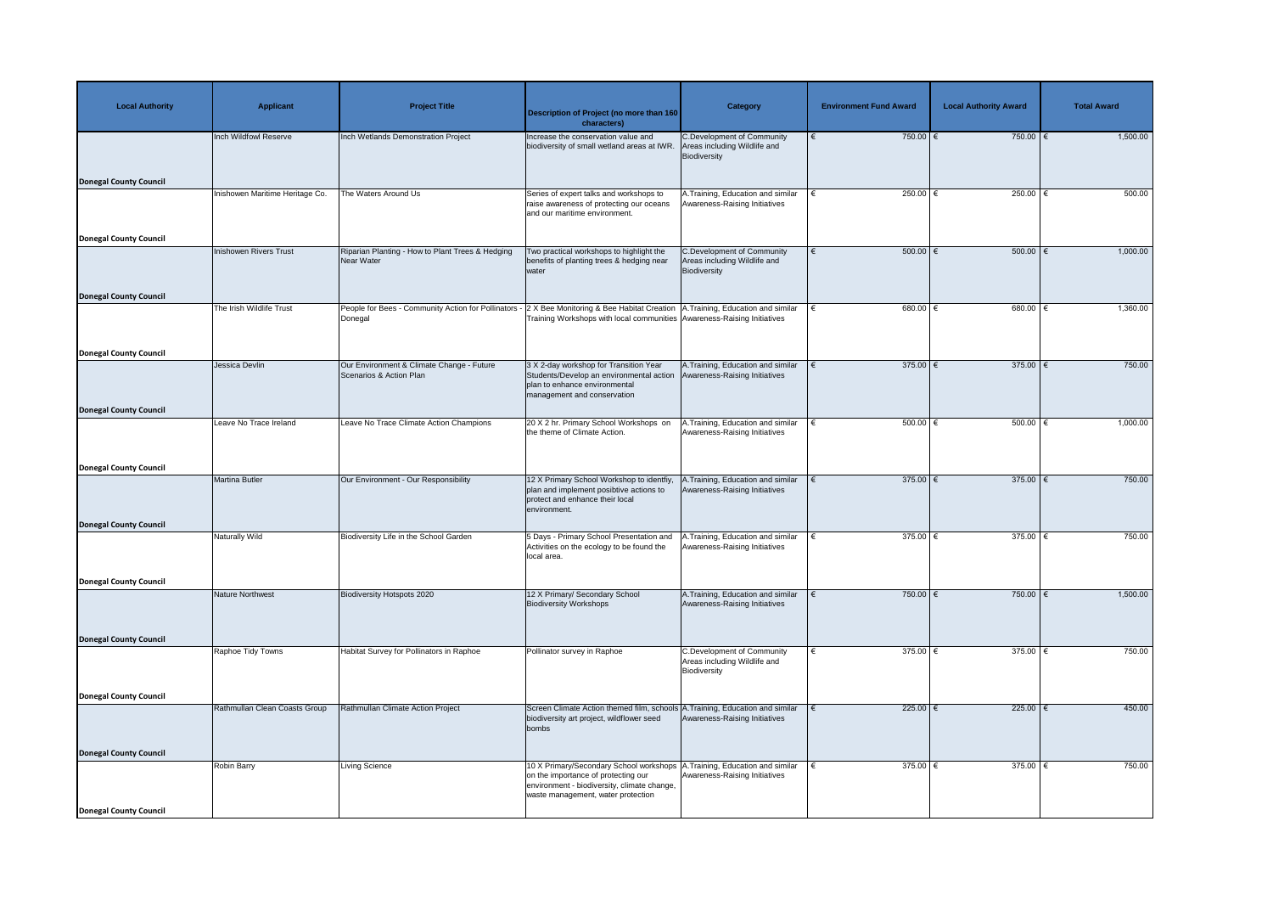| <b>Local Authority</b>                                         | <b>Applicant</b>                | <b>Project Title</b>                                                  | Description of Project (no more than 160<br>characters)                                                                                                               | <b>Category</b>                                                                   | <b>Environment Fund Award</b> | <b>Local Authority Award</b> | <b>Total Award</b> |
|----------------------------------------------------------------|---------------------------------|-----------------------------------------------------------------------|-----------------------------------------------------------------------------------------------------------------------------------------------------------------------|-----------------------------------------------------------------------------------|-------------------------------|------------------------------|--------------------|
| <b>Donegal County Council</b>                                  | Inch Wildfowl Reserve           | Inch Wetlands Demonstration Project                                   | Increase the conservation value and<br>biodiversity of small wetland areas at IWR.                                                                                    | C.Development of Community<br>Areas including Wildlife and<br>Biodiversity        | $750.00$ €                    | 750.00 $\overline{\epsilon}$ | 1,500.00           |
|                                                                | Inishowen Maritime Heritage Co. | The Waters Around Us                                                  | Series of expert talks and workshops to<br>raise awareness of protecting our oceans<br>and our maritime environment.                                                  | A. Training, Education and similar<br>Awareness-Raising Initiatives               | 250.00 $ \epsilon$            | 250.00 $ \epsilon$           | 500.00             |
| <b>Donegal County Council</b><br><b>Donegal County Council</b> | Inishowen Rivers Trust          | Riparian Planting - How to Plant Trees & Hedging<br><b>Near Water</b> | Two practical workshops to highlight the<br>benefits of planting trees & hedging near<br>water                                                                        | C.Development of Community<br>Areas including Wildlife and<br>Biodiversity        | $500.00$ $\epsilon$<br>€      | $500.00$ $\epsilon$          | 1,000.00           |
|                                                                | The Irish Wildlife Trust        | People for Bees - Community Action for Pollinators<br>Donegal         | X Bee Monitoring & Bee Habitat Creation   A. Training, Education and similar<br>Training Workshops with local communities Awareness-Raising Initiatives               |                                                                                   | $680.00$ €                    | 680.00                       | 1,360.00           |
| <b>Donegal County Council</b><br><b>Donegal County Council</b> | Jessica Devlin                  | Our Environment & Climate Change - Future<br>Scenarios & Action Plan  | 3 X 2-day workshop for Transition Year<br>Students/Develop an environmental action<br>plan to enhance environmental<br>management and conservation                    | A. Training, Education and similar<br>Awareness-Raising Initiatives               | $375.00$ €                    | $375.00$ $\epsilon$          | 750.00             |
|                                                                | Leave No Trace Ireland          | Leave No Trace Climate Action Champions                               | 20 X 2 hr. Primary School Workshops on<br>the theme of Climate Action.                                                                                                | A.Training, Education and similar<br>Awareness-Raising Initiatives                | 500.00 $ \epsilon$            | $500.00$ $\in$               | 1,000.00           |
| Donegal County Council                                         | Martina Butler                  | Our Environment - Our Responsibility                                  | 12 X Primary School Workshop to identfiy,<br>plan and implement posibtive actions to<br>protect and enhance their local<br>environment.                               | A.Training, Education and similar<br>Awareness-Raising Initiatives                | $375.00$ €                    | 375.00 $\overline{\epsilon}$ | 750.00             |
| <b>Donegal County Council</b>                                  | <b>Naturally Wild</b>           | Biodiversity Life in the School Garden                                | 5 Days - Primary School Presentation and<br>Activities on the ecology to be found the<br>local area.                                                                  | A.Training, Education and similar<br>Awareness-Raising Initiatives                | 375.00 $\xi$                  | 375.00 $\overline{\epsilon}$ | 750.00             |
| <b>Donegal County Council</b>                                  | Nature Northwest                | <b>Biodiversity Hotspots 2020</b>                                     | 12 X Primary/ Secondary School<br><b>Biodiversity Workshops</b>                                                                                                       | A.Training, Education and similar<br>Awareness-Raising Initiatives                | 750.00 $\in$                  | 750.00 $\overline{\epsilon}$ | 1,500.00           |
| <b>Donegal County Council</b>                                  | Raphoe Tidy Towns               | Habitat Survey for Pollinators in Raphoe                              | Pollinator survey in Raphoe                                                                                                                                           | <b>C.Development of Community</b><br>Areas including Wildlife and<br>Biodiversity | 375.00 $\xi$                  | $375.00$   €                 | 750.00             |
| <b>Donegal County Council</b>                                  | Rathmullan Clean Coasts Group   | Rathmullan Climate Action Project                                     | Screen Climate Action themed film, schools A. Training, Education and similar<br>biodiversity art project, wildflower seed<br>bombs                                   | Awareness-Raising Initiatives                                                     | $225.00$ €                    | 225.00 €                     | 450.00             |
| <b>Donegal County Council</b><br>Donegal County Council        | <b>Robin Barry</b>              | <b>Living Science</b>                                                 | 10 X Primary/Secondary School workshops  <br>on the importance of protecting our<br>environment - biodiversity, climate change,<br>waste management, water protection | A.Training, Education and similar<br>Awareness-Raising Initiatives                | 375.00 $\epsilon$             | 375.00   €                   | 750.00             |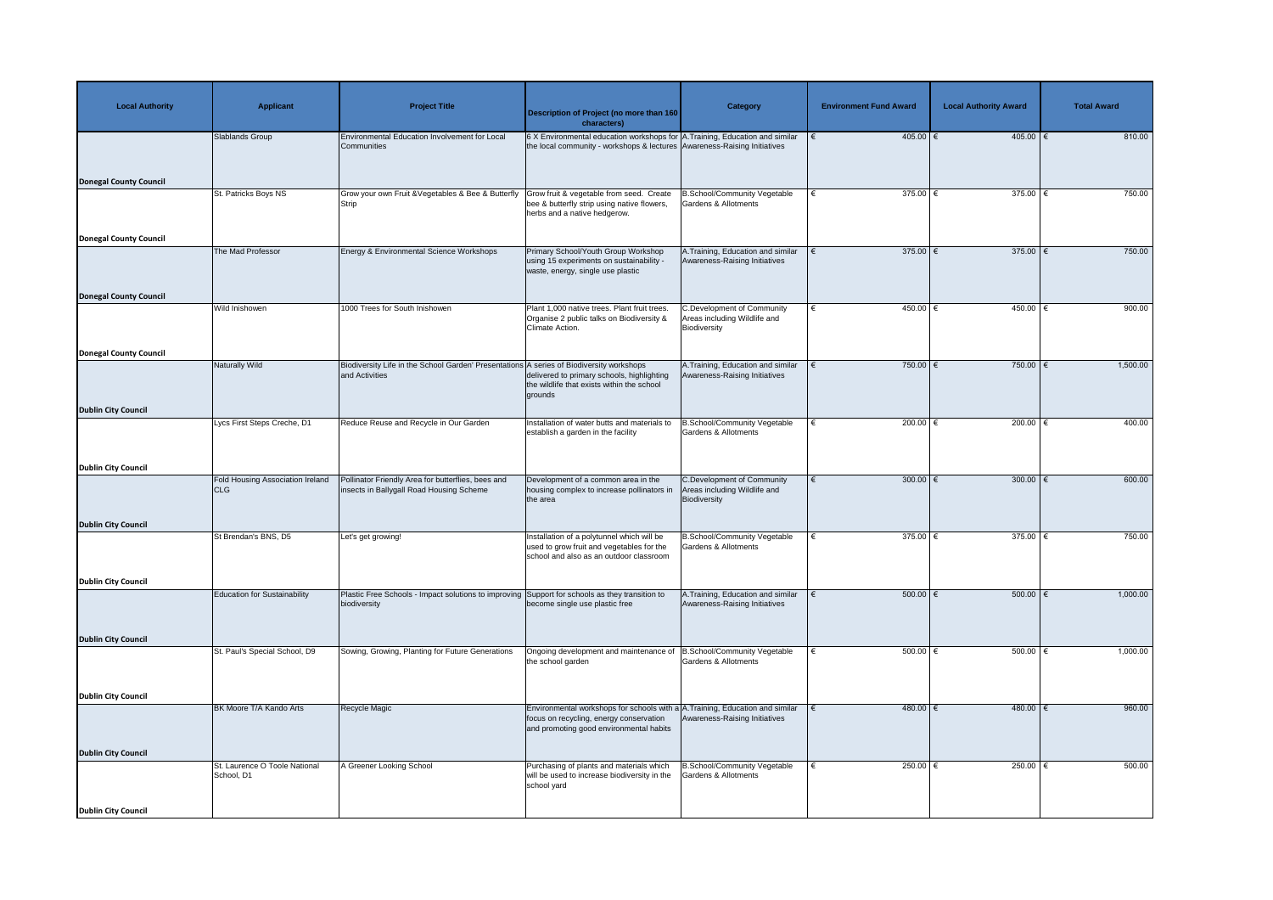| <b>Local Authority</b>        | <b>Applicant</b>                                | <b>Project Title</b>                                                                                       | Description of Project (no more than 160<br>characters)                                                                                                                | <b>Category</b>                                                                   | <b>Environment Fund Award</b> | <b>Local Authority Award</b> | <b>Total Award</b> |
|-------------------------------|-------------------------------------------------|------------------------------------------------------------------------------------------------------------|------------------------------------------------------------------------------------------------------------------------------------------------------------------------|-----------------------------------------------------------------------------------|-------------------------------|------------------------------|--------------------|
|                               | Slablands Group                                 | <b>Environmental Education Involvement for Local</b><br>Communities                                        | 6 X Environmental education workshops for A. Training, Education and similar<br>the local community - workshops & lectures Awareness-Raising Initiatives               |                                                                                   | $405.00$ €                    | $405.00$ €                   | 810.00             |
| <b>Donegal County Council</b> |                                                 |                                                                                                            |                                                                                                                                                                        |                                                                                   |                               |                              |                    |
|                               | St. Patricks Boys NS                            | Grow your own Fruit & Vegetables & Bee & Butterfly<br>Strip                                                | Grow fruit & vegetable from seed. Create<br>bee & butterfly strip using native flowers,<br>herbs and a native hedgerow.                                                | <b>B.School/Community Vegetable</b><br><b>Gardens &amp; Allotments</b>            | 375.00 $\epsilon$             | 375.00 $\epsilon$            | 750.00             |
| <b>Donegal County Council</b> | The Mad Professor                               | <b>Energy &amp; Environmental Science Workshops</b>                                                        | Primary School/Youth Group Workshop<br>using 15 experiments on sustainability -<br>waste, energy, single use plastic                                                   | A. Training, Education and similar<br>Awareness-Raising Initiatives               | 375.00 $\epsilon$             | $375.00$   €                 | 750.00             |
| <b>Donegal County Council</b> |                                                 |                                                                                                            |                                                                                                                                                                        |                                                                                   |                               |                              |                    |
|                               | Wild Inishowen                                  | 1000 Trees for South Inishowen                                                                             | Plant 1,000 native trees. Plant fruit trees.<br>Organise 2 public talks on Biodiversity &<br>Climate Action.                                                           | <b>C.Development of Community</b><br>Areas including Wildlife and<br>Biodiversity | $450.00$ €<br>€               | $450.00$ €                   | 900.00             |
| <b>Donegal County Council</b> |                                                 |                                                                                                            |                                                                                                                                                                        |                                                                                   |                               |                              |                    |
|                               | Naturally Wild                                  | Biodiversity Life in the School Garden' Presentations A series of Biodiversity workshops<br>and Activities | delivered to primary schools, highlighting<br>the wildlife that exists within the school<br>grounds                                                                    | A. Training, Education and similar<br>Awareness-Raising Initiatives               | 750.00 €                      | 750.00                       | 1,500.00           |
| <b>Dublin City Council</b>    |                                                 |                                                                                                            |                                                                                                                                                                        |                                                                                   |                               |                              |                    |
|                               | Lycs First Steps Creche, D1                     | Reduce Reuse and Recycle in Our Garden                                                                     | Installation of water butts and materials to<br>establish a garden in the facility                                                                                     | <b>B.School/Community Vegetable</b><br>Gardens & Allotments                       | 200.00 $\epsilon$             | 200.00 $\epsilon$            | 400.00             |
| <b>Dublin City Council</b>    |                                                 |                                                                                                            |                                                                                                                                                                        |                                                                                   |                               |                              |                    |
|                               | <b>Fold Housing Association Ireland</b><br> CLG | Pollinator Friendly Area for butterflies, bees and<br>insects in Ballygall Road Housing Scheme             | Development of a common area in the<br>housing complex to increase pollinators in<br>the area                                                                          | <b>C.Development of Community</b><br>Areas including Wildlife and<br>Biodiversity | 300.00 $\epsilon$             | 300.00 $\xi$                 | 600.00             |
| <b>Dublin City Council</b>    |                                                 |                                                                                                            |                                                                                                                                                                        |                                                                                   |                               |                              |                    |
|                               | St Brendan's BNS, D5                            | Let's get growing!                                                                                         | Installation of a polytunnel which will be<br>used to grow fruit and vegetables for the<br>school and also as an outdoor classroom                                     | B.School/Community Vegetable<br><b>Gardens &amp; Allotments</b>                   | 375.00 $\epsilon$             | 375.00 $\epsilon$            | 750.00             |
| <b>Dublin City Council</b>    |                                                 |                                                                                                            |                                                                                                                                                                        |                                                                                   |                               |                              |                    |
|                               | <b>Education for Sustainability</b>             | Plastic Free Schools - Impact solutions to improving<br>biodiversity                                       | Support for schools as they transition to<br>become single use plastic free                                                                                            | A.Training, Education and similar<br>Awareness-Raising Initiatives                | $500.00$   €                  | 500.00   €                   | 1,000.00           |
| <b>Dublin City Council</b>    |                                                 |                                                                                                            |                                                                                                                                                                        |                                                                                   |                               |                              |                    |
|                               | St. Paul's Special School, D9                   | Sowing, Growing, Planting for Future Generations                                                           | Ongoing development and maintenance of<br>the school garden                                                                                                            | B.School/Community Vegetable<br><b>Gardens &amp; Allotments</b>                   | 500.00 $\epsilon$             | 500.00   €                   | 1,000.00           |
| <b>Dublin City Council</b>    |                                                 |                                                                                                            |                                                                                                                                                                        |                                                                                   |                               |                              |                    |
|                               | BK Moore T/A Kando Arts                         | Recycle Magic                                                                                              | Environmental workshops for schools with $a/A$ . Training, Education and similar<br>focus on recycling, energy conservation<br>and promoting good environmental habits | Awareness-Raising Initiatives                                                     | 480.00 €                      | $480.00$ €                   | 960.00             |
| <b>Dublin City Council</b>    |                                                 |                                                                                                            |                                                                                                                                                                        |                                                                                   |                               |                              |                    |
|                               | St. Laurence O Toole National<br>School, D1     | A Greener Looking School                                                                                   | Purchasing of plants and materials which<br>will be used to increase biodiversity in the<br>school yard                                                                | <b>B.School/Community Vegetable</b><br><b>Gardens &amp; Allotments</b>            | 250.00 $ \epsilon$<br>€       | 250.00   €                   | 500.00             |
| <b>Dublin City Council</b>    |                                                 |                                                                                                            |                                                                                                                                                                        |                                                                                   |                               |                              |                    |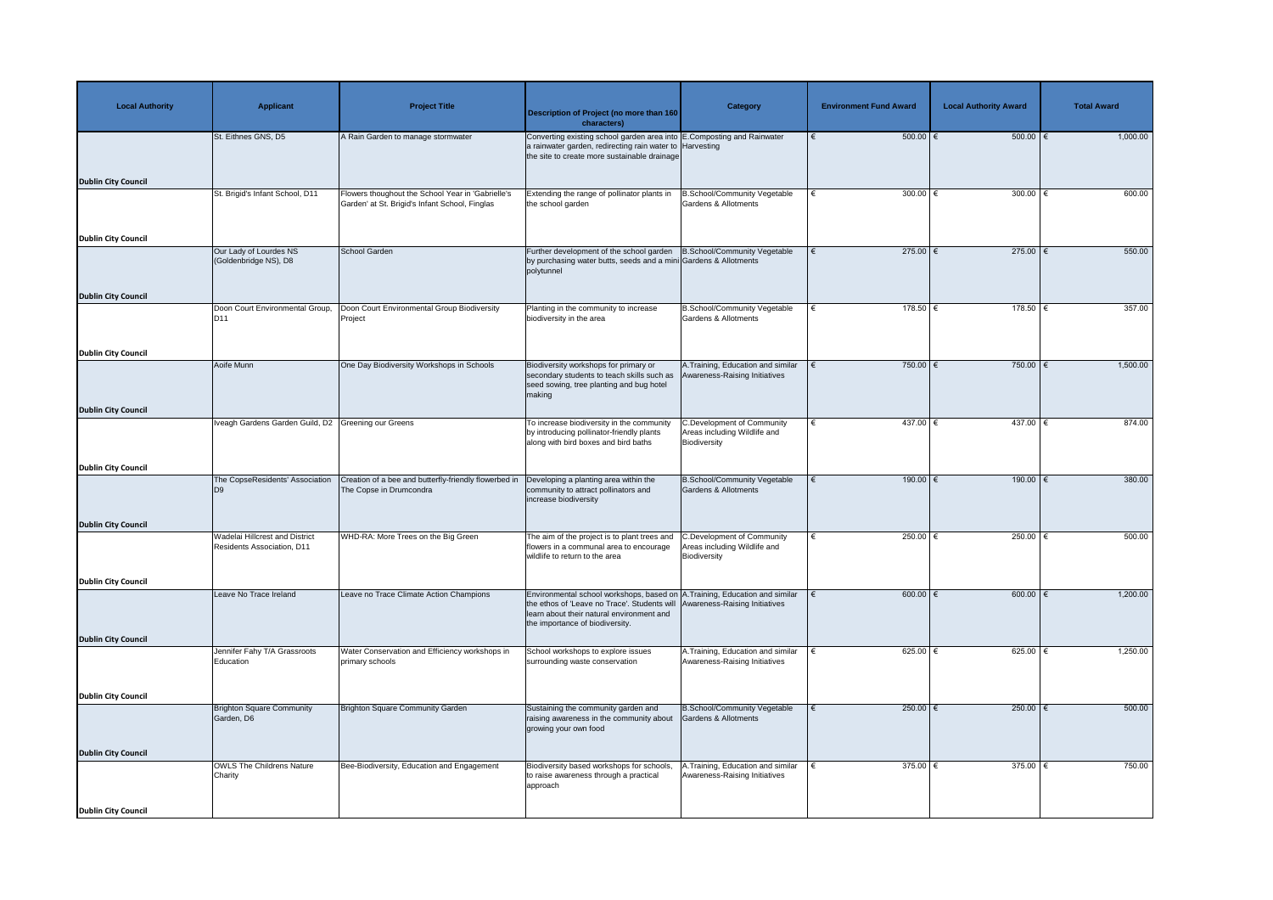| <b>Local Authority</b>     | <b>Applicant</b>                                                    | <b>Project Title</b>                                                                                | <b>Description of Project (no more than 160</b><br>characters)                                                                                                                                              | Category                                                                          | <b>Environment Fund Award</b> | <b>Local Authority Award</b> | <b>Total Award</b> |
|----------------------------|---------------------------------------------------------------------|-----------------------------------------------------------------------------------------------------|-------------------------------------------------------------------------------------------------------------------------------------------------------------------------------------------------------------|-----------------------------------------------------------------------------------|-------------------------------|------------------------------|--------------------|
|                            | St. Eithnes GNS, D5                                                 | A Rain Garden to manage stormwater                                                                  | Converting existing school garden area into E.Composting and Rainwater<br>a rainwater garden, redirecting rain water to Harvesting<br>the site to create more sustainable drainage                          |                                                                                   | $500.00$ $\in$                | $500.00$ $\epsilon$          | 1,000.00           |
| <b>Dublin City Council</b> |                                                                     |                                                                                                     |                                                                                                                                                                                                             |                                                                                   |                               |                              |                    |
|                            | St. Brigid's Infant School, D11                                     | Flowers thoughout the School Year in 'Gabrielle's<br>Garden' at St. Brigid's Infant School, Finglas | Extending the range of pollinator plants in<br>the school garden                                                                                                                                            | <b>B.School/Community Vegetable</b><br><b>Gardens &amp; Allotments</b>            | 300.00 $ \epsilon$            | 300.00 $ \epsilon$           | 600.00             |
| <b>Dublin City Council</b> |                                                                     |                                                                                                     |                                                                                                                                                                                                             |                                                                                   |                               |                              |                    |
|                            | Our Lady of Lourdes NS<br>(Goldenbridge NS), D8                     | <b>School Garden</b>                                                                                | Further development of the school garden<br>by purchasing water butts, seeds and a mini Gardens & Allotments<br>polytunnel                                                                                  | B.School/Community Vegetable                                                      | $275.00$ €<br>€               | $275.00$ €                   | 550.00             |
| <b>Dublin City Council</b> |                                                                     |                                                                                                     |                                                                                                                                                                                                             |                                                                                   |                               |                              |                    |
|                            | Doon Court Environmental Group,<br>D <sub>11</sub>                  | Doon Court Environmental Group Biodiversity<br>Project                                              | Planting in the community to increase<br>biodiversity in the area                                                                                                                                           | <b>B.School/Community Vegetable</b><br>Gardens & Allotments                       | $178.50$ €                    | $178.50$ €                   | 357.00             |
| <b>Dublin City Council</b> |                                                                     |                                                                                                     |                                                                                                                                                                                                             |                                                                                   |                               |                              |                    |
|                            | Aoife Munn                                                          | One Day Biodiversity Workshops in Schools                                                           | Biodiversity workshops for primary or<br>secondary students to teach skills such as<br>seed sowing, tree planting and bug hotel<br>making                                                                   | A. Training, Education and similar<br>Awareness-Raising Initiatives               | 750.00 $\epsilon$             | $750.00$ €                   | 1,500.00           |
| <b>Dublin City Council</b> |                                                                     |                                                                                                     |                                                                                                                                                                                                             |                                                                                   |                               |                              |                    |
|                            | Iveagh Gardens Garden Guild, D2 Greening our Greens                 |                                                                                                     | To increase biodiversity in the community<br>by introducing pollinator-friendly plants<br>along with bird boxes and bird baths                                                                              | <b>C.Development of Community</b><br>Areas including Wildlife and<br>Biodiversity | $437.00$ €                    | $437.00$ €                   | 874.00             |
| <b>Dublin City Council</b> |                                                                     |                                                                                                     |                                                                                                                                                                                                             |                                                                                   |                               |                              |                    |
|                            | The CopseResidents' Association<br> D9                              | Creation of a bee and butterfly-friendly flowerbed in<br>The Copse in Drumcondra                    | Developing a planting area within the<br>community to attract pollinators and<br>increase biodiversity                                                                                                      | <b>B.School/Community Vegetable</b><br><b>Gardens &amp; Allotments</b>            | $190.00$ €<br>€               | $190.00$ $∈$                 | 380.00             |
| <b>Dublin City Council</b> |                                                                     |                                                                                                     |                                                                                                                                                                                                             |                                                                                   |                               |                              |                    |
|                            | <b>Wadelai Hillcrest and District</b><br>Residents Association, D11 | WHD-RA: More Trees on the Big Green                                                                 | The aim of the project is to plant trees and<br>flowers in a communal area to encourage<br>wildlife to return to the area                                                                                   | <b>C.Development of Community</b><br>Areas including Wildlife and<br>Biodiversity | 250.00 $\epsilon$             | 250.00 $\epsilon$            | 500.00             |
| <b>Dublin City Council</b> |                                                                     |                                                                                                     |                                                                                                                                                                                                             |                                                                                   |                               |                              |                    |
|                            | Leave No Trace Ireland                                              | Leave no Trace Climate Action Champions                                                             | Environmental school workshops, based on A. Training, Education and similar<br>the ethos of 'Leave no Trace'. Students will<br>learn about their natural environment and<br>the importance of biodiversity. | Awareness-Raising Initiatives                                                     | 600.00 $\in$                  | 600.00 $ \epsilon$           | 1,200.00           |
| <b>Dublin City Council</b> |                                                                     |                                                                                                     |                                                                                                                                                                                                             |                                                                                   |                               |                              |                    |
|                            | Jennifer Fahy T/A Grassroots<br>Education                           | <b>Nater Conservation and Efficiency workshops in</b><br>primary schools                            | School workshops to explore issues<br>surrounding waste conservation                                                                                                                                        | A.Training, Education and similar<br>Awareness-Raising Initiatives                | 625.00 $∈$                    | 625.00   €                   | 1,250.00           |
| <b>Dublin City Council</b> |                                                                     |                                                                                                     |                                                                                                                                                                                                             |                                                                                   |                               |                              |                    |
|                            | <b>Brighton Square Community</b><br>Garden, D6                      | Brighton Square Community Garden                                                                    | Sustaining the community garden and<br>raising awareness in the community about<br>growing your own food                                                                                                    | <b>B.School/Community Vegetable</b><br>Gardens & Allotments                       | 250.00 $\epsilon$             | 250.00   €                   | 500.00             |
| <b>Dublin City Council</b> |                                                                     |                                                                                                     |                                                                                                                                                                                                             |                                                                                   |                               |                              |                    |
|                            | <b>OWLS The Childrens Nature</b><br>Charity                         | Bee-Biodiversity, Education and Engagement                                                          | Biodiversity based workshops for schools,<br>to raise awareness through a practical<br>approach                                                                                                             | A.Training, Education and similar<br>Awareness-Raising Initiatives                | $375.00$ $∈$                  | $375.00$   €                 | 750.00             |
| <b>Dublin City Council</b> |                                                                     |                                                                                                     |                                                                                                                                                                                                             |                                                                                   |                               |                              |                    |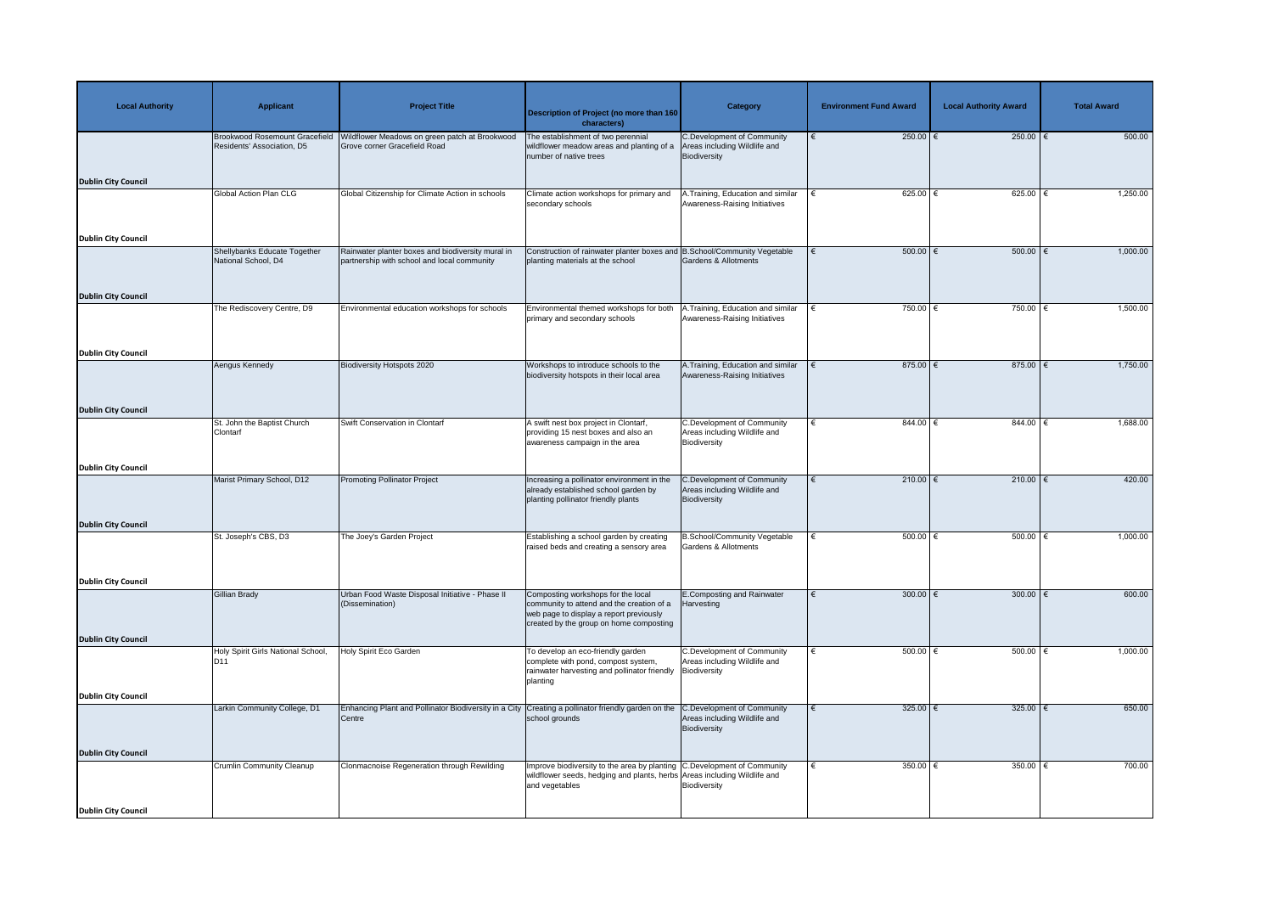| <b>Local Authority</b>     | <b>Applicant</b>                                                    | <b>Project Title</b>                                                                             | <b>Description of Project (no more than 160</b><br>characters)                                                                                                         | <b>Category</b>                                                                   | <b>Environment Fund Award</b> | <b>Local Authority Award</b> | <b>Total Award</b> |
|----------------------------|---------------------------------------------------------------------|--------------------------------------------------------------------------------------------------|------------------------------------------------------------------------------------------------------------------------------------------------------------------------|-----------------------------------------------------------------------------------|-------------------------------|------------------------------|--------------------|
|                            | <b>Brookwood Rosemount Gracefield</b><br>Residents' Association, D5 | Wildflower Meadows on green patch at Brookwood<br>Grove corner Gracefield Road                   | The establishment of two perennial<br>wildflower meadow areas and planting of a<br>number of native trees                                                              | <b>C.Development of Community</b><br>Areas including Wildlife and<br>Biodiversity | 250.00 $\epsilon$             | 250.00   €                   | 500.00             |
| <b>Dublin City Council</b> |                                                                     |                                                                                                  |                                                                                                                                                                        |                                                                                   |                               |                              |                    |
|                            | <b>Global Action Plan CLG</b>                                       | Global Citizenship for Climate Action in schools                                                 | Climate action workshops for primary and<br>secondary schools                                                                                                          | Training, Education and similar<br>Awareness-Raising Initiatives                  | 625.00 $ \epsilon$            | $625.00$                     | 1,250.00           |
| <b>Dublin City Council</b> |                                                                     |                                                                                                  |                                                                                                                                                                        |                                                                                   |                               |                              |                    |
|                            | Shellybanks Educate Together<br>National School, D4                 | Rainwater planter boxes and biodiversity mural in<br>partnership with school and local community | Construction of rainwater planter boxes and B.School/Community Vegetable<br>planting materials at the school                                                           | <b>Gardens &amp; Allotments</b>                                                   | $500.00$   €                  | 500.00   €                   | 1,000.00           |
| <b>Dublin City Council</b> |                                                                     |                                                                                                  |                                                                                                                                                                        |                                                                                   |                               |                              |                    |
|                            | The Rediscovery Centre, D9                                          | Environmental education workshops for schools                                                    | Environmental themed workshops for both<br>primary and secondary schools                                                                                               | .Training, Education and similar<br>Awareness-Raising Initiatives                 | 750.00 €                      | 750.00                       | 1,500.00           |
| <b>Dublin City Council</b> |                                                                     |                                                                                                  |                                                                                                                                                                        |                                                                                   |                               |                              |                    |
|                            | Aengus Kennedy                                                      | <b>Biodiversity Hotspots 2020</b>                                                                | Workshops to introduce schools to the<br>biodiversity hotspots in their local area                                                                                     | A.Training, Education and similar<br>Awareness-Raising Initiatives                | 875.00 $\epsilon$             | $875.00$   €                 | 1,750.00           |
| <b>Dublin City Council</b> |                                                                     |                                                                                                  |                                                                                                                                                                        |                                                                                   |                               |                              |                    |
|                            | St. John the Baptist Church<br>Clontarf                             | <b>Swift Conservation in Clontarf</b>                                                            | A swift nest box project in Clontarf,<br>providing 15 nest boxes and also an<br>awareness campaign in the area                                                         | <b>C.Development of Community</b><br>Areas including Wildlife and<br>Biodiversity | $844.00$ $∈$<br>€             | 844.00                       | 1,688.00           |
| <b>Dublin City Council</b> |                                                                     |                                                                                                  |                                                                                                                                                                        |                                                                                   |                               |                              |                    |
|                            | Marist Primary School, D12                                          | <b>Promoting Pollinator Project</b>                                                              | Increasing a pollinator environment in the<br>already established school garden by<br>planting pollinator friendly plants                                              | C.Development of Community<br>Areas including Wildlife and<br>Biodiversity        | $210.00$ €                    | 210.00 €                     | 420.00             |
| <b>Dublin City Council</b> |                                                                     |                                                                                                  |                                                                                                                                                                        |                                                                                   |                               |                              | 1,000.00           |
|                            | St. Joseph's CBS, D3                                                | The Joey's Garden Project                                                                        | Establishing a school garden by creating<br>raised beds and creating a sensory area                                                                                    | <b>B.School/Community Vegetable</b><br>Gardens & Allotments                       | $500.00$ $\in$                | 500.00                       |                    |
| <b>Dublin City Council</b> |                                                                     |                                                                                                  |                                                                                                                                                                        |                                                                                   |                               |                              |                    |
|                            | <b>Gillian Brady</b>                                                | Urban Food Waste Disposal Initiative - Phase II<br>(Dissemination)                               | Composting workshops for the local<br>community to attend and the creation of a<br>web page to display a report previously<br>created by the group on home composting  | <b>E.Composting and Rainwater</b><br>Harvesting                                   | 300.00 $\epsilon$             | 300.00 $\epsilon$            | 600.00             |
| <b>Dublin City Council</b> | Holy Spirit Girls National School,                                  | Holy Spirit Eco Garden                                                                           | To develop an eco-friendly garden                                                                                                                                      | <b>C.Development of Community</b>                                                 | 500.00 $\epsilon$             | $500.00$   €                 | 1,000.00           |
|                            | D <sub>11</sub>                                                     |                                                                                                  | complete with pond, compost system,<br>rainwater harvesting and pollinator friendly   Biodiversity<br>planting                                                         | Areas including Wildlife and                                                      |                               |                              |                    |
| <b>Dublin City Council</b> | Larkin Community College, D1                                        | Enhancing Plant and Pollinator Biodiversity in a City                                            | Creating a pollinator friendly garden on the                                                                                                                           | C.Development of Community                                                        | 325.00 $\epsilon$             | 325.00 $\xi$                 | 650.00             |
|                            |                                                                     | Centre                                                                                           | school grounds                                                                                                                                                         | Areas including Wildlife and<br>Biodiversity                                      |                               |                              |                    |
| <b>Dublin City Council</b> |                                                                     |                                                                                                  |                                                                                                                                                                        |                                                                                   |                               |                              |                    |
|                            | <b>Crumlin Community Cleanup</b>                                    | Clonmacnoise Regeneration through Rewilding                                                      | Improve biodiversity to the area by planting C. Development of Community<br>wildflower seeds, hedging and plants, herbs Areas including Wildlife and<br>and vegetables | Biodiversity                                                                      | 350.00 $ \epsilon$            | 350.00 $\sqrt{ }$            | 700.00             |
| <b>Dublin City Council</b> |                                                                     |                                                                                                  |                                                                                                                                                                        |                                                                                   |                               |                              |                    |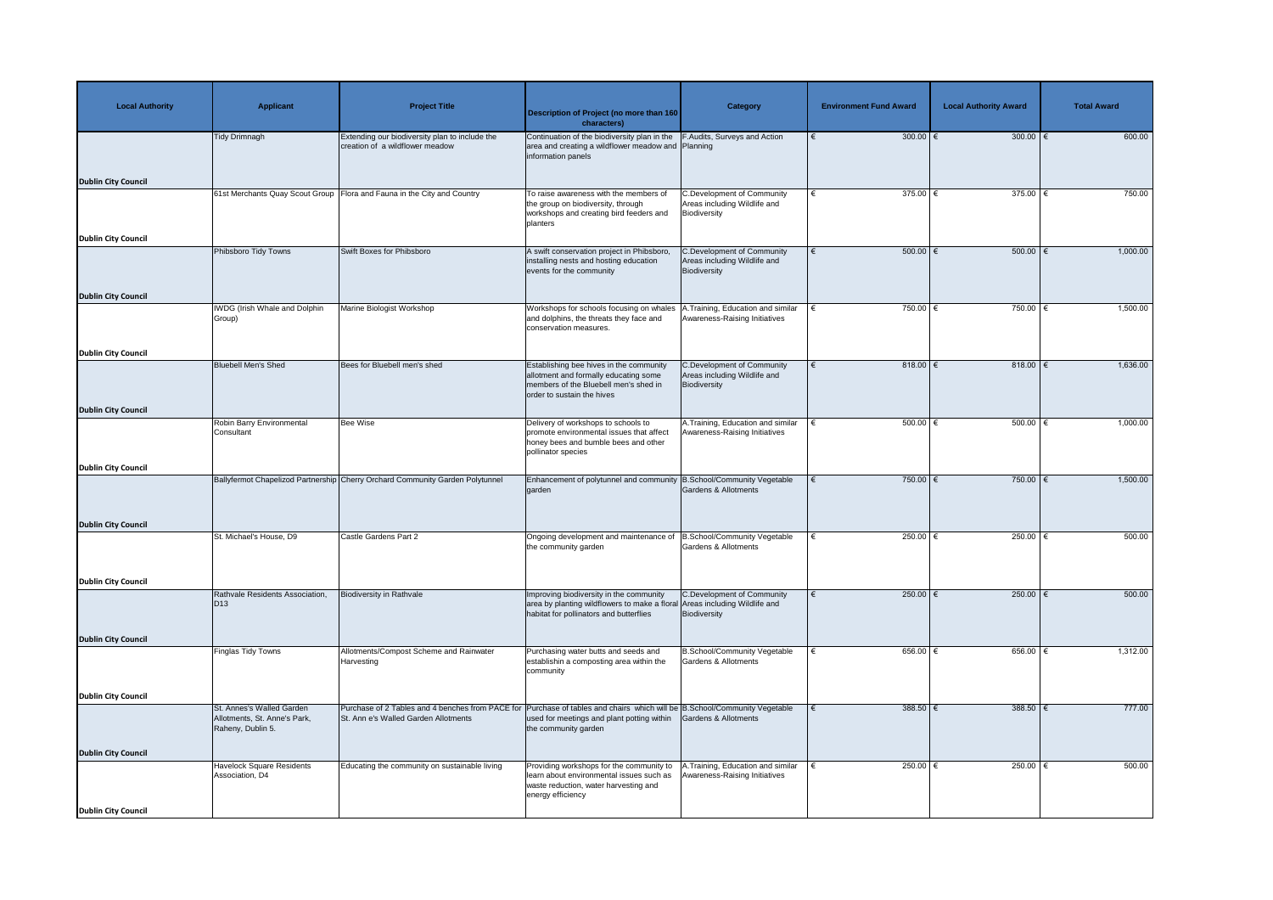| <b>Local Authority</b>     | <b>Applicant</b>                                                               | <b>Project Title</b>                                                                                                                                              | <b>Description of Project (no more than 160</b><br>characters)                                                                                                   | <b>Category</b>                                                                   | <b>Environment Fund Award</b> | <b>Local Authority Award</b> | <b>Total Award</b> |
|----------------------------|--------------------------------------------------------------------------------|-------------------------------------------------------------------------------------------------------------------------------------------------------------------|------------------------------------------------------------------------------------------------------------------------------------------------------------------|-----------------------------------------------------------------------------------|-------------------------------|------------------------------|--------------------|
|                            | <b>Tidy Drimnagh</b>                                                           | Extending our biodiversity plan to include the<br>creation of a wildflower meadow                                                                                 | Continuation of the biodiversity plan in the F.Audits, Surveys and Action<br>area and creating a wildflower meadow and Planning<br>information panels            |                                                                                   | $300.00$ $\epsilon$           | 300.00 $\epsilon$            | 600.00             |
| <b>Dublin City Council</b> |                                                                                |                                                                                                                                                                   |                                                                                                                                                                  |                                                                                   |                               |                              |                    |
|                            |                                                                                | 61st Merchants Quay Scout Group Flora and Fauna in the City and Country                                                                                           | To raise awareness with the members of<br>the group on biodiversity, through<br>workshops and creating bird feeders and<br>planters                              | <b>C.Development of Community</b><br>Areas including Wildlife and<br>Biodiversity | $375.00$ $∈$<br>€             | 375.00   €                   | 750.00             |
| <b>Dublin City Council</b> | Phibsboro Tidy Towns                                                           | <b>Swift Boxes for Phibsboro</b>                                                                                                                                  | A swift conservation project in Phibsboro                                                                                                                        | <b>C.Development of Community</b>                                                 | $500.00$ $\in$<br>€           | 500.00   €                   | 1,000.00           |
|                            |                                                                                |                                                                                                                                                                   | installing nests and hosting education<br>events for the community                                                                                               | Areas including Wildlife and<br>Biodiversity                                      |                               |                              |                    |
| <b>Dublin City Council</b> |                                                                                |                                                                                                                                                                   |                                                                                                                                                                  |                                                                                   |                               |                              |                    |
|                            | WDG (Irish Whale and Dolphin<br>Group)                                         | Marine Biologist Workshop                                                                                                                                         | Workshops for schools focusing on whales<br>and dolphins, the threats they face and<br>conservation measures.                                                    | A.Training, Education and similar<br>Awareness-Raising Initiatives                | 750.00 $\epsilon$             | 750.00 €                     | 1,500.00           |
| <b>Dublin City Council</b> |                                                                                |                                                                                                                                                                   |                                                                                                                                                                  |                                                                                   |                               |                              |                    |
|                            | <b>Bluebell Men's Shed</b>                                                     | Bees for Bluebell men's shed                                                                                                                                      | Establishing bee hives in the community<br>allotment and formally educating some<br>members of the Bluebell men's shed in<br>order to sustain the hives          | <b>C.Development of Community</b><br>Areas including Wildlife and<br>Biodiversity | 818.00 €                      | 818.00   €                   | 1,636.00           |
| <b>Dublin City Council</b> |                                                                                |                                                                                                                                                                   |                                                                                                                                                                  |                                                                                   |                               |                              |                    |
|                            | Robin Barry Environmental<br>Consultant                                        | <b>Bee Wise</b>                                                                                                                                                   | Delivery of workshops to schools to<br>promote environmental issues that affect<br>honey bees and bumble bees and other<br>pollinator species                    | A. Training, Education and similar<br>Awareness-Raising Initiatives               | 500.00 $ \epsilon$            | $500.00$   €                 | 1,000.00           |
| <b>Dublin City Council</b> |                                                                                |                                                                                                                                                                   |                                                                                                                                                                  |                                                                                   |                               |                              |                    |
|                            |                                                                                | Ballyfermot Chapelizod Partnership Cherry Orchard Community Garden Polytunnel                                                                                     | Enhancement of polytunnel and community B.School/Community Vegetable<br>garden                                                                                   | <b>Gardens &amp; Allotments</b>                                                   | $750.00$ €                    | $750.00$ €                   | 1,500.00           |
| <b>Dublin City Council</b> |                                                                                |                                                                                                                                                                   |                                                                                                                                                                  |                                                                                   |                               |                              |                    |
|                            | St. Michael's House, D9                                                        | Castle Gardens Part 2                                                                                                                                             | Ongoing development and maintenance of  B.School/Community Vegetable<br>the community garden                                                                     | <b>Gardens &amp; Allotments</b>                                                   | 250.00 $\epsilon$             | 250.00                       | 500.00             |
| <b>Dublin City Council</b> |                                                                                |                                                                                                                                                                   |                                                                                                                                                                  |                                                                                   |                               |                              |                    |
|                            | Rathvale Residents Association,<br>$\vert$ D <sub>13</sub>                     | <b>Biodiversity in Rathvale</b>                                                                                                                                   | Improving biodiversity in the community<br>area by planting wildflowers to make a floral Areas including Wildlife and<br>habitat for pollinators and butterflies | C.Development of Community<br>Biodiversity                                        | $250.00$ €                    | 250.00 $\epsilon$            | 500.00             |
| <b>Dublin City Council</b> |                                                                                |                                                                                                                                                                   |                                                                                                                                                                  |                                                                                   |                               |                              |                    |
|                            | Finglas Tidy Towns                                                             | Allotments/Compost Scheme and Rainwater<br>Harvesting                                                                                                             | Purchasing water butts and seeds and<br>establishin a composting area within the<br>community                                                                    | <b>B.School/Community Vegetable</b><br><b>Gardens &amp; Allotments</b>            | 656.00 $ \epsilon$            | 656.00 $ \epsilon$           | 1,312.00           |
| <b>Dublin City Council</b> |                                                                                |                                                                                                                                                                   |                                                                                                                                                                  |                                                                                   |                               |                              |                    |
|                            | St. Annes's Walled Garden<br>Allotments, St. Anne's Park,<br>Raheny, Dublin 5. | Purchase of 2 Tables and 4 benches from PACE for Purchase of tables and chairs which will be B.School/Community Vegetable<br>St. Ann e's Walled Garden Allotments | used for meetings and plant potting within<br>the community garden                                                                                               | Gardens & Allotments                                                              | $388.50$ €                    | $388.50$ €                   | 777.00             |
| <b>Dublin City Council</b> |                                                                                |                                                                                                                                                                   |                                                                                                                                                                  |                                                                                   |                               |                              |                    |
|                            | <b>Havelock Square Residents</b><br>Association, D4                            | Educating the community on sustainable living                                                                                                                     | Providing workshops for the community to<br>learn about environmental issues such as<br>waste reduction, water harvesting and<br>energy efficiency               | A.Training, Education and similar<br>Awareness-Raising Initiatives                | 250.00 $ \epsilon$            | $250.00$   €                 | 500.00             |
| <b>Dublin City Council</b> |                                                                                |                                                                                                                                                                   |                                                                                                                                                                  |                                                                                   |                               |                              |                    |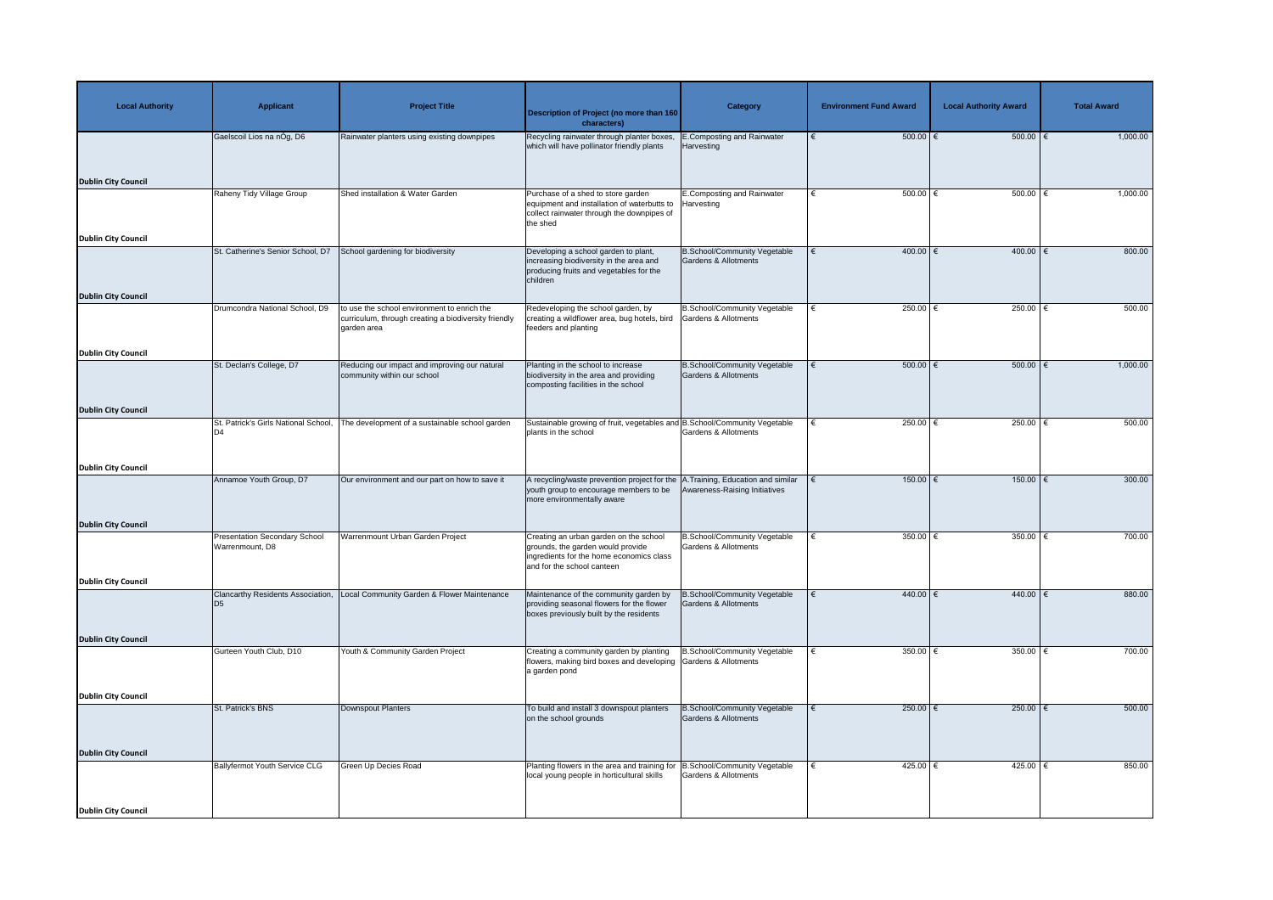| <b>Local Authority</b>     | <b>Applicant</b>                                        | <b>Project Title</b>                                                         | Description of Project (no more than 160<br>characters)                                                                                                 | <b>Category</b>                                                        | <b>Environment Fund Award</b> | <b>Local Authority Award</b> | <b>Total Award</b> |
|----------------------------|---------------------------------------------------------|------------------------------------------------------------------------------|---------------------------------------------------------------------------------------------------------------------------------------------------------|------------------------------------------------------------------------|-------------------------------|------------------------------|--------------------|
|                            | Gaelscoil Lios na nÓg, D6                               | Rainwater planters using existing downpipes                                  | Recycling rainwater through planter boxes,<br>which will have pollinator friendly plants                                                                | <b>E.Composting and Rainwater</b><br>Harvesting                        | $500.00$ $\in$                | 500.00                       | 1,000.00           |
| <b>Dublin City Council</b> |                                                         |                                                                              |                                                                                                                                                         |                                                                        |                               |                              |                    |
|                            | Raheny Tidy Village Group                               | Shed installation & Water Garden                                             | Purchase of a shed to store garden<br>equipment and installation of waterbutts to<br>collect rainwater through the downpipes of<br>the shed             | E.Composting and Rainwater<br>Harvesting                               | $500.00$ $\in$                | 500.00   €                   | 1,000.00           |
| <b>Dublin City Council</b> | St. Catherine's Senior School, D7                       | School gardening for biodiversity                                            |                                                                                                                                                         |                                                                        | 400.00 €                      | 400.00                       | 800.00             |
|                            |                                                         |                                                                              | Developing a school garden to plant,<br>increasing biodiversity in the area and<br>producing fruits and vegetables for the<br>children                  | <b>B.School/Community Vegetable</b><br><b>Gardens &amp; Allotments</b> |                               |                              |                    |
| <b>Dublin City Council</b> |                                                         | to use the school environment to enrich the                                  |                                                                                                                                                         |                                                                        | 250.00 $\epsilon$<br>€        | 250.00 $\epsilon$            | 500.00             |
|                            | Drumcondra National School, D9                          | curriculum, through creating a biodiversity friendly<br>garden area          | Redeveloping the school garden, by<br>creating a wildflower area, bug hotels, bird<br>feeders and planting                                              | <b>B.School/Community Vegetable</b><br><b>Gardens &amp; Allotments</b> |                               |                              |                    |
| <b>Dublin City Council</b> |                                                         |                                                                              |                                                                                                                                                         |                                                                        |                               |                              |                    |
|                            | St. Declan's College, D7                                | Reducing our impact and improving our natural<br>community within our school | Planting in the school to increase<br>biodiversity in the area and providing<br>composting facilities in the school                                     | <b>B.School/Community Vegetable</b><br><b>Gardens &amp; Allotments</b> | $500.00$   €                  | 500.00                       | 1,000.00           |
| <b>Dublin City Council</b> |                                                         |                                                                              |                                                                                                                                                         |                                                                        |                               |                              |                    |
|                            | St. Patrick's Girls National School,                    | The development of a sustainable school garden                               | Sustainable growing of fruit, vegetables and B.School/Community Vegetable<br>plants in the school                                                       | Gardens & Allotments                                                   | 250.00 $\epsilon$             | 250.00 $\epsilon$            | 500.00             |
| <b>Dublin City Council</b> |                                                         |                                                                              |                                                                                                                                                         |                                                                        |                               |                              |                    |
|                            | Annamoe Youth Group, D7                                 | Our environment and our part on how to save it                               | A recycling/waste prevention project for the A. Training, Education and similar<br>youth group to encourage members to be<br>more environmentally aware | Awareness-Raising Initiatives                                          | 150.00                        | $150.00$ €                   | 300.00             |
| <b>Dublin City Council</b> |                                                         |                                                                              |                                                                                                                                                         |                                                                        |                               |                              |                    |
|                            | <b>Presentation Secondary School</b><br>Warrenmount, D8 | Warrenmount Urban Garden Project                                             | Creating an urban garden on the school<br>grounds, the garden would provide<br>ingredients for the home economics class<br>and for the school canteen   | <b>B.School/Community Vegetable</b><br><b>Gardens &amp; Allotments</b> | 350.00 $\epsilon$             | 350.00 $\epsilon$            | 700.00             |
| <b>Dublin City Council</b> |                                                         |                                                                              |                                                                                                                                                         |                                                                        |                               |                              |                    |
|                            | Clancarthy Residents Association,<br>$\overline{D5}$    | Local Community Garden & Flower Maintenance                                  | Maintenance of the community garden by<br>providing seasonal flowers for the flower<br>boxes previously built by the residents                          | <b>B.School/Community Vegetable</b><br>Gardens & Allotments            | 440.00 $ \epsilon$            | 440.00                       | 880.00             |
| <b>Dublin City Council</b> |                                                         |                                                                              |                                                                                                                                                         |                                                                        |                               |                              |                    |
|                            | Gurteen Youth Club, D10                                 | Youth & Community Garden Project                                             | Creating a community garden by planting<br>flowers, making bird boxes and developing Gardens & Allotments<br>a garden pond                              | B.School/Community Vegetable                                           | 350.00 $ \epsilon$            | 350.00   €                   | 700.00             |
| <b>Dublin City Council</b> |                                                         |                                                                              |                                                                                                                                                         |                                                                        |                               |                              |                    |
|                            | St. Patrick's BNS                                       | Downspout Planters                                                           | To build and install 3 downspout planters<br>on the school grounds                                                                                      | <b>B.School/Community Vegetable</b><br>Gardens & Allotments            | 250.00 $\epsilon$             | $250.00$ €                   | 500.00             |
| <b>Dublin City Council</b> |                                                         |                                                                              |                                                                                                                                                         |                                                                        |                               |                              |                    |
|                            | Ballyfermot Youth Service CLG                           | Green Up Decies Road                                                         | Planting flowers in the area and training for B.School/Community Vegetable<br>local young people in horticultural skills                                | <b>Gardens &amp; Allotments</b>                                        | 425.00 €<br>€                 | 425.00   €                   | 850.00             |
| <b>Dublin City Council</b> |                                                         |                                                                              |                                                                                                                                                         |                                                                        |                               |                              |                    |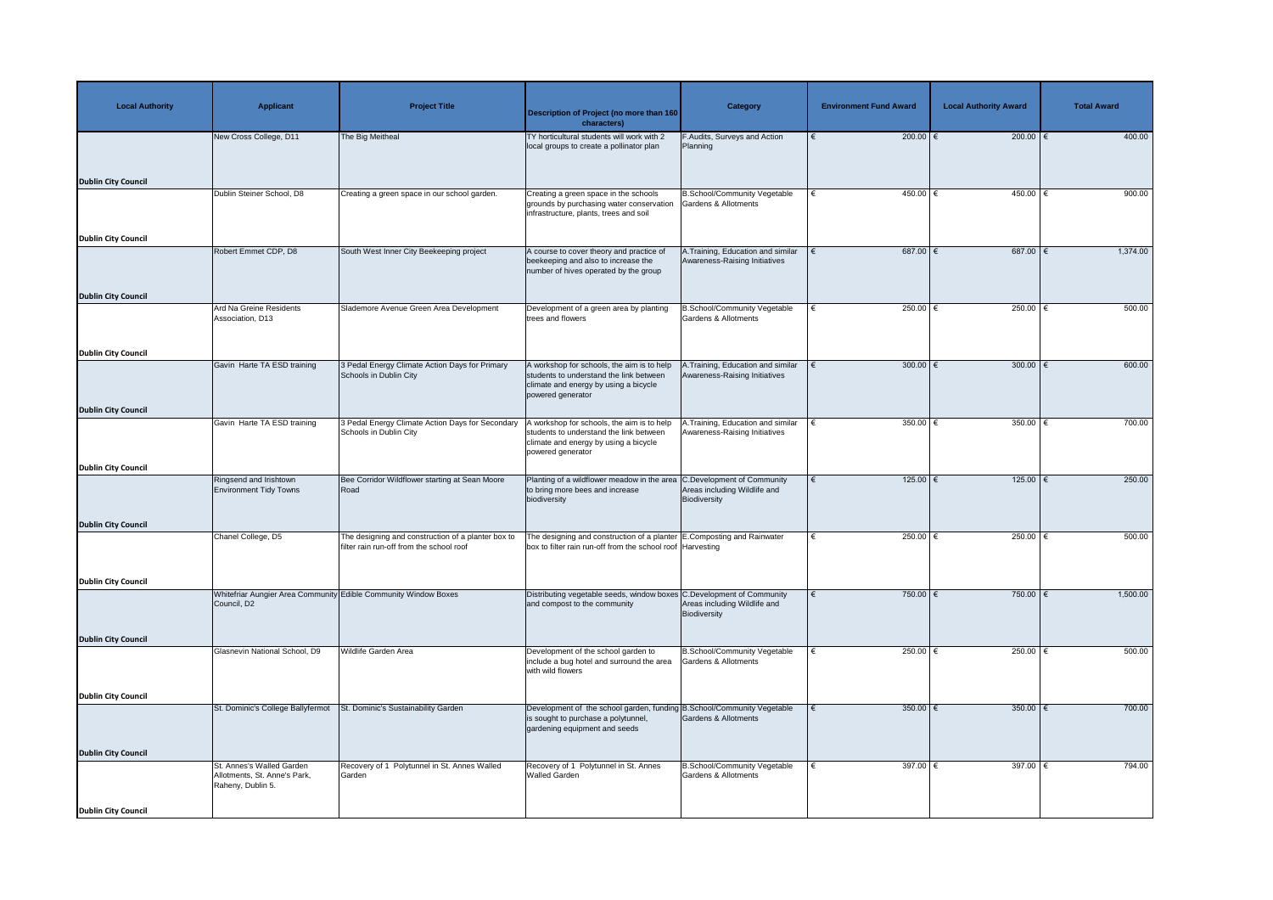| <b>Local Authority</b>     | <b>Applicant</b>                                                               | <b>Project Title</b>                                                                           | <b>Description of Project (no more than 160</b><br>characters)                                                                                      | <b>Category</b>                                                        | <b>Environment Fund Award</b> | <b>Local Authority Award</b> | <b>Total Award</b> |
|----------------------------|--------------------------------------------------------------------------------|------------------------------------------------------------------------------------------------|-----------------------------------------------------------------------------------------------------------------------------------------------------|------------------------------------------------------------------------|-------------------------------|------------------------------|--------------------|
|                            | New Cross College, D11                                                         | The Big Meitheal                                                                               | TY horticultural students will work with 2<br>local groups to create a pollinator plan                                                              | F.Audits, Surveys and Action<br>Planning                               | 200.00 $\epsilon$             | 200.00   €                   | 400.00             |
| <b>Dublin City Council</b> |                                                                                |                                                                                                |                                                                                                                                                     |                                                                        |                               |                              |                    |
|                            | Dublin Steiner School, D8                                                      | Creating a green space in our school garden.                                                   | Creating a green space in the schools<br>grounds by purchasing water conservation<br>infrastructure, plants, trees and soil                         | <b>B.School/Community Vegetable</b><br><b>Gardens &amp; Allotments</b> | 450.00 $ \epsilon$            | 450.00                       | 900.00             |
| <b>Dublin City Council</b> |                                                                                |                                                                                                |                                                                                                                                                     |                                                                        |                               |                              |                    |
|                            | Robert Emmet CDP, D8                                                           | South West Inner City Beekeeping project                                                       | A course to cover theory and practice of<br>beekeeping and also to increase the<br>number of hives operated by the group                            | A.Training, Education and similar<br>Awareness-Raising Initiatives     | 687.00 $ \epsilon$            | $687.00$ $\in$               | 1,374.00           |
| <b>Dublin City Council</b> |                                                                                |                                                                                                |                                                                                                                                                     |                                                                        |                               |                              |                    |
|                            | Ard Na Greine Residents<br>Association, D13                                    | Slademore Avenue Green Area Development                                                        | Development of a green area by planting<br>trees and flowers                                                                                        | <b>B.School/Community Vegetable</b><br><b>Gardens &amp; Allotments</b> | 250.00 $ \epsilon$            | 250.00                       | 500.00             |
| <b>Dublin City Council</b> |                                                                                |                                                                                                |                                                                                                                                                     |                                                                        |                               |                              |                    |
|                            | Gavin Harte TA ESD training                                                    | 3 Pedal Energy Climate Action Days for Primary<br>Schools in Dublin City                       | A workshop for schools, the aim is to help<br>students to understand the link between<br>climate and energy by using a bicycle<br>powered generator | .Training, Education and similar<br>Awareness-Raising Initiatives      | 300.00 $\epsilon$             | 300.00 $\xi$                 | 600.00             |
| <b>Dublin City Council</b> |                                                                                |                                                                                                |                                                                                                                                                     |                                                                        |                               |                              |                    |
|                            | Gavin Harte TA ESD training                                                    | 3 Pedal Energy Climate Action Days for Secondary<br>Schools in Dublin City                     | A workshop for schools, the aim is to help<br>students to understand the link between<br>climate and energy by using a bicycle<br>powered generator | A.Training, Education and similar<br>Awareness-Raising Initiatives     | 350.00   €                    | 350.00                       | 700.00             |
| <b>Dublin City Council</b> |                                                                                | Bee Corridor Wildflower starting at Sean Moore                                                 | Planting of a wildflower meadow in the area C.Development of Community                                                                              |                                                                        | $125.00$ €                    | $125.00$ €                   | 250.00             |
|                            | Ringsend and Irishtown<br><b>Environment Tidy Towns</b>                        | Road                                                                                           | to bring more bees and increase<br>biodiversity                                                                                                     | Areas including Wildlife and<br>Biodiversity                           |                               |                              |                    |
| <b>Dublin City Council</b> |                                                                                |                                                                                                |                                                                                                                                                     |                                                                        |                               |                              |                    |
|                            | Chanel College, D5                                                             | The designing and construction of a planter box to<br>filter rain run-off from the school roof | The designing and construction of a planter E.Composting and Rainwater<br>box to filter rain run-off from the school roof Harvesting                |                                                                        | 250.00 $\epsilon$             | 250.00                       | 500.00             |
| <b>Dublin City Council</b> |                                                                                |                                                                                                |                                                                                                                                                     |                                                                        |                               |                              |                    |
|                            | Council, D2                                                                    | Whitefriar Aungier Area Community Edible Community Window Boxes                                | Distributing vegetable seeds, window boxes C.Development of Community<br>and compost to the community                                               | Areas including Wildlife and<br>Biodiversity                           | 750.00 $\epsilon$             | 750.00 $\epsilon$            | 1,500.00           |
| <b>Dublin City Council</b> |                                                                                |                                                                                                |                                                                                                                                                     |                                                                        |                               |                              |                    |
|                            | Glasnevin National School, D9                                                  | <b>Wildlife Garden Area</b>                                                                    | Development of the school garden to<br>include a bug hotel and surround the area<br>with wild flowers                                               | <b>B.School/Community Vegetable</b><br><b>Gardens &amp; Allotments</b> | 250.00 $\in$                  | $250.00$ +                   | 500.00             |
| <b>Dublin City Council</b> |                                                                                |                                                                                                |                                                                                                                                                     |                                                                        |                               |                              |                    |
|                            | St. Dominic's College Ballyfermot                                              | St. Dominic's Sustainability Garden                                                            | Development of the school garden, funding B.School/Community Vegetable<br>is sought to purchase a polytunnel,<br>gardening equipment and seeds      | <b>Gardens &amp; Allotments</b>                                        | $350.00$ $∈$                  | 350.00 $\epsilon$            | 700.00             |
| <b>Dublin City Council</b> |                                                                                |                                                                                                |                                                                                                                                                     |                                                                        |                               |                              |                    |
|                            | St. Annes's Walled Garden<br>Allotments, St. Anne's Park,<br>Raheny, Dublin 5. | Recovery of 1 Polytunnel in St. Annes Walled<br>Garden                                         | Recovery of 1 Polytunnel in St. Annes<br><b>Walled Garden</b>                                                                                       | <b>B.School/Community Vegetable</b><br><b>Gardens &amp; Allotments</b> | 397.00 $ \epsilon$            | 397.00   €                   | 794.00             |
| <b>Dublin City Council</b> |                                                                                |                                                                                                |                                                                                                                                                     |                                                                        |                               |                              |                    |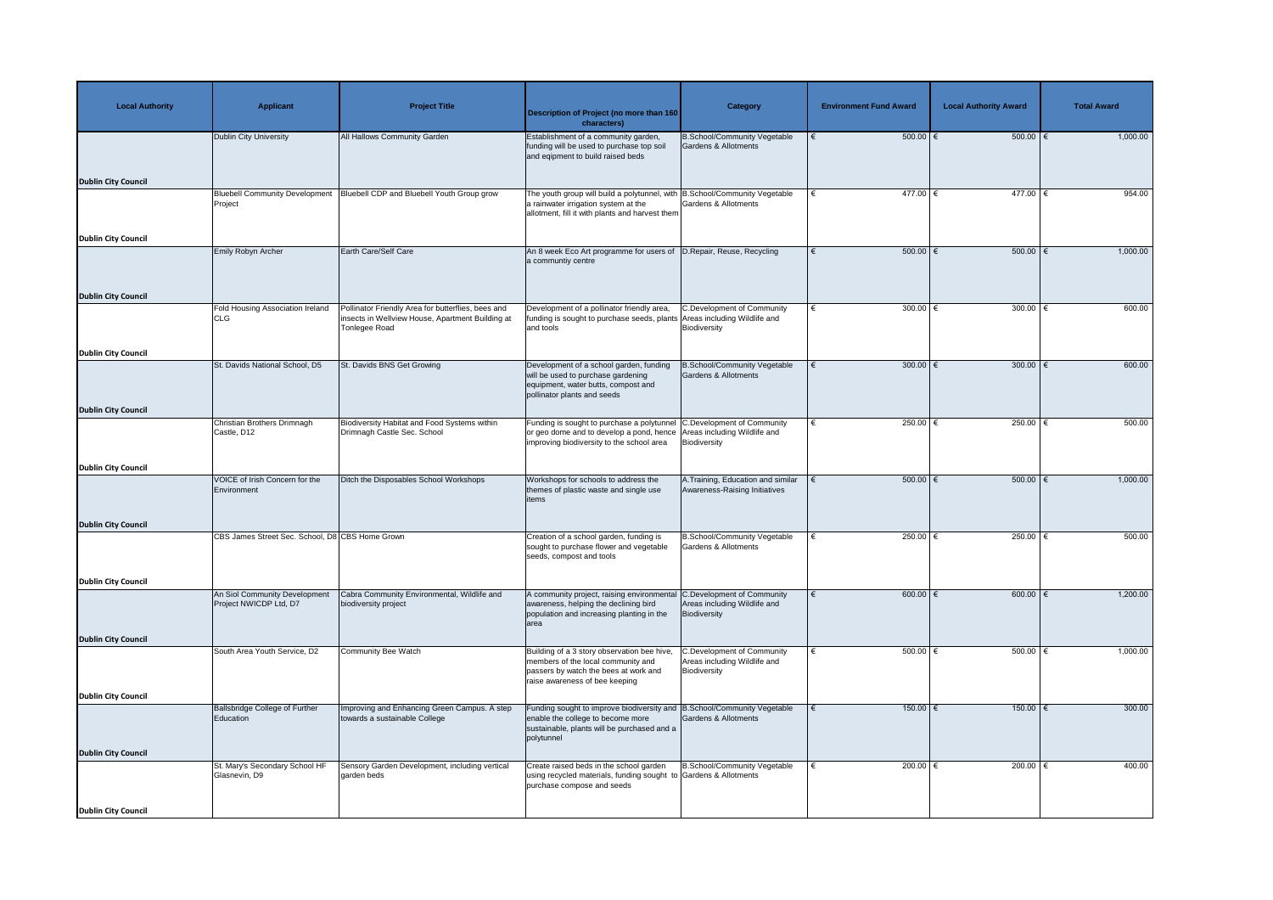| <b>Local Authority</b>     | <b>Applicant</b>                                        | <b>Project Title</b>                                                                                                          | Description of Project (no more than 160<br>characters)                                                                                                                                     | Category                                                                          | <b>Environment Fund Award</b> | <b>Local Authority Award</b> | <b>Total Award</b> |
|----------------------------|---------------------------------------------------------|-------------------------------------------------------------------------------------------------------------------------------|---------------------------------------------------------------------------------------------------------------------------------------------------------------------------------------------|-----------------------------------------------------------------------------------|-------------------------------|------------------------------|--------------------|
|                            | <b>Dublin City University</b>                           | All Hallows Community Garden                                                                                                  | Establishment of a community garden,<br>funding will be used to purchase top soil<br>and eqipment to build raised beds                                                                      | <b>B.School/Community Vegetable</b><br>Gardens & Allotments                       | $500.00$ $\in$                | $500.00$ $\in$               | 1,000.00           |
| <b>Dublin City Council</b> | <b>Bluebell Community Development</b>                   | Bluebell CDP and Bluebell Youth Group grow                                                                                    | The youth group will build a polytunnel, with B.School/Community Vegetable                                                                                                                  |                                                                                   | 477.00 €                      | $477.00$ €                   | 954.00             |
|                            | Project                                                 |                                                                                                                               | a rainwater irrigation system at the<br>allotment, fill it with plants and harvest them                                                                                                     | <b>Gardens &amp; Allotments</b>                                                   |                               |                              |                    |
| <b>Dublin City Council</b> |                                                         |                                                                                                                               |                                                                                                                                                                                             |                                                                                   |                               |                              |                    |
|                            | Emily Robyn Archer                                      | <b>Earth Care/Self Care</b>                                                                                                   | An 8 week Eco Art programme for users of  D.Repair, Reuse, Recycling<br>a communtiy centre                                                                                                  |                                                                                   | $500.00$ $\in$                | $500.00$ $\in$               | 1,000.00           |
| <b>Dublin City Council</b> |                                                         |                                                                                                                               |                                                                                                                                                                                             |                                                                                   |                               |                              |                    |
|                            | Fold Housing Association Ireland<br><b>CLG</b>          | Pollinator Friendly Area for butterflies, bees and<br>nsects in Wellview House, Apartment Building at<br><b>Tonlegee Road</b> | Development of a pollinator friendly area,<br>funding is sought to purchase seeds, plants Areas including Wildlife and<br>and tools                                                         | C.Development of Community<br>Biodiversity                                        | 300.00 $\epsilon$             | 300.00 $\in$                 | 600.00             |
| <b>Dublin City Council</b> |                                                         |                                                                                                                               |                                                                                                                                                                                             |                                                                                   |                               |                              |                    |
|                            | St. Davids National School, D5                          | St. Davids BNS Get Growing                                                                                                    | Development of a school garden, funding<br>will be used to purchase gardening<br>equipment, water butts, compost and<br>pollinator plants and seeds                                         | <b>B.School/Community Vegetable</b><br><b>Gardens &amp; Allotments</b>            | 300.00 $ \epsilon$            | 300.00   €                   | 600.00             |
| <b>Dublin City Council</b> |                                                         |                                                                                                                               |                                                                                                                                                                                             |                                                                                   |                               |                              |                    |
|                            | Christian Brothers Drimnagh<br>Castle, D12              | Biodiversity Habitat and Food Systems within<br>Drimnagh Castle Sec. School                                                   | Funding is sought to purchase a polytunnel C.Development of Community<br>or geo dome and to develop a pond, hence Areas including Wildlife and<br>improving biodiversity to the school area | Biodiversity                                                                      | 250.00 $\epsilon$             | 250.00                       | 500.00             |
| <b>Dublin City Council</b> |                                                         |                                                                                                                               |                                                                                                                                                                                             |                                                                                   |                               |                              |                    |
|                            | VOICE of Irish Concern for the<br>Environment           | Ditch the Disposables School Workshops                                                                                        | Workshops for schools to address the<br>themes of plastic waste and single use<br>items                                                                                                     | A. Training, Education and similar<br>Awareness-Raising Initiatives               | $500.00$ $\in$                | $500.00$ $\epsilon$          | 1,000.00           |
| <b>Dublin City Council</b> |                                                         |                                                                                                                               |                                                                                                                                                                                             |                                                                                   |                               |                              |                    |
|                            | CBS James Street Sec. School, D8 CBS Home Grown         |                                                                                                                               | Creation of a school garden, funding is<br>sought to purchase flower and vegetable<br>seeds, compost and tools                                                                              | <b>B.School/Community Vegetable</b><br>Gardens & Allotments                       | 250.00 $\epsilon$             | 250.00   €                   | 500.00             |
| <b>Dublin City Council</b> |                                                         |                                                                                                                               |                                                                                                                                                                                             |                                                                                   |                               |                              |                    |
|                            | An Siol Community Development<br>Project NWICDP Ltd, D7 | Cabra Community Environmental, Wildlife and<br>biodiversity project                                                           | A community project, raising environmental C.Development of Community<br>awareness, helping the declining bird<br>population and increasing planting in the<br>larea                        | Areas including Wildlife and<br>Biodiversity                                      | 600.00 $\in$                  | 600.00 $ \epsilon$           | 1,200.00           |
| <b>Dublin City Council</b> |                                                         |                                                                                                                               |                                                                                                                                                                                             |                                                                                   |                               |                              |                    |
|                            | South Area Youth Service, D2                            | <b>Community Bee Watch</b>                                                                                                    | Building of a 3 story observation bee hive,<br>members of the local community and<br>passers by watch the bees at work and<br>raise awareness of bee keeping                                | <b>C.Development of Community</b><br>Areas including Wildlife and<br>Biodiversity | 500.00 $\epsilon$             | 500.00   €                   | 1,000.00           |
| <b>Dublin City Council</b> |                                                         |                                                                                                                               |                                                                                                                                                                                             |                                                                                   |                               |                              |                    |
|                            | <b>Ballsbridge College of Further</b><br>Education      | Improving and Enhancing Green Campus. A step<br>towards a sustainable College                                                 | Funding sought to improve biodiversity and B.School/Community Vegetable<br>enable the college to become more<br>sustainable, plants will be purchased and a<br>polytunnel                   | <b>Gardens &amp; Allotments</b>                                                   | $150.00$ €                    | $150.00$ €                   | 300.00             |
| <b>Dublin City Council</b> | St. Mary's Secondary School HF                          | Sensory Garden Development, including vertical                                                                                | Create raised beds in the school garden                                                                                                                                                     | B.School/Community Vegetable                                                      | 200.00 $ \epsilon$            | 200.00 $ \epsilon$           | 400.00             |
|                            | Glasnevin, D9                                           | garden beds                                                                                                                   | using recycled materials, funding sought to Gardens & Allotments<br>purchase compose and seeds                                                                                              |                                                                                   |                               |                              |                    |
| Dublin City Council        |                                                         |                                                                                                                               |                                                                                                                                                                                             |                                                                                   |                               |                              |                    |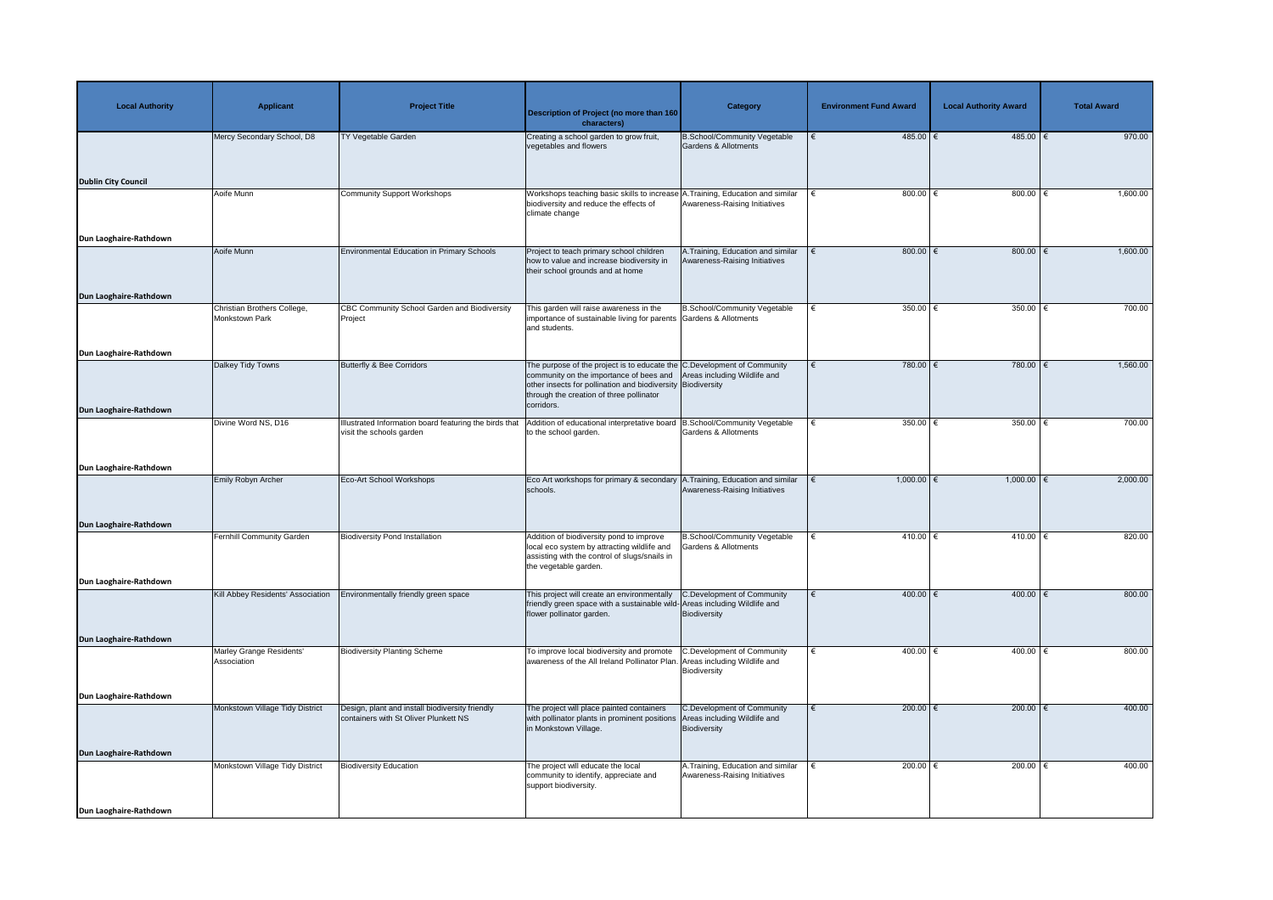| <b>Local Authority</b>     | <b>Applicant</b>                              | <b>Project Title</b>                                                                     | <b>Description of Project (no more than 160</b><br>characters)                                                                                                                                                                              | Category                                                                          | <b>Environment Fund Award</b> | <b>Local Authority Award</b> | <b>Total Award</b> |
|----------------------------|-----------------------------------------------|------------------------------------------------------------------------------------------|---------------------------------------------------------------------------------------------------------------------------------------------------------------------------------------------------------------------------------------------|-----------------------------------------------------------------------------------|-------------------------------|------------------------------|--------------------|
|                            | Mercy Secondary School, D8                    | <b>TY Vegetable Garden</b>                                                               | Creating a school garden to grow fruit,<br>vegetables and flowers                                                                                                                                                                           | <b>B.School/Community Vegetable</b><br>Gardens & Allotments                       | $485.00$ €                    | $485.00$ €                   | 970.00             |
| <b>Dublin City Council</b> | Aoife Munn                                    | <b>Community Support Workshops</b>                                                       | Workshops teaching basic skills to increase A. Training, Education and similar                                                                                                                                                              |                                                                                   | 800.00 $\xi$                  | 800.00 $\epsilon$            | 1,600.00           |
|                            |                                               |                                                                                          | biodiversity and reduce the effects of<br>climate change                                                                                                                                                                                    | Awareness-Raising Initiatives                                                     |                               |                              |                    |
| Dun Laoghaire-Rathdown     |                                               |                                                                                          |                                                                                                                                                                                                                                             |                                                                                   |                               |                              |                    |
|                            | Aoife Munn                                    | <b>Environmental Education in Primary Schools</b>                                        | Project to teach primary school children<br>how to value and increase biodiversity in<br>their school grounds and at home                                                                                                                   | A. Training, Education and similar<br>Awareness-Raising Initiatives               | 800.00 $\xi$<br>∣€            | 800.00 $\epsilon$            | 1,600.00           |
| Dun Laoghaire-Rathdown     |                                               |                                                                                          |                                                                                                                                                                                                                                             |                                                                                   |                               |                              |                    |
|                            | Christian Brothers College,<br>Monkstown Park | CBC Community School Garden and Biodiversity<br>Project                                  | This garden will raise awareness in the<br>importance of sustainable living for parents Gardens & Allotments<br>and students.                                                                                                               | B.School/Community Vegetable                                                      | 350.00 $\epsilon$             | 350.00 $\in$                 | 700.00             |
| Dun Laoghaire-Rathdown     |                                               |                                                                                          |                                                                                                                                                                                                                                             |                                                                                   |                               |                              |                    |
|                            | Dalkey Tidy Towns                             | <b>Butterfly &amp; Bee Corridors</b>                                                     | The purpose of the project is to educate the C.Development of Community<br>community on the importance of bees and<br>other insects for pollination and biodiversity Biodiversity<br>through the creation of three pollinator<br>corridors. | Areas including Wildlife and                                                      | 780.00 €<br>€                 | 780.00 $\epsilon$            | 1,560.00           |
| Dun Laoghaire-Rathdown     |                                               |                                                                                          |                                                                                                                                                                                                                                             |                                                                                   |                               |                              |                    |
|                            | Divine Word NS, D16                           | Ilustrated Information board featuring the birds that<br>visit the schools garden        | Addition of educational interpretative board B.School/Community Vegetable<br>to the school garden.                                                                                                                                          | <b>Gardens &amp; Allotments</b>                                                   | 350.00 $\epsilon$             | 350.00                       | 700.00             |
| Dun Laoghaire-Rathdown     |                                               |                                                                                          |                                                                                                                                                                                                                                             |                                                                                   |                               |                              |                    |
|                            | Emily Robyn Archer                            | <b>Eco-Art School Workshops</b>                                                          | Eco Art workshops for primary & secondary A. Training, Education and similar<br>schools.                                                                                                                                                    | Awareness-Raising Initiatives                                                     | $1,000.00$ $\in$              | $1,000.00$ $\in$             | 2,000.00           |
| Dun Laoghaire-Rathdown     |                                               |                                                                                          |                                                                                                                                                                                                                                             |                                                                                   |                               |                              |                    |
|                            | <b>Fernhill Community Garden</b>              | <b>Biodiversity Pond Installation</b>                                                    | Addition of biodiversity pond to improve<br>local eco system by attracting wildlife and<br>assisting with the control of slugs/snails in<br>the vegetable garden.                                                                           | B.School/Community Vegetable<br>Gardens & Allotments                              | 410.00 €                      | 410.00 €                     | 820.00             |
| Dun Laoghaire-Rathdown     |                                               |                                                                                          |                                                                                                                                                                                                                                             |                                                                                   |                               |                              |                    |
|                            | Kill Abbey Residents' Association             | Environmentally friendly green space                                                     | This project will create an environmentally<br>friendly green space with a sustainable wild-Areas including Wildlife and<br>flower pollinator garden.                                                                                       | C.Development of Community<br>Biodiversity                                        | 400.00   €                    | 400.00   €                   | 800.00             |
| Dun Laoghaire-Rathdown     |                                               |                                                                                          |                                                                                                                                                                                                                                             |                                                                                   |                               |                              |                    |
|                            | Marley Grange Residents'<br>Association       | <b>Biodiversity Planting Scheme</b>                                                      | To improve local biodiversity and promote<br>awareness of the All Ireland Pollinator Plan.                                                                                                                                                  | <b>C.Development of Community</b><br>Areas including Wildlife and<br>Biodiversity | 400.00 $ \epsilon$<br>€       | 400.00   €                   | 800.00             |
| Dun Laoghaire-Rathdown     |                                               |                                                                                          |                                                                                                                                                                                                                                             |                                                                                   |                               |                              |                    |
|                            | Monkstown Village Tidy District               | Design, plant and install biodiversity friendly<br>containers with St Oliver Plunkett NS | The project will place painted containers<br>with pollinator plants in prominent positions<br>in Monkstown Village.                                                                                                                         | C.Development of Community<br>Areas including Wildlife and<br>Biodiversity        | 200.00 $\epsilon$             | 200.00   €                   | 400.00             |
| Dun Laoghaire-Rathdown     |                                               |                                                                                          |                                                                                                                                                                                                                                             |                                                                                   |                               |                              |                    |
|                            | Monkstown Village Tidy District               | <b>Biodiversity Education</b>                                                            | The project will educate the local<br>community to identify, appreciate and<br>support biodiversity.                                                                                                                                        | A. Training, Education and similar<br>Awareness-Raising Initiatives               | 200.00 $\epsilon$             | 200.00 $ \epsilon$           | 400.00             |
| Dun Laoghaire-Rathdown     |                                               |                                                                                          |                                                                                                                                                                                                                                             |                                                                                   |                               |                              |                    |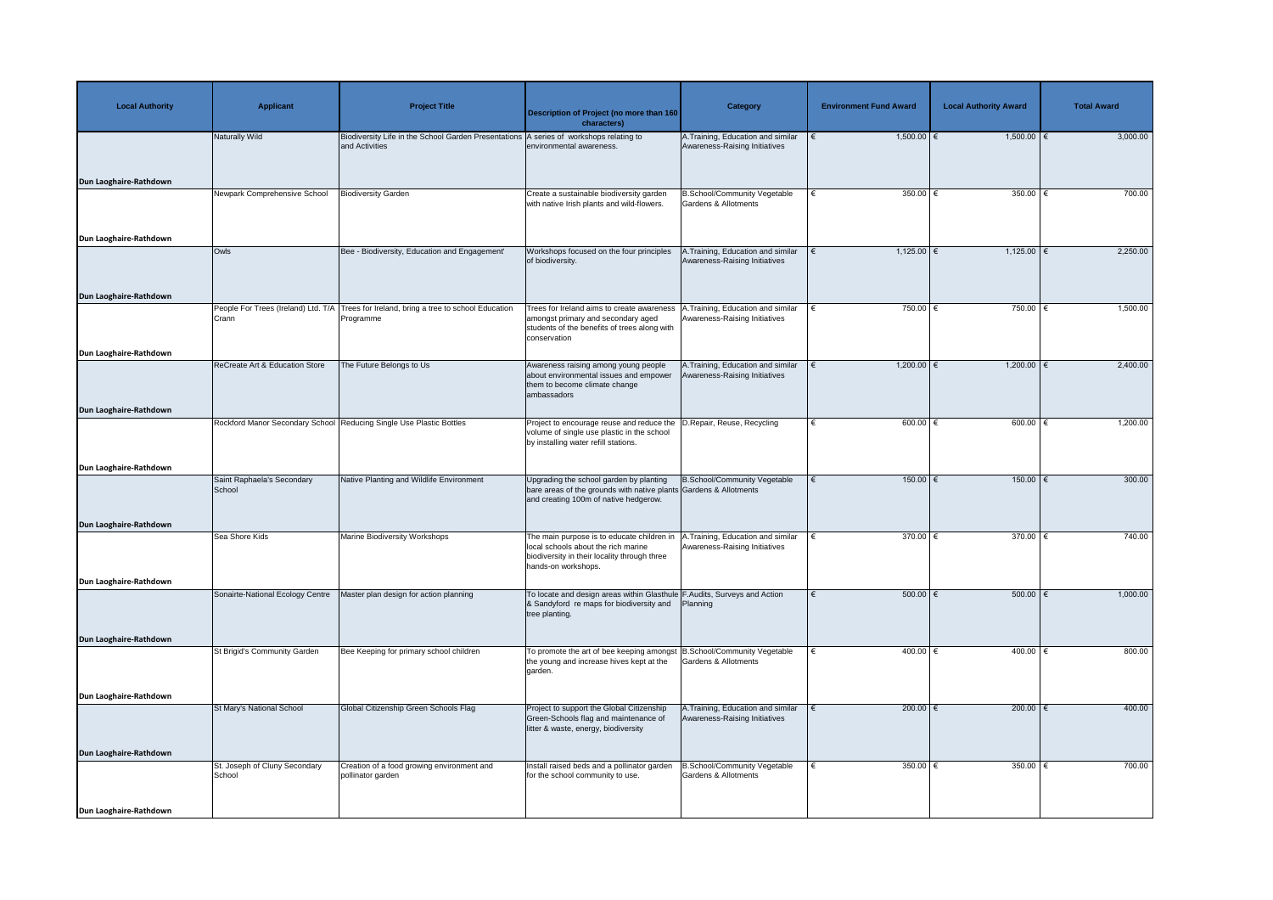| <b>Local Authority</b>                           | <b>Applicant</b>                             | <b>Project Title</b>                                                   | Description of Project (no more than 160<br>characters)                                                                                                     | <b>Category</b>                                                     | <b>Environment Fund Award</b> | <b>Local Authority Award</b> | <b>Total Award</b> |
|--------------------------------------------------|----------------------------------------------|------------------------------------------------------------------------|-------------------------------------------------------------------------------------------------------------------------------------------------------------|---------------------------------------------------------------------|-------------------------------|------------------------------|--------------------|
| Dun Laoghaire-Rathdown                           | Naturally Wild                               | Biodiversity Life in the School Garden Presentations<br>and Activities | A series of workshops relating to<br>environmental awareness.                                                                                               | A.Training, Education and similar<br>Awareness-Raising Initiatives  | $1,500.00$ €                  | $1,500.00$ €                 | 3,000.00           |
|                                                  | Newpark Comprehensive School                 | <b>Biodiversity Garden</b>                                             | Create a sustainable biodiversity garden<br>with native Irish plants and wild-flowers.                                                                      | B.School/Community Vegetable<br>Gardens & Allotments                | 350.00 $ \epsilon$            | 350.00   €                   | 700.00             |
| Dun Laoghaire-Rathdown<br>Dun Laoghaire-Rathdown | Owls                                         | Bee - Biodiversity, Education and Engagement'                          | Workshops focused on the four principles<br>of biodiversity.                                                                                                | A.Training, Education and similar<br>Awareness-Raising Initiatives  | 1,125.00 $\in$                | 1,125.00   €                 | 2,250.00           |
| Dun Laoghaire-Rathdown                           | People For Trees (Ireland) Ltd. T/A<br>Crann | Trees for Ireland, bring a tree to school Education<br>Programme       | Trees for Ireland aims to create awareness<br>amongst primary and secondary aged<br>students of the benefits of trees along with<br>conservation            | A.Training, Education and similar<br>Awareness-Raising Initiatives  | 750.00 $\epsilon$             | 750.00 €                     | 1,500.00           |
| Dun Laoghaire-Rathdown                           | <b>ReCreate Art &amp; Education Store</b>    | The Future Belongs to Us                                               | Awareness raising among young people<br>about environmental issues and empower<br>them to become climate change<br>ambassadors                              | A. Training, Education and similar<br>Awareness-Raising Initiatives | $1,200.00$ €                  | $1,200.00$ €                 | 2,400.00           |
| Dun Laoghaire-Rathdown                           |                                              | Rockford Manor Secondary School Reducing Single Use Plastic Bottles    | Project to encourage reuse and reduce the D. Repair, Reuse, Recycling<br>volume of single use plastic in the school<br>by installing water refill stations. |                                                                     | 600.00 $\in$                  | 600.00 $\in$                 | 1,200.00           |
|                                                  | Saint Raphaela's Secondary<br>School         | Native Planting and Wildlife Environment                               | Upgrading the school garden by planting<br>bare areas of the grounds with native plants Gardens & Allotments<br>and creating 100m of native hedgerow.       | <b>B.School/Community Vegetable</b>                                 | $150.00$ €                    | $150.00$ €                   | 300.00             |
| Dun Laoghaire-Rathdown                           | Sea Shore Kids                               | Marine Biodiversity Workshops                                          | The main purpose is to educate children in<br>local schools about the rich marine<br>biodiversity in their locality through three<br>hands-on workshops.    | A. Training, Education and similar<br>Awareness-Raising Initiatives | 370.00 $\epsilon$             | 370.00                       | 740.00             |
| Dun Laoghaire-Rathdown                           | Sonairte-National Ecology Centre             | Master plan design for action planning                                 | To locate and design areas within Glasthule F.Audits, Surveys and Action<br>& Sandyford re maps for biodiversity and<br>tree planting.                      | Planning                                                            | $500.00$ $\in$                | $500.00$ $\epsilon$          | 1,000.00           |
| Dun Laoghaire-Rathdown                           | St Brigid's Community Garden                 | Bee Keeping for primary school children                                | To promote the art of bee keeping amongst   B. School/Community Vegetable<br>the young and increase hives kept at the<br>garden.                            | <b>Gardens &amp; Allotments</b>                                     | 400.00 $ \epsilon$            | 400.00 $ \epsilon$           | 800.00             |
| Dun Laoghaire-Rathdown                           | St Mary's National School                    | Global Citizenship Green Schools Flag                                  | Project to support the Global Citizenship<br>Green-Schools flag and maintenance of<br>litter & waste, energy, biodiversity                                  | A. Training, Education and similar<br>Awareness-Raising Initiatives | $200.00$ $∈$<br>€             | $200.00$ €                   | 400.00             |
| Dun Laoghaire-Rathdown                           | St. Joseph of Cluny Secondary<br>School      | Creation of a food growing environment and<br>pollinator garden        | Install raised beds and a pollinator garden<br>for the school community to use.                                                                             | <b>3.School/Community Vegetable</b><br>Gardens & Allotments         | 350.00 $ \epsilon$            | 350.00 $\sqrt{6}$            | 700.00             |
| Dun Laoghaire-Rathdown                           |                                              |                                                                        |                                                                                                                                                             |                                                                     |                               |                              |                    |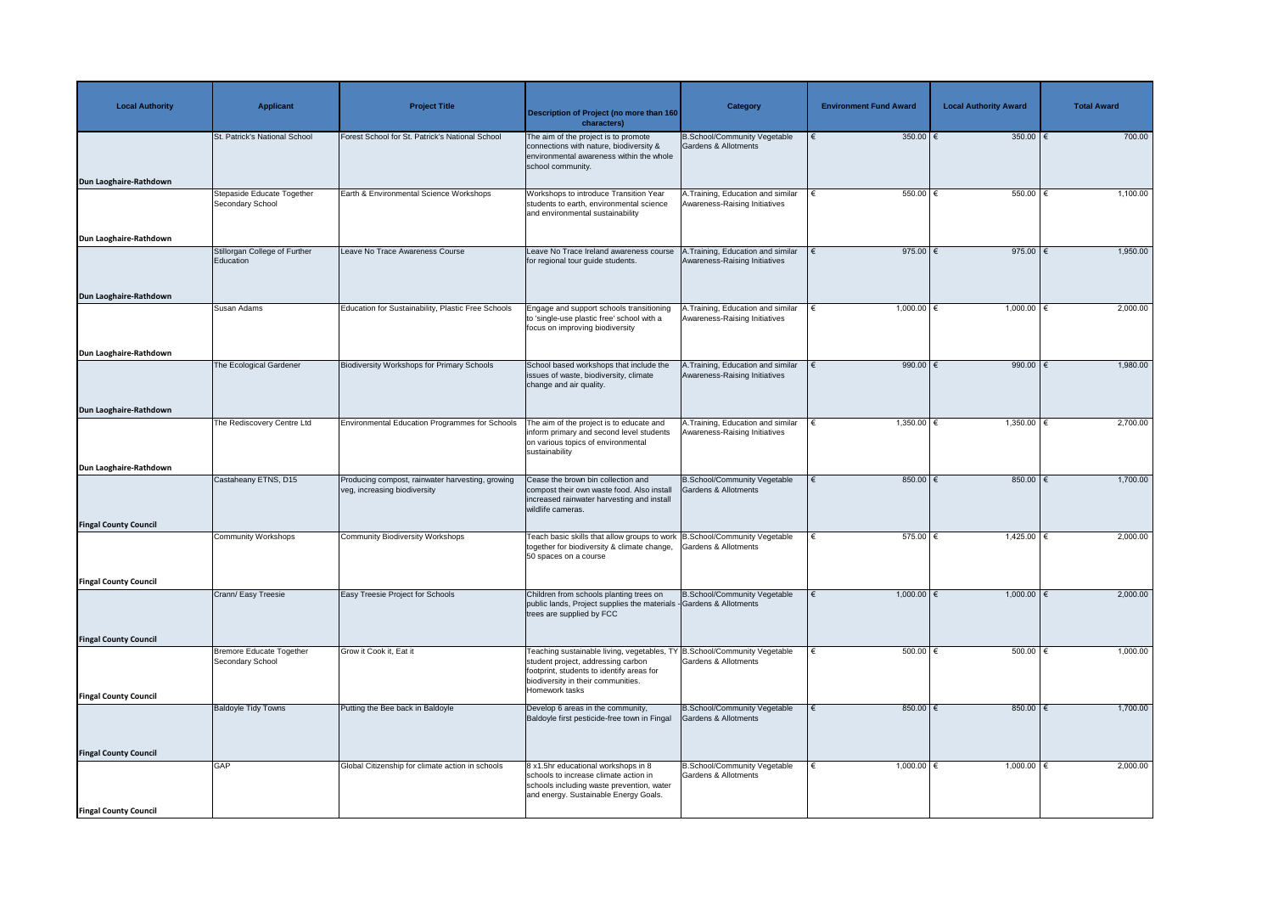| <b>Local Authority</b>       | <b>Applicant</b>                                           | <b>Project Title</b>                                                             | <b>Description of Project (no more than 160</b><br>characters)                                                                                                                                                      | <b>Category</b>                                                     | <b>Environment Fund Award</b> | <b>Local Authority Award</b> | <b>Total Award</b> |
|------------------------------|------------------------------------------------------------|----------------------------------------------------------------------------------|---------------------------------------------------------------------------------------------------------------------------------------------------------------------------------------------------------------------|---------------------------------------------------------------------|-------------------------------|------------------------------|--------------------|
| Dun Laoghaire-Rathdown       | St. Patrick's National School                              | Forest School for St. Patrick's National School                                  | The aim of the project is to promote<br>connections with nature, biodiversity &<br>environmental awareness within the whole<br>school community.                                                                    | <b>B.School/Community Vegetable</b><br>Gardens & Allotments         | 350.00 $\epsilon$             | 350.00   €                   | 700.00             |
|                              | Stepaside Educate Together<br>Secondary School             | Earth & Environmental Science Workshops                                          | Workshops to introduce Transition Year<br>students to earth, environmental science<br>and environmental sustainability                                                                                              | A. Training, Education and similar<br>Awareness-Raising Initiatives | 550.00 $ \epsilon$            | 550.00   €                   | 1,100.00           |
| Dun Laoghaire-Rathdown       |                                                            |                                                                                  |                                                                                                                                                                                                                     |                                                                     |                               |                              |                    |
|                              | Stillorgan College of Further<br>Education                 | Leave No Trace Awareness Course                                                  | Leave No Trace Ireland awareness course<br>for regional tour guide students.                                                                                                                                        | .Training, Education and similar<br>Awareness-Raising Initiatives   | 975.00 $\xi$                  | 975.00 $\in$                 | 1,950.00           |
| Dun Laoghaire-Rathdown       | <b>Susan Adams</b>                                         | Education for Sustainability, Plastic Free Schools                               | Engage and support schools transitioning<br>to 'single-use plastic free' school with a<br>focus on improving biodiversity                                                                                           | A.Training, Education and similar<br>Awareness-Raising Initiatives  | $1,000.00$ €                  | 1,000.00   €                 | 2,000.00           |
| Dun Laoghaire-Rathdown       |                                                            |                                                                                  |                                                                                                                                                                                                                     |                                                                     |                               |                              |                    |
|                              | The Ecological Gardener                                    | <b>Biodiversity Workshops for Primary Schools</b>                                | School based workshops that include the<br>issues of waste, biodiversity, climate<br>change and air quality.                                                                                                        | A.Training, Education and similar<br>Awareness-Raising Initiatives  | 990.00 $\xi$                  | 990.00 $\in$                 | 1,980.00           |
| Dun Laoghaire-Rathdown       |                                                            |                                                                                  |                                                                                                                                                                                                                     |                                                                     |                               |                              |                    |
|                              | The Rediscovery Centre Ltd                                 | <b>Environmental Education Programmes for Schools</b>                            | The aim of the project is to educate and<br>inform primary and second level students   Awareness-Raising Initiatives<br>on various topics of environmental<br>sustainability                                        | A. Training, Education and similar                                  | $1,350.00$ €                  | $1,350.00$   €               | 2,700.00           |
| Dun Laoghaire-Rathdown       |                                                            |                                                                                  |                                                                                                                                                                                                                     |                                                                     |                               |                              |                    |
|                              | Castaheany ETNS, D15                                       | Producing compost, rainwater harvesting, growing<br>veg, increasing biodiversity | Cease the brown bin collection and<br>compost their own waste food. Also install<br>increased rainwater harvesting and install<br>wildlife cameras.                                                                 | <b>B.School/Community Vegetable</b><br>Gardens & Allotments         | $850.00$ €                    | 850.00 $\xi$                 | 1,700.00           |
| <b>Fingal County Council</b> | <b>Community Workshops</b>                                 | <b>Community Biodiversity Workshops</b>                                          | Teach basic skills that allow groups to work   B. School/Community Vegetable                                                                                                                                        |                                                                     | 575.00 $\epsilon$             | 1,425.00   €                 | 2,000.00           |
|                              |                                                            |                                                                                  | together for biodiversity & climate change,<br>50 spaces on a course                                                                                                                                                | Gardens & Allotments                                                |                               |                              |                    |
| <b>Fingal County Council</b> |                                                            |                                                                                  |                                                                                                                                                                                                                     |                                                                     |                               |                              |                    |
|                              | Crann/ Easy Treesie                                        | Easy Treesie Project for Schools                                                 | Children from schools planting trees on<br>public lands, Project supplies the materials - Gardens & Allotments<br>trees are supplied by FCC                                                                         | B.School/Community Vegetable                                        | $1,000.00$ €                  | $1,000.00$ €                 | 2,000.00           |
| <b>Fingal County Council</b> |                                                            |                                                                                  |                                                                                                                                                                                                                     |                                                                     |                               |                              |                    |
| <b>Fingal County Council</b> | <b>Bremore Educate Together</b><br><b>Secondary School</b> | Grow it Cook it, Eat it                                                          | Teaching sustainable living, vegetables, TY B.School/Community Vegetable<br>student project, addressing carbon<br>footprint, students to identify areas for<br>biodiversity in their communities.<br>Homework tasks | <b>Gardens &amp; Allotments</b>                                     | 500.00 $\epsilon$             | $500.00$   €                 | 1,000.00           |
|                              | <b>Baldoyle Tidy Towns</b>                                 | Putting the Bee back in Baldoyle                                                 | Develop 6 areas in the community,<br>Baldoyle first pesticide-free town in Fingal                                                                                                                                   | B.School/Community Vegetable<br>Gardens & Allotments                | $850.00$ €                    | $850.00$   €                 | 1,700.00           |
| <b>Fingal County Council</b> | <b>GAP</b>                                                 | Global Citizenship for climate action in schools                                 | 8 x1.5hr educational workshops in 8<br>schools to increase climate action in<br>schools including waste prevention, water<br>and energy. Sustainable Energy Goals.                                                  | <b>B.School/Community Vegetable</b><br>Gardens & Allotments         | 1,000.00 €                    | 1,000.00   €                 | 2,000.00           |
| <b>Fingal County Council</b> |                                                            |                                                                                  |                                                                                                                                                                                                                     |                                                                     |                               |                              |                    |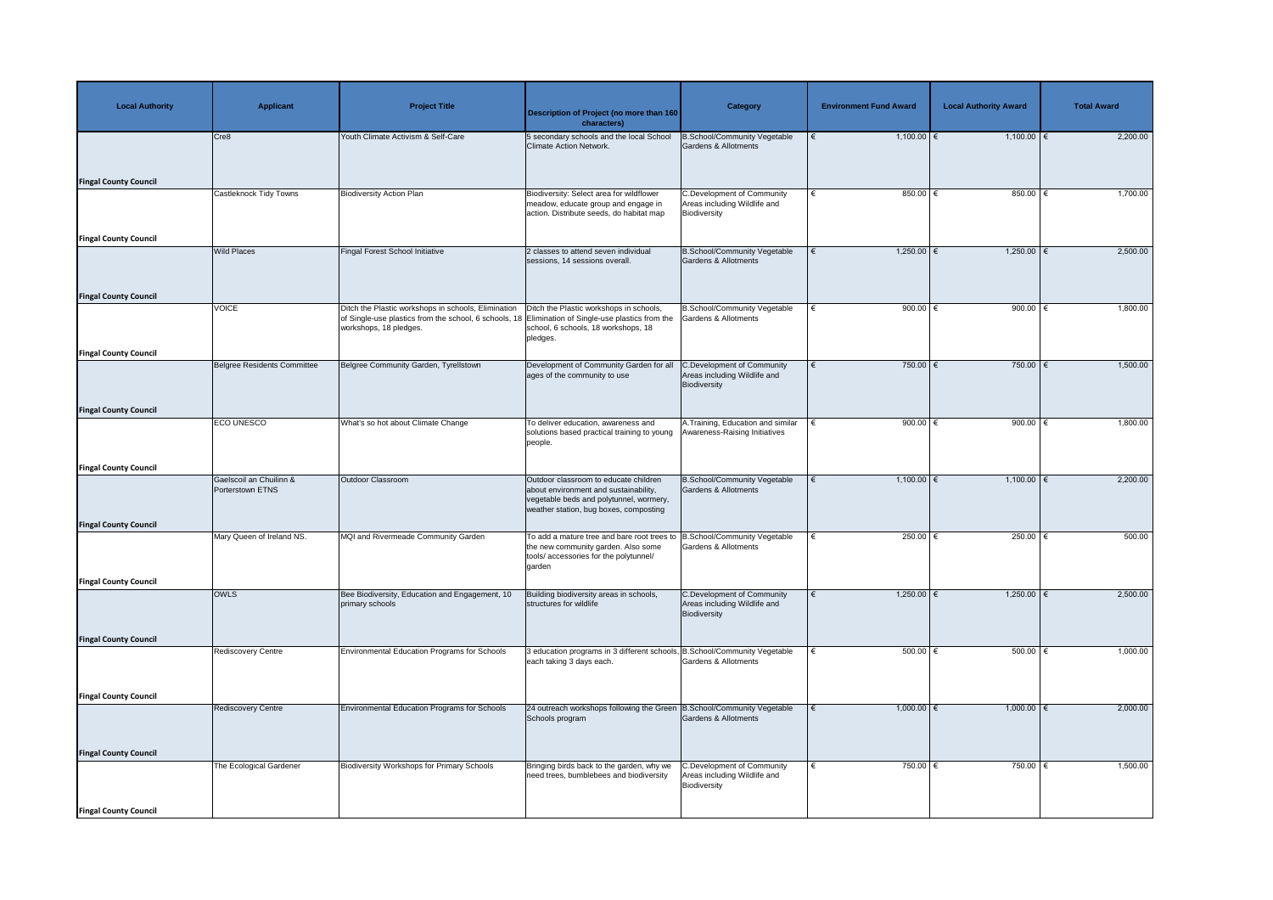| <b>Local Authority</b>       | <b>Applicant</b>                            | <b>Project Title</b>                                                                                                                   | <b>Description of Project (no more than 160</b><br>characters)                                                                                                      | <b>Category</b>                                                                   | <b>Environment Fund Award</b> | <b>Local Authority Award</b> | <b>Total Award</b> |
|------------------------------|---------------------------------------------|----------------------------------------------------------------------------------------------------------------------------------------|---------------------------------------------------------------------------------------------------------------------------------------------------------------------|-----------------------------------------------------------------------------------|-------------------------------|------------------------------|--------------------|
|                              | Cre8                                        | Youth Climate Activism & Self-Care                                                                                                     | 5 secondary schools and the local School<br>Climate Action Network.                                                                                                 | <b>B.School/Community Vegetable</b><br><b>Gardens &amp; Allotments</b>            | $1,100.00$ €                  | $1,100.00$ €                 | 2,200.00           |
| <b>Fingal County Council</b> |                                             |                                                                                                                                        |                                                                                                                                                                     |                                                                                   |                               |                              |                    |
|                              | Castleknock Tidy Towns                      | <b>Biodiversity Action Plan</b>                                                                                                        | Biodiversity: Select area for wildflower<br>meadow, educate group and engage in<br>action. Distribute seeds, do habitat map                                         | <b>C.Development of Community</b><br>Areas including Wildlife and<br>Biodiversity | 850.00 $ \epsilon$<br>€       | 850.00 €                     | 1,700.00           |
| <b>Fingal County Council</b> | <b>Wild Places</b>                          | <b>Fingal Forest School Initiative</b>                                                                                                 | 2 classes to attend seven individual                                                                                                                                | <b>B.School/Community Vegetable</b>                                               | $1,250.00$ €                  | $1,250.00$ €                 | 2,500.00           |
| <b>Fingal County Council</b> |                                             |                                                                                                                                        | sessions, 14 sessions overall.                                                                                                                                      | <b>Gardens &amp; Allotments</b>                                                   |                               |                              |                    |
|                              | <b>VOICE</b>                                | Ditch the Plastic workshops in schools, Elimination<br>of Single-use plastics from the school, 6 schools, 18<br>workshops, 18 pledges. | Ditch the Plastic workshops in schools,<br>Elimination of Single-use plastics from the<br>school, 6 schools, 18 workshops, 18<br>pledges.                           | <b>B.School/Community Vegetable</b><br><b>Gardens &amp; Allotments</b>            | 900.00 $\epsilon$             | 900.00                       | 1,800.00           |
| <b>Fingal County Council</b> |                                             |                                                                                                                                        |                                                                                                                                                                     |                                                                                   |                               |                              |                    |
|                              | Belgree Residents Committee                 | Belgree Community Garden, Tyrellstown                                                                                                  | Development of Community Garden for all<br>ages of the community to use                                                                                             | <b>C.Development of Community</b><br>Areas including Wildlife and<br>Biodiversity | 750.00 $\epsilon$             | 750.00 $\epsilon$            | 1,500.00           |
| <b>Fingal County Council</b> |                                             |                                                                                                                                        |                                                                                                                                                                     |                                                                                   |                               |                              |                    |
|                              | <b>ECO UNESCO</b>                           | What's so hot about Climate Change                                                                                                     | To deliver education, awareness and<br>solutions based practical training to young   Awareness-Raising Initiatives<br>people.                                       | A. Training, Education and similar                                                | 900.00 $\in$                  | 900.00                       | 1,800.00           |
| <b>Fingal County Council</b> |                                             |                                                                                                                                        |                                                                                                                                                                     |                                                                                   |                               |                              |                    |
| <b>Fingal County Council</b> | Gaelscoil an Chuilinn &<br>Porterstown ETNS | <b>Outdoor Classroom</b>                                                                                                               | Outdoor classroom to educate children<br>about environment and sustainability,<br>vegetable beds and polytunnel, wormery,<br>weather station, bug boxes, composting | <b>B.School/Community Vegetable</b><br><b>Gardens &amp; Allotments</b>            | $1,100.00$ €                  | $1,100.00$ $\in$             | 2,200.00           |
|                              | Mary Queen of Ireland NS.                   | MQI and Rivermeade Community Garden                                                                                                    | To add a mature tree and bare root trees to  B.School/Community Vegetable<br>the new community garden. Also some<br>tools/accessories for the polytunnel/<br>garden | <b>Gardens &amp; Allotments</b>                                                   | 250.00 $\epsilon$             | 250.00                       | 500.00             |
| <b>Fingal County Council</b> |                                             |                                                                                                                                        |                                                                                                                                                                     |                                                                                   |                               |                              |                    |
|                              | <b>OWLS</b>                                 | Bee Biodiversity, Education and Engagement, 10<br>primary schools                                                                      | Building biodiversity areas in schools,<br>structures for wildlife                                                                                                  | <b>C.Development of Community</b><br>Areas including Wildlife and<br>Biodiversity | $1,250.00$ €                  | $1,250.00$ €                 | 2,500.00           |
| <b>Fingal County Council</b> |                                             |                                                                                                                                        |                                                                                                                                                                     |                                                                                   |                               |                              |                    |
|                              | Rediscovery Centre                          | <b>Environmental Education Programs for Schools</b>                                                                                    | 3 education programs in 3 different schools, B.School/Community Vegetable<br>each taking 3 days each.                                                               | <b>Gardens &amp; Allotments</b>                                                   | 500.00 $\epsilon$             | $500.00$                     | 1,000.00           |
| <b>Fingal County Council</b> |                                             |                                                                                                                                        |                                                                                                                                                                     |                                                                                   |                               |                              |                    |
|                              | <b>Rediscovery Centre</b>                   | <b>Environmental Education Programs for Schools</b>                                                                                    | 24 outreach workshops following the Green B.School/Community Vegetable<br>Schools program                                                                           | Gardens & Allotments                                                              | $1,000.00$ €                  | $1,000.00$ €                 | 2,000.00           |
| <b>Fingal County Council</b> |                                             |                                                                                                                                        |                                                                                                                                                                     |                                                                                   |                               |                              |                    |
|                              | The Ecological Gardener                     | <b>Biodiversity Workshops for Primary Schools</b>                                                                                      | Bringing birds back to the garden, why we<br>need trees, bumblebees and biodiversity                                                                                | C.Development of Community<br>Areas including Wildlife and<br>Biodiversity        | 750.00 €                      | 750.00   €                   | 1,500.00           |
| <b>Fingal County Council</b> |                                             |                                                                                                                                        |                                                                                                                                                                     |                                                                                   |                               |                              |                    |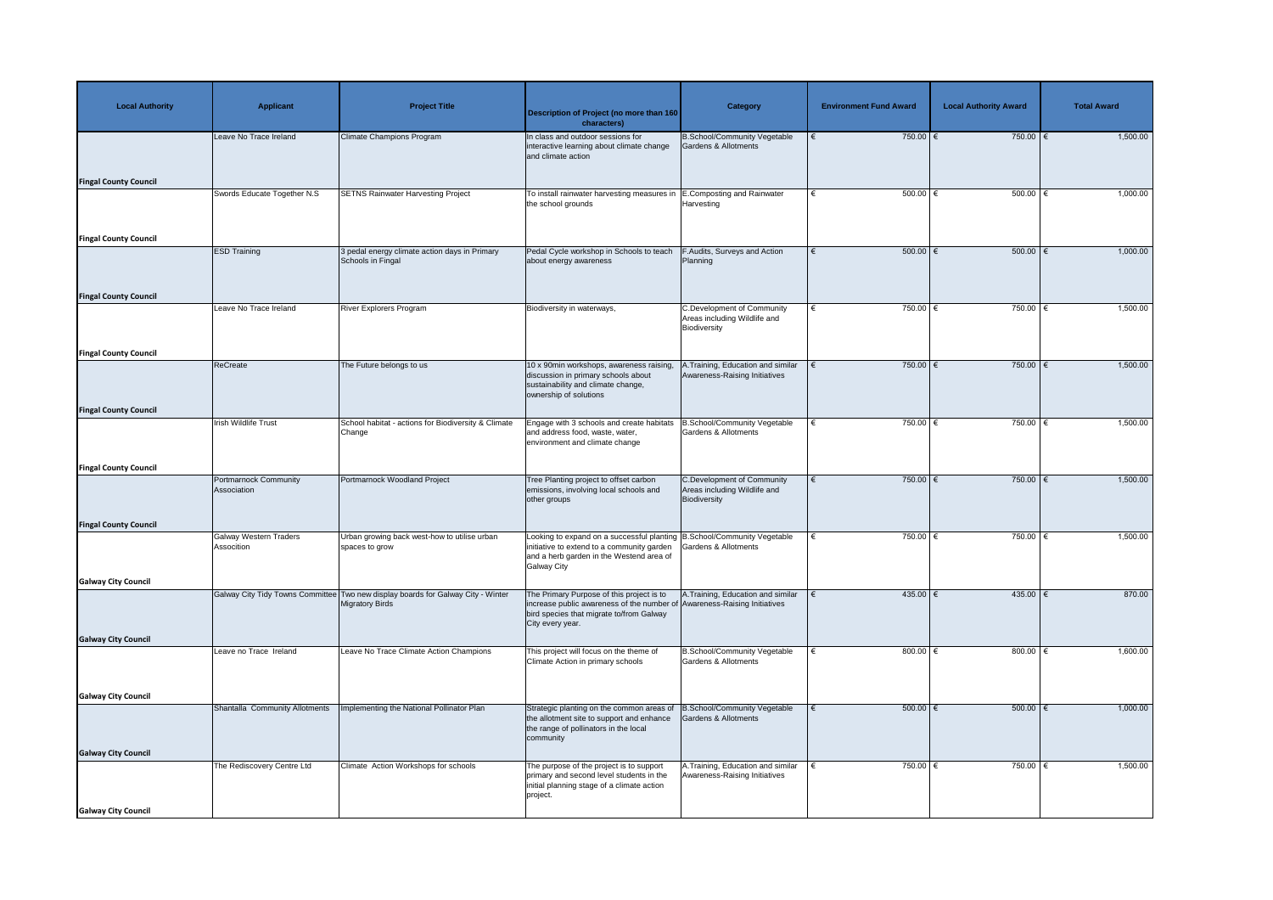| <b>Local Authority</b>       | <b>Applicant</b>                            | <b>Project Title</b>                                                                                       | <b>Description of Project (no more than 160</b><br>characters)                                                                                                                          | <b>Category</b>                                                                   | <b>Environment Fund Award</b> | <b>Local Authority Award</b> | <b>Total Award</b> |
|------------------------------|---------------------------------------------|------------------------------------------------------------------------------------------------------------|-----------------------------------------------------------------------------------------------------------------------------------------------------------------------------------------|-----------------------------------------------------------------------------------|-------------------------------|------------------------------|--------------------|
|                              | Leave No Trace Ireland                      | <b>Climate Champions Program</b>                                                                           | In class and outdoor sessions for<br>interactive learning about climate change<br>and climate action                                                                                    | <b>B.School/Community Vegetable</b><br><b>Gardens &amp; Allotments</b>            | 750.00 $\epsilon$             | 750.00 $\epsilon$            | 1,500.00           |
| <b>Fingal County Council</b> |                                             |                                                                                                            |                                                                                                                                                                                         |                                                                                   |                               |                              |                    |
|                              | Swords Educate Together N.S                 | <b>SETNS Rainwater Harvesting Project</b>                                                                  | To install rainwater harvesting measures in   E. Composting and Rainwater<br>the school grounds                                                                                         | Harvesting                                                                        | $500.00$ $∈$                  | 500.00   €                   | 1,000.00           |
| <b>Fingal County Council</b> |                                             |                                                                                                            |                                                                                                                                                                                         |                                                                                   |                               |                              |                    |
|                              | <b>ESD Training</b>                         | 3 pedal energy climate action days in Primary<br>Schools in Fingal                                         | Pedal Cycle workshop in Schools to teach<br>about energy awareness                                                                                                                      | F.Audits, Surveys and Action<br>Planning                                          | $500.00$ $\in$                | 500.00   €                   | 1,000.00           |
| <b>Fingal County Council</b> | Leave No Trace Ireland                      | <b>River Explorers Program</b>                                                                             | Biodiversity in waterways,                                                                                                                                                              | C.Development of Community                                                        | 750.00 $\epsilon$<br>€        | 750.00 €                     | 1,500.00           |
|                              |                                             |                                                                                                            |                                                                                                                                                                                         | Areas including Wildlife and<br>Biodiversity                                      |                               |                              |                    |
| <b>Fingal County Council</b> |                                             |                                                                                                            |                                                                                                                                                                                         |                                                                                   |                               |                              |                    |
|                              | ReCreate                                    | The Future belongs to us                                                                                   | 10 x 90min workshops, awareness raising,<br>discussion in primary schools about<br>sustainability and climate change,<br>ownership of solutions                                         | .Training, Education and similar<br>Awareness-Raising Initiatives                 | 750.00 $\epsilon$             | 750.00 $\epsilon$            | 1,500.00           |
| <b>Fingal County Council</b> |                                             |                                                                                                            |                                                                                                                                                                                         |                                                                                   |                               |                              |                    |
|                              | <b>Irish Wildlife Trust</b>                 | School habitat - actions for Biodiversity & Climate<br>Change                                              | Engage with 3 schools and create habitats<br>and address food, waste, water,<br>environment and climate change                                                                          | B.School/Community Vegetable<br><b>Gardens &amp; Allotments</b>                   | 750.00 €<br>∣€                | 750.00   €                   | 1,500.00           |
| <b>Fingal County Council</b> |                                             |                                                                                                            |                                                                                                                                                                                         |                                                                                   |                               |                              |                    |
|                              | <b>Portmarnock Community</b><br>Association | Portmarnock Woodland Project                                                                               | Tree Planting project to offset carbon<br>emissions, involving local schools and<br>other groups                                                                                        | <b>C.Development of Community</b><br>Areas including Wildlife and<br>Biodiversity | 750.00 $\epsilon$             | $750.00$ €                   | 1,500.00           |
| <b>Fingal County Council</b> | <b>Galway Western Traders</b>               | Urban growing back west-how to utilise urban                                                               |                                                                                                                                                                                         |                                                                                   | 750.00 $\epsilon$             | $750.00$ €                   | 1,500.00           |
|                              | Assocition                                  | spaces to grow                                                                                             | Looking to expand on a successful planting B.School/Community Vegetable<br>initiative to extend to a community garden<br>and a herb garden in the Westend area of<br><b>Galway City</b> | <b>Gardens &amp; Allotments</b>                                                   |                               |                              |                    |
| <b>Galway City Council</b>   |                                             |                                                                                                            |                                                                                                                                                                                         |                                                                                   |                               |                              |                    |
|                              |                                             | Galway City Tidy Towns Committee Two new display boards for Galway City - Winter<br><b>Migratory Birds</b> | The Primary Purpose of this project is to<br>increase public awareness of the number of Awareness-Raising Initiatives<br>bird species that migrate to/from Galway<br>City every year.   | A. Training, Education and similar                                                | 435.00 €                      | $435.00$ €                   | 870.00             |
| <b>Galway City Council</b>   |                                             |                                                                                                            |                                                                                                                                                                                         |                                                                                   |                               |                              |                    |
|                              | Leave no Trace Ireland                      | Leave No Trace Climate Action Champions                                                                    | This project will focus on the theme of<br>Climate Action in primary schools                                                                                                            | <b>B.School/Community Vegetable</b><br><b>Gardens &amp; Allotments</b>            | 800.00 $\xi$                  | 800.00 $\in$                 | 1,600.00           |
| <b>Galway City Council</b>   |                                             |                                                                                                            |                                                                                                                                                                                         |                                                                                   |                               |                              |                    |
|                              | Shantalla Community Allotments              | Implementing the National Pollinator Plan                                                                  | Strategic planting on the common areas of<br>the allotment site to support and enhance<br>the range of pollinators in the local<br>community                                            | B.School/Community Vegetable<br>Gardens & Allotments                              | $500.00$ $\in$                | $500.00$ $\epsilon$          | 1,000.00           |
| <b>Galway City Council</b>   | The Rediscovery Centre Ltd                  | Climate Action Workshops for schools                                                                       | The purpose of the project is to support                                                                                                                                                | A.Training, Education and similar                                                 | 750.00 €                      | 750.00 €                     | 1,500.00           |
|                              |                                             |                                                                                                            | primary and second level students in the<br>initial planning stage of a climate action<br>project.                                                                                      | Awareness-Raising Initiatives                                                     |                               |                              |                    |
| <b>Galway City Council</b>   |                                             |                                                                                                            |                                                                                                                                                                                         |                                                                                   |                               |                              |                    |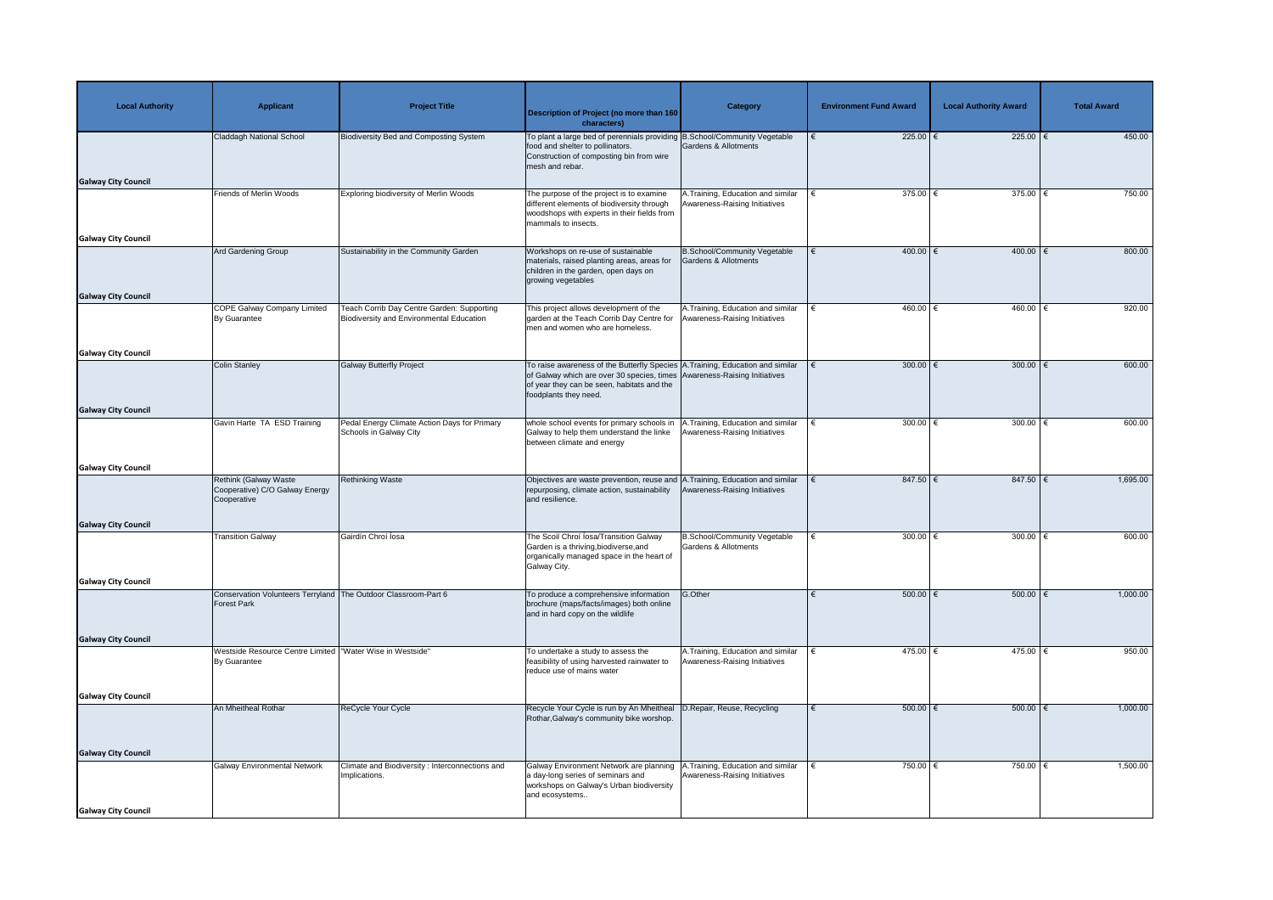| <b>Local Authority</b>     | <b>Applicant</b>                                                                     | <b>Project Title</b>                                                                          | <b>Description of Project (no more than 160</b><br>characters)                                                                                                                                                                    | Category                                                            | <b>Environment Fund Award</b> | <b>Local Authority Award</b> | <b>Total Award</b> |
|----------------------------|--------------------------------------------------------------------------------------|-----------------------------------------------------------------------------------------------|-----------------------------------------------------------------------------------------------------------------------------------------------------------------------------------------------------------------------------------|---------------------------------------------------------------------|-------------------------------|------------------------------|--------------------|
|                            | Claddagh National School                                                             | <b>Biodiversity Bed and Composting System</b>                                                 | To plant a large bed of perennials providing B.School/Community Vegetable<br>food and shelter to pollinators.<br>Construction of composting bin from wire<br>mesh and rebar.                                                      | Gardens & Allotments                                                | $225.00$ €                    | 225.00 $\epsilon$            | 450.00             |
| <b>Galway City Council</b> | Friends of Merlin Woods                                                              | <b>Exploring biodiversity of Merlin Woods</b>                                                 | The purpose of the project is to examine                                                                                                                                                                                          | A. Training, Education and similar                                  | $375.00$ €                    | $375.00$   €                 | 750.00             |
|                            |                                                                                      |                                                                                               | different elements of biodiversity through<br>woodshops with experts in their fields from<br>mammals to insects.                                                                                                                  | Awareness-Raising Initiatives                                       |                               |                              |                    |
| <b>Galway City Council</b> |                                                                                      |                                                                                               |                                                                                                                                                                                                                                   |                                                                     |                               |                              |                    |
| <b>Galway City Council</b> | Ard Gardening Group                                                                  | Sustainability in the Community Garden                                                        | Workshops on re-use of sustainable<br>materials, raised planting areas, areas for<br>children in the garden, open days on<br>growing vegetables                                                                                   | <b>B.School/Community Vegetable</b><br>Gardens & Allotments         | $400.00$ €<br>€               | $400.00$ $\in$               | 800.00             |
|                            | <b>COPE Galway Company Limited</b><br>By Guarantee                                   | Teach Corrib Day Centre Garden: Supporting<br><b>Biodiversity and Environmental Education</b> | This project allows development of the<br>garden at the Teach Corrib Day Centre for<br>men and women who are homeless.                                                                                                            | A. Training, Education and similar<br>Awareness-Raising Initiatives | 460.00 €                      | 460.00 €                     | 920.00             |
|                            |                                                                                      |                                                                                               |                                                                                                                                                                                                                                   |                                                                     |                               |                              |                    |
| <b>Galway City Council</b> |                                                                                      |                                                                                               |                                                                                                                                                                                                                                   |                                                                     |                               |                              |                    |
|                            | Colin Stanley                                                                        | <b>Galway Butterfly Project</b>                                                               | To raise awareness of the Butterfly Species A. Training, Education and similar<br>of Galway which are over 30 species, times Awareness-Raising Initiatives<br>of year they can be seen, habitats and the<br>foodplants they need. |                                                                     | 300.00 $ \epsilon$            | $300.00$ $\epsilon$          | 600.00             |
| <b>Galway City Council</b> |                                                                                      |                                                                                               |                                                                                                                                                                                                                                   |                                                                     |                               |                              |                    |
|                            | Gavin Harte TA ESD Training                                                          | Pedal Energy Climate Action Days for Primary<br>Schools in Galway City                        | whole school events for primary schools in   A. Training, Education and similar<br>Galway to help them understand the linke   Awareness-Raising Initiatives<br>between climate and energy                                         |                                                                     | 300.00 $\epsilon$             | 300.00                       | 600.00             |
| <b>Galway City Council</b> |                                                                                      |                                                                                               |                                                                                                                                                                                                                                   |                                                                     |                               |                              |                    |
|                            | <b>Rethink (Galway Waste)</b><br>Cooperative) C/O Galway Energy<br>Cooperative       | <b>Rethinking Waste</b>                                                                       | Objectives are waste prevention, reuse and A. Training, Education and similar<br>repurposing, climate action, sustainability<br>and resilience.                                                                                   | Awareness-Raising Initiatives                                       | $847.50$ €                    | 847.50 $\xi$                 | 1,695.00           |
| <b>Galway City Council</b> |                                                                                      |                                                                                               |                                                                                                                                                                                                                                   |                                                                     |                               |                              |                    |
|                            | <b>Transition Galway</b>                                                             | Gairdín Chroí Íosa                                                                            | The Scoil Chroi Iosa/Transition Galway<br>Garden is a thriving, biodiverse, and<br>organically managed space in the heart of<br>Galway City.                                                                                      | <b>B.School/Community Vegetable</b><br>Gardens & Allotments         | 300.00 $\epsilon$             | 300.00 $\epsilon$            | 600.00             |
| <b>Galway City Council</b> |                                                                                      |                                                                                               |                                                                                                                                                                                                                                   |                                                                     |                               |                              |                    |
|                            | Conservation Volunteers Terryland The Outdoor Classroom-Part 6<br><b>Forest Park</b> |                                                                                               | To produce a comprehensive information<br>brochure (maps/facts/images) both online<br>and in hard copy on the wildlife                                                                                                            | G.Other                                                             | 500.00   €                    | 500.00   €                   | 1,000.00           |
| <b>Galway City Council</b> |                                                                                      |                                                                                               |                                                                                                                                                                                                                                   |                                                                     |                               |                              |                    |
|                            | Westside Resource Centre Limited<br><b>By Guarantee</b>                              | "Water Wise in Westside"                                                                      | To undertake a study to assess the<br>feasibility of using harvested rainwater to<br>reduce use of mains water                                                                                                                    | A. Training, Education and similar<br>Awareness-Raising Initiatives | 475.00 €                      | 475.00   €                   | 950.00             |
| <b>Galway City Council</b> |                                                                                      |                                                                                               |                                                                                                                                                                                                                                   |                                                                     |                               |                              |                    |
|                            | An Mheitheal Rothar                                                                  | ReCycle Your Cycle                                                                            | Recycle Your Cycle is run by An Mheitheal<br>Rothar, Galway's community bike worshop.                                                                                                                                             | D.Repair, Reuse, Recycling                                          | $500.00$ $\in$                | 500.00   €                   | 1,000.00           |
| <b>Galway City Council</b> |                                                                                      |                                                                                               |                                                                                                                                                                                                                                   |                                                                     |                               |                              |                    |
|                            | <b>Galway Environmental Network</b>                                                  | Climate and Biodiversity: Interconnections and<br>Implications.                               | Galway Environment Network are planning<br>a day-long series of seminars and<br>workshops on Galway's Urban biodiversity<br>and ecosystems                                                                                        | A. Training, Education and similar<br>Awareness-Raising Initiatives | 750.00 €                      | 750.00   €                   | 1,500.00           |
| <b>Galway City Council</b> |                                                                                      |                                                                                               |                                                                                                                                                                                                                                   |                                                                     |                               |                              |                    |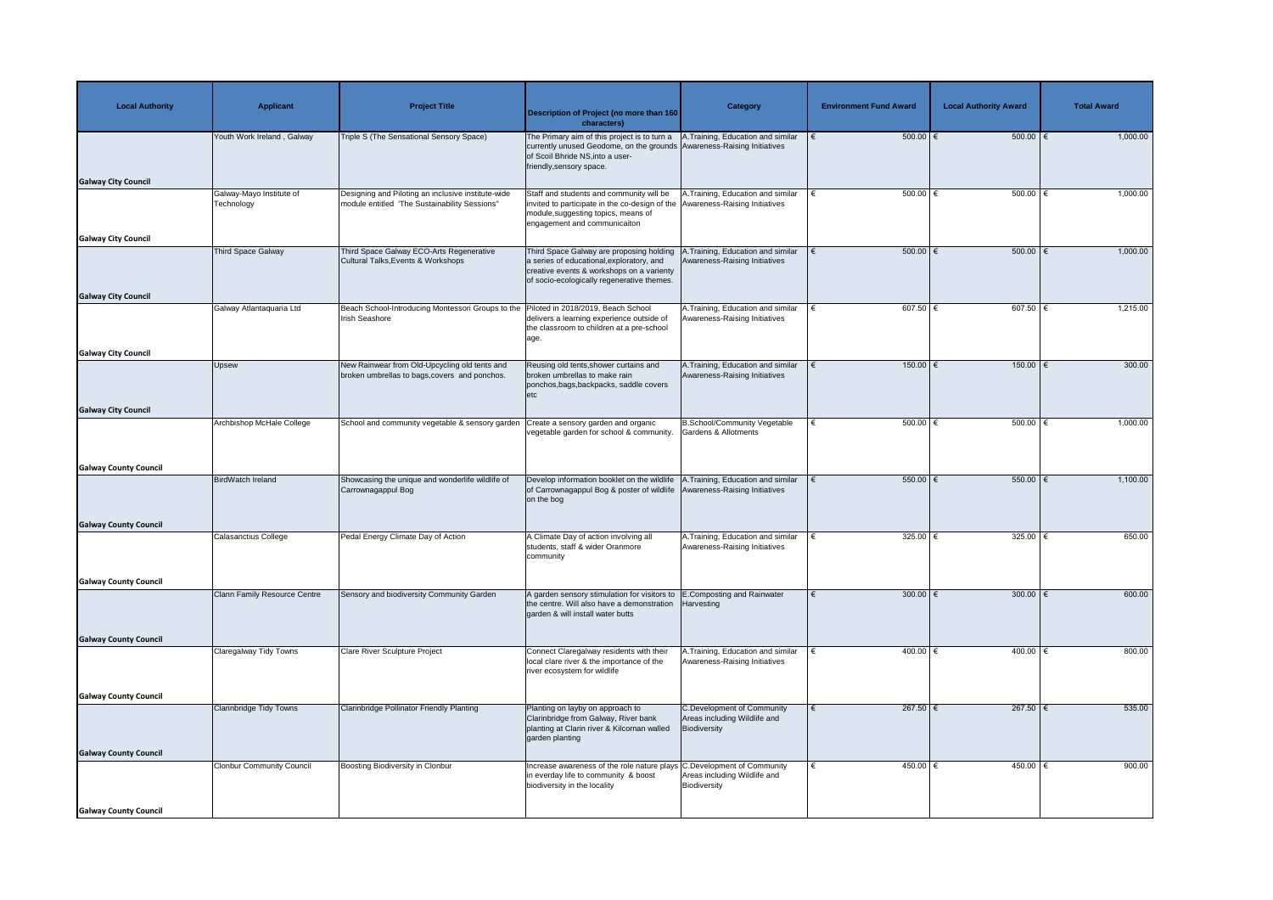| <b>Local Authority</b>       | <b>Applicant</b>                       | <b>Project Title</b>                                                                                | <b>Description of Project (no more than 160</b><br>characters)                                                                                                                                                              | <b>Category</b>                                                                   | <b>Environment Fund Award</b> | <b>Local Authority Award</b> | <b>Total Award</b> |
|------------------------------|----------------------------------------|-----------------------------------------------------------------------------------------------------|-----------------------------------------------------------------------------------------------------------------------------------------------------------------------------------------------------------------------------|-----------------------------------------------------------------------------------|-------------------------------|------------------------------|--------------------|
|                              | Youth Work Ireland, Galway             | Triple S (The Sensational Sensory Space)                                                            | The Primary aim of this project is to turn a   A. Training, Education and similar<br>currently unused Geodome, on the grounds Awareness-Raising Initiatives<br>of Scoil Bhride NS, into a user-<br>friendly, sensory space. |                                                                                   | $500.00$ $\in$                | 500.00   €                   | 1,000.00           |
| <b>Galway City Council</b>   |                                        |                                                                                                     |                                                                                                                                                                                                                             |                                                                                   |                               |                              |                    |
|                              | Galway-Mayo Institute of<br>Technology | Designing and Piloting an inclusive institute-wide<br>module entitled 'The Sustainability Sessions" | Staff and students and community will be<br>invited to participate in the co-design of the Awareness-Raising Initiatives<br>module, suggesting topics, means of<br>engagement and communicaiton                             | .Training, Education and similar                                                  | 500.00 $\epsilon$             | 500.00                       | 1,000.00           |
| <b>Galway City Council</b>   | <b>Third Space Galway</b>              | Third Space Galway ECO-Arts Regenerative                                                            | Third Space Galway are proposing holding                                                                                                                                                                                    | Training, Education and similar                                                   | $500.00$   €                  | 500.00   €                   | 1,000.00           |
|                              |                                        | Cultural Talks, Events & Workshops                                                                  | a series of educational, exploratory, and<br>creative events & workshops on a varienty<br>of socio-ecologically regenerative themes.                                                                                        | Awareness-Raising Initiatives                                                     |                               |                              |                    |
| <b>Galway City Council</b>   | Galway Atlantaquaria Ltd               | Beach School-Introducing Montessori Groups to the                                                   | Piloted in 2018/2019, Beach School                                                                                                                                                                                          | A.Training, Education and similar                                                 | 607.50 $\in$                  | 607.50                       | 1,215.00           |
|                              |                                        | Irish Seashore                                                                                      | delivers a learning experience outside of<br>the classroom to children at a pre-school<br>age.                                                                                                                              | Awareness-Raising Initiatives                                                     |                               |                              |                    |
| <b>Galway City Council</b>   |                                        |                                                                                                     |                                                                                                                                                                                                                             |                                                                                   |                               |                              |                    |
|                              | <b>Upsew</b>                           | New Rainwear from Old-Upcycling old tents and<br>broken umbrellas to bags, covers and ponchos.      | Reusing old tents, shower curtains and<br>broken umbrellas to make rain<br>ponchos, bags, backpacks, saddle covers<br>etc                                                                                                   | A.Training, Education and similar<br>Awareness-Raising Initiatives                | 150.00   €                    | 150.00   €                   | 300.00             |
| <b>Galway City Council</b>   |                                        |                                                                                                     |                                                                                                                                                                                                                             |                                                                                   |                               |                              |                    |
|                              | <b>Archbishop McHale College</b>       | School and community vegetable & sensory garden                                                     | Create a sensory garden and organic<br>vegetable garden for school & community.   Gardens & Allotments                                                                                                                      | B.School/Community Vegetable                                                      | $500.00$   €                  | 500.00                       | 1,000.00           |
| <b>Galway County Council</b> |                                        |                                                                                                     |                                                                                                                                                                                                                             |                                                                                   |                               |                              |                    |
|                              | <b>BirdWatch Ireland</b>               | Showcasing the unique and wonderlife wildlife of<br>Carrownagappul Bog                              | Develop information booklet on the wildlife<br>of Carrownagappul Bog & poster of wildlife Awareness-Raising Initiatives<br>on the bog                                                                                       | A. Training, Education and similar                                                | $550.00$ $\in$                | 550.00 $\epsilon$            | 1,100.00           |
| <b>Galway County Council</b> |                                        |                                                                                                     |                                                                                                                                                                                                                             |                                                                                   |                               |                              |                    |
|                              | <b>Calasanctius College</b>            | Pedal Energy Climate Day of Action                                                                  | A Climate Day of action involving all<br>students, staff & wider Oranmore<br>community                                                                                                                                      | A. Training, Education and similar<br>Awareness-Raising Initiatives               | 325.00 $\epsilon$             | 325.00                       | 650.00             |
| <b>Galway County Council</b> |                                        |                                                                                                     |                                                                                                                                                                                                                             |                                                                                   |                               |                              |                    |
|                              | Clann Family Resource Centre           | Sensory and biodiversity Community Garden                                                           | A garden sensory stimulation for visitors to E.Composting and Rainwater<br>the centre. Will also have a demonstration<br>garden & will install water butts                                                                  | Harvesting                                                                        | 300.00 $\epsilon$             | 300.00 $\epsilon$            | 600.00             |
| <b>Galway County Council</b> |                                        |                                                                                                     |                                                                                                                                                                                                                             |                                                                                   |                               |                              |                    |
|                              | <b>Claregalway Tidy Towns</b>          | Clare River Sculpture Project                                                                       | Connect Claregalway residents with their<br>local clare river & the importance of the<br>river ecosystem for wildlife                                                                                                       | A.Training, Education and similar<br>Awareness-Raising Initiatives                | 400.00   €                    | 400.00                       | 800.00             |
| <b>Galway County Council</b> |                                        |                                                                                                     |                                                                                                                                                                                                                             |                                                                                   |                               |                              |                    |
|                              | Clarinbridge Tidy Towns                | Clarinbridge Pollinator Friendly Planting                                                           | Planting on layby on approach to<br>Clarinbridge from Galway, River bank<br>planting at Clarin river & Kilcornan walled<br>garden planting                                                                                  | <b>C.Development of Community</b><br>Areas including Wildlife and<br>Biodiversity | 267.50 $\epsilon$             | 267.50 $\epsilon$            | 535.00             |
| <b>Galway County Council</b> | <b>Clonbur Community Council</b>       | Boosting Biodiversity in Clonbur                                                                    | Increase awareness of the role nature plays C. Development of Community                                                                                                                                                     |                                                                                   | 450.00 $\in$                  | 450.00                       | 900.00             |
|                              |                                        |                                                                                                     | in everday life to community & boost<br>biodiversity in the locality                                                                                                                                                        | Areas including Wildlife and<br>Biodiversity                                      |                               |                              |                    |
| <b>Galway County Council</b> |                                        |                                                                                                     |                                                                                                                                                                                                                             |                                                                                   |                               |                              |                    |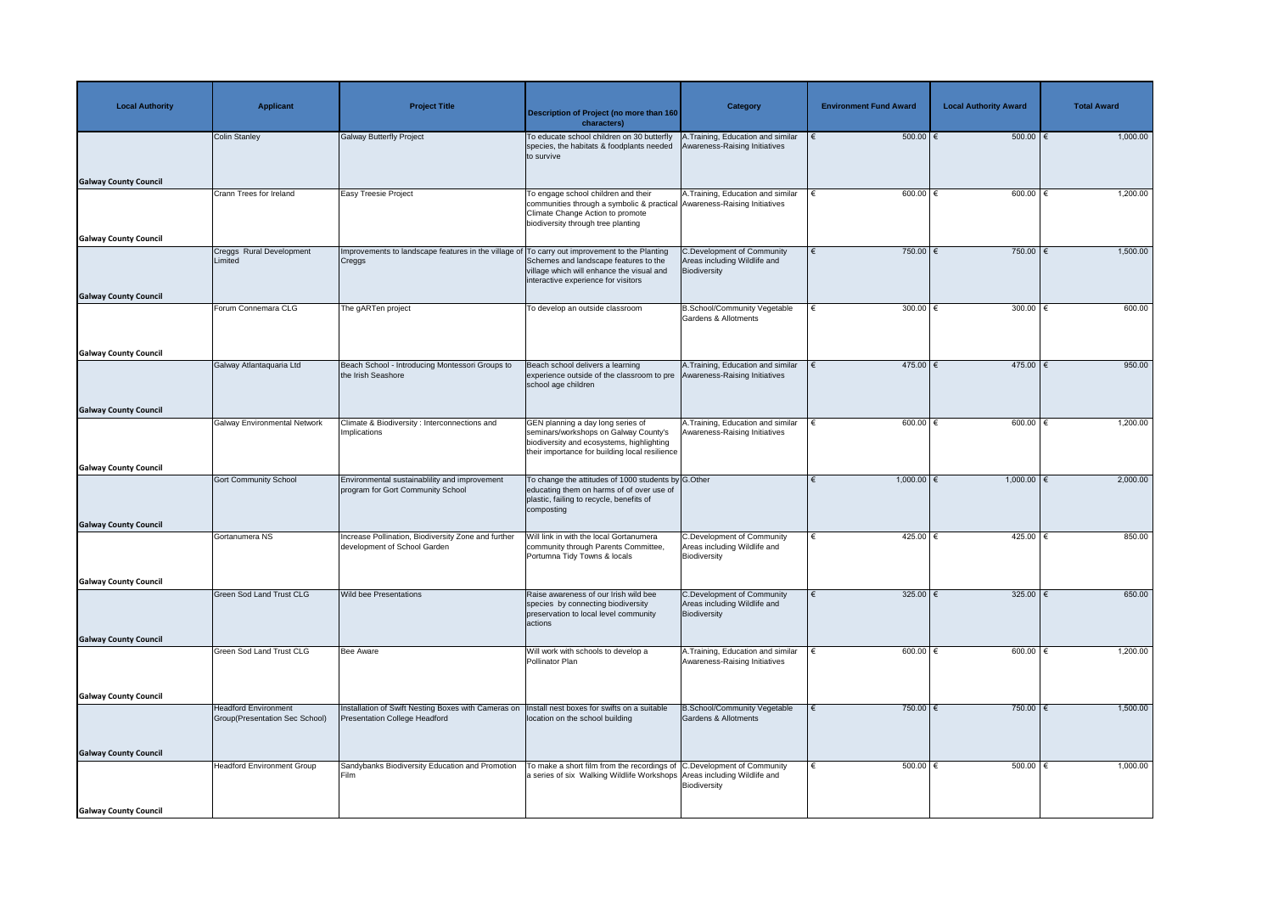| <b>Local Authority</b>       | <b>Applicant</b>                                              | <b>Project Title</b>                                                                        | <b>Description of Project (no more than 160</b><br>characters)                                                                                                                            | <b>Category</b>                                                                   | <b>Environment Fund Award</b> | <b>Local Authority Award</b> | <b>Total Award</b> |
|------------------------------|---------------------------------------------------------------|---------------------------------------------------------------------------------------------|-------------------------------------------------------------------------------------------------------------------------------------------------------------------------------------------|-----------------------------------------------------------------------------------|-------------------------------|------------------------------|--------------------|
|                              | <b>Colin Stanley</b>                                          | <b>Galway Butterfly Project</b>                                                             | To educate school children on 30 butterfly<br>species, the habitats & foodplants needed<br>to survive                                                                                     | A.Training, Education and similar<br>Awareness-Raising Initiatives                | $500.00$ $\in$                | 500.00   €                   | 1,000.00           |
| <b>Galway County Council</b> |                                                               |                                                                                             |                                                                                                                                                                                           |                                                                                   |                               |                              |                    |
|                              | Crann Trees for Ireland                                       | <b>Easy Treesie Project</b>                                                                 | To engage school children and their<br>communities through a symbolic & practical Awareness-Raising Initiatives<br>Climate Change Action to promote<br>biodiversity through tree planting | A. Training, Education and similar                                                | 600.00 $\in$                  | 600.00 $\in$                 | 1,200.00           |
| <b>Galway County Council</b> | Creggs Rural Development                                      | Improvements to landscape features in the village of                                        | To carry out improvement to the Planting                                                                                                                                                  | <b>C.Development of Community</b>                                                 | 750.00                        | 750.00   €                   | 1,500.00           |
|                              | Limited                                                       | Creggs                                                                                      | Schemes and landscape features to the<br>village which will enhance the visual and<br>interactive experience for visitors                                                                 | Areas including Wildlife and<br>Biodiversity                                      |                               |                              |                    |
| <b>Galway County Council</b> | Forum Connemara CLG                                           | The gARTen project                                                                          | To develop an outside classroom                                                                                                                                                           | <b>B.School/Community Vegetable</b>                                               | 300.00 $\epsilon$             | 300.00 $\epsilon$            | 600.00             |
|                              |                                                               |                                                                                             |                                                                                                                                                                                           | <b>Gardens &amp; Allotments</b>                                                   |                               |                              |                    |
| <b>Galway County Council</b> |                                                               |                                                                                             |                                                                                                                                                                                           |                                                                                   |                               |                              |                    |
|                              | Galway Atlantaquaria Ltd                                      | Beach School - Introducing Montessori Groups to<br>the Irish Seashore                       | Beach school delivers a learning<br>experience outside of the classroom to pre Awareness-Raising Initiatives<br>school age children                                                       | A. Training, Education and similar                                                | 475.00 $ \epsilon$            | 475.00                       | 950.00             |
| <b>Galway County Council</b> |                                                               |                                                                                             |                                                                                                                                                                                           |                                                                                   |                               |                              |                    |
|                              | <b>Galway Environmental Network</b>                           | Climate & Biodiversity: Interconnections and<br>Implications                                | GEN planning a day long series of<br>seminars/workshops on Galway County's<br>biodiversity and ecosystems, highlighting<br>their importance for building local resilience                 | A. Training, Education and similar<br>Awareness-Raising Initiatives               | $600.00$ $\in$                | $600.00$ $\in$               | 1,200.00           |
| <b>Galway County Council</b> |                                                               |                                                                                             |                                                                                                                                                                                           |                                                                                   |                               |                              |                    |
|                              | <b>Gort Community School</b>                                  | Environmental sustainablility and improvement<br>program for Gort Community School          | To change the attitudes of 1000 students by G.Other<br>educating them on harms of of over use of<br>plastic, failing to recycle, benefits of<br>composting                                |                                                                                   | $1,000.00$ €                  | $1,000.00$ $\in$             | 2,000.00           |
| <b>Galway County Council</b> | Gortanumera NS                                                | ncrease Pollination, Biodiversity Zone and further                                          | Will link in with the local Gortanumera                                                                                                                                                   | <b>C.Development of Community</b>                                                 | 425.00 $\epsilon$             | 425.00 €                     | 850.00             |
|                              |                                                               | development of School Garden                                                                | community through Parents Committee,<br>Portumna Tidy Towns & locals                                                                                                                      | Areas including Wildlife and<br>Biodiversity                                      |                               |                              |                    |
| <b>Galway County Council</b> |                                                               |                                                                                             |                                                                                                                                                                                           |                                                                                   |                               |                              |                    |
|                              | <b>Green Sod Land Trust CLG</b>                               | <b>Wild bee Presentations</b>                                                               | Raise awareness of our Irish wild bee<br>species by connecting biodiversity<br>preservation to local level community<br>actions                                                           | <b>C.Development of Community</b><br>Areas including Wildlife and<br>Biodiversity | 325.00 $ \epsilon$            | 325.00                       | 650.00             |
| <b>Galway County Council</b> |                                                               |                                                                                             |                                                                                                                                                                                           |                                                                                   |                               |                              |                    |
|                              | Green Sod Land Trust CLG                                      | <b>Bee Aware</b>                                                                            | Will work with schools to develop a<br>Pollinator Plan                                                                                                                                    | A.Training, Education and similar<br>Awareness-Raising Initiatives                | 600.00 $\in$                  | 600.00 $\in$                 | 1,200.00           |
| <b>Galway County Council</b> |                                                               |                                                                                             |                                                                                                                                                                                           |                                                                                   |                               |                              |                    |
|                              | <b>Headford Environment</b><br>Group(Presentation Sec School) | Installation of Swift Nesting Boxes with Cameras on<br><b>Presentation College Headford</b> | nstall nest boxes for swifts on a suitable<br>location on the school building                                                                                                             | <b>B.School/Community Vegetable</b><br>Gardens & Allotments                       | 750.00                        | 750.00 $\epsilon$            | 1,500.00           |
| <b>Galway County Council</b> |                                                               |                                                                                             |                                                                                                                                                                                           |                                                                                   |                               |                              |                    |
|                              | <b>Headford Environment Group</b>                             | Sandybanks Biodiversity Education and Promotion<br>Film                                     | To make a short film from the recordings of $ C$ . Development of Community<br>a series of six Walking Wildlife Workshops Areas including Wildlife and                                    | Biodiversity                                                                      | 500.00 $\epsilon$             | 500.00   €                   | 1,000.00           |
| <b>Galway County Council</b> |                                                               |                                                                                             |                                                                                                                                                                                           |                                                                                   |                               |                              |                    |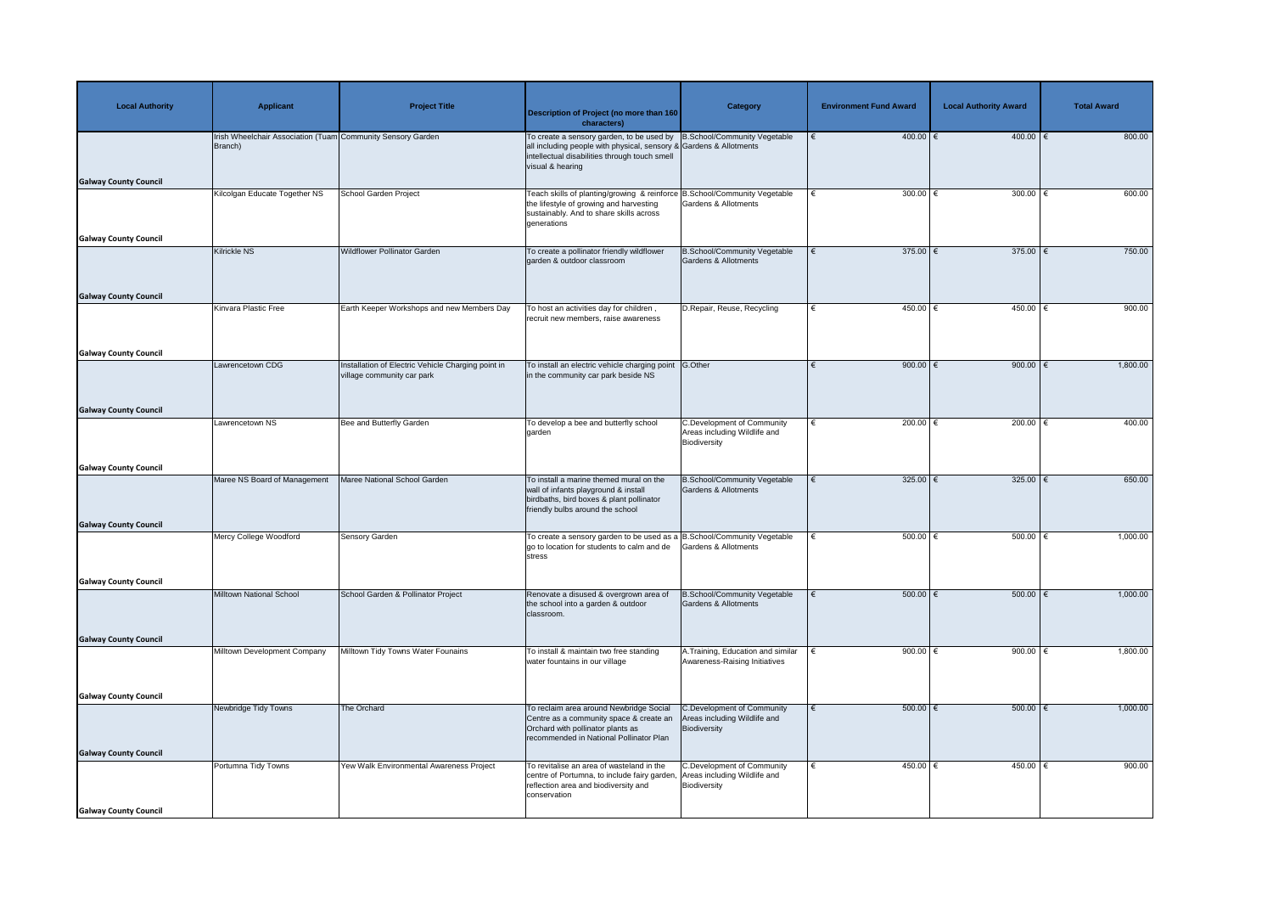| <b>Local Authority</b>                                       | <b>Applicant</b>                                                       | <b>Project Title</b>                                                             | Description of Project (no more than 160<br>characters)                                                                                                                                                              | <b>Category</b>                                                                   | <b>Environment Fund Award</b> | <b>Local Authority Award</b> | <b>Total Award</b> |
|--------------------------------------------------------------|------------------------------------------------------------------------|----------------------------------------------------------------------------------|----------------------------------------------------------------------------------------------------------------------------------------------------------------------------------------------------------------------|-----------------------------------------------------------------------------------|-------------------------------|------------------------------|--------------------|
| <b>Galway County Council</b>                                 | Irish Wheelchair Association (Tuam Community Sensory Garden<br>Branch) |                                                                                  | To create a sensory garden, to be used by $ B.School/Community Vegetable$<br>all including people with physical, sensory & Gardens & Allotments<br>intellectual disabilities through touch smell<br>visual & hearing |                                                                                   | $400.00$ €                    | 400.00   €                   | 800.00             |
| <b>Galway County Council</b>                                 | Kilcolgan Educate Together NS                                          | School Garden Project                                                            | Teach skills of planting/growing & reinforce B.School/Community Vegetable<br>the lifestyle of growing and harvesting<br>sustainably. And to share skills across<br>generations                                       | <b>Gardens &amp; Allotments</b>                                                   | 300.00 $ \epsilon$<br>€       | 300.00                       | 600.00             |
|                                                              | Kilrickle NS                                                           | <b>Wildflower Pollinator Garden</b>                                              | To create a pollinator friendly wildflower<br>garden & outdoor classroom                                                                                                                                             | <b>B.School/Community Vegetable</b><br><b>Gardens &amp; Allotments</b>            | 375.00 $\epsilon$             | 375.00   €                   | 750.00             |
| <b>Galway County Council</b>                                 | Kinvara Plastic Free                                                   | Earth Keeper Workshops and new Members Day                                       | To host an activities day for children,<br>recruit new members, raise awareness                                                                                                                                      | D.Repair, Reuse, Recycling                                                        | 450.00 €                      | 450.00                       | 900.00             |
| <b>Galway County Council</b>                                 | Lawrencetown CDG                                                       | Installation of Electric Vehicle Charging point in<br>village community car park | To install an electric vehicle charging point G.Other<br>in the community car park beside NS                                                                                                                         |                                                                                   | 900.00 $\epsilon$             | 900.00 $\in$                 | 1,800.00           |
| <b>Galway County Council</b>                                 | Lawrencetown NS                                                        | Bee and Butterfly Garden                                                         | To develop a bee and butterfly school<br>garden                                                                                                                                                                      | <b>C.Development of Community</b><br>Areas including Wildlife and<br>Biodiversity | 200.00   €                    | 200.00                       | 400.00             |
| <b>Galway County Council</b>                                 | Maree NS Board of Management                                           | Maree National School Garden                                                     | To install a marine themed mural on the<br>wall of infants playground & install<br>birdbaths, bird boxes & plant pollinator<br>friendly bulbs around the school                                                      | <b>B.School/Community Vegetable</b><br><b>Gardens &amp; Allotments</b>            | 325.00 $\epsilon$             | 325.00 $\epsilon$            | 650.00             |
| <b>Galway County Council</b>                                 | Mercy College Woodford                                                 | <b>Sensory Garden</b>                                                            | To create a sensory garden to be used as a $\mathsf B$ . School/Community Vegetable<br>go to location for students to calm and de<br>stress                                                                          | <b>Gardens &amp; Allotments</b>                                                   | $500.00$ $\in$                | 500.00                       | 1,000.00           |
| <b>Galway County Council</b>                                 | Milltown National School                                               | School Garden & Pollinator Project                                               | Renovate a disused & overgrown area of<br>the school into a garden & outdoor<br>classroom.                                                                                                                           | <b>B.School/Community Vegetable</b><br><b>Gardens &amp; Allotments</b>            | $500.00$ $\in$                | 500.00                       | 1,000.00           |
| <b>Galway County Council</b>                                 | Milltown Development Company                                           | Milltown Tidy Towns Water Founains                                               | To install & maintain two free standing<br>water fountains in our village                                                                                                                                            | A.Training, Education and similar<br>Awareness-Raising Initiatives                | 900.00 $\in$                  | 900.00                       | 1,800.00           |
| <b>Galway County Council</b>                                 | Newbridge Tidy Towns                                                   | The Orchard                                                                      | To reclaim area around Newbridge Social<br>Centre as a community space & create an<br>Orchard with pollinator plants as<br>recommended in National Pollinator Plan                                                   | C.Development of Community<br>Areas including Wildlife and<br>Biodiversity        | $500.00$ $\in$                | $500.00$ $\in$               | 1,000.00           |
| <b>Galway County Council</b><br><b>Galway County Council</b> | Portumna Tidy Towns                                                    | Yew Walk Environmental Awareness Project                                         | To revitalise an area of wasteland in the<br>centre of Portumna, to include fairy garden, Areas including Wildlife and<br>reflection area and biodiversity and<br>conservation                                       | <b>C.Development of Community</b><br>Biodiversity                                 | 450.00 $\in$                  | 450.00 $\sqrt{2}$            | 900.00             |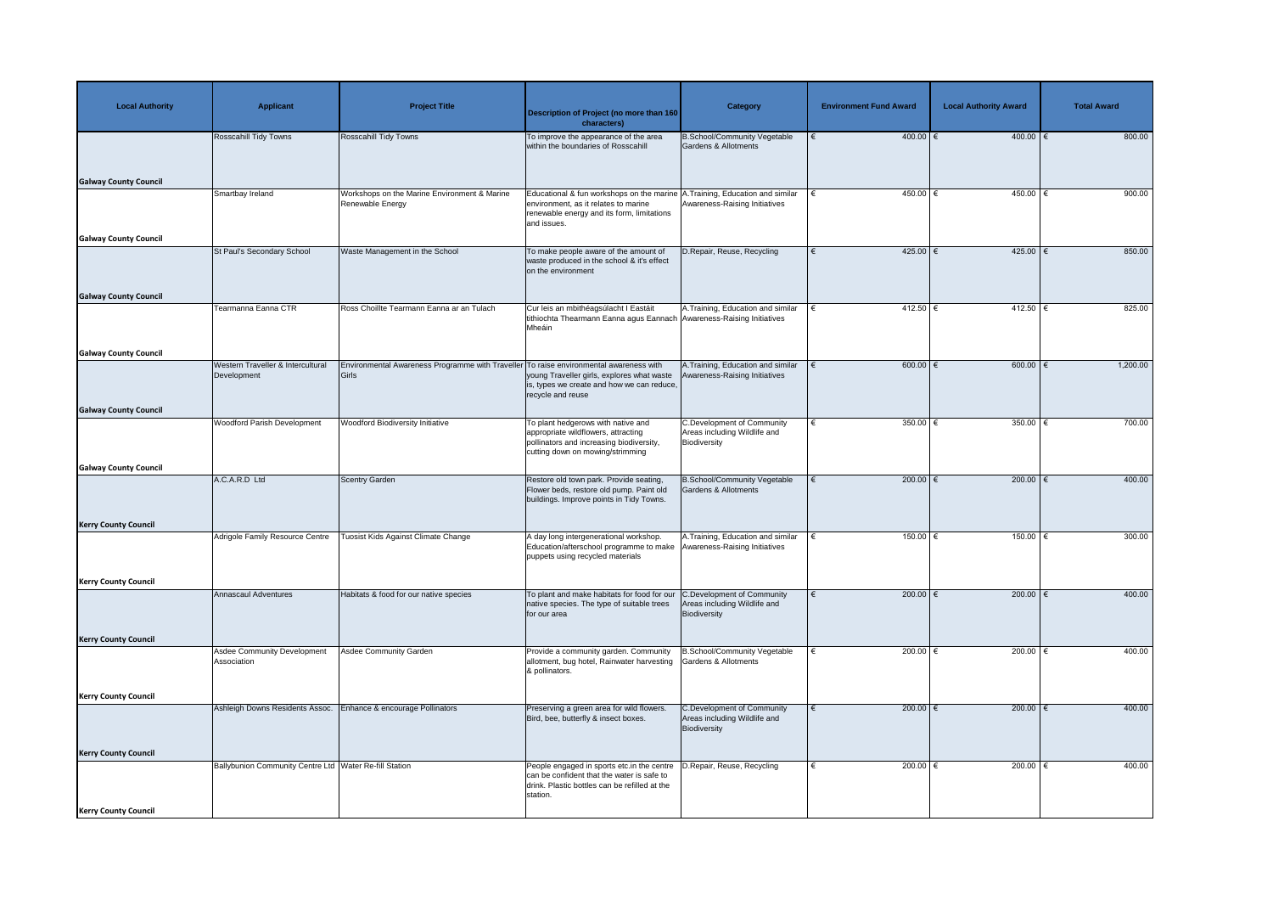| <b>Local Authority</b>       | <b>Applicant</b>                                         | <b>Project Title</b>                                                                            | <b>Description of Project (no more than 160</b><br>characters)                                                                                            | Category                                                                          | <b>Environment Fund Award</b> | <b>Local Authority Award</b> | <b>Total Award</b> |
|------------------------------|----------------------------------------------------------|-------------------------------------------------------------------------------------------------|-----------------------------------------------------------------------------------------------------------------------------------------------------------|-----------------------------------------------------------------------------------|-------------------------------|------------------------------|--------------------|
|                              | <b>Rosscahill Tidy Towns</b>                             | Rosscahill Tidy Towns                                                                           | To improve the appearance of the area<br>within the boundaries of Rosscahill                                                                              | <b>B.School/Community Vegetable</b><br><b>Gardens &amp; Allotments</b>            | $400.00$ €                    | $400.00$ €                   | 800.00             |
| <b>Galway County Council</b> | Smartbay Ireland                                         | Workshops on the Marine Environment & Marine                                                    | Educational & fun workshops on the marine A. Training, Education and similar                                                                              |                                                                                   | 450.00 $\in$                  | 450.00 €                     | 900.00             |
|                              |                                                          | Renewable Energy                                                                                | environment, as it relates to marine<br>renewable energy and its form, limitations<br>and issues.                                                         | Awareness-Raising Initiatives                                                     |                               |                              |                    |
| <b>Galway County Council</b> |                                                          |                                                                                                 |                                                                                                                                                           |                                                                                   |                               |                              |                    |
|                              | St Paul's Secondary School                               | Waste Management in the School                                                                  | To make people aware of the amount of<br>waste produced in the school & it's effect<br>on the environment                                                 | D.Repair, Reuse, Recycling                                                        | $425.00$ €                    | $425.00$ €                   | 850.00             |
| <b>Galway County Council</b> |                                                          |                                                                                                 |                                                                                                                                                           |                                                                                   |                               |                              |                    |
|                              | Tearmanna Eanna CTR                                      | Ross Choillte Tearmann Eanna ar an Tulach                                                       | Cur leis an mbithéagsúlacht I Eastáit<br>tithiochta Thearmann Eanna agus Eannach Awareness-Raising Initiatives<br>Mheáin                                  | A. Training, Education and similar                                                | 412.50 $\epsilon$             | $412.50$ €                   | 825.00             |
| <b>Galway County Council</b> |                                                          |                                                                                                 |                                                                                                                                                           |                                                                                   |                               |                              |                    |
|                              | Western Traveller & Intercultural<br>Development         | Environmental Awareness Programme with Traveller To raise environmental awareness with<br>Girls | young Traveller girls, explores what waste<br>is, types we create and how we can reduce,<br>recycle and reuse                                             | A. Training, Education and similar<br>Awareness-Raising Initiatives               | $600.00$ $\in$                | 600.00 $ \epsilon$           | 1,200.00           |
| <b>Galway County Council</b> |                                                          |                                                                                                 |                                                                                                                                                           |                                                                                   |                               |                              |                    |
|                              | <b>Woodford Parish Development</b>                       | <b>Woodford Biodiversity Initiative</b>                                                         | To plant hedgerows with native and<br>appropriate wildflowers, attracting<br>pollinators and increasing biodiversity,<br>cutting down on mowing/strimming | <b>C.Development of Community</b><br>Areas including Wildlife and<br>Biodiversity | 350.00 $\epsilon$             | 350.00                       | 700.00             |
| <b>Galway County Council</b> |                                                          |                                                                                                 |                                                                                                                                                           |                                                                                   |                               |                              |                    |
|                              | A.C.A.R.D Ltd                                            | <b>Scentry Garden</b>                                                                           | Restore old town park. Provide seating,<br>Flower beds, restore old pump. Paint old<br>buildings. Improve points in Tidy Towns.                           | <b>B.School/Community Vegetable</b><br><b>Gardens &amp; Allotments</b>            | 200.00 $\epsilon$             | 200.00 $\epsilon$            | 400.00             |
| <b>Kerry County Council</b>  |                                                          |                                                                                                 |                                                                                                                                                           |                                                                                   |                               |                              |                    |
|                              | Adrigole Family Resource Centre                          | Tuosist Kids Against Climate Change                                                             | A day long intergenerational workshop.<br>Education/afterschool programme to make<br>puppets using recycled materials                                     | A. Training, Education and similar<br>Awareness-Raising Initiatives               | 150.00                        | 150.00                       | 300.00             |
| <b>Kerry County Council</b>  |                                                          |                                                                                                 |                                                                                                                                                           |                                                                                   |                               |                              |                    |
|                              | <b>Annascaul Adventures</b>                              | Habitats & food for our native species                                                          | To plant and make habitats for food for our C.Development of Community<br>native species. The type of suitable trees<br>for our area                      | Areas including Wildlife and<br>Biodiversity                                      | 200.00 $ \epsilon$            | 200.00   €                   | 400.00             |
| <b>Kerry County Council</b>  |                                                          |                                                                                                 |                                                                                                                                                           |                                                                                   |                               |                              |                    |
|                              | <b>Asdee Community Development</b><br>Association        | <b>Asdee Community Garden</b>                                                                   | Provide a community garden. Community<br>allotment, bug hotel, Rainwater harvesting<br>& pollinators.                                                     | B.School/Community Vegetable<br>Gardens & Allotments                              | 200.00 $ \epsilon$            | 200.00   €                   | 400.00             |
| <b>Kerry County Council</b>  |                                                          |                                                                                                 |                                                                                                                                                           |                                                                                   |                               |                              |                    |
|                              | Ashleigh Downs Residents Assoc.                          | Enhance & encourage Pollinators                                                                 | Preserving a green area for wild flowers.<br>Bird, bee, butterfly & insect boxes.                                                                         | <b>C.Development of Community</b><br>Areas including Wildlife and<br>Biodiversity | 200.00 $\epsilon$             | 200.00   €                   | 400.00             |
| <b>Kerry County Council</b>  |                                                          |                                                                                                 |                                                                                                                                                           |                                                                                   |                               |                              |                    |
|                              | Ballybunion Community Centre Ltd   Water Re-fill Station |                                                                                                 | People engaged in sports etc.in the centre<br>can be confident that the water is safe to<br>drink. Plastic bottles can be refilled at the<br>station.     | D.Repair, Reuse, Recycling                                                        | 200.00 $ \epsilon$            | 200.00   €                   | 400.00             |
| <b>Kerry County Council</b>  |                                                          |                                                                                                 |                                                                                                                                                           |                                                                                   |                               |                              |                    |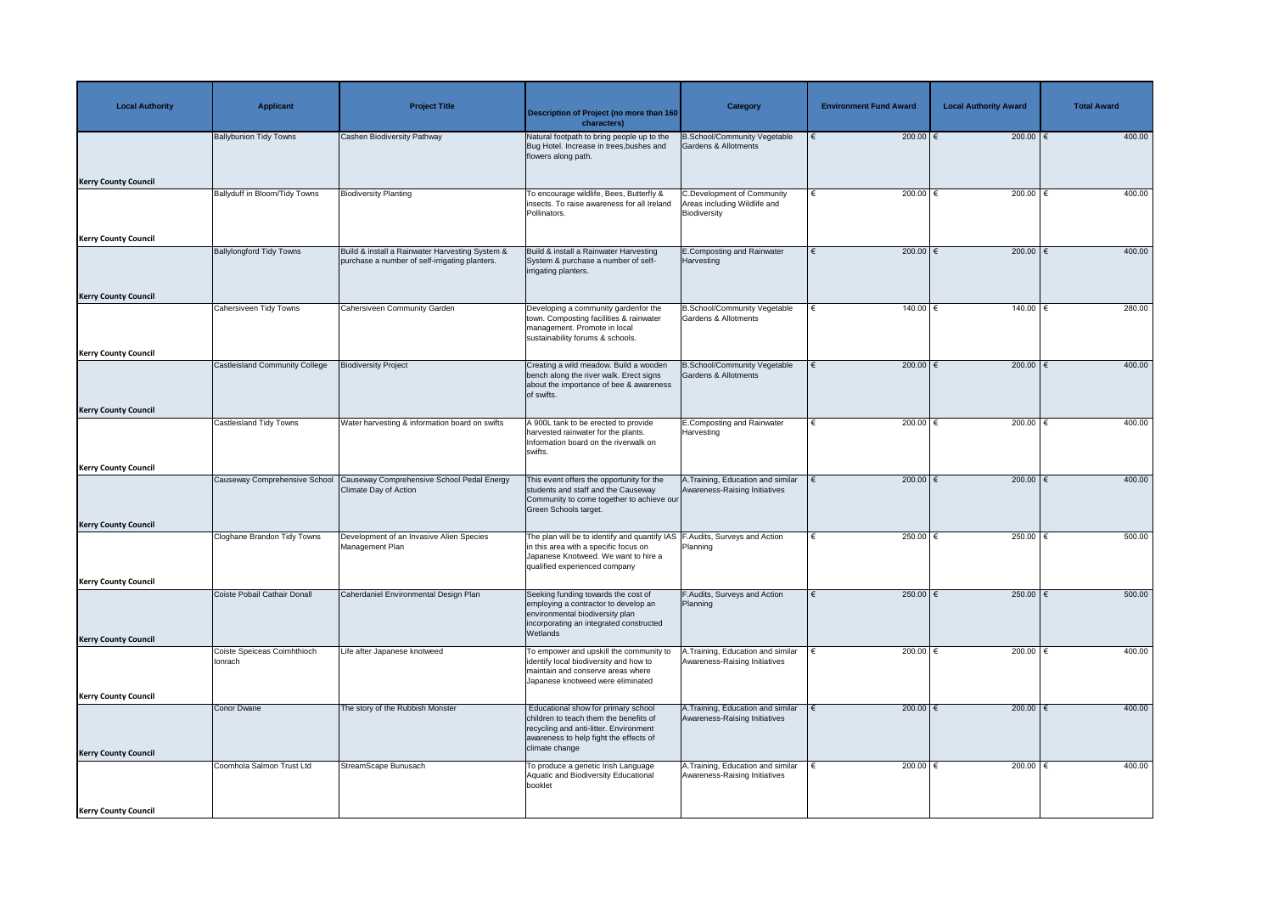| <b>Local Authority</b>      | <b>Applicant</b>                | <b>Project Title</b>                                                                              | <b>Description of Project (no more than 160</b><br>characters)                                                                                                                                  | Category                                                                          | <b>Environment Fund Award</b> | <b>Local Authority Award</b> | <b>Total Award</b> |
|-----------------------------|---------------------------------|---------------------------------------------------------------------------------------------------|-------------------------------------------------------------------------------------------------------------------------------------------------------------------------------------------------|-----------------------------------------------------------------------------------|-------------------------------|------------------------------|--------------------|
|                             | <b>Ballybunion Tidy Towns</b>   | <b>Cashen Biodiversity Pathway</b>                                                                | Natural footpath to bring people up to the<br>Bug Hotel. Increase in trees, bushes and<br>flowers along path.                                                                                   | <b>B.School/Community Vegetable</b><br><b>Gardens &amp; Allotments</b>            | 200.00 $\epsilon$             | $200.00$ €                   | 400.00             |
| <b>Kerry County Council</b> |                                 |                                                                                                   |                                                                                                                                                                                                 |                                                                                   |                               |                              |                    |
|                             | Ballyduff in Bloom/Tidy Towns   | <b>Biodiversity Planting</b>                                                                      | To encourage wildlife, Bees, Butterfly &<br>insects. To raise awareness for all Ireland<br>Pollinators.                                                                                         | <b>C.Development of Community</b><br>Areas including Wildlife and<br>Biodiversity | 200.00 $\in$                  | 200.00   €                   | 400.00             |
| <b>Kerry County Council</b> |                                 |                                                                                                   |                                                                                                                                                                                                 |                                                                                   |                               |                              |                    |
|                             | <b>Ballylongford Tidy Towns</b> | Build & install a Rainwater Harvesting System &<br>purchase a number of self-irrigating planters. | Build & install a Rainwater Harvesting<br>System & purchase a number of self-<br>irrigating planters.                                                                                           | <b>E.Composting and Rainwater</b><br>Harvesting                                   | 200.00 $\epsilon$             | 200.00 $\epsilon$            | 400.00             |
| <b>Kerry County Council</b> |                                 |                                                                                                   |                                                                                                                                                                                                 |                                                                                   |                               |                              |                    |
|                             | Cahersiveen Tidy Towns          | Cahersiveen Community Garden                                                                      | Developing a community gardenfor the<br>town. Composting facilities & rainwater<br>management. Promote in local<br>sustainability forums & schools.                                             | <b>B.School/Community Vegetable</b><br><b>Gardens &amp; Allotments</b>            | $140.00$ €                    | 140.00 €                     | 280.00             |
| <b>Kerry County Council</b> |                                 |                                                                                                   |                                                                                                                                                                                                 |                                                                                   |                               |                              |                    |
|                             | Castleisland Community College  | <b>Biodiversity Project</b>                                                                       | Creating a wild meadow. Build a wooden<br>bench along the river walk. Erect signs<br>about the importance of bee & awareness<br>of swifts.                                                      | <b>B.School/Community Vegetable</b><br>Gardens & Allotments                       | 200.00 $\epsilon$<br>€        | 200.00 $\epsilon$            | 400.00             |
| <b>Kerry County Council</b> |                                 |                                                                                                   |                                                                                                                                                                                                 |                                                                                   |                               |                              |                    |
|                             | <b>Castleisland Tidy Towns</b>  | Water harvesting & information board on swifts                                                    | A 900L tank to be erected to provide<br>harvested rainwater for the plants.<br>Information board on the riverwalk on<br>swifts.                                                                 | <b>E.Composting and Rainwater</b><br>Harvesting                                   | 200.00 $\in$                  | 200.00                       | 400.00             |
| <b>Kerry County Council</b> |                                 |                                                                                                   |                                                                                                                                                                                                 |                                                                                   |                               |                              |                    |
|                             | Causeway Comprehensive School   | Causeway Comprehensive School Pedal Energy<br>Climate Day of Action                               | This event offers the opportunity for the<br>students and staff and the Causeway<br>Community to come together to achieve our<br>Green Schools target.                                          | A.Training, Education and similar<br>Awareness-Raising Initiatives                | 200.00 $\epsilon$             | 200.00 $\epsilon$            | 400.00             |
| <b>Kerry County Council</b> |                                 | Development of an Invasive Alien Species                                                          |                                                                                                                                                                                                 |                                                                                   | 250.00 $\epsilon$             | 250.00 $\epsilon$            | 500.00             |
|                             | Cloghane Brandon Tidy Towns     | Management Plan                                                                                   | The plan will be to identify and quantify IAS   F. Audits, Surveys and Action<br>in this area with a specific focus on<br>Japanese Knotweed. We want to hire a<br>qualified experienced company | Planning                                                                          |                               |                              |                    |
| <b>Kerry County Council</b> |                                 |                                                                                                   |                                                                                                                                                                                                 |                                                                                   |                               |                              |                    |
|                             | Coiste Pobail Cathair Donall    | Caherdaniel Environmental Design Plan                                                             | Seeking funding towards the cost of<br>employing a contractor to develop an<br>environmental biodiversity plan<br>incorporating an integrated constructed<br>Wetlands                           | F.Audits, Surveys and Action<br>Planning                                          | 250.00 $ \epsilon$            | 250.00   €                   | 500.00             |
| <b>Kerry County Council</b> | Coiste Speiceas Coimhthioch     | Life after Japanese knotweed                                                                      | To empower and upskill the community to                                                                                                                                                         | .Training, Education and similar                                                  | 200.00 $ \epsilon$            | 200.00   €                   | 400.00             |
|                             | lonrach                         |                                                                                                   | identify local biodiversity and how to<br>maintain and conserve areas where<br>Japanese knotweed were eliminated                                                                                | Awareness-Raising Initiatives                                                     |                               |                              |                    |
| <b>Kerry County Council</b> |                                 |                                                                                                   |                                                                                                                                                                                                 |                                                                                   |                               |                              |                    |
| <b>Kerry County Council</b> | <b>Conor Dwane</b>              | The story of the Rubbish Monster                                                                  | Educational show for primary school<br>children to teach them the benefits of<br>recycling and anti-litter. Environment<br>awareness to help fight the effects of<br>climate change             | A. Training, Education and similar<br>Awareness-Raising Initiatives               | 200.00 $\epsilon$             | 200.00   €                   | 400.00             |
|                             | Coomhola Salmon Trust Ltd       | StreamScape Bunusach                                                                              | To produce a genetic Irish Language<br>Aquatic and Biodiversity Educational<br>booklet                                                                                                          | A.Training, Education and similar<br>Awareness-Raising Initiatives                | 200.00 $ \epsilon$            | 200.00 $ \epsilon$           | 400.00             |
| <b>Kerry County Council</b> |                                 |                                                                                                   |                                                                                                                                                                                                 |                                                                                   |                               |                              |                    |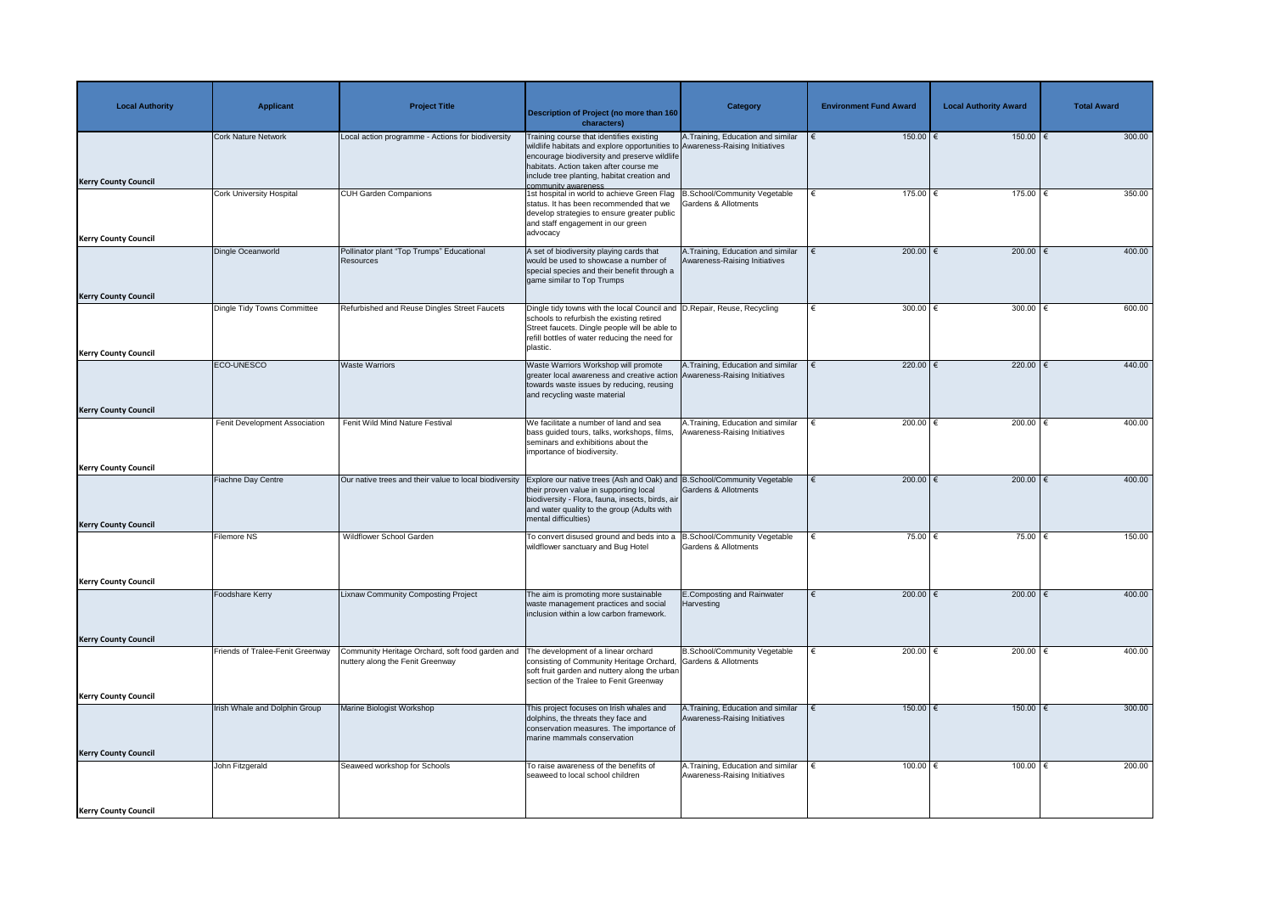| <b>Local Authority</b>                                     | <b>Applicant</b>                 | <b>Project Title</b>                                                                 | <b>Description of Project (no more than 160</b><br>characters)                                                                                                                                                                                                                           | Category                                                            | <b>Environment Fund Award</b> | <b>Local Authority Award</b> | <b>Total Award</b> |
|------------------------------------------------------------|----------------------------------|--------------------------------------------------------------------------------------|------------------------------------------------------------------------------------------------------------------------------------------------------------------------------------------------------------------------------------------------------------------------------------------|---------------------------------------------------------------------|-------------------------------|------------------------------|--------------------|
| <b>Kerry County Council</b>                                | <b>Cork Nature Network</b>       | Local action programme - Actions for biodiversity                                    | Training course that identifies existing<br>wildlife habitats and explore opportunities to Awareness-Raising Initiatives<br>encourage biodiversity and preserve wildlife<br>habitats. Action taken after course me<br>include tree planting, habitat creation and<br>community awareness | A.Training, Education and similar                                   | $150.00$ €                    | 150.00   €                   | 300.00             |
| <b>Kerry County Council</b>                                | <b>Cork University Hospital</b>  | <b>CUH Garden Companions</b>                                                         | 1st hospital in world to achieve Green Flag   B.School/Community Vegetable<br>status. It has been recommended that we<br>develop strategies to ensure greater public<br>and staff engagement in our green<br>advocacy                                                                    | <b>Gardens &amp; Allotments</b>                                     | 175.00 €                      | 175.00   €                   | 350.00             |
| <b>Kerry County Council</b>                                | Dingle Oceanworld                | Pollinator plant "Top Trumps" Educational<br>Resources                               | A set of biodiversity playing cards that<br>would be used to showcase a number of<br>special species and their benefit through a<br>game similar to Top Trumps                                                                                                                           | A. Training, Education and similar<br>Awareness-Raising Initiatives | 200.00 $\epsilon$             | 200.00 $\epsilon$            | 400.00             |
| <b>Kerry County Council</b>                                | Dingle Tidy Towns Committee      | Refurbished and Reuse Dingles Street Faucets                                         | Dingle tidy towns with the local Council and D. Repair, Reuse, Recycling<br>schools to refurbish the existing retired<br>Street faucets. Dingle people will be able to<br>refill bottles of water reducing the need for<br>plastic.                                                      |                                                                     | 300.00 $\epsilon$             | 300.00 $\sqrt{2}$            | 600.00             |
|                                                            | ECO-UNESCO                       | <b>Waste Warriors</b>                                                                | Waste Warriors Workshop will promote<br>greater local awareness and creative action Awareness-Raising Initiatives<br>towards waste issues by reducing, reusing<br>and recycling waste material                                                                                           | A. Training, Education and similar                                  | 220.00 $ \epsilon$            | 220.00   €                   | 440.00             |
| <b>Kerry County Council</b>                                | Fenit Development Association    | Fenit Wild Mind Nature Festival                                                      | We facilitate a number of land and sea<br>bass guided tours, talks, workshops, films, Awareness-Raising Initiatives<br>seminars and exhibitions about the<br>importance of biodiversity.                                                                                                 | A. Training, Education and similar                                  | 200.00 $\in$                  | 200.00                       | 400.00             |
| <b>Kerry County Council</b><br><b>Kerry County Council</b> | <b>Fiachne Day Centre</b>        | Our native trees and their value to local biodiversity                               | Explore our native trees (Ash and Oak) and B.School/Community Vegetable<br>their proven value in supporting local<br>biodiversity - Flora, fauna, insects, birds, air<br>and water quality to the group (Adults with<br>mental difficulties)                                             | Gardens & Allotments                                                | 200.00 $\epsilon$             | 200.00 $\epsilon$            | 400.00             |
|                                                            | <b>Filemore NS</b>               | <b>Wildflower School Garden</b>                                                      | To convert disused ground and beds into a  B.School/Community Vegetable<br>wildflower sanctuary and Bug Hotel                                                                                                                                                                            | Gardens & Allotments                                                | 75.00 $\xi$                   | 75.00 $\epsilon$             | 150.00             |
| <b>Kerry County Council</b>                                | Foodshare Kerry                  | <b>Lixnaw Community Composting Project</b>                                           | The aim is promoting more sustainable<br>waste management practices and social<br>inclusion within a low carbon framework.                                                                                                                                                               | E.Composting and Rainwater<br>Harvesting                            | 200.00 $ \epsilon$            | 200.00   €                   | 400.00             |
| <b>Kerry County Council</b>                                | Friends of Tralee-Fenit Greenway | Community Heritage Orchard, soft food garden and<br>nuttery along the Fenit Greenway | The development of a linear orchard<br>consisting of Community Heritage Orchard, Gardens & Allotments<br>soft fruit garden and nuttery along the urban<br>section of the Tralee to Fenit Greenway                                                                                        | B.School/Community Vegetable                                        | 200.00 $ \epsilon$            | 200.00   €                   | 400.00             |
| <b>Kerry County Council</b>                                | Irish Whale and Dolphin Group    | Marine Biologist Workshop                                                            | This project focuses on Irish whales and<br>dolphins, the threats they face and<br>conservation measures. The importance of<br>marine mammals conservation                                                                                                                               | A.Training, Education and similar<br>Awareness-Raising Initiatives  | $150.00$ $\in$                | $150.00$ €                   | 300.00             |
| <b>Kerry County Council</b>                                | John Fitzgerald                  | Seaweed workshop for Schools                                                         | To raise awareness of the benefits of<br>seaweed to local school children                                                                                                                                                                                                                | A.Training, Education and similar<br>Awareness-Raising Initiatives  | 100.00 $ \epsilon$            | 100.00 $ \epsilon$           | 200.00             |
| <b>Kerry County Council</b>                                |                                  |                                                                                      |                                                                                                                                                                                                                                                                                          |                                                                     |                               |                              |                    |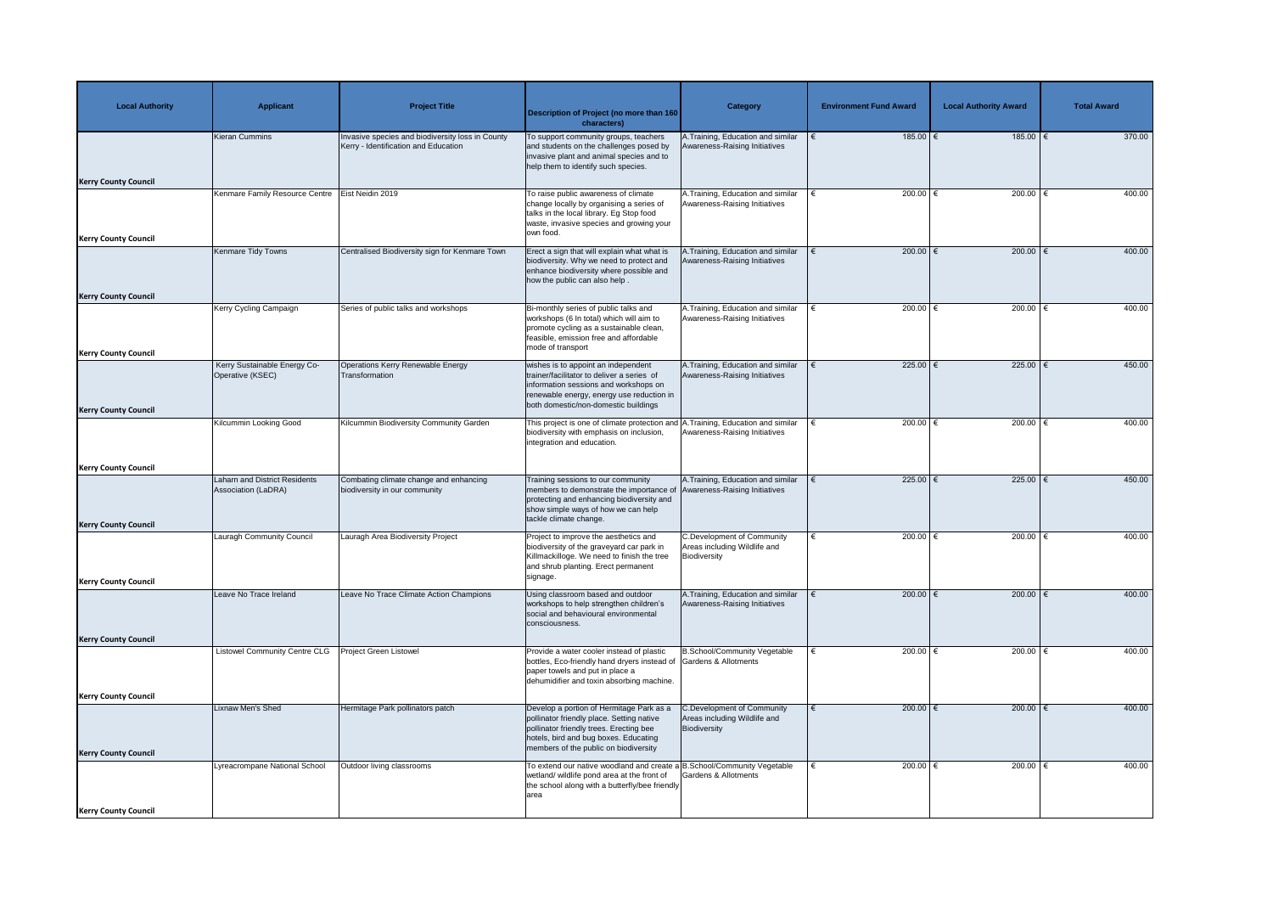| <b>Local Authority</b>      | <b>Applicant</b>                                     | <b>Project Title</b>                                                                     | <b>Description of Project (no more than 160</b><br>characters)                                                                                                                                                             | <b>Category</b>                                                                          | <b>Environment Fund Award</b> | <b>Local Authority Award</b> | <b>Total Award</b> |
|-----------------------------|------------------------------------------------------|------------------------------------------------------------------------------------------|----------------------------------------------------------------------------------------------------------------------------------------------------------------------------------------------------------------------------|------------------------------------------------------------------------------------------|-------------------------------|------------------------------|--------------------|
|                             | Kieran Cummins                                       | Invasive species and biodiversity loss in County<br>Kerry - Identification and Education | To support community groups, teachers<br>and students on the challenges posed by<br>invasive plant and animal species and to<br>help them to identify such species.                                                        | A.Training, Education and similar<br>Awareness-Raising Initiatives                       | 185.00 $\epsilon$             | 185.00   €                   | 370.00             |
| <b>Kerry County Council</b> |                                                      |                                                                                          |                                                                                                                                                                                                                            |                                                                                          |                               |                              |                    |
|                             | Kenmare Family Resource Centre                       | Eist Neidin 2019                                                                         | To raise public awareness of climate<br>change locally by organising a series of<br>talks in the local library. Eg Stop food<br>waste, invasive species and growing your<br>own food.                                      | A.Training, Education and similar<br>Awareness-Raising Initiatives                       | 200.00 $ \epsilon$            | 200.00                       | 400.00             |
| <b>Kerry County Council</b> | Kenmare Tidy Towns                                   | Centralised Biodiversity sign for Kenmare Town                                           | Erect a sign that will explain what what is                                                                                                                                                                                | A.Training, Education and similar                                                        | 200.00 $\epsilon$             | 200.00   €                   | 400.00             |
|                             |                                                      |                                                                                          | biodiversity. Why we need to protect and<br>enhance biodiversity where possible and<br>how the public can also help.                                                                                                       | Awareness-Raising Initiatives                                                            |                               |                              |                    |
| <b>Kerry County Council</b> | Kerry Cycling Campaign                               | Series of public talks and workshops                                                     | Bi-monthly series of public talks and                                                                                                                                                                                      | A. Training, Education and similar                                                       | 200.00 $ \epsilon$            | 200.00                       | 400.00             |
|                             |                                                      |                                                                                          | workshops (6 In total) which will aim to<br>promote cycling as a sustainable clean,<br>feasible, emission free and affordable<br>mode of transport                                                                         | Awareness-Raising Initiatives                                                            |                               |                              |                    |
| <b>Kerry County Council</b> | Kerry Sustainable Energy Co-                         | Operations Kerry Renewable Energy                                                        | wishes is to appoint an independent                                                                                                                                                                                        | A.Training, Education and similar                                                        | 225.00 $\epsilon$             | 225.00   €                   | 450.00             |
|                             | Operative (KSEC)                                     | Transformation                                                                           | trainer/facilitator to deliver a series of<br>information sessions and workshops on<br>renewable energy, energy use reduction in<br>both domestic/non-domestic buildings                                                   | Awareness-Raising Initiatives                                                            |                               |                              |                    |
| <b>Kerry County Council</b> |                                                      |                                                                                          |                                                                                                                                                                                                                            |                                                                                          |                               |                              |                    |
|                             | Kilcummin Looking Good                               | Kilcummin Biodiversity Community Garden                                                  | This project is one of climate protection and A. Training, Education and similar<br>biodiversity with emphasis on inclusion,   Awareness-Raising Initiatives<br>integration and education.                                 |                                                                                          | 200.00 $ \epsilon$            | 200.00                       | 400.00             |
| <b>Kerry County Council</b> |                                                      |                                                                                          |                                                                                                                                                                                                                            |                                                                                          |                               |                              |                    |
| <b>Kerry County Council</b> | Laharn and District Residents<br>Association (LaDRA) | Combating climate change and enhancing<br>biodiversity in our community                  | Training sessions to our community<br>members to demonstrate the importance of Awareness-Raising Initiatives<br>protecting and enhancing biodiversity and<br>show simple ways of how we can help<br>tackle climate change. | A. Training, Education and similar                                                       | 225.00 $\epsilon$             | 225.00 $\epsilon$            | 450.00             |
|                             | <b>Lauragh Community Council</b>                     | Lauragh Area Biodiversity Project                                                        | Project to improve the aesthetics and                                                                                                                                                                                      | <b>C.Development of Community</b>                                                        | 200.00 $\epsilon$             | 200.00                       | 400.00             |
|                             |                                                      |                                                                                          | biodiversity of the graveyard car park in<br>Killmackilloge. We need to finish the tree<br>and shrub planting. Erect permanent<br>signage.                                                                                 | Areas including Wildlife and<br>Biodiversity                                             |                               |                              |                    |
| <b>Kerry County Council</b> |                                                      |                                                                                          |                                                                                                                                                                                                                            |                                                                                          |                               |                              |                    |
|                             | Leave No Trace Ireland                               | Leave No Trace Climate Action Champions                                                  | Using classroom based and outdoor<br>workshops to help strengthen children's<br>social and behavioural environmental<br>consciousness.                                                                                     | A. Training, Education and similar<br>Awareness-Raising Initiatives                      | 200.00 $\epsilon$             | 200.00   €                   | 400.00             |
| <b>Kerry County Council</b> |                                                      |                                                                                          |                                                                                                                                                                                                                            |                                                                                          |                               |                              |                    |
|                             | <b>Listowel Community Centre CLG</b>                 | Project Green Listowel                                                                   | Provide a water cooler instead of plastic<br>bottles, Eco-friendly hand dryers instead of Gardens & Allotments<br>paper towels and put in place a<br>dehumidifier and toxin absorbing machine.                             | <b>B.School/Community Vegetable</b>                                                      | 200.00   €                    | 200.00                       | 400.00             |
| <b>Kerry County Council</b> |                                                      |                                                                                          |                                                                                                                                                                                                                            |                                                                                          |                               |                              |                    |
|                             | Lixnaw Men's Shed                                    | Hermitage Park pollinators patch                                                         | Develop a portion of Hermitage Park as a<br>pollinator friendly place. Setting native<br>pollinator friendly trees. Erecting bee<br>hotels, bird and bug boxes. Educating<br>members of the public on biodiversity         | <b>C.Development of Community</b><br>Areas including Wildlife and<br><b>Biodiversity</b> | 200.00 $\epsilon$             | 200.00   €                   | 400.00             |
| <b>Kerry County Council</b> | Lyreacrompane National School                        | Outdoor living classrooms                                                                | To extend our native woodland and create a B.School/Community Vegetable                                                                                                                                                    |                                                                                          | 200.00 $\in$                  | 200.00                       | 400.00             |
|                             |                                                      |                                                                                          | wetland/ wildlife pond area at the front of<br>the school along with a butterfly/bee friendly<br>area                                                                                                                      | Gardens & Allotments                                                                     |                               |                              |                    |
| <b>Kerry County Council</b> |                                                      |                                                                                          |                                                                                                                                                                                                                            |                                                                                          |                               |                              |                    |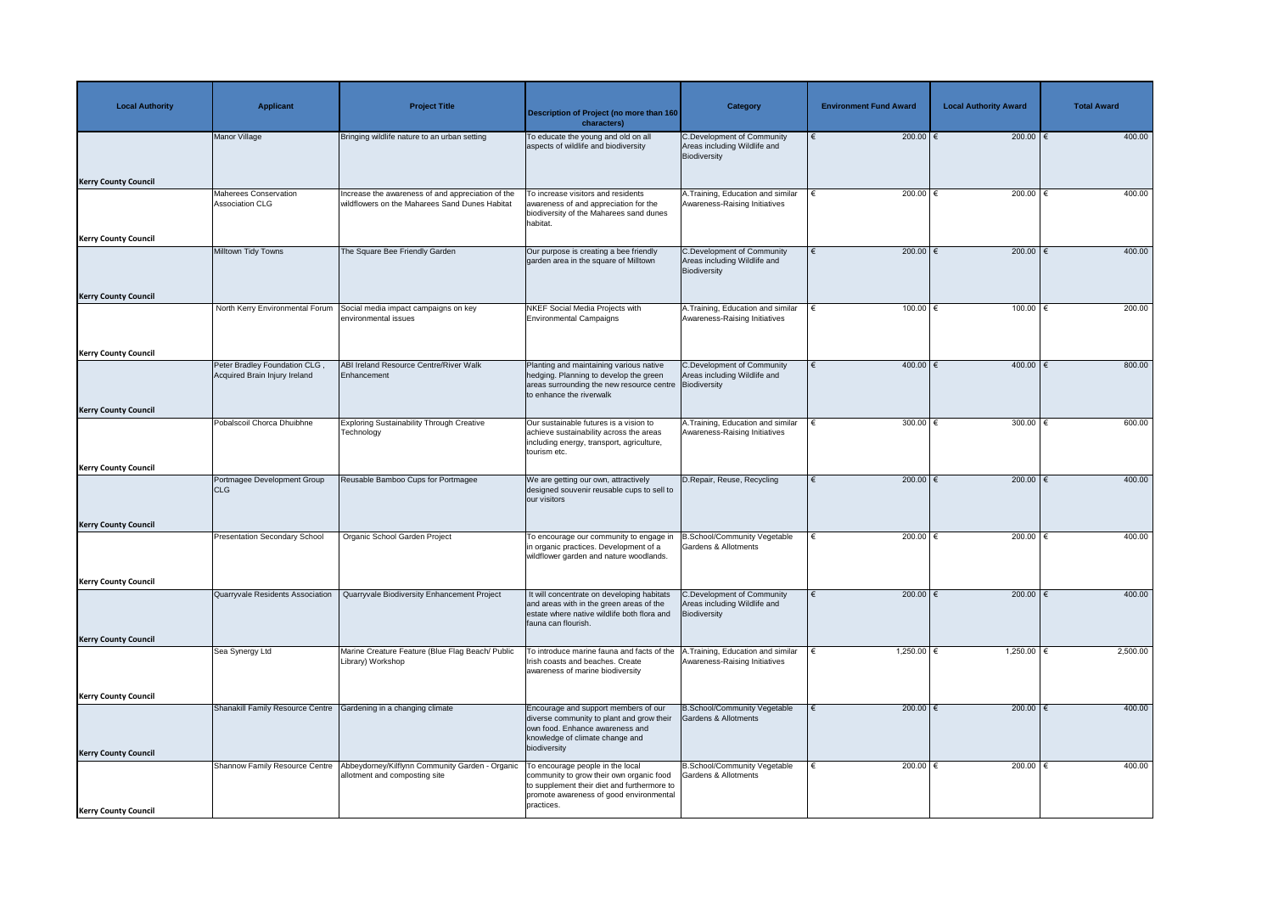| <b>Local Authority</b>      | <b>Applicant</b>                                              | <b>Project Title</b>                                                                               | <b>Description of Project (no more than 160</b><br>characters)                                                                                                          | <b>Category</b>                                                                   | <b>Environment Fund Award</b> | <b>Local Authority Award</b> | <b>Total Award</b> |
|-----------------------------|---------------------------------------------------------------|----------------------------------------------------------------------------------------------------|-------------------------------------------------------------------------------------------------------------------------------------------------------------------------|-----------------------------------------------------------------------------------|-------------------------------|------------------------------|--------------------|
|                             | Manor Village                                                 | Bringing wildlife nature to an urban setting                                                       | To educate the young and old on all<br>aspects of wildlife and biodiversity                                                                                             | <b>C.Development of Community</b><br>Areas including Wildlife and<br>Biodiversity | 200.00 $\epsilon$             | 200.00   €                   | 400.00             |
| <b>Kerry County Council</b> |                                                               |                                                                                                    |                                                                                                                                                                         |                                                                                   |                               |                              |                    |
|                             | <b>Maherees Conservation</b><br><b>Association CLG</b>        | ncrease the awareness of and appreciation of the<br>wildflowers on the Maharees Sand Dunes Habitat | To increase visitors and residents<br>awareness of and appreciation for the<br>biodiversity of the Maharees sand dunes<br>habitat.                                      | A.Training, Education and similar<br>Awareness-Raising Initiatives                | 200.00 $ \epsilon$            | 200.00                       | 400.00             |
| <b>Kerry County Council</b> | Milltown Tidy Towns                                           | The Square Bee Friendly Garden                                                                     |                                                                                                                                                                         | <b>C.Development of Community</b>                                                 | 200.00 $\epsilon$             | 200.00   €                   | 400.00             |
|                             |                                                               |                                                                                                    | Our purpose is creating a bee friendly<br>garden area in the square of Milltown                                                                                         | Areas including Wildlife and<br>Biodiversity                                      |                               |                              |                    |
| <b>Kerry County Council</b> |                                                               |                                                                                                    |                                                                                                                                                                         |                                                                                   |                               |                              |                    |
|                             | North Kerry Environmental Forum                               | Social media impact campaigns on key<br>environmental issues                                       | <b>NKEF Social Media Projects with</b><br><b>Environmental Campaigns</b>                                                                                                | A.Training, Education and similar<br>Awareness-Raising Initiatives                | 100.00 $ \epsilon$            | 100.00                       | 200.00             |
| <b>Kerry County Council</b> |                                                               |                                                                                                    |                                                                                                                                                                         |                                                                                   |                               |                              |                    |
|                             | Peter Bradley Foundation CLG<br>Acquired Brain Injury Ireland | ABI Ireland Resource Centre/River Walk<br>Enhancement                                              | Planting and maintaining various native<br>hedging. Planning to develop the green<br>areas surrounding the new resource centre Biodiversity<br>to enhance the riverwalk | <b>C.Development of Community</b><br>Areas including Wildlife and                 | 400.00 €                      | 400.00   €                   | 800.00             |
| <b>Kerry County Council</b> |                                                               |                                                                                                    |                                                                                                                                                                         |                                                                                   |                               |                              |                    |
|                             | Pobalscoil Chorca Dhuibhne                                    | <b>Exploring Sustainability Through Creative</b><br>Technology                                     | Our sustainable futures is a vision to<br>achieve sustainability across the areas<br>including energy, transport, agriculture,<br>tourism etc.                          | A. Training, Education and similar<br>Awareness-Raising Initiatives               | 300.00 $\in$                  | 300.00                       | 600.00             |
| <b>Kerry County Council</b> |                                                               |                                                                                                    |                                                                                                                                                                         |                                                                                   | 200.00 $\epsilon$             | $200.00$ $∈$                 |                    |
|                             | Portmagee Development Group<br><b>CLG</b>                     | Reusable Bamboo Cups for Portmagee                                                                 | We are getting our own, attractively<br>designed souvenir reusable cups to sell to<br>our visitors                                                                      | D.Repair, Reuse, Recycling                                                        |                               |                              | 400.00             |
| <b>Kerry County Council</b> |                                                               |                                                                                                    |                                                                                                                                                                         |                                                                                   |                               |                              |                    |
|                             | <b>Presentation Secondary School</b>                          | Organic School Garden Project                                                                      | To encourage our community to engage in<br>in organic practices. Development of a<br>wildflower garden and nature woodlands.                                            | B.School/Community Vegetable<br><b>Gardens &amp; Allotments</b>                   | 200.00 $\epsilon$             | 200.00                       | 400.00             |
| <b>Kerry County Council</b> |                                                               |                                                                                                    |                                                                                                                                                                         |                                                                                   |                               |                              |                    |
|                             | Quarryvale Residents Association                              | Quarryvale Biodiversity Enhancement Project                                                        | It will concentrate on developing habitats<br>and areas with in the green areas of the<br>estate where native wildlife both flora and<br>fauna can flourish.            | <b>C.Development of Community</b><br>Areas including Wildlife and<br>Biodiversity | 200.00 $\epsilon$             | 200.00 $\epsilon$            | 400.00             |
| <b>Kerry County Council</b> |                                                               |                                                                                                    |                                                                                                                                                                         |                                                                                   |                               |                              |                    |
|                             | Sea Synergy Ltd                                               | Marine Creature Feature (Blue Flag Beach/ Public<br>Library) Workshop                              | To introduce marine fauna and facts of the<br>Irish coasts and beaches. Create<br>awareness of marine biodiversity                                                      | .Training, Education and similar<br>Awareness-Raising Initiatives                 | 1,250.00 €                    | 1,250.00                     | 2,500.00           |
| <b>Kerry County Council</b> |                                                               |                                                                                                    |                                                                                                                                                                         |                                                                                   |                               |                              |                    |
| <b>Kerry County Council</b> | Shanakill Family Resource Centre                              | Gardening in a changing climate                                                                    | Encourage and support members of our<br>diverse community to plant and grow their<br>own food. Enhance awareness and<br>knowledge of climate change and<br>biodiversity | B.School/Community Vegetable<br>Gardens & Allotments                              | 200.00 $\epsilon$             | 200.00 $\epsilon$            | 400.00             |
|                             | Shannow Family Resource Centre                                | Abbeydorney/Kilflynn Community Garden - Organic                                                    | To encourage people in the local                                                                                                                                        | <b>B.School/Community Vegetable</b>                                               | 200.00 $\in$                  | 200.00                       | 400.00             |
|                             |                                                               | allotment and composting site                                                                      | community to grow their own organic food<br>to supplement their diet and furthermore to<br>promote awareness of good environmental<br>practices.                        | Gardens & Allotments                                                              |                               |                              |                    |
| <b>Kerry County Council</b> |                                                               |                                                                                                    |                                                                                                                                                                         |                                                                                   |                               |                              |                    |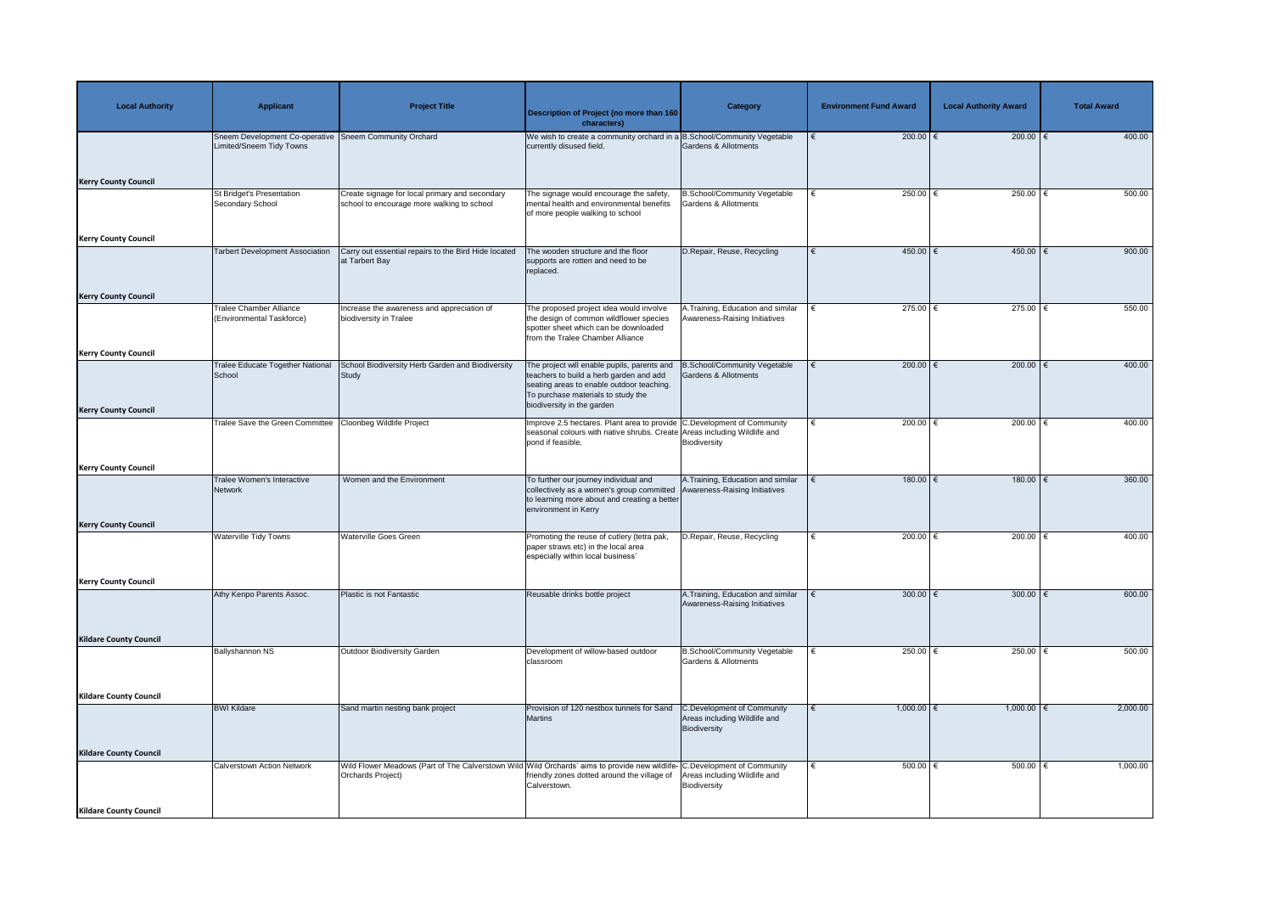| <b>Local Authority</b>        | <b>Applicant</b>                                            | <b>Project Title</b>                                                                                                                           | <b>Description of Project (no more than 160</b><br>characters)                                                                                                                                          | Category                                                                          | <b>Environment Fund Award</b> | <b>Local Authority Award</b> | <b>Total Award</b> |
|-------------------------------|-------------------------------------------------------------|------------------------------------------------------------------------------------------------------------------------------------------------|---------------------------------------------------------------------------------------------------------------------------------------------------------------------------------------------------------|-----------------------------------------------------------------------------------|-------------------------------|------------------------------|--------------------|
|                               | Sneem Development Co-operative<br>Limited/Sneem Tidy Towns  | <b>Sneem Community Orchard</b>                                                                                                                 | We wish to create a community orchard in a B.School/Community Vegetable<br>currently disused field.                                                                                                     | <b>Gardens &amp; Allotments</b>                                                   | 200.00 $\epsilon$             | $200.00$ €                   | 400.00             |
| <b>Kerry County Council</b>   |                                                             |                                                                                                                                                |                                                                                                                                                                                                         |                                                                                   |                               |                              |                    |
|                               | <b>St Bridget's Presentation</b><br><b>Secondary School</b> | Create signage for local primary and secondary<br>school to encourage more walking to school                                                   | The signage would encourage the safety,<br>mental health and environmental benefits<br>of more people walking to school                                                                                 | <b>B.School/Community Vegetable</b><br>Gardens & Allotments                       | 250.00 $\epsilon$             | $250.00$ (                   | 500.00             |
| <b>Kerry County Council</b>   |                                                             |                                                                                                                                                |                                                                                                                                                                                                         |                                                                                   |                               |                              |                    |
|                               | <b>Tarbert Development Association</b>                      | Carry out essential repairs to the Bird Hide located<br>at Tarbert Bay                                                                         | The wooden structure and the floor<br>supports are rotten and need to be<br>replaced.                                                                                                                   | D.Repair, Reuse, Recycling                                                        | $450.00$ €                    | $450.00$ €                   | 900.00             |
| <b>Kerry County Council</b>   |                                                             |                                                                                                                                                |                                                                                                                                                                                                         |                                                                                   |                               |                              |                    |
|                               | <b>Tralee Chamber Alliance</b><br>(Environmental Taskforce) | Increase the awareness and appreciation of<br>biodiversity in Tralee                                                                           | The proposed project idea would involve<br>the design of common wildflower species<br>spotter sheet which can be downloaded<br>from the Tralee Chamber Alliance                                         | A.Training, Education and similar<br>Awareness-Raising Initiatives                | 275.00 $\epsilon$             | 275.00   €                   | 550.00             |
| <b>Kerry County Council</b>   |                                                             |                                                                                                                                                |                                                                                                                                                                                                         |                                                                                   |                               |                              |                    |
|                               | <b>Tralee Educate Together National</b><br>School           | School Biodiversity Herb Garden and Biodiversity<br>Study                                                                                      | The project will enable pupils, parents and<br>teachers to build a herb garden and add<br>seating areas to enable outdoor teaching.<br>To purchase materials to study the<br>biodiversity in the garden | <b>B.School/Community Vegetable</b><br>Gardens & Allotments                       | 200.00 $\epsilon$             | $200.00$ €                   | 400.00             |
| <b>Kerry County Council</b>   |                                                             |                                                                                                                                                |                                                                                                                                                                                                         |                                                                                   |                               |                              |                    |
|                               | Tralee Save the Green Committee                             | Cloonbeg Wildlife Project                                                                                                                      | Improve 2.5 hectares. Plant area to provide C.Development of Community<br>seasonal colours with native shrubs. Create Areas including Wildlife and<br>pond if feasible.                                 | Biodiversity                                                                      | 200.00 $\in$                  | 200.00                       | 400.00             |
| <b>Kerry County Council</b>   |                                                             |                                                                                                                                                |                                                                                                                                                                                                         |                                                                                   |                               |                              |                    |
|                               | Tralee Women's Interactive<br>Network                       | Women and the Environment                                                                                                                      | To further our journey individual and<br>collectively as a women's group committed   Awareness-Raising Initiatives<br>to learning more about and creating a better<br>environment in Kerry              | A.Training, Education and similar                                                 | $180.00$ €                    | $180.00$ $∈$                 | 360.00             |
| <b>Kerry County Council</b>   | <b>Waterville Tidy Towns</b>                                | <b>Waterville Goes Green</b>                                                                                                                   | Promoting the reuse of cutlery (tetra pak,                                                                                                                                                              | D.Repair, Reuse, Recycling                                                        | 200.00 $\epsilon$             | 200.00 $\epsilon$            | 400.00             |
|                               |                                                             |                                                                                                                                                | paper straws etc) in the local area<br>especially within local business'                                                                                                                                |                                                                                   |                               |                              |                    |
| <b>Kerry County Council</b>   |                                                             |                                                                                                                                                |                                                                                                                                                                                                         |                                                                                   |                               |                              |                    |
|                               | Athy Kenpo Parents Assoc.                                   | Plastic is not Fantastic                                                                                                                       | Reusable drinks bottle project                                                                                                                                                                          | A. Training, Education and similar<br>Awareness-Raising Initiatives               | 300.00 $\epsilon$             | 300.00   €                   | 600.00             |
| <b>Kildare County Council</b> |                                                             |                                                                                                                                                |                                                                                                                                                                                                         |                                                                                   |                               |                              |                    |
|                               | <b>Ballyshannon NS</b>                                      | Outdoor Biodiversity Garden                                                                                                                    | Development of willow-based outdoor<br>classroom                                                                                                                                                        | <b>B.School/Community Vegetable</b><br>Gardens & Allotments                       | 250.00 $\in$                  | 250.00   €                   | 500.00             |
| <b>Kildare County Council</b> |                                                             |                                                                                                                                                |                                                                                                                                                                                                         |                                                                                   |                               |                              |                    |
|                               | <b>BWI Kildare</b>                                          | Sand martin nesting bank project                                                                                                               | Provision of 120 nestbox tunnels for Sand<br>Martins                                                                                                                                                    | <b>C.Development of Community</b><br>Areas including Wildlife and<br>Biodiversity | $1,000.00$ €                  | $1,000.00$ $\in$             | 2,000.00           |
| <b>Kildare County Council</b> |                                                             |                                                                                                                                                |                                                                                                                                                                                                         |                                                                                   |                               |                              |                    |
|                               | <b>Calverstown Action Network</b>                           | Wild Flower Meadows (Part of The Calverstown Wild Wild Orchards' aims to provide new wildlife- C.Development of Community<br>Orchards Project) | friendly zones dotted around the village of<br>Calverstown.                                                                                                                                             | Areas including Wildlife and<br>Biodiversity                                      | 500.00 $\epsilon$             | 500.00   €                   | 1,000.00           |
| <b>Kildare County Council</b> |                                                             |                                                                                                                                                |                                                                                                                                                                                                         |                                                                                   |                               |                              |                    |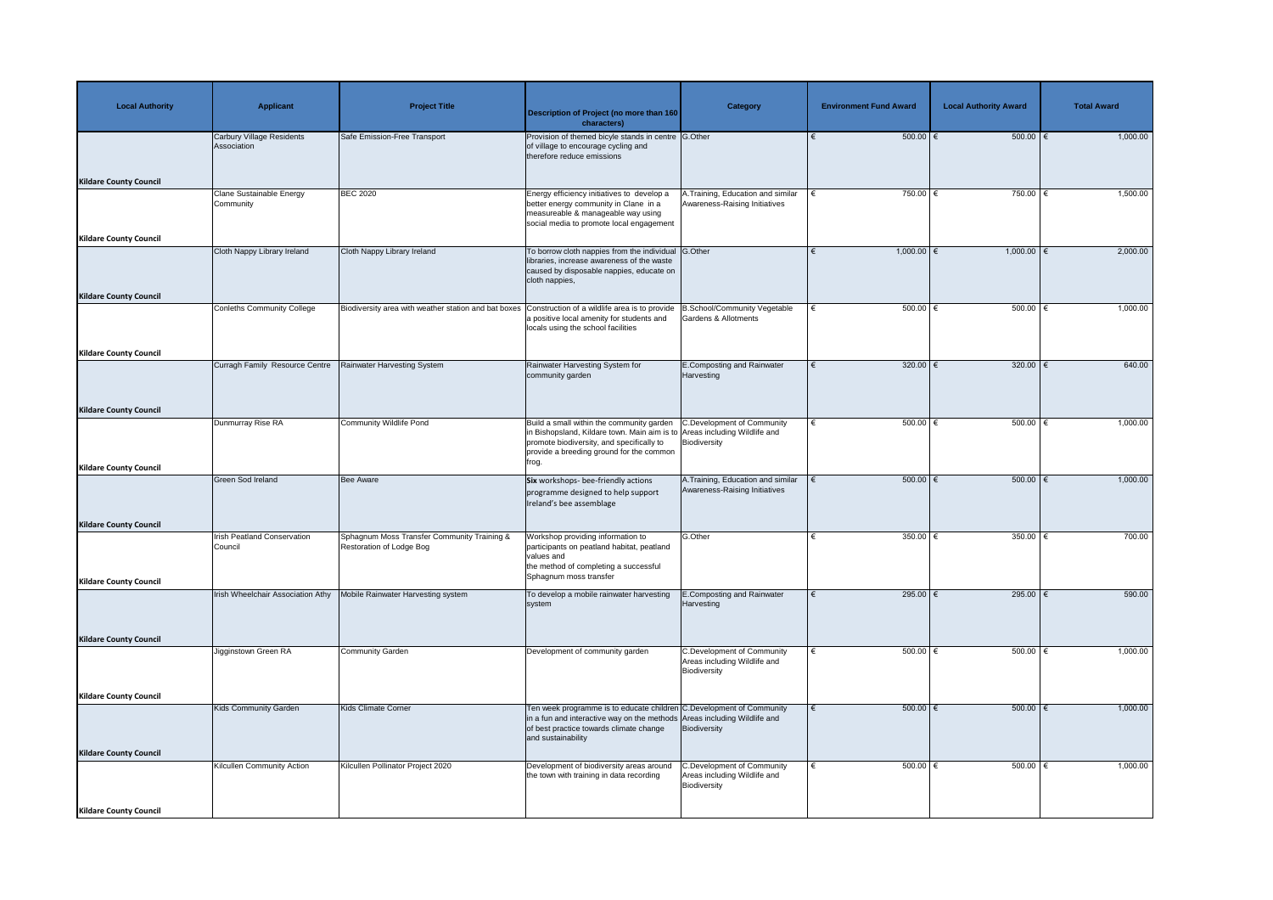| <b>Local Authority</b>                                         | <b>Applicant</b>                                | <b>Project Title</b>                                                    | <b>Description of Project (no more than 160</b><br>characters)                                                                                                                                                           | <b>Category</b>                                                                   | <b>Environment Fund Award</b> | <b>Local Authority Award</b> | <b>Total Award</b> |
|----------------------------------------------------------------|-------------------------------------------------|-------------------------------------------------------------------------|--------------------------------------------------------------------------------------------------------------------------------------------------------------------------------------------------------------------------|-----------------------------------------------------------------------------------|-------------------------------|------------------------------|--------------------|
| <b>Kildare County Council</b>                                  | <b>Carbury Village Residents</b><br>Association | Safe Emission-Free Transport                                            | Provision of themed bicyle stands in centre G.Other<br>of village to encourage cycling and<br>therefore reduce emissions                                                                                                 |                                                                                   | $500.00$ $\in$                | 500.00                       | 1,000.00           |
| <b>Kildare County Council</b>                                  | <b>Clane Sustainable Energy</b><br>Community    | <b>BEC 2020</b>                                                         | Energy efficiency initiatives to develop a<br>better energy community in Clane in a<br>measureable & manageable way using<br>social media to promote local engagement                                                    | A.Training, Education and similar<br>Awareness-Raising Initiatives                | 750.00 $\epsilon$             | 750.00   €                   | 1,500.00           |
| <b>Kildare County Council</b>                                  | Cloth Nappy Library Ireland                     | Cloth Nappy Library Ireland                                             | To borrow cloth nappies from the individual G.Other<br>libraries, increase awareness of the waste<br>caused by disposable nappies, educate on<br>cloth nappies,                                                          |                                                                                   | $1,000.00$ €                  | $1,000.00$ €                 | 2,000.00           |
|                                                                | <b>Conleths Community College</b>               | Biodiversity area with weather station and bat boxes                    | Construction of a wildlife area is to provide<br>a positive local amenity for students and<br>locals using the school facilities                                                                                         | B.School/Community Vegetable<br><b>Gardens &amp; Allotments</b>                   | $500.00$ $\in$                | 500.00 $ \epsilon$           | 1,000.00           |
| <b>Kildare County Council</b><br><b>Kildare County Council</b> | Curragh Family Resource Centre                  | Rainwater Harvesting System                                             | Rainwater Harvesting System for<br>community garden                                                                                                                                                                      | E.Composting and Rainwater<br>Harvesting                                          | 320.00 $\epsilon$             | 320.00 $\xi$                 | 640.00             |
| <b>Kildare County Council</b>                                  | Dunmurray Rise RA                               | <b>Community Wildlife Pond</b>                                          | Build a small within the community garden<br>in Bishopsland, Kildare town. Main aim is to Areas including Wildlife and<br>promote biodiversity, and specifically to<br>provide a breeding ground for the common<br>frog. | C.Development of Community<br>Biodiversity                                        | 500.00 $ \epsilon$            | 500.00   €                   | 1,000.00           |
| <b>Kildare County Council</b>                                  | <b>Green Sod Ireland</b>                        | <b>Bee Aware</b>                                                        | <b>Six</b> workshops- bee-friendly actions<br>programme designed to help support<br>Ireland's bee assemblage                                                                                                             | A. Training, Education and similar<br>Awareness-Raising Initiatives               | $500.00$ $\in$                | $500.00$ $\epsilon$          | 1,000.00           |
| <b>Kildare County Council</b>                                  | <b>Irish Peatland Conservation</b><br>Council   | Sphagnum Moss Transfer Community Training &<br>Restoration of Lodge Bog | Workshop providing information to<br>participants on peatland habitat, peatland<br>values and<br>the method of completing a successful<br>Sphagnum moss transfer                                                         | G.Other                                                                           | 350.00 $\xi$                  | 350.00                       | 700.00             |
|                                                                | Irish Wheelchair Association Athy               | Mobile Rainwater Harvesting system                                      | To develop a mobile rainwater harvesting<br>system                                                                                                                                                                       | E.Composting and Rainwater<br>Harvesting                                          | 295.00 $\epsilon$             | 295.00 $\xi$                 | 590.00             |
| <b>Kildare County Council</b>                                  | Jigginstown Green RA                            | <b>Community Garden</b>                                                 | Development of community garden                                                                                                                                                                                          | <b>C.Development of Community</b><br>Areas including Wildlife and<br>Biodiversity | 500.00 $ \epsilon$            | 500.00 $ \epsilon$           | 1,000.00           |
| <b>Kildare County Council</b>                                  | <b>Kids Community Garden</b>                    | <b>Kids Climate Corner</b>                                              | Ten week programme is to educate children C. Development of Community<br>in a fun and interactive way on the methods Areas including Wildlife and<br>of best practice towards climate change<br>and sustainability       | Biodiversity                                                                      | $500.00$ $\in$                | 500.00   €                   | 1,000.00           |
| <b>Kildare County Council</b>                                  | Kilcullen Community Action                      | Kilcullen Pollinator Project 2020                                       | Development of biodiversity areas around<br>the town with training in data recording                                                                                                                                     | C.Development of Community<br>Areas including Wildlife and<br>Biodiversity        | 500.00 $ \epsilon$            | $500.00$   €                 | 1,000.00           |
| <b>Kildare County Council</b>                                  |                                                 |                                                                         |                                                                                                                                                                                                                          |                                                                                   |                               |                              |                    |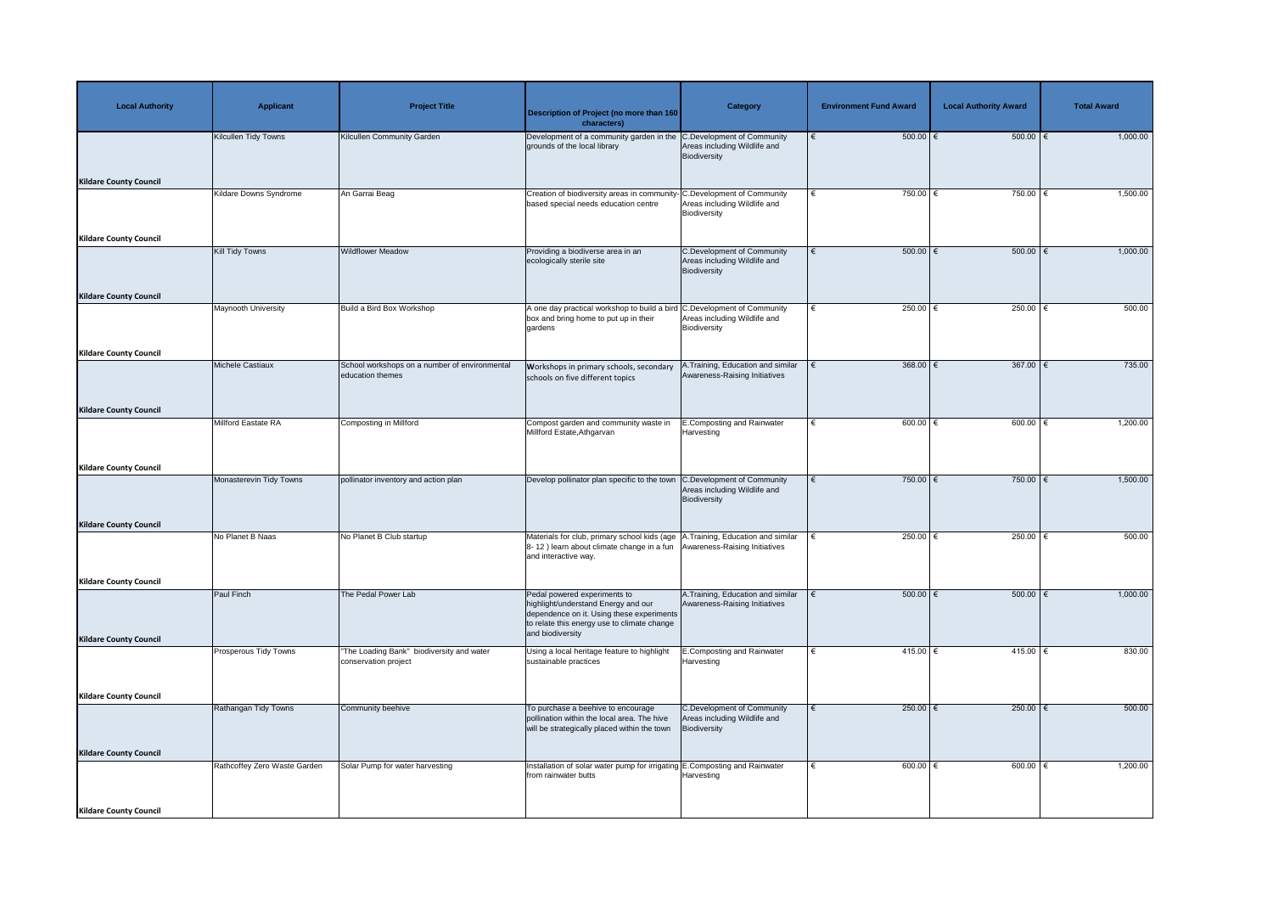| <b>Local Authority</b>        | <b>Applicant</b>              | <b>Project Title</b>                                              | <b>Description of Project (no more than 160</b><br>characters)                                                                                                                       | <b>Category</b>                                                                   | <b>Environment Fund Award</b> | <b>Local Authority Award</b> | <b>Total Award</b> |
|-------------------------------|-------------------------------|-------------------------------------------------------------------|--------------------------------------------------------------------------------------------------------------------------------------------------------------------------------------|-----------------------------------------------------------------------------------|-------------------------------|------------------------------|--------------------|
|                               | Kilcullen Tidy Towns          | <b>Kilcullen Community Garden</b>                                 | Development of a community garden in the C.Development of Community<br>grounds of the local library                                                                                  | Areas including Wildlife and<br>Biodiversity                                      | $500.00$ $\in$                | $500.00$ $\epsilon$          | 1,000.00           |
| <b>Kildare County Council</b> |                               |                                                                   |                                                                                                                                                                                      |                                                                                   |                               |                              |                    |
|                               | <b>Kildare Downs Syndrome</b> | An Garrai Beag                                                    | Creation of biodiversity areas in community- C.Development of Community<br>based special needs education centre                                                                      | Areas including Wildlife and<br>Biodiversity                                      | 750.00 $\epsilon$             | 750.00                       | 1,500.00           |
| <b>Kildare County Council</b> |                               |                                                                   |                                                                                                                                                                                      |                                                                                   |                               |                              |                    |
|                               | Kill Tidy Towns               | <b>Wildflower Meadow</b>                                          | Providing a biodiverse area in an<br>ecologically sterile site                                                                                                                       | <b>C.Development of Community</b><br>Areas including Wildlife and<br>Biodiversity | $500.00$ $\in$<br>$\epsilon$  | $500.00$ $\epsilon$          | 1,000.00           |
| <b>Kildare County Council</b> |                               |                                                                   |                                                                                                                                                                                      |                                                                                   |                               |                              |                    |
|                               | <b>Maynooth University</b>    | Build a Bird Box Workshop                                         | A one day practical workshop to build a bird C.Development of Community<br>box and bring home to put up in their<br>gardens                                                          | Areas including Wildlife and<br>Biodiversity                                      | 250.00 $\epsilon$             | 250.00 $\epsilon$            | 500.00             |
| <b>Kildare County Council</b> |                               |                                                                   |                                                                                                                                                                                      |                                                                                   |                               |                              |                    |
|                               | Michele Castiaux              | School workshops on a number of environmental<br>education themes | <b>Workshops in primary schools, secondary</b><br>schools on five different topics                                                                                                   | .Training, Education and similar<br>Awareness-Raising Initiatives                 | 368.00 $\epsilon$             | $367.00$ $\epsilon$          | 735.00             |
| <b>Kildare County Council</b> |                               |                                                                   |                                                                                                                                                                                      |                                                                                   |                               |                              |                    |
|                               | Millford Eastate RA           | Composting in Millford                                            | Compost garden and community waste in<br>Millford Estate, Athgarvan                                                                                                                  | <b>E.Composting and Rainwater</b><br>Harvesting                                   | 600.00 $\epsilon$             | 600.00                       | 1,200.00           |
| <b>Kildare County Council</b> |                               |                                                                   |                                                                                                                                                                                      |                                                                                   |                               |                              |                    |
|                               | Monasterevin Tidy Towns       | pollinator inventory and action plan                              | Develop pollinator plan specific to the town C.Development of Community                                                                                                              | Areas including Wildlife and<br>Biodiversity                                      | 750.00 $\epsilon$             | 750.00 $\epsilon$            | 1,500.00           |
| <b>Kildare County Council</b> |                               |                                                                   |                                                                                                                                                                                      |                                                                                   |                               |                              |                    |
|                               | No Planet B Naas              | No Planet B Club startup                                          | Materials for club, primary school kids (age   A. Training, Education and similar<br>8-12) learn about climate change in a fun Awareness-Raising Initiatives<br>and interactive way. |                                                                                   | 250.00 $\epsilon$             | 250.00 $\epsilon$            | 500.00             |
| <b>Kildare County Council</b> |                               |                                                                   |                                                                                                                                                                                      |                                                                                   |                               |                              |                    |
|                               | <b>Paul Finch</b>             | The Pedal Power Lab                                               | Pedal powered experiments to<br>highlight/understand Energy and our<br>dependence on it. Using these experiments<br>to relate this energy use to climate change<br>and biodiversity  | A. Training, Education and similar<br>Awareness-Raising Initiatives               | $500.00$ $\in$                | $500.00$   €                 | 1,000.00           |
| <b>Kildare County Council</b> |                               | "The Loading Bank" biodiversity and water                         |                                                                                                                                                                                      |                                                                                   | 415.00 $ \epsilon$            | 415.00 €                     | 830.00             |
|                               | Prosperous Tidy Towns         | conservation project                                              | Using a local heritage feature to highlight<br>sustainable practices                                                                                                                 | <b>E.Composting and Rainwater</b><br>Harvesting                                   |                               |                              |                    |
| <b>Kildare County Council</b> |                               |                                                                   |                                                                                                                                                                                      |                                                                                   |                               |                              |                    |
|                               | Rathangan Tidy Towns          | Community beehive                                                 | To purchase a beehive to encourage<br>pollination within the local area. The hive<br>will be strategically placed within the town                                                    | <b>C.Development of Community</b><br>Areas including Wildlife and<br>Biodiversity | 250.00 $\epsilon$             | 250.00 $\epsilon$            | 500.00             |
| <b>Kildare County Council</b> |                               |                                                                   |                                                                                                                                                                                      |                                                                                   |                               |                              |                    |
|                               | Rathcoffey Zero Waste Garden  | Solar Pump for water harvesting                                   | Installation of solar water pump for irrigating E.Composting and Rainwater<br>from rainwater butts                                                                                   | Harvesting                                                                        | 600.00                        | 600.00 $\in$                 | 1,200.00           |
| <b>Kildare County Council</b> |                               |                                                                   |                                                                                                                                                                                      |                                                                                   |                               |                              |                    |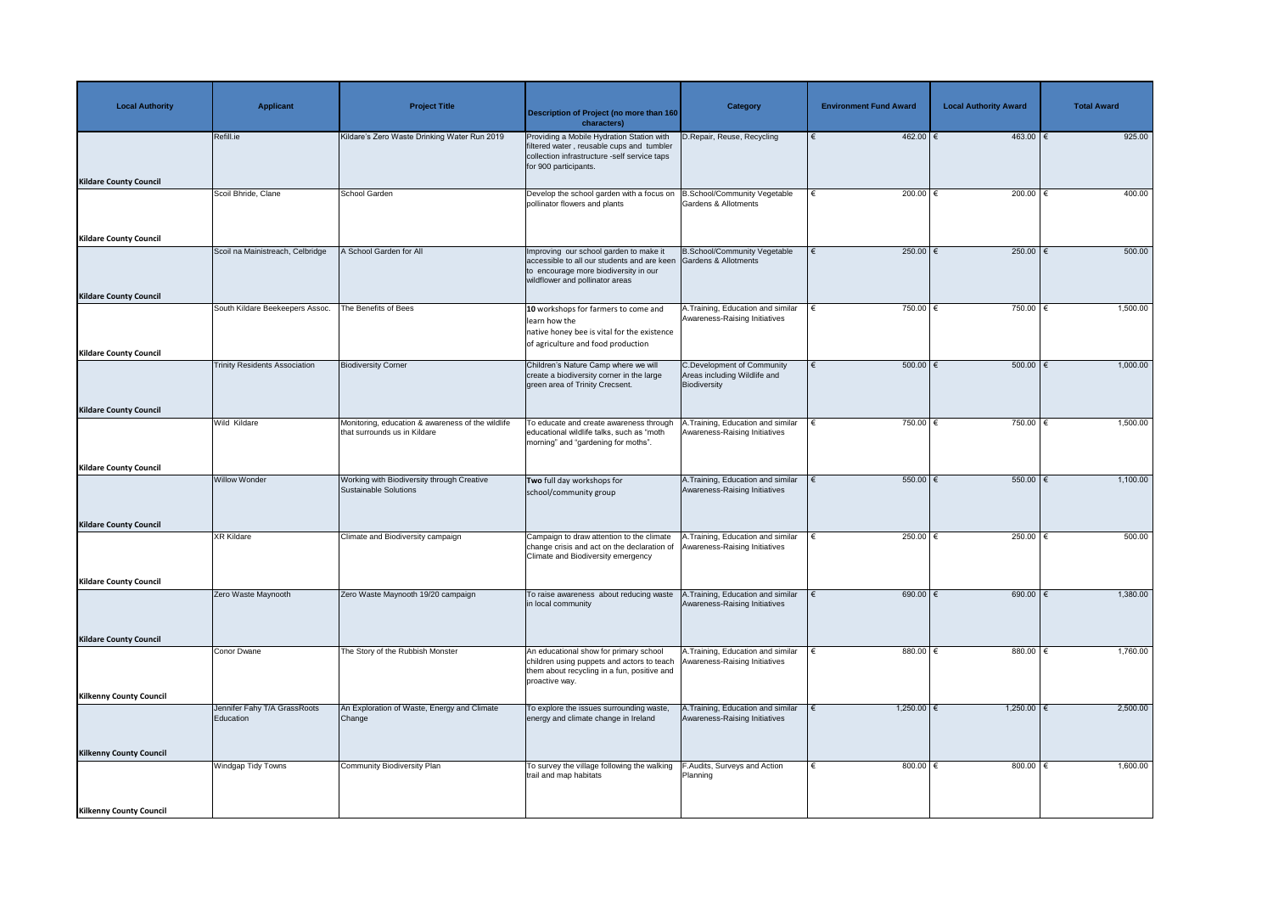| <b>Local Authority</b>                                         | <b>Applicant</b>                          | <b>Project Title</b>                                                              | <b>Description of Project (no more than 160</b><br>characters)                                                                                                                         | <b>Category</b>                                                            | <b>Environment Fund Award</b> | <b>Local Authority Award</b> | <b>Total Award</b> |
|----------------------------------------------------------------|-------------------------------------------|-----------------------------------------------------------------------------------|----------------------------------------------------------------------------------------------------------------------------------------------------------------------------------------|----------------------------------------------------------------------------|-------------------------------|------------------------------|--------------------|
| <b>Kildare County Council</b>                                  | Refill.ie                                 | Kildare's Zero Waste Drinking Water Run 2019                                      | Providing a Mobile Hydration Station with<br>filtered water, reusable cups and tumbler<br>collection infrastructure -self service taps<br>for 900 participants.                        | D.Repair, Reuse, Recycling                                                 | $462.00$ €                    | $463.00$ $∈$                 | 925.00             |
|                                                                | Scoil Bhride, Clane                       | <b>School Garden</b>                                                              | Develop the school garden with a focus on<br>pollinator flowers and plants                                                                                                             | B.School/Community Vegetable<br>Gardens & Allotments                       | $200.00$ €                    | $200.00$ €                   | 400.00             |
| <b>Kildare County Council</b><br><b>Kildare County Council</b> | Scoil na Mainistreach, Celbridge          | A School Garden for All                                                           | Improving our school garden to make it<br>accessible to all our students and are keen Gardens & Allotments<br>to encourage more biodiversity in our<br>wildflower and pollinator areas | <b>B.School/Community Vegetable</b>                                        | 250.00 $\epsilon$             | 250.00   €                   | 500.00             |
| <b>Kildare County Council</b>                                  | South Kildare Beekeepers Assoc.           | The Benefits of Bees                                                              | 10 workshops for farmers to come and<br>learn how the<br>native honey bee is vital for the existence<br>of agriculture and food production                                             | A. Training, Education and similar<br>Awareness-Raising Initiatives        | 750.00 $\epsilon$             | 750.00 $\epsilon$            | 1,500.00           |
| <b>Kildare County Council</b>                                  | <b>Trinity Residents Association</b>      | <b>Biodiversity Corner</b>                                                        | Children's Nature Camp where we will<br>create a biodiversity corner in the large<br>green area of Trinity Crecsent.                                                                   | C.Development of Community<br>Areas including Wildlife and<br>Biodiversity | 500.00   €                    | 500.00   €                   | 1,000.00           |
|                                                                | Wild Kildare                              | Monitoring, education & awareness of the wildlife<br>that surrounds us in Kildare | To educate and create awareness through<br>educational wildlife talks, such as "moth<br>morning" and "gardening for moths".                                                            | A. Training, Education and similar<br>Awareness-Raising Initiatives        | 750.00 $\epsilon$             | 750.00 $\epsilon$            | 1,500.00           |
| <b>Kildare County Council</b>                                  | <b>Willow Wonder</b>                      | Working with Biodiversity through Creative<br><b>Sustainable Solutions</b>        | Two full day workshops for<br>school/community group                                                                                                                                   | A.Training, Education and similar<br>Awareness-Raising Initiatives         | $550.00$ $\in$                | 550.00                       | 1,100.00           |
| <b>Kildare County Council</b>                                  | <b>XR Kildare</b>                         | Climate and Biodiversity campaign                                                 | Campaign to draw attention to the climate<br>change crisis and act on the declaration of<br>Climate and Biodiversity emergency                                                         | A.Training, Education and similar<br>Awareness-Raising Initiatives         | 250.00 $\epsilon$             | 250.00 $\epsilon$            | 500.00             |
| <b>Kildare County Council</b>                                  | Zero Waste Maynooth                       | Zero Waste Maynooth 19/20 campaign                                                | To raise awareness about reducing waste<br>in local community                                                                                                                          | A.Training, Education and similar<br>Awareness-Raising Initiatives         | 690.00 $ \epsilon$            | 690.00   €                   | 1,380.00           |
| <b>Kildare County Council</b>                                  | Conor Dwane                               | The Story of the Rubbish Monster                                                  | An educational show for primary school<br>children using puppets and actors to teach<br>them about recycling in a fun, positive and<br>proactive way.                                  | A. Training, Education and similar<br>Awareness-Raising Initiatives        | 880.00 $\xi$                  | $880.00$   €                 | 1,760.00           |
| <b>Kilkenny County Council</b>                                 | Jennifer Fahy T/A GrassRoots<br>Education | An Exploration of Waste, Energy and Climate<br>Change                             | To explore the issues surrounding waste,<br>energy and climate change in Ireland                                                                                                       | A. Training, Education and similar<br>Awareness-Raising Initiatives        | $1,250.00$ €                  | $1,250.00$ €                 | 2,500.00           |
| <b>Kilkenny County Council</b>                                 | <b>Windgap Tidy Towns</b>                 | <b>Community Biodiversity Plan</b>                                                | To survey the village following the walking<br>trail and map habitats                                                                                                                  | F.Audits, Surveys and Action<br>Planning                                   | 800.00 $\in$                  | 800.00 $\in$                 | 1,600.00           |
| <b>Kilkenny County Council</b>                                 |                                           |                                                                                   |                                                                                                                                                                                        |                                                                            |                               |                              |                    |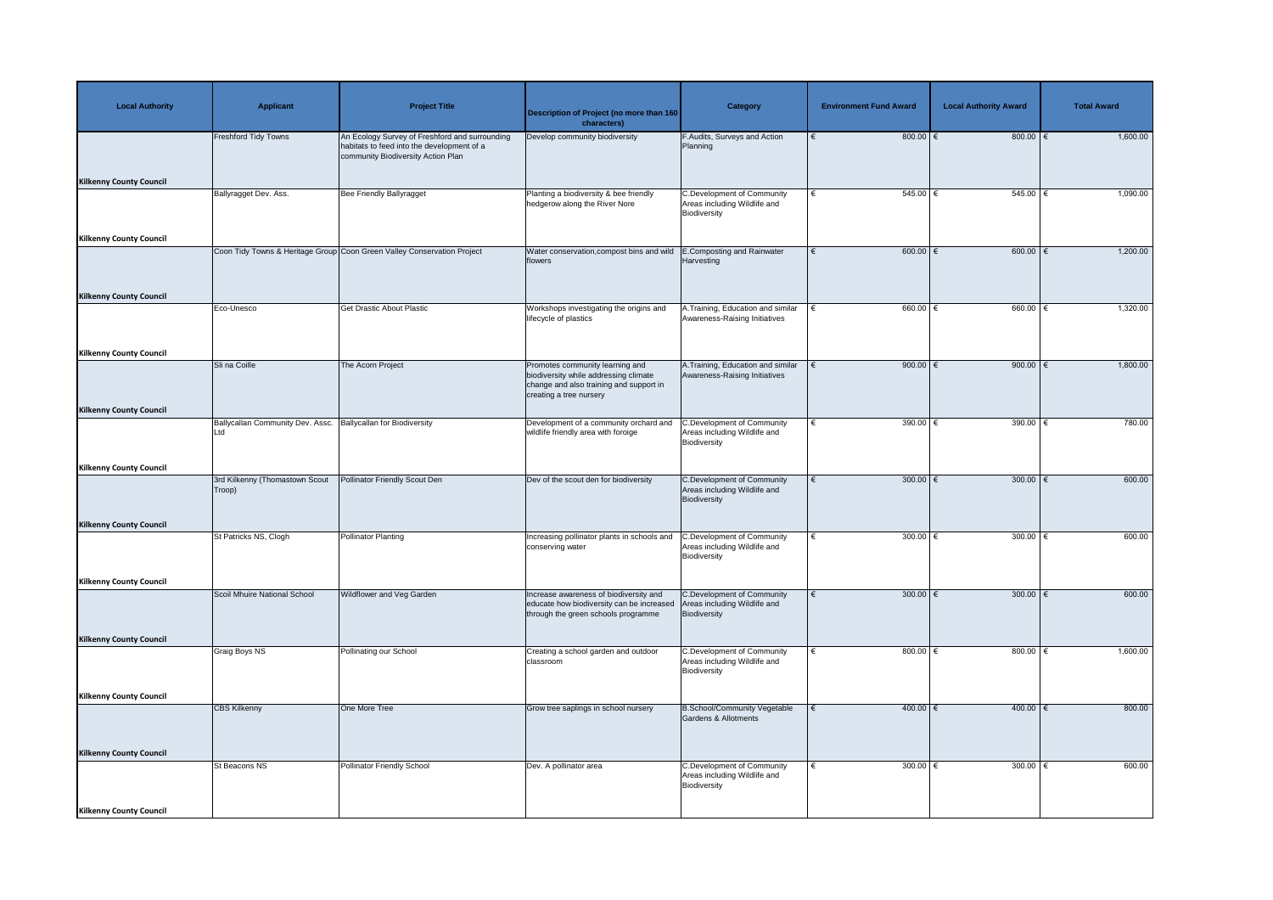| <b>Local Authority</b>         | <b>Applicant</b>                         | <b>Project Title</b>                                                                                                               | <b>Description of Project (no more than 160</b><br>characters)                                                                                 | <b>Category</b>                                                                   | <b>Environment Fund Award</b> | <b>Local Authority Award</b> | <b>Total Award</b> |
|--------------------------------|------------------------------------------|------------------------------------------------------------------------------------------------------------------------------------|------------------------------------------------------------------------------------------------------------------------------------------------|-----------------------------------------------------------------------------------|-------------------------------|------------------------------|--------------------|
|                                | <b>Freshford Tidy Towns</b>              | An Ecology Survey of Freshford and surrounding<br>habitats to feed into the development of a<br>community Biodiversity Action Plan | Develop community biodiversity                                                                                                                 | F.Audits, Surveys and Action<br>Planning                                          | 800.00 $\epsilon$             | 800.00 $\epsilon$            | 1,600.00           |
| <b>Kilkenny County Council</b> | Ballyragget Dev. Ass.                    | <b>Bee Friendly Ballyragget</b>                                                                                                    | Planting a biodiversity & bee friendly<br>hedgerow along the River Nore                                                                        | <b>C.Development of Community</b><br>Areas including Wildlife and                 | $545.00$ $\in$<br>€           | $545.00$ €                   | 1,090.00           |
| <b>Kilkenny County Council</b> |                                          |                                                                                                                                    |                                                                                                                                                | Biodiversity                                                                      |                               |                              |                    |
|                                |                                          | Coon Tidy Towns & Heritage Group Coon Green Valley Conservation Project                                                            | Water conservation, compost bins and wild<br>flowers                                                                                           | E.Composting and Rainwater<br>Harvesting                                          | $600.00$ $\in$                | 600.00 $\leq$                | 1,200.00           |
| <b>Kilkenny County Council</b> |                                          |                                                                                                                                    |                                                                                                                                                |                                                                                   |                               |                              |                    |
|                                | Eco-Unesco                               | <b>Get Drastic About Plastic</b>                                                                                                   | Workshops investigating the origins and<br>lifecycle of plastics                                                                               | A. Training, Education and similar<br>Awareness-Raising Initiatives               | $660.00$ $\in$                | $660.00$ $\in$               | 1,320.00           |
| <b>Kilkenny County Council</b> |                                          |                                                                                                                                    |                                                                                                                                                |                                                                                   |                               |                              |                    |
|                                | Sli na Coille                            | The Acorn Project                                                                                                                  | Promotes community learning and<br>biodiversity while addressing climate<br>change and also training and support in<br>creating a tree nursery | A. Training, Education and similar<br>Awareness-Raising Initiatives               | 900.00 $\in$                  | 900.00 $\in$                 | 1,800.00           |
| <b>Kilkenny County Council</b> |                                          |                                                                                                                                    |                                                                                                                                                |                                                                                   |                               |                              |                    |
|                                | Ballycallan Community Dev. Assc.<br>Ltd  | <b>Ballycallan for Biodiversity</b>                                                                                                | Development of a community orchard and<br>wildlife friendly area with foroige                                                                  | <b>C.Development of Community</b><br>Areas including Wildlife and<br>Biodiversity | $390.00$ €<br>∣€              | 390.00 $\overline{\epsilon}$ | 780.00             |
| <b>Kilkenny County Council</b> |                                          |                                                                                                                                    |                                                                                                                                                |                                                                                   |                               |                              |                    |
|                                | 3rd Kilkenny (Thomastown Scout<br>Troop) | Pollinator Friendly Scout Den                                                                                                      | Dev of the scout den for biodiversity                                                                                                          | <b>C.Development of Community</b><br>Areas including Wildlife and<br>Biodiversity | 300.00 $\epsilon$             | 300.00 $\epsilon$            | 600.00             |
| <b>Kilkenny County Council</b> | St Patricks NS, Clogh                    |                                                                                                                                    |                                                                                                                                                |                                                                                   | 300.00 $\xi$<br>€             | 300.00 $\epsilon$            | 600.00             |
|                                |                                          | <b>Pollinator Planting</b>                                                                                                         | Increasing pollinator plants in schools and<br>conserving water                                                                                | <b>C.Development of Community</b><br>Areas including Wildlife and<br>Biodiversity |                               |                              |                    |
| <b>Kilkenny County Council</b> |                                          |                                                                                                                                    |                                                                                                                                                |                                                                                   |                               |                              |                    |
|                                | Scoil Mhuire National School             | Wildflower and Veg Garden                                                                                                          | Increase awareness of biodiversity and<br>educate how biodiversity can be increased<br>through the green schools programme                     | C.Development of Community<br>Areas including Wildlife and<br>Biodiversity        | 300.00 $ \epsilon$            | 300.00   €                   | 600.00             |
| <b>Kilkenny County Council</b> |                                          |                                                                                                                                    |                                                                                                                                                |                                                                                   |                               |                              |                    |
|                                | Graig Boys NS                            | Pollinating our School                                                                                                             | Creating a school garden and outdoor<br>classroom                                                                                              | <b>C.Development of Community</b><br>Areas including Wildlife and<br>Biodiversity | 800.00 $\in$<br>€             | $800.00$   €                 | 1,600.00           |
| <b>Kilkenny County Council</b> |                                          |                                                                                                                                    |                                                                                                                                                |                                                                                   |                               |                              |                    |
|                                | <b>CBS Kilkenny</b>                      | One More Tree                                                                                                                      | Grow tree saplings in school nursery                                                                                                           | <b>B.School/Community Vegetable</b><br>Gardens & Allotments                       | 400.00 €                      | $400.00$ €                   | 800.00             |
| <b>Kilkenny County Council</b> |                                          |                                                                                                                                    |                                                                                                                                                |                                                                                   |                               |                              |                    |
|                                | St Beacons NS                            | Pollinator Friendly School                                                                                                         | Dev. A pollinator area                                                                                                                         | <b>C.Development of Community</b><br>Areas including Wildlife and<br>Biodiversity | 300.00 $\in$<br>€             | 300.00   €                   | 600.00             |
| <b>Kilkenny County Council</b> |                                          |                                                                                                                                    |                                                                                                                                                |                                                                                   |                               |                              |                    |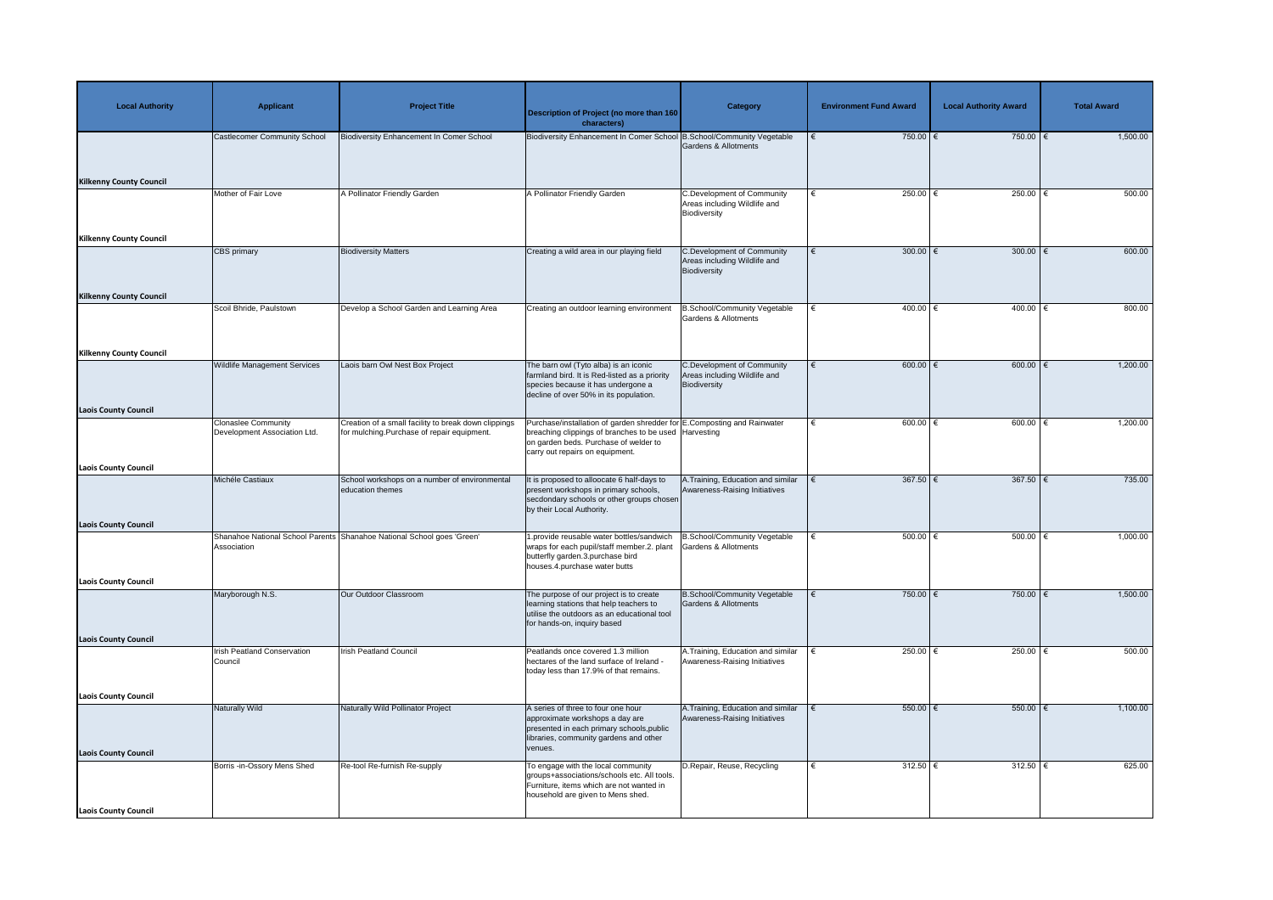| <b>Local Authority</b>                                     | <b>Applicant</b>                                           | <b>Project Title</b>                                                                               | <b>Description of Project (no more than 160</b><br>characters)                                                                                                                                               | <b>Category</b>                                                                   | <b>Environment Fund Award</b> | <b>Local Authority Award</b> | <b>Total Award</b> |
|------------------------------------------------------------|------------------------------------------------------------|----------------------------------------------------------------------------------------------------|--------------------------------------------------------------------------------------------------------------------------------------------------------------------------------------------------------------|-----------------------------------------------------------------------------------|-------------------------------|------------------------------|--------------------|
| <b>Kilkenny County Council</b>                             | <b>Castlecomer Community School</b>                        | <b>Biodiversity Enhancement In Comer School</b>                                                    | Biodiversity Enhancement In Comer School B.School/Community Vegetable                                                                                                                                        | Gardens & Allotments                                                              | $750.00$ €                    | 750.00 $\epsilon$            | 1,500.00           |
|                                                            | Mother of Fair Love                                        | <b>A Pollinator Friendly Garden</b>                                                                | A Pollinator Friendly Garden                                                                                                                                                                                 | <b>C.Development of Community</b><br>Areas including Wildlife and<br>Biodiversity | 250.00 $\epsilon$<br>€        | 250.00 $\epsilon$            | 500.00             |
| <b>Kilkenny County Council</b>                             | CBS primary                                                | <b>Biodiversity Matters</b>                                                                        | Creating a wild area in our playing field                                                                                                                                                                    | <b>C.Development of Community</b><br>Areas including Wildlife and<br>Biodiversity | $300.00$ €<br>€               | 300.00 $\epsilon$            | 600.00             |
| <b>Kilkenny County Council</b>                             | Scoil Bhride, Paulstown                                    | Develop a School Garden and Learning Area                                                          | Creating an outdoor learning environment                                                                                                                                                                     | <b>B.School/Community Vegetable</b><br><b>Gardens &amp; Allotments</b>            | $400.00$ €<br>€               | $400.00$ $\in$               | 800.00             |
| <b>Kilkenny County Council</b>                             | <b>Wildlife Management Services</b>                        | Laois barn Owl Nest Box Project                                                                    | The barn owl (Tyto alba) is an iconic<br>farmland bird. It is Red-listed as a priority<br>species because it has undergone a<br>decline of over 50% in its population.                                       | <b>C.Development of Community</b><br>Areas including Wildlife and<br>Biodiversity | 600.00 $\in$<br>€             | $600.00$ $\in$               | 1,200.00           |
| <b>Laois County Council</b><br><b>Laois County Council</b> | <b>Clonaslee Community</b><br>Development Association Ltd. | Creation of a small facility to break down clippings<br>for mulching.Purchase of repair equipment. | Purchase/installation of garden shredder for E.Composting and Rainwater<br>breaching clippings of branches to be used Harvesting<br>on garden beds. Purchase of welder to<br>carry out repairs on equipment. |                                                                                   | $600.00$ $\in$                | $600.00$ $\in$               | 1,200.00           |
|                                                            | Michéle Castiaux                                           | School workshops on a number of environmental<br>education themes                                  | It is proposed to alloocate 6 half-days to<br>present workshops in primary schools,<br>secdondary schools or other groups chosen<br>by their Local Authority.                                                | A. Training, Education and similar<br>Awareness-Raising Initiatives               | $367.50$ €                    | 367.50 $\epsilon$            | 735.00             |
| <b>Laois County Council</b>                                | Association                                                | Shanahoe National School Parents Shanahoe National School goes 'Green'                             | 1.provide reusable water bottles/sandwich<br>wraps for each pupil/staff member.2. plant<br>butterfly garden.3.purchase bird<br>houses.4.purchase water butts                                                 | B.School/Community Vegetable<br>Gardens & Allotments                              | 500.00 $ \epsilon$            | $500.00$   €                 | 1,000.00           |
| <b>Laois County Council</b>                                | Maryborough N.S.                                           | Our Outdoor Classroom                                                                              | The purpose of our project is to create<br>learning stations that help teachers to<br>utilise the outdoors as an educational tool<br>for hands-on, inquiry based                                             | <b>B.School/Community Vegetable</b><br>Gardens & Allotments                       | 750.00 €<br>€                 | 750.00   €                   | 1,500.00           |
| <b>Laois County Council</b>                                | <b>Irish Peatland Conservation</b><br>Council              | <b>Irish Peatland Council</b>                                                                      | Peatlands once covered 1.3 million<br>hectares of the land surface of Ireland -<br>today less than 17.9% of that remains.                                                                                    | A. Training, Education and similar<br>Awareness-Raising Initiatives               | 250.00 $\epsilon$             | $250.00$   €                 | 500.00             |
| <b>Laois County Council</b><br><b>Laois County Council</b> | Naturally Wild                                             | Naturally Wild Pollinator Project                                                                  | A series of three to four one hour<br>approximate workshops a day are<br>presented in each primary schools, public<br>libraries, community gardens and other<br>venues.                                      | A. Training, Education and similar<br>Awareness-Raising Initiatives               | $550.00$ $\in$                | $550.00$ $\epsilon$          | 1,100.00           |
| <b>Laois County Council</b>                                | Borris -in-Ossory Mens Shed                                | Re-tool Re-furnish Re-supply                                                                       | To engage with the local community<br>groups+associations/schools etc. All tools.<br>Furniture, items which are not wanted in<br>household are given to Mens shed.                                           | D.Repair, Reuse, Recycling                                                        | 312.50 $ \epsilon$            | 312.50 $ \epsilon$           | 625.00             |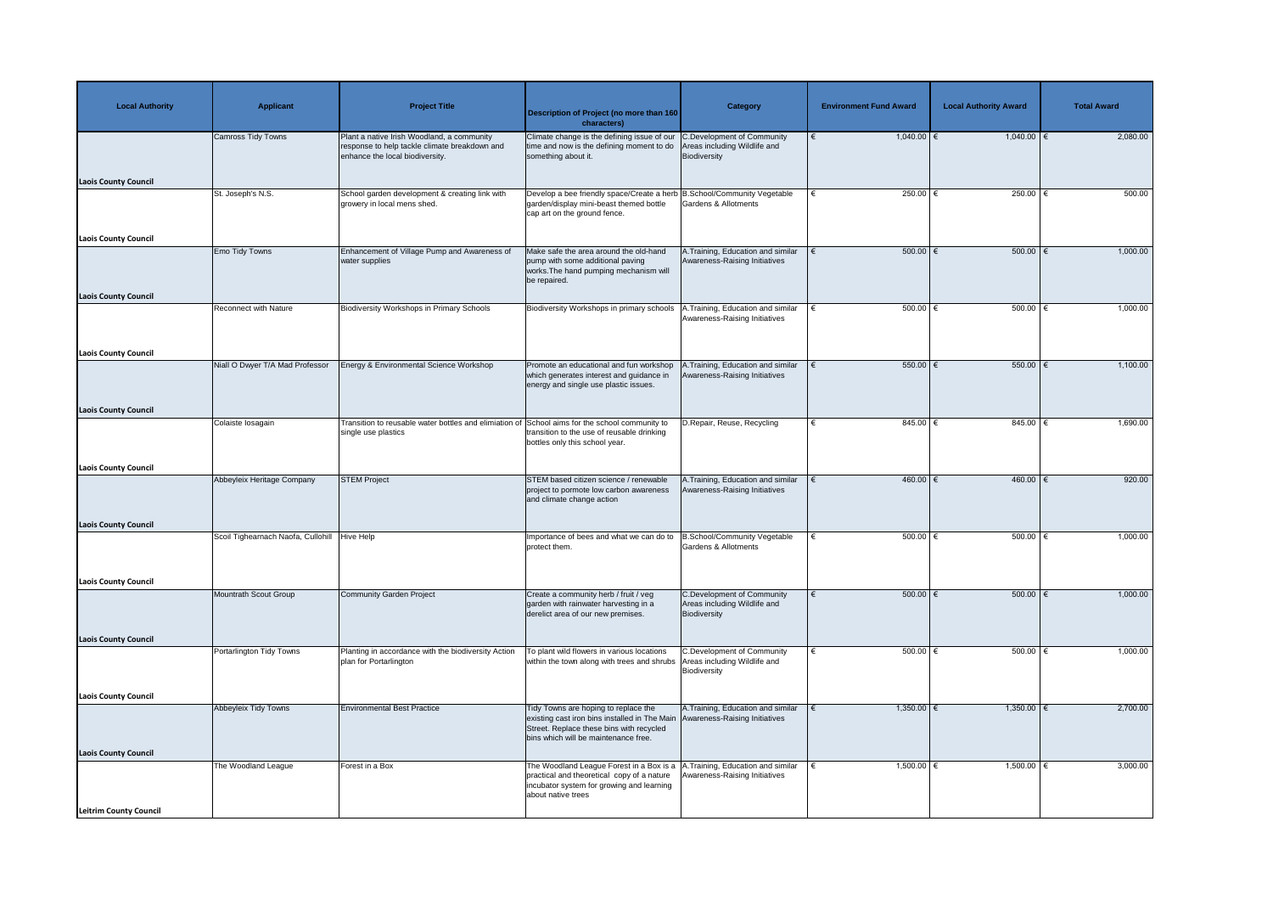| <b>Local Authority</b>        | <b>Applicant</b>                   | <b>Project Title</b>                                                                                                           | <b>Description of Project (no more than 160</b><br>characters)                                                                                                            | <b>Category</b>                                                            | <b>Environment Fund Award</b> | <b>Local Authority Award</b> | <b>Total Award</b> |
|-------------------------------|------------------------------------|--------------------------------------------------------------------------------------------------------------------------------|---------------------------------------------------------------------------------------------------------------------------------------------------------------------------|----------------------------------------------------------------------------|-------------------------------|------------------------------|--------------------|
|                               | <b>Camross Tidy Towns</b>          | Plant a native Irish Woodland, a community<br>response to help tackle climate breakdown and<br>enhance the local biodiversity. | Climate change is the defining issue of our C. Development of Community<br>time and now is the defining moment to do<br>something about it.                               | Areas including Wildlife and<br>Biodiversity                               | $1,040.00$ €                  | $1,040.00$ €                 | 2,080.00           |
| <b>Laois County Council</b>   |                                    |                                                                                                                                |                                                                                                                                                                           |                                                                            |                               |                              |                    |
|                               | St. Joseph's N.S.                  | School garden development & creating link with<br>growery in local mens shed.                                                  | Develop a bee friendly space/Create a herb B.School/Community Vegetable<br>garden/display mini-beast themed bottle<br>cap art on the ground fence.                        | Gardens & Allotments                                                       | 250.00 $ \epsilon$            | 250.00   €                   | 500.00             |
| <b>Laois County Council</b>   |                                    |                                                                                                                                |                                                                                                                                                                           |                                                                            |                               |                              |                    |
| <b>Laois County Council</b>   | <b>Emo Tidy Towns</b>              | Enhancement of Village Pump and Awareness of<br>water supplies                                                                 | Make safe the area around the old-hand<br>pump with some additional paving<br>works. The hand pumping mechanism will<br>be repaired.                                      | A. Training, Education and similar<br>Awareness-Raising Initiatives        | $500.00$ $\in$                | 500.00   €                   | 1,000.00           |
|                               | <b>Reconnect with Nature</b>       | <b>Biodiversity Workshops in Primary Schools</b>                                                                               | Biodiversity Workshops in primary schools                                                                                                                                 | .Training, Education and similar<br>Awareness-Raising Initiatives          | 500.00 $ \epsilon$            | 500.00 $ \epsilon$           | 1,000.00           |
| <b>Laois County Council</b>   |                                    |                                                                                                                                |                                                                                                                                                                           |                                                                            |                               |                              |                    |
|                               | Niall O Dwyer T/A Mad Professor    | Energy & Environmental Science Workshop                                                                                        | Promote an educational and fun workshop<br>which generates interest and guidance in<br>energy and single use plastic issues.                                              | .Training, Education and similar<br>Awareness-Raising Initiatives          | 550.00 $\epsilon$             | 550.00   €                   | 1,100.00           |
| <b>Laois County Council</b>   |                                    |                                                                                                                                |                                                                                                                                                                           |                                                                            |                               |                              |                    |
|                               | Colaiste Iosagain                  | Transition to reusable water bottles and elimiation of School aims for the school community to<br>single use plastics          | transition to the use of reusable drinking<br>bottles only this school year.                                                                                              | D.Repair, Reuse, Recycling                                                 | 845.00 €                      | 845.00 €                     | 1,690.00           |
| <b>Laois County Council</b>   |                                    |                                                                                                                                |                                                                                                                                                                           |                                                                            |                               |                              |                    |
|                               | Abbeyleix Heritage Company         | <b>STEM Project</b>                                                                                                            | STEM based citizen science / renewable<br>project to pormote low carbon awareness<br>and climate change action                                                            | A. Training, Education and similar<br>Awareness-Raising Initiatives        | $460.00$ €                    | $460.00$ €                   | 920.00             |
| <b>Laois County Council</b>   |                                    |                                                                                                                                |                                                                                                                                                                           |                                                                            |                               |                              |                    |
|                               | Scoil Tighearnach Naofa, Cullohill | <b>Hive Help</b>                                                                                                               | Importance of bees and what we can do to<br>protect them.                                                                                                                 | B.School/Community Vegetable<br>Gardens & Allotments                       | $500.00$ $\in$                | 500.00                       | 1,000.00           |
| <b>Laois County Council</b>   |                                    |                                                                                                                                |                                                                                                                                                                           |                                                                            |                               |                              |                    |
|                               | Mountrath Scout Group              | <b>Community Garden Project</b>                                                                                                | Create a community herb / fruit / veg<br>garden with rainwater harvesting in a<br>derelict area of our new premises.                                                      | C.Development of Community<br>Areas including Wildlife and<br>Biodiversity | $500.00$ $\in$                | $500.00$ $\epsilon$          | 1,000.00           |
| <b>Laois County Council</b>   |                                    |                                                                                                                                |                                                                                                                                                                           |                                                                            |                               |                              |                    |
|                               | Portarlington Tidy Towns           | Planting in accordance with the biodiversity Action<br>plan for Portarlington                                                  | To plant wild flowers in various locations<br>within the town along with trees and shrubs                                                                                 | C.Development of Community<br>Areas including Wildlife and<br>Biodiversity | 500.00 $\in$                  | 500.00 $ \epsilon$           | 1,000.00           |
| <b>Laois County Council</b>   |                                    |                                                                                                                                |                                                                                                                                                                           |                                                                            |                               |                              |                    |
|                               | <b>Abbeyleix Tidy Towns</b>        | <b>Environmental Best Practice</b>                                                                                             | Tidy Towns are hoping to replace the<br>existing cast iron bins installed in The Main<br>Street. Replace these bins with recycled<br>bins which will be maintenance free. | A. Training, Education and similar<br>Awareness-Raising Initiatives        | $1,350.00$ €                  | $1,350.00$ $∈$               | 2,700.00           |
| <b>Laois County Council</b>   | The Woodland League                | Forest in a Box                                                                                                                | The Woodland League Forest in a Box is a A. Training, Education and similar                                                                                               |                                                                            | $1,500.00$ €                  | 1,500.00   €                 | 3,000.00           |
|                               |                                    |                                                                                                                                | practical and theoretical copy of a nature<br>incubator system for growing and learning<br>about native trees                                                             | Awareness-Raising Initiatives                                              |                               |                              |                    |
| <b>Leitrim County Council</b> |                                    |                                                                                                                                |                                                                                                                                                                           |                                                                            |                               |                              |                    |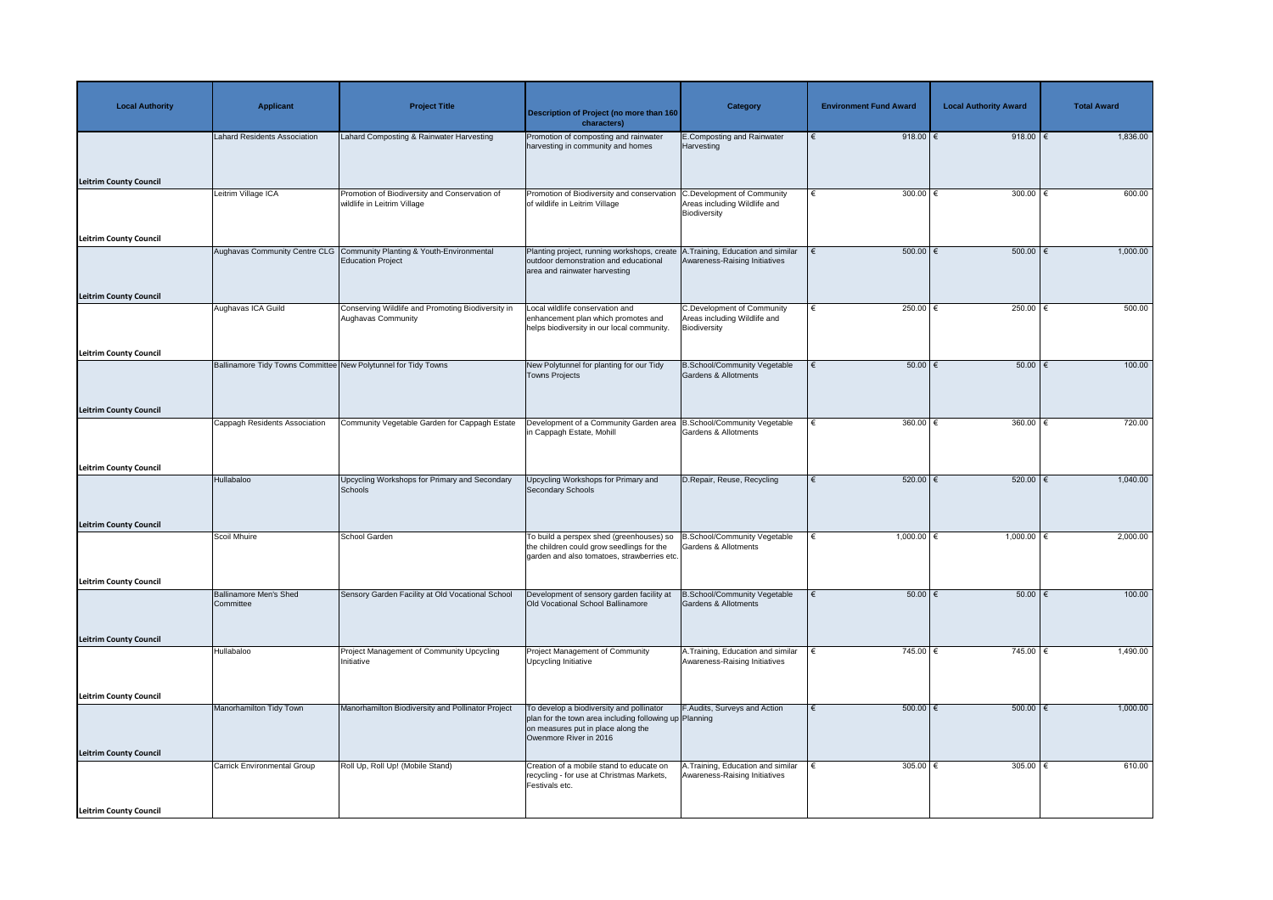| <b>Local Authority</b>        | <b>Applicant</b>                                               | <b>Project Title</b>                                                         | <b>Description of Project (no more than 160</b><br>characters)                                                                                                     | <b>Category</b>                                                                   | <b>Environment Fund Award</b> | <b>Local Authority Award</b> | <b>Total Award</b> |
|-------------------------------|----------------------------------------------------------------|------------------------------------------------------------------------------|--------------------------------------------------------------------------------------------------------------------------------------------------------------------|-----------------------------------------------------------------------------------|-------------------------------|------------------------------|--------------------|
|                               | <b>Lahard Residents Association</b>                            | Lahard Composting & Rainwater Harvesting                                     | Promotion of composting and rainwater<br>harvesting in community and homes                                                                                         | <b>E.Composting and Rainwater</b><br>Harvesting                                   | 918.00 $\xi$                  | 918.00 $\xi$                 | 1,836.00           |
| <b>Leitrim County Council</b> |                                                                |                                                                              |                                                                                                                                                                    |                                                                                   |                               |                              |                    |
|                               | Leitrim Village ICA                                            | Promotion of Biodiversity and Conservation of<br>wildlife in Leitrim Village | Promotion of Biodiversity and conservation<br>of wildlife in Leitrim Village                                                                                       | <b>C.Development of Community</b><br>Areas including Wildlife and<br>Biodiversity | 300.00 $\epsilon$             | 300.00 $\epsilon$            | 600.00             |
| <b>Leitrim County Council</b> | <b>Aughavas Community Centre CLG</b>                           |                                                                              |                                                                                                                                                                    |                                                                                   |                               |                              |                    |
|                               |                                                                | Community Planting & Youth-Environmental<br><b>Education Project</b>         | Planting project, running workshops, create<br>outdoor demonstration and educational<br>area and rainwater harvesting                                              | A.Training, Education and similar<br>Awareness-Raising Initiatives                | $500.00$ $\in$                | $500.00$   €                 | 1,000.00           |
| <b>Leitrim County Council</b> | Aughavas ICA Guild                                             | Conserving Wildlife and Promoting Biodiversity in                            | Local wildlife conservation and                                                                                                                                    | <b>C.Development of Community</b>                                                 | 250.00 $\epsilon$<br>€        | $250.00$ €                   | 500.00             |
|                               |                                                                | <b>Aughavas Community</b>                                                    | enhancement plan which promotes and<br>helps biodiversity in our local community.                                                                                  | Areas including Wildlife and<br>Biodiversity                                      |                               |                              |                    |
| <b>Leitrim County Council</b> |                                                                |                                                                              |                                                                                                                                                                    |                                                                                   |                               |                              |                    |
|                               | Ballinamore Tidy Towns Committee New Polytunnel for Tidy Towns |                                                                              | New Polytunnel for planting for our Tidy<br>Towns Projects                                                                                                         | <b>B.School/Community Vegetable</b><br>Gardens & Allotments                       | $50.00$ $\in$<br>$\epsilon$   | $50.00$ $\in$                | 100.00             |
| <b>Leitrim County Council</b> |                                                                |                                                                              |                                                                                                                                                                    |                                                                                   |                               |                              |                    |
|                               | <b>Cappagh Residents Association</b>                           | Community Vegetable Garden for Cappagh Estate                                | Development of a Community Garden area   B.School/Community Vegetable<br>in Cappagh Estate, Mohill                                                                 | Gardens & Allotments                                                              | $360.00$ €<br>€               | 360.00 $\epsilon$            | 720.00             |
| <b>Leitrim County Council</b> |                                                                |                                                                              |                                                                                                                                                                    |                                                                                   |                               |                              |                    |
|                               | Hullabaloo                                                     | Upcycling Workshops for Primary and Secondary<br>Schools                     | Upcycling Workshops for Primary and<br>Secondary Schools                                                                                                           | D.Repair, Reuse, Recycling                                                        | $520.00$ $\in$                | 520.00                       | 1,040.00           |
| <b>Leitrim County Council</b> |                                                                |                                                                              |                                                                                                                                                                    |                                                                                   |                               |                              |                    |
|                               | <b>Scoil Mhuire</b>                                            | School Garden                                                                | To build a perspex shed (greenhouses) so<br>the children could grow seedlings for the<br>garden and also tomatoes, strawberries etc.                               | B.School/Community Vegetable<br>Gardens & Allotments                              | $1,000.00$ €<br>€             | $1,000.00$ €                 | 2,000.00           |
| <b>Leitrim County Council</b> |                                                                |                                                                              |                                                                                                                                                                    |                                                                                   |                               |                              |                    |
|                               | Ballinamore Men's Shed<br>Committee                            | Sensory Garden Facility at Old Vocational School                             | Development of sensory garden facility at<br>Old Vocational School Ballinamore                                                                                     | <b>B.School/Community Vegetable</b><br>Gardens & Allotments                       | $50.00$ $\in$                 | $50.00$ $\in$                | 100.00             |
| <b>Leitrim County Council</b> |                                                                |                                                                              |                                                                                                                                                                    |                                                                                   |                               |                              |                    |
|                               | Hullabaloo                                                     | Project Management of Community Upcycling<br>Initiative                      | Project Management of Community<br>Upcycling Initiative                                                                                                            | A. Training, Education and similar<br>Awareness-Raising Initiatives               | 745.00 €                      | 745.00   €                   | 1,490.00           |
| <b>Leitrim County Council</b> |                                                                |                                                                              |                                                                                                                                                                    |                                                                                   |                               |                              |                    |
|                               | Manorhamilton Tidy Town                                        | Manorhamilton Biodiversity and Pollinator Project                            | To develop a biodiversity and pollinator<br>plan for the town area including following up Planning<br>on measures put in place along the<br>Owenmore River in 2016 | F.Audits, Surveys and Action                                                      | $500.00$ $\in$                | $500.00$ $\in$               | 1,000.00           |
| <b>Leitrim County Council</b> | <b>Carrick Environmental Group</b>                             | Roll Up, Roll Up! (Mobile Stand)                                             | Creation of a mobile stand to educate on                                                                                                                           | A.Training, Education and similar                                                 | 305.00 $ \epsilon$            | 305.00   €                   | 610.00             |
|                               |                                                                |                                                                              | recycling - for use at Christmas Markets,<br>Festivals etc.                                                                                                        | Awareness-Raising Initiatives                                                     |                               |                              |                    |
| Leitrim County Council        |                                                                |                                                                              |                                                                                                                                                                    |                                                                                   |                               |                              |                    |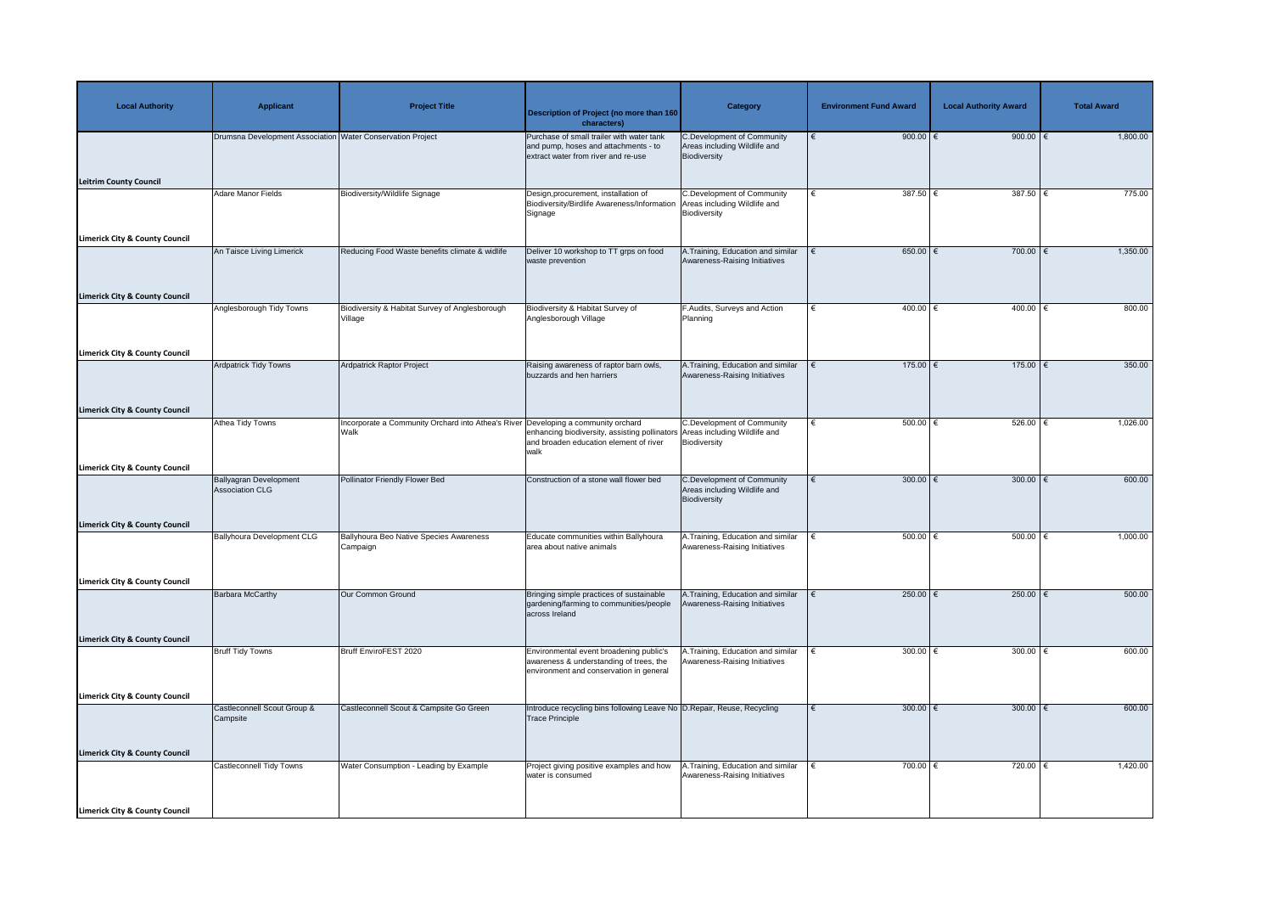| <b>Local Authority</b>                                                                 | <b>Applicant</b>                                           | <b>Project Title</b>                                                                      | Description of Project (no more than 160<br>characters)                                                                       | <b>Category</b>                                                                   | <b>Environment Fund Award</b> | <b>Local Authority Award</b> | <b>Total Award</b> |
|----------------------------------------------------------------------------------------|------------------------------------------------------------|-------------------------------------------------------------------------------------------|-------------------------------------------------------------------------------------------------------------------------------|-----------------------------------------------------------------------------------|-------------------------------|------------------------------|--------------------|
| <b>Leitrim County Council</b>                                                          | Drumsna Development Association Water Conservation Project |                                                                                           | Purchase of small trailer with water tank<br>and pump, hoses and attachments - to<br>extract water from river and re-use      | C.Development of Community<br>Areas including Wildlife and<br>Biodiversity        | 900.00 $\xi$                  | 900.00 $\xi$                 | 1,800.00           |
| <b>Limerick City &amp; County Council</b>                                              | Adare Manor Fields                                         | <b>Biodiversity/Wildlife Signage</b>                                                      | Design, procurement, installation of<br>Biodiversity/Birdlife Awareness/Information<br>Signage                                | <b>C.Development of Community</b><br>Areas including Wildlife and<br>Biodiversity | 387.50 $\epsilon$             | 387.50   €                   | 775.00             |
| <b>Limerick City &amp; County Council</b>                                              | An Taisce Living Limerick                                  | Reducing Food Waste benefits climate & widlife                                            | Deliver 10 workshop to TT grps on food<br>waste prevention                                                                    | A. Training, Education and similar<br>Awareness-Raising Initiatives               | $650.00$ €                    | 700.00 $\epsilon$            | 1,350.00           |
|                                                                                        | Anglesborough Tidy Towns                                   | Biodiversity & Habitat Survey of Anglesborough<br>Village                                 | Biodiversity & Habitat Survey of<br>Anglesborough Village                                                                     | F.Audits, Surveys and Action<br>Planning                                          | $400.00$ €                    | 400.00 €                     | 800.00             |
| <b>Limerick City &amp; County Council</b><br><b>Limerick City &amp; County Council</b> | <b>Ardpatrick Tidy Towns</b>                               | Ardpatrick Raptor Project                                                                 | Raising awareness of raptor barn owls,<br>buzzards and hen harriers                                                           | A.Training, Education and similar<br>Awareness-Raising Initiatives                | $175.00$ €                    | $175.00$ €                   | 350.00             |
| <b>Limerick City &amp; County Council</b>                                              | Athea Tidy Towns                                           | Incorporate a Community Orchard into Athea's River Developing a community orchard<br>Walk | enhancing biodiversity, assisting pollinators Areas including Wildlife and<br>and broaden education element of river<br>walk  | C.Development of Community<br>Biodiversity                                        | 500.00 $ \epsilon$            | 526.00   €                   | 1,026.00           |
| <b>Limerick City &amp; County Council</b>                                              | <b>Ballyagran Development</b><br><b>Association CLG</b>    | <b>Pollinator Friendly Flower Bed</b>                                                     | Construction of a stone wall flower bed                                                                                       | <b>C.Development of Community</b><br>Areas including Wildlife and<br>Biodiversity | 300.00 $\xi$                  | 300.00 $\epsilon$            | 600.00             |
|                                                                                        | <b>Ballyhoura Development CLG</b>                          | Ballyhoura Beo Native Species Awareness<br>Campaign                                       | Educate communities within Ballyhoura<br>area about native animals                                                            | A.Training, Education and similar<br>Awareness-Raising Initiatives                | $500.00$ $\in$                | $500.00$ $\in$               | 1,000.00           |
| <b>Limerick City &amp; County Council</b>                                              | <b>Barbara McCarthy</b>                                    | Our Common Ground                                                                         | Bringing simple practices of sustainable<br>gardening/farming to communities/people<br>across Ireland                         | A. Training, Education and similar<br>Awareness-Raising Initiatives               | $250.00$ €                    | 250.00 $\xi$                 | 500.00             |
| <b>Limerick City &amp; County Council</b>                                              | <b>Bruff Tidy Towns</b>                                    | Bruff EnviroFEST 2020                                                                     | Environmental event broadening public's<br>awareness & understanding of trees, the<br>environment and conservation in general | A.Training, Education and similar<br>Awareness-Raising Initiatives                | 300.00 $ \epsilon$            | 300.00 $ \epsilon$           | 600.00             |
| <b>Limerick City &amp; County Council</b>                                              | Castleconnell Scout Group &<br>Campsite                    | Castleconnell Scout & Campsite Go Green                                                   | Introduce recycling bins following Leave No D.Repair, Reuse, Recycling<br><b>Trace Principle</b>                              |                                                                                   | 300.00 $\xi$                  | $300.00$ $\in$               | 600.00             |
| <b>Limerick City &amp; County Council</b>                                              | Castleconnell Tidy Towns                                   | Water Consumption - Leading by Example                                                    | Project giving positive examples and how<br>water is consumed                                                                 | .Training, Education and similar<br>Awareness-Raising Initiatives                 | 700.00 $\epsilon$             | 720.00   €                   | 1,420.00           |
| <b>Limerick City &amp; County Council</b>                                              |                                                            |                                                                                           |                                                                                                                               |                                                                                   |                               |                              |                    |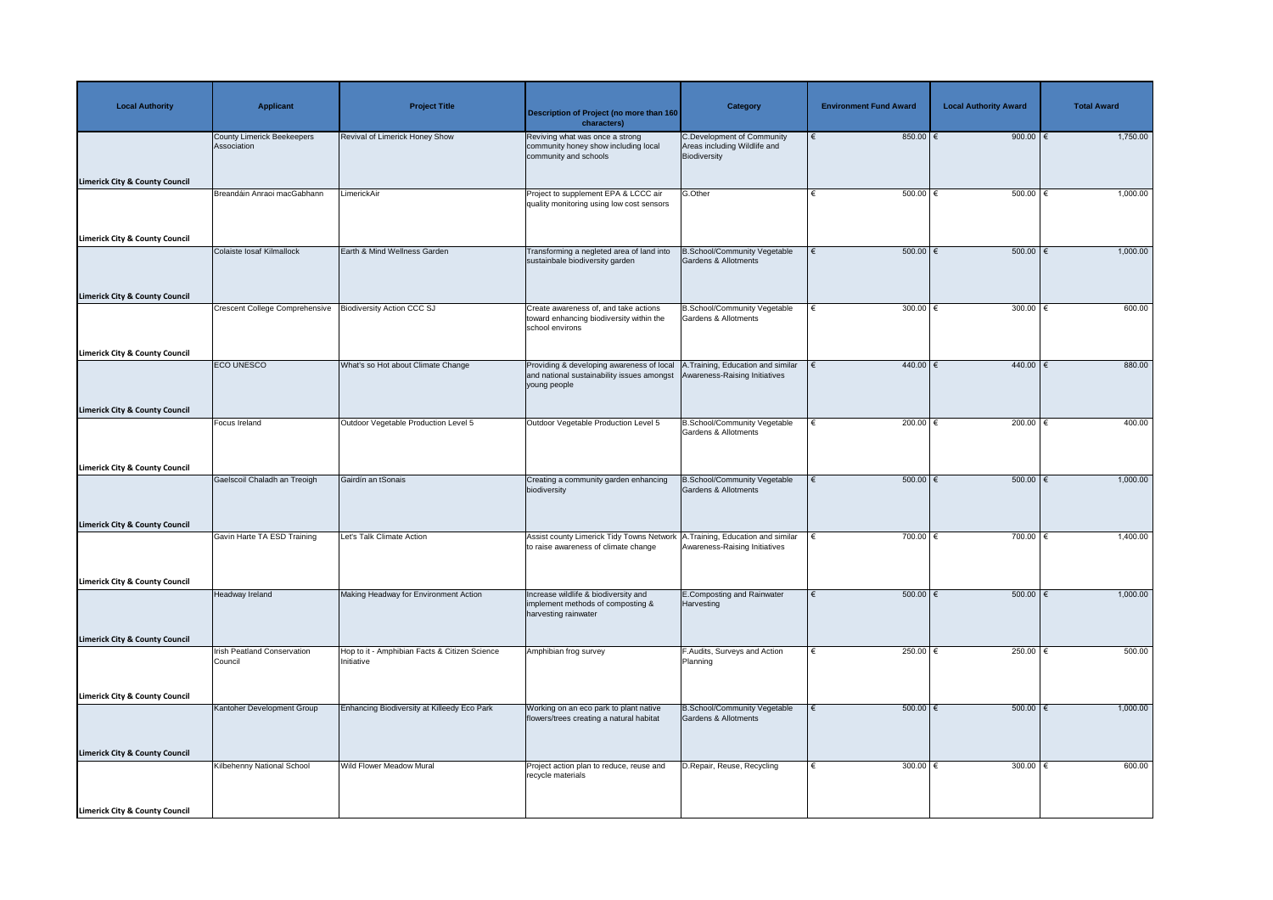| <b>Local Authority</b>                                                                 | <b>Applicant</b>                                 | <b>Project Title</b>                                        | Description of Project (no more than 160<br>characters)                                                                | <b>Category</b>                                                            | <b>Environment Fund Award</b>     | <b>Local Authority Award</b> | <b>Total Award</b> |
|----------------------------------------------------------------------------------------|--------------------------------------------------|-------------------------------------------------------------|------------------------------------------------------------------------------------------------------------------------|----------------------------------------------------------------------------|-----------------------------------|------------------------------|--------------------|
| <b>Limerick City &amp; County Council</b>                                              | <b>County Limerick Beekeepers</b><br>Association | Revival of Limerick Honey Show                              | Reviving what was once a strong<br>community honey show including local<br>community and schools                       | C.Development of Community<br>Areas including Wildlife and<br>Biodiversity | $850.00$ €                        | 900.00 $\xi$                 | 1,750.00           |
| <b>Limerick City &amp; County Council</b>                                              | Breandáin Anraoi macGabhann                      | LimerickAir                                                 | Project to supplement EPA & LCCC air<br>quality monitoring using low cost sensors                                      | G.Other                                                                    | 500.00 $ \epsilon$                | 500.00 $ \epsilon$           | 1,000.00           |
| <b>Limerick City &amp; County Council</b>                                              | Colaiste Iosaf Kilmallock                        | Earth & Mind Wellness Garden                                | Transforming a negleted area of land into<br>sustainbale biodiversity garden                                           | <b>B.School/Community Vegetable</b><br>Gardens & Allotments                | $500.00$ $\epsilon$<br>$\epsilon$ | 500.00                       | 1,000.00           |
|                                                                                        | <b>Crescent College Comprehensive</b>            | <b>Biodiversity Action CCC SJ</b>                           | Create awareness of, and take actions<br>toward enhancing biodiversity within the<br>school environs                   | <b>B.School/Community Vegetable</b><br>Gardens & Allotments                | 300.00 $\epsilon$                 | 300.00 $\epsilon$            | 600.00             |
| <b>Limerick City &amp; County Council</b><br><b>Limerick City &amp; County Council</b> | <b>ECO UNESCO</b>                                | What's so Hot about Climate Change                          | Providing & developing awareness of local<br>and national sustainability issues amongst<br>young people                | A. Training, Education and similar<br>Awareness-Raising Initiatives        | 440.00 €                          | $440.00$ $∈$                 | 880.00             |
| <b>Limerick City &amp; County Council</b>                                              | <b>Focus Ireland</b>                             | Outdoor Vegetable Production Level 5                        | Outdoor Vegetable Production Level 5                                                                                   | B.School/Community Vegetable<br>Gardens & Allotments                       | 200.00 $\epsilon$                 | 200.00 $\epsilon$            | 400.00             |
| <b>Limerick City &amp; County Council</b>                                              | Gaelscoil Chaladh an Treoigh                     | Gairdín an tSonais                                          | Creating a community garden enhancing<br>biodiversity                                                                  | <b>B.School/Community Vegetable</b><br>Gardens & Allotments                | $500.00$ $\in$                    | $500.00$ $\epsilon$          | 1,000.00           |
|                                                                                        | Gavin Harte TA ESD Training                      | Let's Talk Climate Action                                   | Assist county Limerick Tidy Towns Network   A. Training, Education and similar<br>to raise awareness of climate change | Awareness-Raising Initiatives                                              | 700.00 $\epsilon$                 | 700.00 $\epsilon$            | 1,400.00           |
| <b>Limerick City &amp; County Council</b>                                              | Headway Ireland                                  | Making Headway for Environment Action                       | Increase wildlife & biodiversity and<br>implement methods of composting &<br>harvesting rainwater                      | E.Composting and Rainwater<br>Harvesting                                   | $500.00$ $\in$                    | 500.00                       | 1,000.00           |
| <b>Limerick City &amp; County Council</b>                                              | <b>Irish Peatland Conservation</b><br>Council    | Hop to it - Amphibian Facts & Citizen Science<br>Initiative | Amphibian frog survey                                                                                                  | F.Audits, Surveys and Action<br>Planning                                   | 250.00 $\xi$                      | 250.00   €                   | 500.00             |
| <b>Limerick City &amp; County Council</b>                                              | Kantoher Development Group                       | Enhancing Biodiversity at Killeedy Eco Park                 | Working on an eco park to plant native<br>flowers/trees creating a natural habitat                                     | B.School/Community Vegetable<br>Gardens & Allotments                       | $500.00$ $\in$                    | 500.00                       | 1,000.00           |
| <b>Limerick City &amp; County Council</b>                                              | Kilbehenny National School                       | <b>Wild Flower Meadow Mural</b>                             | Project action plan to reduce, reuse and<br>recycle materials                                                          | D. Repair, Reuse, Recycling                                                | 300.00 $\epsilon$                 | 300.00   €                   | 600.00             |
| <b>Limerick City &amp; County Council</b>                                              |                                                  |                                                             |                                                                                                                        |                                                                            |                                   |                              |                    |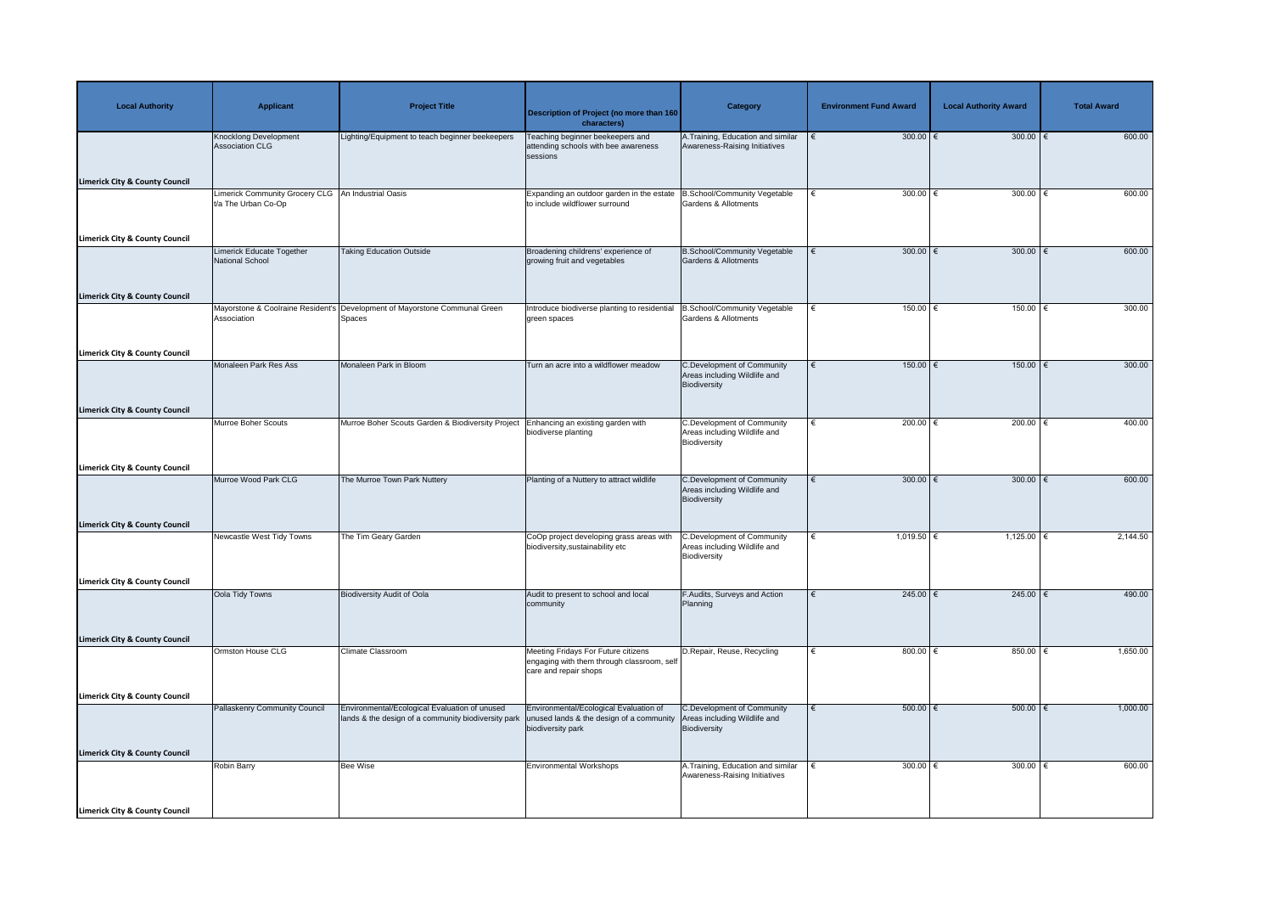| <b>Local Authority</b>                    | <b>Applicant</b>                                                            | <b>Project Title</b>                                                                                 | <b>Description of Project (no more than 160</b><br>characters)                                             | <b>Category</b>                                                                   | <b>Environment Fund Award</b> | <b>Local Authority Award</b> | <b>Total Award</b> |
|-------------------------------------------|-----------------------------------------------------------------------------|------------------------------------------------------------------------------------------------------|------------------------------------------------------------------------------------------------------------|-----------------------------------------------------------------------------------|-------------------------------|------------------------------|--------------------|
| <b>Limerick City &amp; County Council</b> | <b>Knocklong Development</b><br><b>Association CLG</b>                      | Lighting/Equipment to teach beginner beekeepers                                                      | Teaching beginner beekeepers and<br>attending schools with bee awareness<br>sessions                       | A. Training, Education and similar<br>Awareness-Raising Initiatives               | 300.00 $\epsilon$             | 300.00 $\epsilon$            | 600.00             |
|                                           | Limerick Community Grocery CLG   An Industrial Oasis<br>t/a The Urban Co-Op |                                                                                                      | Expanding an outdoor garden in the estate<br>to include wildflower surround                                | B.School/Community Vegetable<br><b>Gardens &amp; Allotments</b>                   | 300.00 $\epsilon$<br>€        | 300.00 $\epsilon$            | 600.00             |
| <b>Limerick City &amp; County Council</b> | Limerick Educate Together<br>National School                                | <b>Taking Education Outside</b>                                                                      | Broadening childrens' experience of<br>growing fruit and vegetables                                        | <b>B.School/Community Vegetable</b><br>Gardens & Allotments                       | 300.00 $\epsilon$             | 300.00 $\xi$                 | 600.00             |
| <b>Limerick City &amp; County Council</b> | Association                                                                 | Mayorstone & Coolraine Resident's Development of Mayorstone Communal Green<br>Spaces                 | Introduce biodiverse planting to residential<br>green spaces                                               | <b>B.School/Community Vegetable</b><br><b>Gardens &amp; Allotments</b>            | 150.00<br>€                   | $150.00$ €                   | 300.00             |
| <b>Limerick City &amp; County Council</b> | Monaleen Park Res Ass                                                       | Monaleen Park in Bloom                                                                               | Turn an acre into a wildflower meadow                                                                      | <b>C.Development of Community</b><br>Areas including Wildlife and<br>Biodiversity | $150.00$ €<br>€               | $150.00$ €                   | 300.00             |
| <b>Limerick City &amp; County Council</b> | Murroe Boher Scouts                                                         | Murroe Boher Scouts Garden & Biodiversity Project                                                    | Enhancing an existing garden with<br>biodiverse planting                                                   | <b>C.Development of Community</b><br>Areas including Wildlife and<br>Biodiversity | 200.00 $\epsilon$             | 200.00 $\epsilon$            | 400.00             |
| <b>Limerick City &amp; County Council</b> | Murroe Wood Park CLG                                                        | The Murroe Town Park Nuttery                                                                         | Planting of a Nuttery to attract wildlife                                                                  | <b>C.Development of Community</b><br>Areas including Wildlife and<br>Biodiversity | 300.00 $\epsilon$             | 300.00 $\epsilon$            | 600.00             |
| <b>Limerick City &amp; County Council</b> | Newcastle West Tidy Towns                                                   | The Tim Geary Garden                                                                                 | CoOp project developing grass areas with<br>biodiversity, sustainability etc                               | <b>C.Development of Community</b><br>Areas including Wildlife and<br>Biodiversity | 1,019.50 $\in$                | 1,125.00 $ \epsilon$         | 2,144.50           |
| <b>Limerick City &amp; County Council</b> | Oola Tidy Towns                                                             | <b>Biodiversity Audit of Oola</b>                                                                    | Audit to present to school and local<br>community                                                          | F.Audits, Surveys and Action<br>Planning                                          | 245.00 $ \epsilon$            | 245.00   €                   | 490.00             |
| <b>Limerick City &amp; County Council</b> | Ormston House CLG                                                           | <b>Climate Classroom</b>                                                                             | Meeting Fridays For Future citizens<br>engaging with them through classroom, self<br>care and repair shops | D.Repair, Reuse, Recycling                                                        | 800.00 $\epsilon$             | 850.00 $\epsilon$            | 1,650.00           |
| <b>Limerick City &amp; County Council</b> | <b>Pallaskenry Community Council</b>                                        | Environmental/Ecological Evaluation of unused<br>lands & the design of a community biodiversity park | Environmental/Ecological Evaluation of<br>unused lands & the design of a community<br>biodiversity park    | <b>C.Development of Community</b><br>Areas including Wildlife and<br>Biodiversity | $500.00$ $\in$<br>€           | $500.00$ $\epsilon$          | 1,000.00           |
| <b>Limerick City &amp; County Council</b> | Robin Barry                                                                 | <b>Bee Wise</b>                                                                                      | <b>Environmental Workshops</b>                                                                             | A.Training, Education and similar<br>Awareness-Raising Initiatives                | 300.00 $\in$                  | 300.00   €                   | 600.00             |
| <b>Limerick City &amp; County Council</b> |                                                                             |                                                                                                      |                                                                                                            |                                                                                   |                               |                              |                    |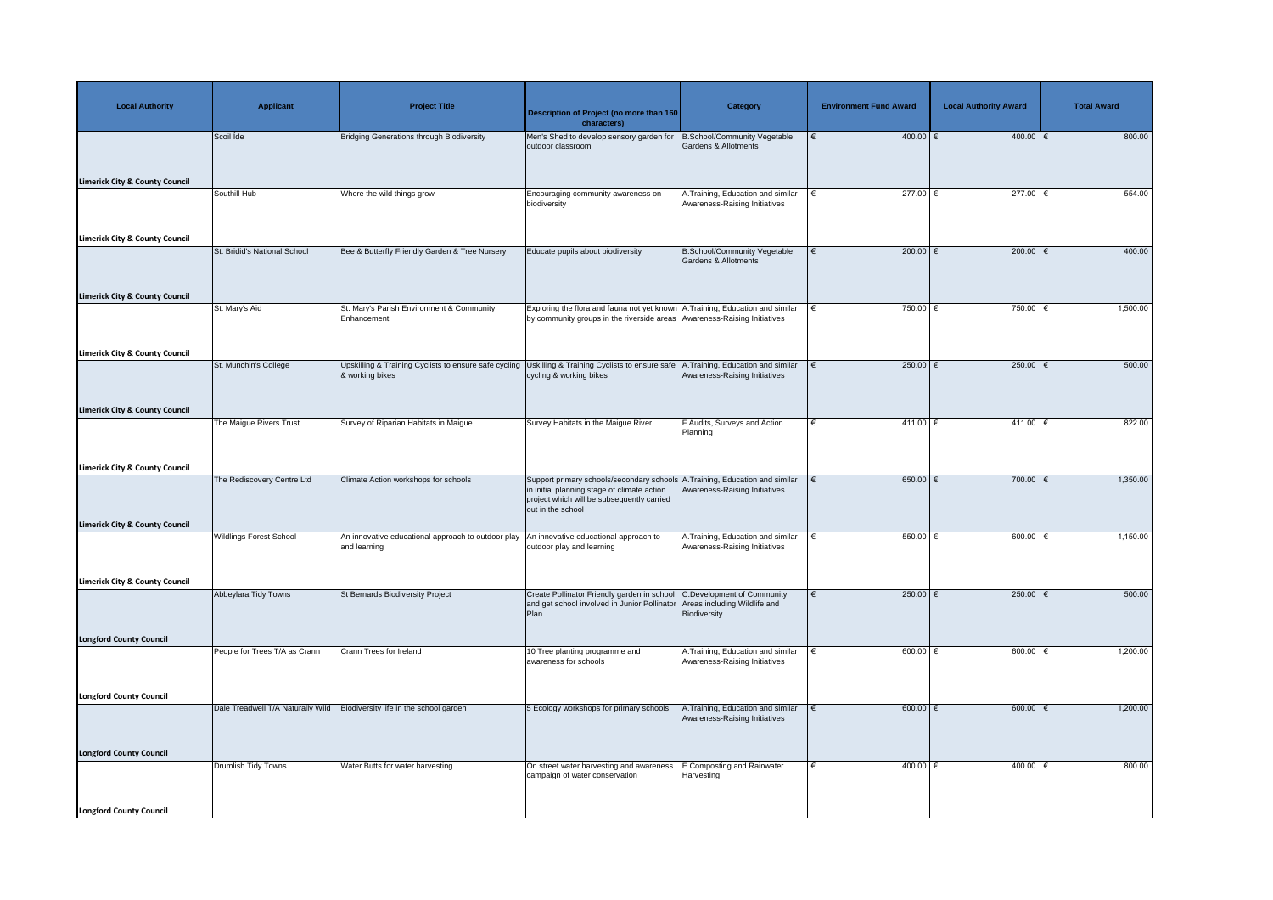| <b>Local Authority</b>                    | <b>Applicant</b>                  | <b>Project Title</b>                                                     | <b>Description of Project (no more than 160</b><br>characters)                                                                                                                                 | <b>Category</b>                                                     | <b>Environment Fund Award</b> | <b>Local Authority Award</b> | <b>Total Award</b> |
|-------------------------------------------|-----------------------------------|--------------------------------------------------------------------------|------------------------------------------------------------------------------------------------------------------------------------------------------------------------------------------------|---------------------------------------------------------------------|-------------------------------|------------------------------|--------------------|
| <b>Limerick City &amp; County Council</b> | Scoil Ide                         | <b>Bridging Generations through Biodiversity</b>                         | Men's Shed to develop sensory garden for<br>outdoor classroom                                                                                                                                  | B.School/Community Vegetable<br>Gardens & Allotments                | $400.00$ €<br>€               | $400.00$ $∈$                 | 800.00             |
|                                           | Southill Hub                      | Where the wild things grow                                               | Encouraging community awareness on<br>biodiversity                                                                                                                                             | A. Training, Education and similar<br>Awareness-Raising Initiatives | 277.00 $\xi$                  | 277.00 €                     | 554.00             |
| <b>Limerick City &amp; County Council</b> |                                   |                                                                          |                                                                                                                                                                                                |                                                                     |                               |                              |                    |
| <b>Limerick City &amp; County Council</b> | St. Bridid's National School      | Bee & Butterfly Friendly Garden & Tree Nursery                           | Educate pupils about biodiversity                                                                                                                                                              | B.School/Community Vegetable<br>Gardens & Allotments                | $200.00$ €<br>€               | 200.00 $\epsilon$            | 400.00             |
|                                           | St. Mary's Aid                    | St. Mary's Parish Environment & Community<br>Enhancement                 | Exploring the flora and fauna not yet known A. Training, Education and similar<br>by community groups in the riverside areas Awareness-Raising Initiatives                                     |                                                                     | 750.00 $\epsilon$             | 750.00 $\epsilon$            | 1,500.00           |
| <b>Limerick City &amp; County Council</b> |                                   |                                                                          |                                                                                                                                                                                                |                                                                     |                               |                              |                    |
|                                           | St. Munchin's College             | Upskilling & Training Cyclists to ensure safe cycling<br>& working bikes | Uskilling & Training Cyclists to ensure safe<br>cycling & working bikes                                                                                                                        | A.Training, Education and similar<br>Awareness-Raising Initiatives  | $250.00$ €<br>$\epsilon$      | 250.00 $\epsilon$            | 500.00             |
| <b>Limerick City &amp; County Council</b> |                                   |                                                                          |                                                                                                                                                                                                |                                                                     |                               |                              |                    |
|                                           | The Maigue Rivers Trust           | Survey of Riparian Habitats in Maigue                                    | Survey Habitats in the Maigue River                                                                                                                                                            | F.Audits, Surveys and Action<br>Planning                            | 411.00 €                      | $411.00$ €                   | 822.00             |
| <b>Limerick City &amp; County Council</b> |                                   |                                                                          |                                                                                                                                                                                                |                                                                     |                               |                              |                    |
|                                           | The Rediscovery Centre Ltd        | Climate Action workshops for schools                                     | Support primary schools/secondary schools A. Training, Education and similar<br>in initial planning stage of climate action<br>project which will be subsequently carried<br>out in the school | Awareness-Raising Initiatives                                       | $650.00$ $\in$                | 700.00 €                     | 1,350.00           |
| <b>Limerick City &amp; County Council</b> | <b>Wildlings Forest School</b>    | An innovative educational approach to outdoor play                       | An innovative educational approach to                                                                                                                                                          | A. Training, Education and similar                                  | $550.00$ $\in$                | $600.00$ $\in$               | 1,150.00           |
|                                           |                                   | and learning                                                             | outdoor play and learning                                                                                                                                                                      | Awareness-Raising Initiatives                                       |                               |                              |                    |
| <b>Limerick City &amp; County Council</b> |                                   |                                                                          |                                                                                                                                                                                                |                                                                     |                               |                              |                    |
|                                           | Abbeylara Tidy Towns              | St Bernards Biodiversity Project                                         | Create Pollinator Friendly garden in school C.Development of Community<br>and get school involved in Junior Pollinator Areas including Wildlife and<br>Plan                                    | Biodiversity                                                        | 250.00 $\epsilon$             | 250.00   €                   | 500.00             |
| <b>Longford County Council</b>            |                                   |                                                                          |                                                                                                                                                                                                |                                                                     |                               |                              |                    |
|                                           | People for Trees T/A as Crann     | Crann Trees for Ireland                                                  | 10 Tree planting programme and<br>awareness for schools                                                                                                                                        | A. Training, Education and similar<br>Awareness-Raising Initiatives | 600.00 $\xi$                  | 600.00 $\in$                 | 1,200.00           |
| <b>Longford County Council</b>            |                                   |                                                                          |                                                                                                                                                                                                |                                                                     |                               |                              |                    |
|                                           | Dale Treadwell T/A Naturally Wild | Biodiversity life in the school garden                                   | 5 Ecology workshops for primary schools                                                                                                                                                        | A.Training, Education and similar<br>Awareness-Raising Initiatives  | $600.00$ $\in$                | 600.00 $ \epsilon$           | 1,200.00           |
| <b>Longford County Council</b>            |                                   |                                                                          |                                                                                                                                                                                                |                                                                     |                               |                              |                    |
|                                           | Drumlish Tidy Towns               | Water Butts for water harvesting                                         | On street water harvesting and awareness<br>campaign of water conservation                                                                                                                     | <b>E.Composting and Rainwater</b><br>Harvesting                     | 400.00 €                      | 400.00   €                   | 800.00             |
| Longford County Council                   |                                   |                                                                          |                                                                                                                                                                                                |                                                                     |                               |                              |                    |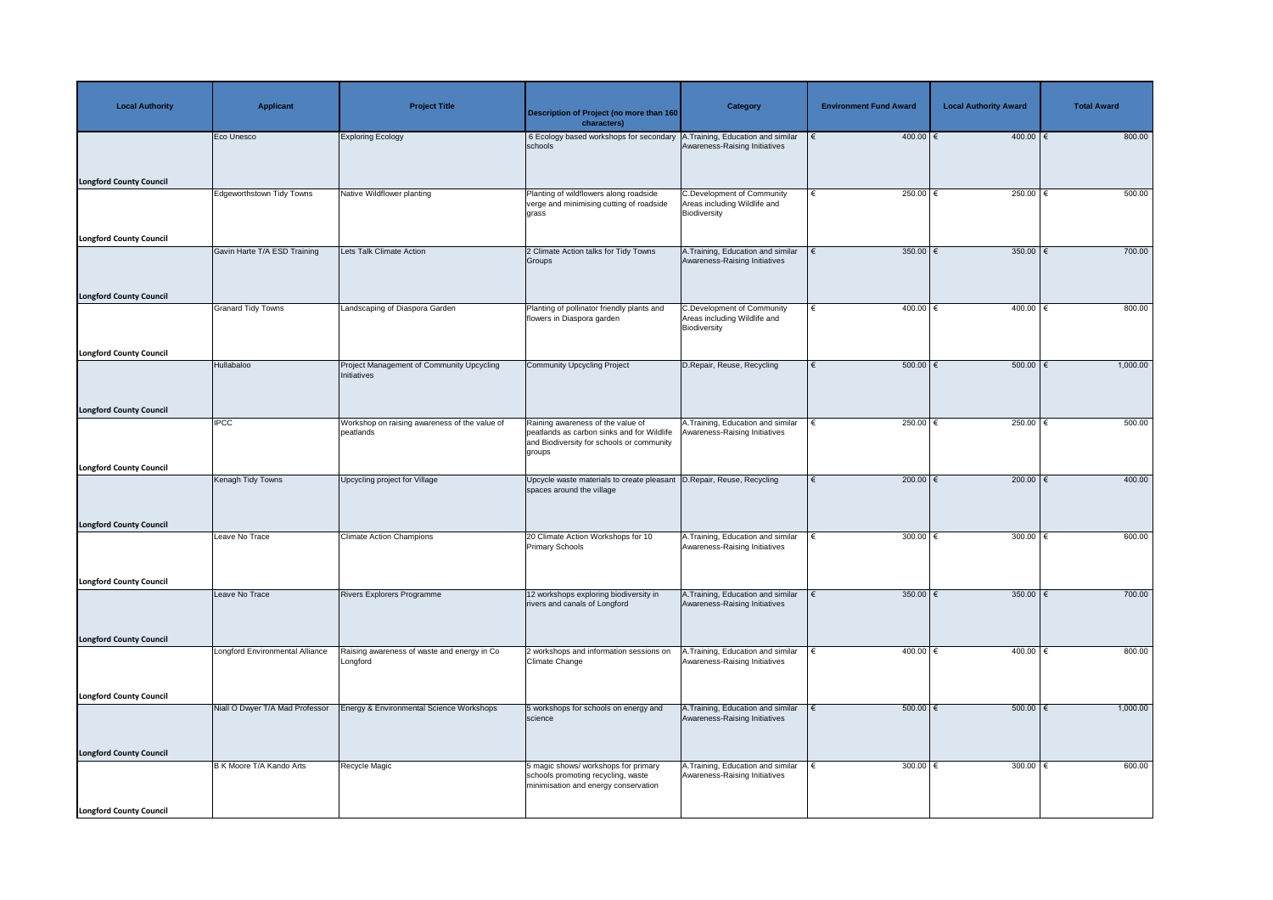| <b>Local Authority</b>         | <b>Applicant</b>                 | <b>Project Title</b>                                       | Description of Project (no more than 160<br>characters)                                                                                                                | <b>Category</b>                                                                   | <b>Environment Fund Award</b> | <b>Local Authority Award</b> | <b>Total Award</b> |
|--------------------------------|----------------------------------|------------------------------------------------------------|------------------------------------------------------------------------------------------------------------------------------------------------------------------------|-----------------------------------------------------------------------------------|-------------------------------|------------------------------|--------------------|
|                                | Eco Unesco                       | <b>Exploring Ecology</b>                                   | 6 Ecology based workshops for secondary A. Training, Education and similar<br>schools                                                                                  | Awareness-Raising Initiatives                                                     | $400.00$ €                    | $400.00$ €                   | 800.00             |
| <b>Longford County Council</b> |                                  |                                                            |                                                                                                                                                                        |                                                                                   |                               |                              |                    |
|                                | <b>Edgeworthstown Tidy Towns</b> | Native Wildflower planting                                 | Planting of wildflowers along roadside<br>verge and minimising cutting of roadside<br>grass                                                                            | <b>C.Development of Community</b><br>Areas including Wildlife and<br>Biodiversity | 250.00 $\in$<br>€             | $250.00$                     | 500.00             |
| <b>Longford County Council</b> | Gavin Harte T/A ESD Training     | Lets Talk Climate Action                                   | 2 Climate Action talks for Tidy Towns                                                                                                                                  | A. Training, Education and similar                                                | 350.00 $\epsilon$             | 350.00 $\epsilon$            | 700.00             |
| <b>Longford County Council</b> |                                  |                                                            | Groups                                                                                                                                                                 | Awareness-Raising Initiatives                                                     |                               |                              |                    |
|                                | <b>Granard Tidy Towns</b>        | Landscaping of Diaspora Garden                             | Planting of pollinator friendly plants and<br>flowers in Diaspora garden                                                                                               | <b>C.Development of Community</b><br>Areas including Wildlife and<br>Biodiversity | 400.00 $\epsilon$<br>€        | 400.00 $\sqrt{2}$            | 800.00             |
| <b>Longford County Council</b> |                                  |                                                            |                                                                                                                                                                        |                                                                                   |                               |                              |                    |
|                                | Hullabaloo                       | Project Management of Community Upcycling<br>Initiatives   | Community Upcycling Project                                                                                                                                            | D.Repair, Reuse, Recycling                                                        | $500.00$ $\in$                | $500.00$ $\epsilon$          | 1,000.00           |
| <b>Longford County Council</b> |                                  |                                                            |                                                                                                                                                                        |                                                                                   |                               |                              |                    |
|                                | <b>IPCC</b>                      | Workshop on raising awareness of the value of<br>peatlands | Raining awareness of the value of<br>peatlands as carbon sinks and for Wildlife   Awareness-Raising Initiatives<br>and Biodiversity for schools or community<br>groups | A. Training, Education and similar                                                | 250.00 $\epsilon$             | 250.00                       | 500.00             |
| <b>Longford County Council</b> |                                  |                                                            |                                                                                                                                                                        |                                                                                   |                               | $200.00$ $∈$                 | 400.00             |
|                                | Kenagh Tidy Towns                | Upcycling project for Village                              | Upcycle waste materials to create pleasant D. Repair, Reuse, Recycling<br>spaces around the village                                                                    |                                                                                   | 200.00 $\epsilon$             |                              |                    |
| <b>Longford County Council</b> | Leave No Trace                   | <b>Climate Action Champions</b>                            | 20 Climate Action Workshops for 10                                                                                                                                     | A. Training, Education and similar                                                | 300.00 $\epsilon$             | 300.00                       | 600.00             |
|                                |                                  |                                                            | <b>Primary Schools</b>                                                                                                                                                 | Awareness-Raising Initiatives                                                     |                               |                              |                    |
| <b>Longford County Council</b> |                                  |                                                            |                                                                                                                                                                        |                                                                                   |                               |                              |                    |
|                                | Leave No Trace                   | <b>Rivers Explorers Programme</b>                          | 12 workshops exploring biodiversity in<br>rivers and canals of Longford                                                                                                | A. Training, Education and similar<br>Awareness-Raising Initiatives               | 350.00 $\epsilon$             | 350.00 $\epsilon$            | 700.00             |
| <b>Longford County Council</b> |                                  |                                                            |                                                                                                                                                                        |                                                                                   |                               |                              |                    |
|                                | Longford Environmental Alliance  | Raising awareness of waste and energy in Co<br>Longford    | 2 workshops and information sessions on<br>Climate Change                                                                                                              | .Training, Education and similar<br>Awareness-Raising Initiatives                 | 400.00 $\in$                  | 400.00                       | 800.00             |
| <b>Longford County Council</b> |                                  |                                                            |                                                                                                                                                                        |                                                                                   |                               |                              |                    |
|                                | Niall O Dwyer T/A Mad Professor  | Energy & Environmental Science Workshops                   | 5 workshops for schools on energy and<br>science                                                                                                                       | A. Training, Education and similar<br>Awareness-Raising Initiatives               | $500.00$ $\in$                | $500.00$ $\in$               | 1,000.00           |
| <b>Longford County Council</b> |                                  |                                                            |                                                                                                                                                                        |                                                                                   |                               |                              |                    |
|                                | B K Moore T/A Kando Arts         | Recycle Magic                                              | 5 magic shows/ workshops for primary<br>schools promoting recycling, waste<br>minimisation and energy conservation                                                     | A. Training, Education and similar<br>Awareness-Raising Initiatives               | 300.00 $ \epsilon$            | 300.00 $\sqrt{6}$            | 600.00             |
| <b>Longford County Council</b> |                                  |                                                            |                                                                                                                                                                        |                                                                                   |                               |                              |                    |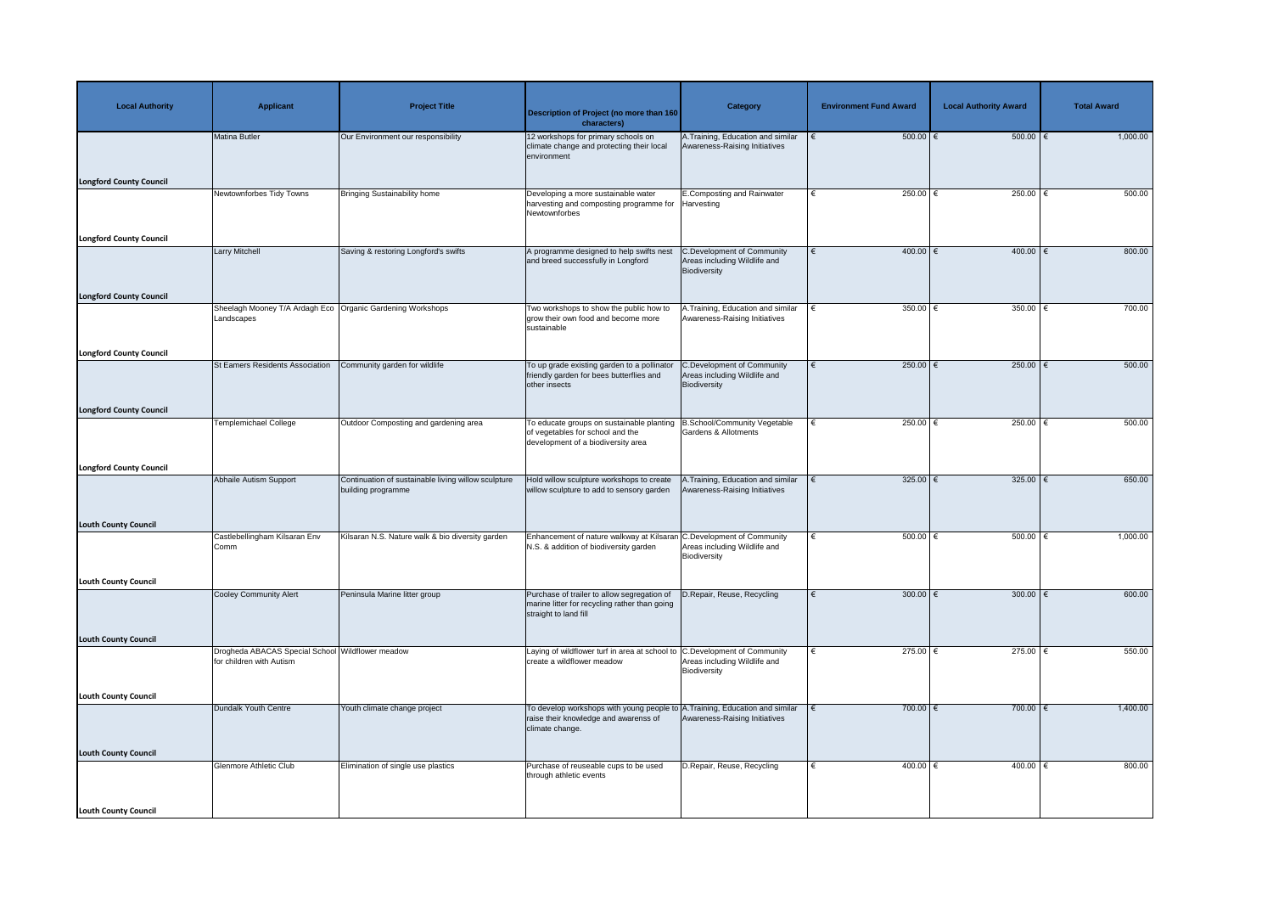| <b>Local Authority</b>         | <b>Applicant</b>                                                             | <b>Project Title</b>                                                      | <b>Description of Project (no more than 160</b><br>characters)                                                                                      | <b>Category</b>                                                                   | <b>Environment Fund Award</b> | <b>Local Authority Award</b> | <b>Total Award</b> |
|--------------------------------|------------------------------------------------------------------------------|---------------------------------------------------------------------------|-----------------------------------------------------------------------------------------------------------------------------------------------------|-----------------------------------------------------------------------------------|-------------------------------|------------------------------|--------------------|
|                                | Matina Butler                                                                | Our Environment our responsibility                                        | 12 workshops for primary schools on<br>climate change and protecting their local<br>environment                                                     | A. Training, Education and similar<br>Awareness-Raising Initiatives               | $500.00$ $\epsilon$           | $500.00$ $\epsilon$          | 1,000.00           |
| <b>Longford County Council</b> |                                                                              |                                                                           |                                                                                                                                                     |                                                                                   |                               |                              |                    |
|                                | Newtownforbes Tidy Towns                                                     | Bringing Sustainability home                                              | Developing a more sustainable water<br>harvesting and composting programme for Harvesting<br>Newtownforbes                                          | E.Composting and Rainwater                                                        | 250.00 $ \epsilon$            | 250.00   €                   | 500.00             |
| <b>Longford County Council</b> |                                                                              |                                                                           |                                                                                                                                                     |                                                                                   |                               |                              |                    |
|                                | <b>Larry Mitchell</b>                                                        | Saving & restoring Longford's swifts                                      | A programme designed to help swifts nest<br>and breed successfully in Longford                                                                      | <b>C.Development of Community</b><br>Areas including Wildlife and<br>Biodiversity | $400.00$ €<br>€               | $400.00$ $∈$                 | 800.00             |
| <b>Longford County Council</b> |                                                                              |                                                                           |                                                                                                                                                     |                                                                                   | 350.00 $\epsilon$             |                              | 700.00             |
|                                | Sheelagh Mooney T/A Ardagh Eco   Organic Gardening Workshops<br>Landscapes   |                                                                           | Two workshops to show the public how to<br>grow their own food and become more<br>sustainable                                                       | A.Training, Education and similar<br>Awareness-Raising Initiatives                |                               | 350.00 $\epsilon$            |                    |
| <b>Longford County Council</b> |                                                                              |                                                                           |                                                                                                                                                     |                                                                                   |                               |                              |                    |
|                                | St Eamers Residents Association                                              | Community garden for wildlife                                             | To up grade existing garden to a pollinator<br>friendly garden for bees butterflies and<br>other insects                                            | C.Development of Community<br>Areas including Wildlife and<br>Biodiversity        | 250.00 $\epsilon$<br>€        | 250.00 $\epsilon$            | 500.00             |
| <b>Longford County Council</b> |                                                                              |                                                                           |                                                                                                                                                     |                                                                                   |                               |                              |                    |
|                                | <b>Templemichael College</b>                                                 | Outdoor Composting and gardening area                                     | To educate groups on sustainable planting   B. School/Community Vegetable<br>of vegetables for school and the<br>development of a biodiversity area | <b>Gardens &amp; Allotments</b>                                                   | 250.00 $ \epsilon$<br>€       | 250.00 $ \epsilon$           | 500.00             |
| <b>Longford County Council</b> |                                                                              |                                                                           |                                                                                                                                                     |                                                                                   |                               |                              |                    |
|                                | <b>Abhaile Autism Support</b>                                                | Continuation of sustainable living willow sculpture<br>building programme | Hold willow sculpture workshops to create<br>willow sculpture to add to sensory garden                                                              | A.Training, Education and similar<br>Awareness-Raising Initiatives                | 325.00 $\epsilon$             | 325.00 $\overline{\epsilon}$ | 650.00             |
| <b>Louth County Council</b>    | Castlebellingham Kilsaran Env                                                | Kilsaran N.S. Nature walk & bio diversity garden                          | Enhancement of nature walkway at Kilsaran C.Development of Community                                                                                |                                                                                   | $500.00$ $\in$                | $500.00$ $\in$               | 1,000.00           |
|                                | Comm                                                                         |                                                                           | N.S. & addition of biodiversity garden                                                                                                              | Areas including Wildlife and<br>Biodiversity                                      |                               |                              |                    |
| <b>Louth County Council</b>    |                                                                              |                                                                           |                                                                                                                                                     |                                                                                   |                               |                              |                    |
|                                | <b>Cooley Community Alert</b>                                                | Peninsula Marine litter group                                             | Purchase of trailer to allow segregation of<br>marine litter for recycling rather than going<br>straight to land fill                               | D.Repair, Reuse, Recycling                                                        | $300.00$ €                    | 300.00 $\xi$                 | 600.00             |
| <b>Louth County Council</b>    |                                                                              |                                                                           |                                                                                                                                                     |                                                                                   |                               |                              |                    |
|                                | Drogheda ABACAS Special School Wildflower meadow<br>for children with Autism |                                                                           | Laying of wildflower turf in area at school to C. Development of Community<br>create a wildflower meadow                                            | Areas including Wildlife and<br>Biodiversity                                      | $275.00$ €                    | 275.00 $ \epsilon$           | 550.00             |
| <b>Louth County Council</b>    |                                                                              |                                                                           |                                                                                                                                                     |                                                                                   |                               |                              |                    |
|                                | Dundalk Youth Centre                                                         | Youth climate change project                                              | To develop workshops with young people to A. Training, Education and similar<br>raise their knowledge and awarenss of<br>climate change.            | Awareness-Raising Initiatives                                                     | $700.00$ €                    | $700.00$ €                   | 1,400.00           |
| <b>Louth County Council</b>    |                                                                              |                                                                           |                                                                                                                                                     |                                                                                   |                               |                              |                    |
|                                | <b>Glenmore Athletic Club</b>                                                | Elimination of single use plastics                                        | Purchase of reuseable cups to be used<br>through athletic events                                                                                    | D.Repair, Reuse, Recycling                                                        | 400.00 $ \epsilon$            | 400.00 $ \epsilon$           | 800.00             |
| <b>Louth County Council</b>    |                                                                              |                                                                           |                                                                                                                                                     |                                                                                   |                               |                              |                    |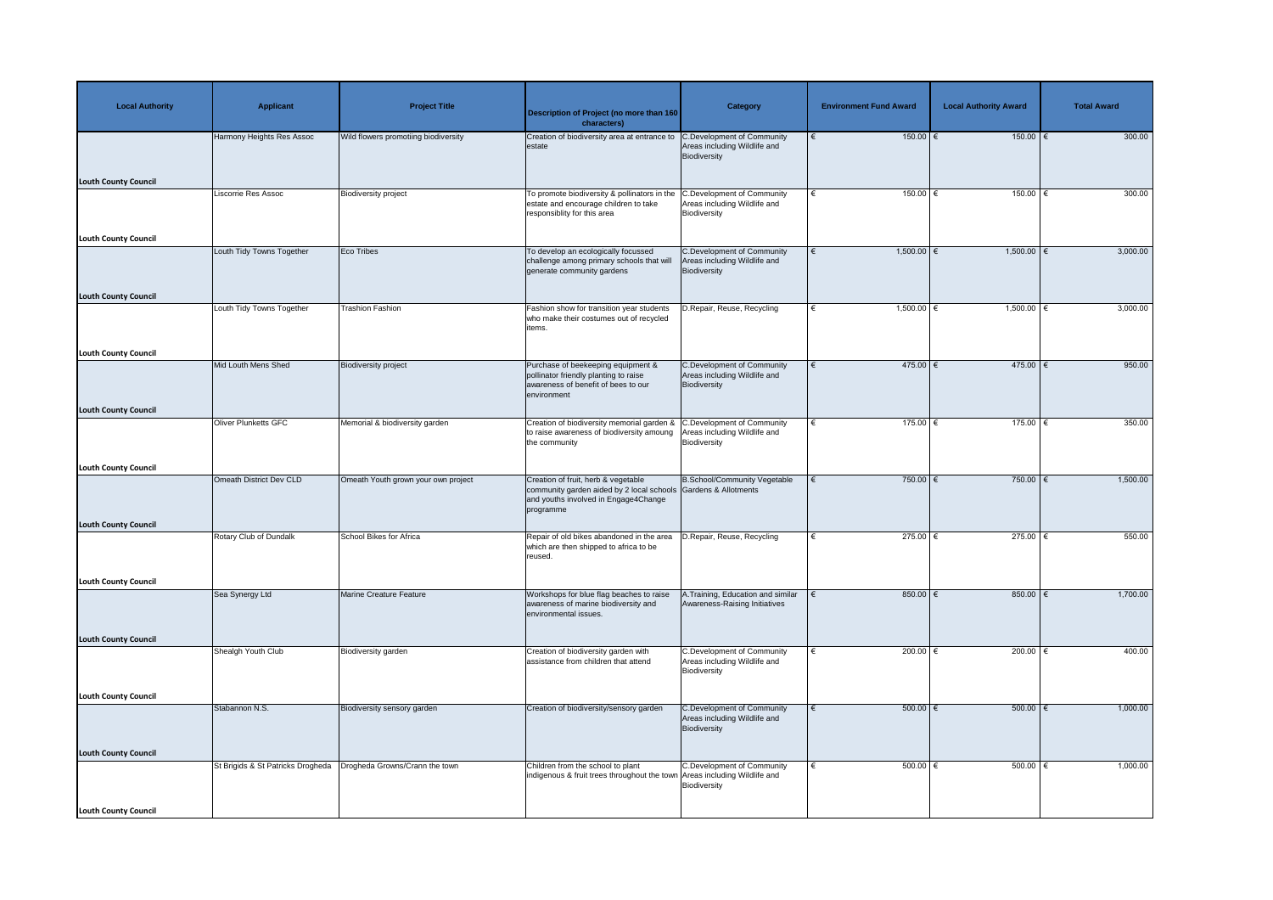| <b>Local Authority</b>      | <b>Applicant</b>                  | <b>Project Title</b>                 | <b>Description of Project (no more than 160</b><br>characters)                                                                                                     | <b>Category</b>                                                                   | <b>Environment Fund Award</b> | <b>Local Authority Award</b> | <b>Total Award</b> |
|-----------------------------|-----------------------------------|--------------------------------------|--------------------------------------------------------------------------------------------------------------------------------------------------------------------|-----------------------------------------------------------------------------------|-------------------------------|------------------------------|--------------------|
| <b>Louth County Council</b> | Harmony Heights Res Assoc         | Wild flowers promotiing biodiversity | Creation of biodiversity area at entrance to<br>estate                                                                                                             | <b>C.Development of Community</b><br>Areas including Wildlife and<br>Biodiversity | $150.00$ €                    | $150.00$ €                   | 300.00             |
|                             | <b>Liscorrie Res Assoc</b>        | <b>Biodiversity project</b>          | To promote biodiversity & pollinators in the<br>estate and encourage children to take<br>responsiblity for this area                                               | <b>C.Development of Community</b><br>Areas including Wildlife and<br>Biodiversity | 150.00<br>∣€                  | $150.00$ €                   | 300.00             |
| <b>Louth County Council</b> | Louth Tidy Towns Together         | Eco Tribes                           | To develop an ecologically focussed<br>challenge among primary schools that will                                                                                   | <b>C.Development of Community</b><br>Areas including Wildlife and                 | $1,500.00$ €                  | $1,500.00$ €                 | 3,000.00           |
| <b>Louth County Council</b> |                                   |                                      | generate community gardens                                                                                                                                         | Biodiversity                                                                      |                               |                              |                    |
|                             | Louth Tidy Towns Together         | <b>Trashion Fashion</b>              | Fashion show for transition year students<br>who make their costumes out of recycled<br>items.                                                                     | D.Repair, Reuse, Recycling                                                        | $1,500.00$ €                  | $1,500.00$ €                 | 3,000.00           |
| <b>Louth County Council</b> |                                   |                                      |                                                                                                                                                                    |                                                                                   |                               |                              |                    |
|                             | Mid Louth Mens Shed               | <b>Biodiversity project</b>          | Purchase of beekeeping equipment &<br>pollinator friendly planting to raise<br>awareness of benefit of bees to our<br>environment                                  | <b>C.Development of Community</b><br>Areas including Wildlife and<br>Biodiversity | $475.00$ €<br>€               | 475.00   €                   | 950.00             |
| <b>Louth County Council</b> |                                   |                                      |                                                                                                                                                                    |                                                                                   |                               |                              |                    |
|                             | <b>Oliver Plunketts GFC</b>       | Memorial & biodiversity garden       | Creation of biodiversity memorial garden & C.Development of Community<br>to raise awareness of biodiversity amoung   Areas including Wildlife and<br>the community | Biodiversity                                                                      | $175.00$ $\in$<br>∣€          | $175.00$ €                   | 350.00             |
| Louth County Council        |                                   |                                      |                                                                                                                                                                    |                                                                                   |                               |                              |                    |
|                             | <b>Omeath District Dev CLD</b>    | Omeath Youth grown your own project  | Creation of fruit, herb & vegetable<br>community garden aided by 2 local schools Gardens & Allotments<br>and youths involved in Engage4Change<br>programme         | <b>B.School/Community Vegetable</b>                                               | 750.00 $\epsilon$             | $750.00$ €                   | 1,500.00           |
| <b>Louth County Council</b> |                                   |                                      |                                                                                                                                                                    |                                                                                   |                               |                              |                    |
|                             | Rotary Club of Dundalk            | <b>School Bikes for Africa</b>       | Repair of old bikes abandoned in the area<br>which are then shipped to africa to be<br>reused.                                                                     | D.Repair, Reuse, Recycling                                                        | 275.00 $\epsilon$             | 275.00 $ \epsilon$           | 550.00             |
| <b>Louth County Council</b> |                                   |                                      |                                                                                                                                                                    |                                                                                   |                               |                              |                    |
|                             | Sea Synergy Ltd                   | Marine Creature Feature              | Workshops for blue flag beaches to raise<br>awareness of marine biodiversity and<br>environmental issues.                                                          | A.Training, Education and similar<br>Awareness-Raising Initiatives                | 850.00 $ \epsilon$            | $850.00$   €                 | 1,700.00           |
| <b>Louth County Council</b> |                                   |                                      |                                                                                                                                                                    |                                                                                   |                               |                              |                    |
|                             | Shealgh Youth Club                | Biodiversity garden                  | Creation of biodiversity garden with<br>assistance from children that attend                                                                                       | <b>C.Development of Community</b><br>Areas including Wildlife and<br>Biodiversity | 200.00 $\epsilon$             | 200.00 $ \epsilon$           | 400.00             |
| <b>Louth County Council</b> |                                   |                                      |                                                                                                                                                                    |                                                                                   |                               |                              |                    |
|                             | Stabannon N.S.                    | <b>Biodiversity sensory garden</b>   | Creation of biodiversity/sensory garden                                                                                                                            | <b>C.Development of Community</b><br>Areas including Wildlife and<br>Biodiversity | $500.00$ $\in$<br>€           | $500.00$ $\epsilon$          | 1,000.00           |
| <b>Louth County Council</b> |                                   |                                      |                                                                                                                                                                    |                                                                                   |                               |                              |                    |
|                             | St Brigids & St Patricks Drogheda | Drogheda Growns/Crann the town       | Children from the school to plant<br>indigenous & fruit trees throughout the town Areas including Wildlife and                                                     | <b>C.Development of Community</b><br>Biodiversity                                 | 500.00 $\epsilon$             | $500.00$   €                 | 1,000.00           |
| Louth County Council        |                                   |                                      |                                                                                                                                                                    |                                                                                   |                               |                              |                    |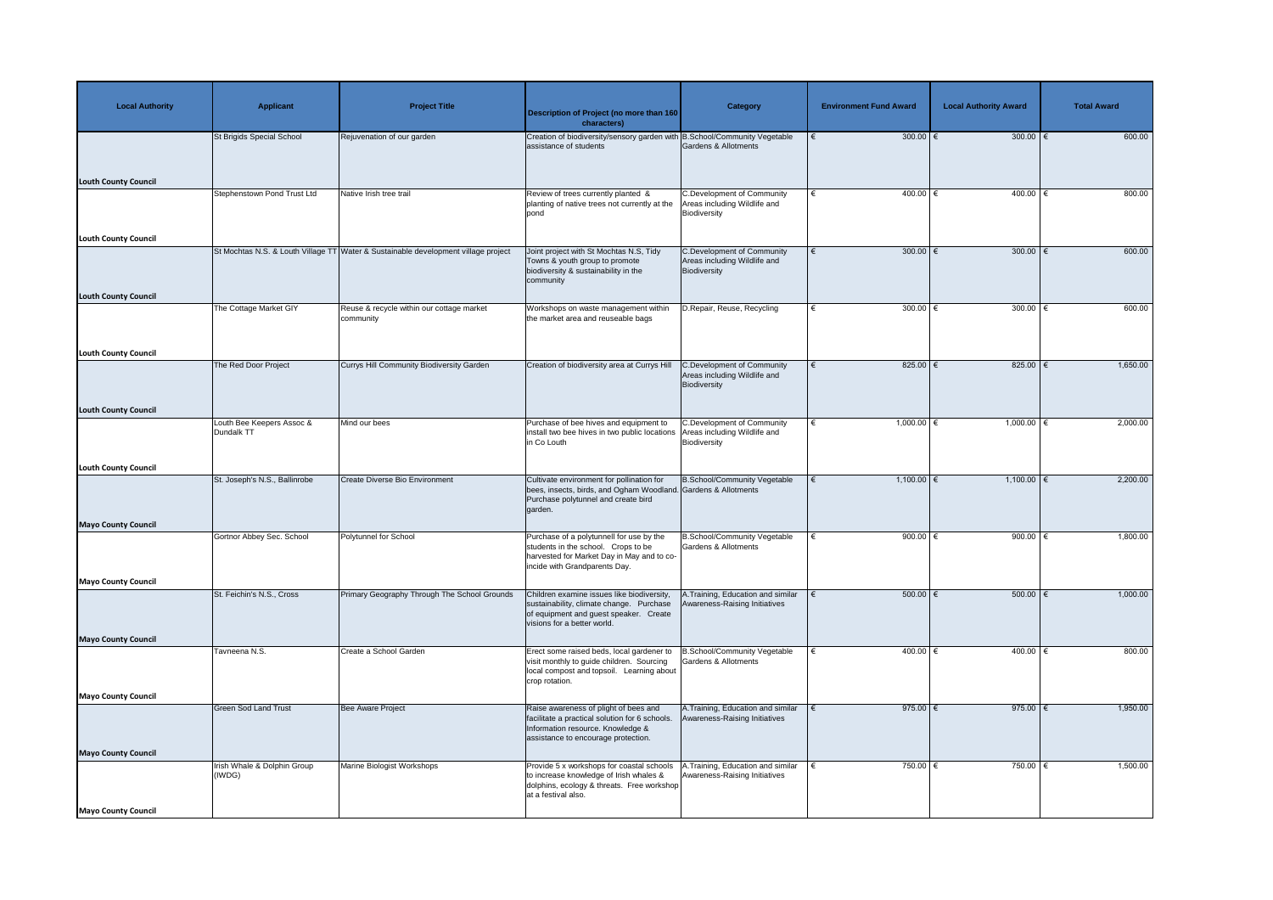| <b>Local Authority</b>      | <b>Applicant</b>                        | <b>Project Title</b>                                                               | <b>Description of Project (no more than 160</b><br>characters)                                                                                                      | <b>Category</b>                                                                   | <b>Environment Fund Award</b> | <b>Local Authority Award</b> | <b>Total Award</b> |
|-----------------------------|-----------------------------------------|------------------------------------------------------------------------------------|---------------------------------------------------------------------------------------------------------------------------------------------------------------------|-----------------------------------------------------------------------------------|-------------------------------|------------------------------|--------------------|
|                             | St Brigids Special School               | Rejuvenation of our garden                                                         | Creation of biodiversity/sensory garden with B.School/Community Vegetable<br>assistance of students                                                                 | Gardens & Allotments                                                              | 300.00 $\xi$                  | 300.00 $\epsilon$            | 600.00             |
| <b>Louth County Council</b> |                                         |                                                                                    |                                                                                                                                                                     |                                                                                   |                               |                              |                    |
|                             | Stephenstown Pond Trust Ltd             | Native Irish tree trail                                                            | Review of trees currently planted &<br>planting of native trees not currently at the<br>pond                                                                        | <b>C.Development of Community</b><br>Areas including Wildlife and<br>Biodiversity | $400.00$ €<br>€               | $400.00$ €                   | 800.00             |
| <b>Louth County Council</b> |                                         |                                                                                    |                                                                                                                                                                     |                                                                                   |                               |                              |                    |
|                             |                                         | St Mochtas N.S. & Louth Village TT Water & Sustainable development village project | Joint project with St Mochtas N.S, Tidy<br>Towns & youth group to promote<br>biodiversity & sustainability in the<br>community                                      | <b>C.Development of Community</b><br>Areas including Wildlife and<br>Biodiversity | $300.00$ €<br>€               | 300.00 $\epsilon$            | 600.00             |
| <b>Louth County Council</b> | The Cottage Market GIY                  | Reuse & recycle within our cottage market                                          | Workshops on waste management within                                                                                                                                | D.Repair, Reuse, Recycling                                                        | 300.00 $\epsilon$             | 300.00 $\xi$                 | 600.00             |
|                             |                                         | community                                                                          | the market area and reuseable bags                                                                                                                                  |                                                                                   |                               |                              |                    |
| <b>Louth County Council</b> |                                         |                                                                                    |                                                                                                                                                                     |                                                                                   |                               |                              |                    |
|                             | The Red Door Project                    | Currys Hill Community Biodiversity Garden                                          | Creation of biodiversity area at Currys Hill                                                                                                                        | C.Development of Community<br>Areas including Wildlife and<br>Biodiversity        | 825.00 $ \epsilon$<br>€       | $825.00$ $\in$               | 1,650.00           |
| <b>Louth County Council</b> |                                         |                                                                                    |                                                                                                                                                                     |                                                                                   |                               |                              |                    |
|                             | Louth Bee Keepers Assoc &<br>Dundalk TT | Mind our bees                                                                      | Purchase of bee hives and equipment to<br>install two bee hives in two public locations   Areas including Wildlife and<br>in Co Louth                               | C.Development of Community<br>Biodiversity                                        | $1,000.00$ €<br>€             | $1,000.00$ €                 | 2,000.00           |
| <b>Louth County Council</b> |                                         |                                                                                    |                                                                                                                                                                     |                                                                                   |                               |                              |                    |
|                             | St. Joseph's N.S., Ballinrobe           | <b>Create Diverse Bio Environment</b>                                              | Cultivate environment for pollination for<br>bees, insects, birds, and Ogham Woodland. Gardens & Allotments<br>Purchase polytunnel and create bird<br>garden.       | <b>B.School/Community Vegetable</b>                                               | $1,100.00$ €<br>€             | $1,100.00$ €                 | 2,200.00           |
| <b>Mayo County Council</b>  | Gortnor Abbey Sec. School               | Polytunnel for School                                                              | Purchase of a polytunnell for use by the                                                                                                                            | B.School/Community Vegetable                                                      | 900.00 $\epsilon$             | 900.00 $\in$                 | 1,800.00           |
|                             |                                         |                                                                                    | students in the school. Crops to be<br>harvested for Market Day in May and to co-<br>incide with Grandparents Day.                                                  | Gardens & Allotments                                                              |                               |                              |                    |
| <b>Mayo County Council</b>  |                                         |                                                                                    |                                                                                                                                                                     |                                                                                   |                               |                              |                    |
|                             | St. Feichin's N.S., Cross               | Primary Geography Through The School Grounds                                       | Children examine issues like biodiversity,<br>sustainability, climate change. Purchase<br>of equipment and guest speaker. Create<br>visions for a better world.     | A. Training, Education and similar<br>Awareness-Raising Initiatives               | 500.00   €                    | $500.00$   €                 | 1,000.00           |
| <b>Mayo County Council</b>  |                                         |                                                                                    |                                                                                                                                                                     |                                                                                   |                               |                              |                    |
|                             | Tavneena N.S.                           | Create a School Garden                                                             | Erect some raised beds, local gardener to<br>visit monthly to guide children. Sourcing<br>local compost and topsoil. Learning about<br>crop rotation.               | B.School/Community Vegetable<br>Gardens & Allotments                              | $400.00$ €                    | 400.00   €                   | 800.00             |
| <b>Mayo County Council</b>  |                                         |                                                                                    |                                                                                                                                                                     |                                                                                   |                               |                              |                    |
|                             | <b>Green Sod Land Trust</b>             | Bee Aware Project                                                                  | Raise awareness of plight of bees and<br>facilitate a practical solution for 6 schools.<br>Information resource. Knowledge &<br>assistance to encourage protection. | A. Training, Education and similar<br>Awareness-Raising Initiatives               | 975.00 $\xi$                  | 975.00 $\in$                 | 1,950.00           |
| <b>Mayo County Council</b>  | Irish Whale & Dolphin Group             | Marine Biologist Workshops                                                         | Provide 5 x workshops for coastal schools                                                                                                                           | 1. Training, Education and similar                                                | 750.00   €                    | 750.00   €                   | 1,500.00           |
| <b>Mayo County Council</b>  | (IWDG)                                  |                                                                                    | to increase knowledge of Irish whales &<br>dolphins, ecology & threats. Free workshop<br>at a festival also.                                                        | Awareness-Raising Initiatives                                                     |                               |                              |                    |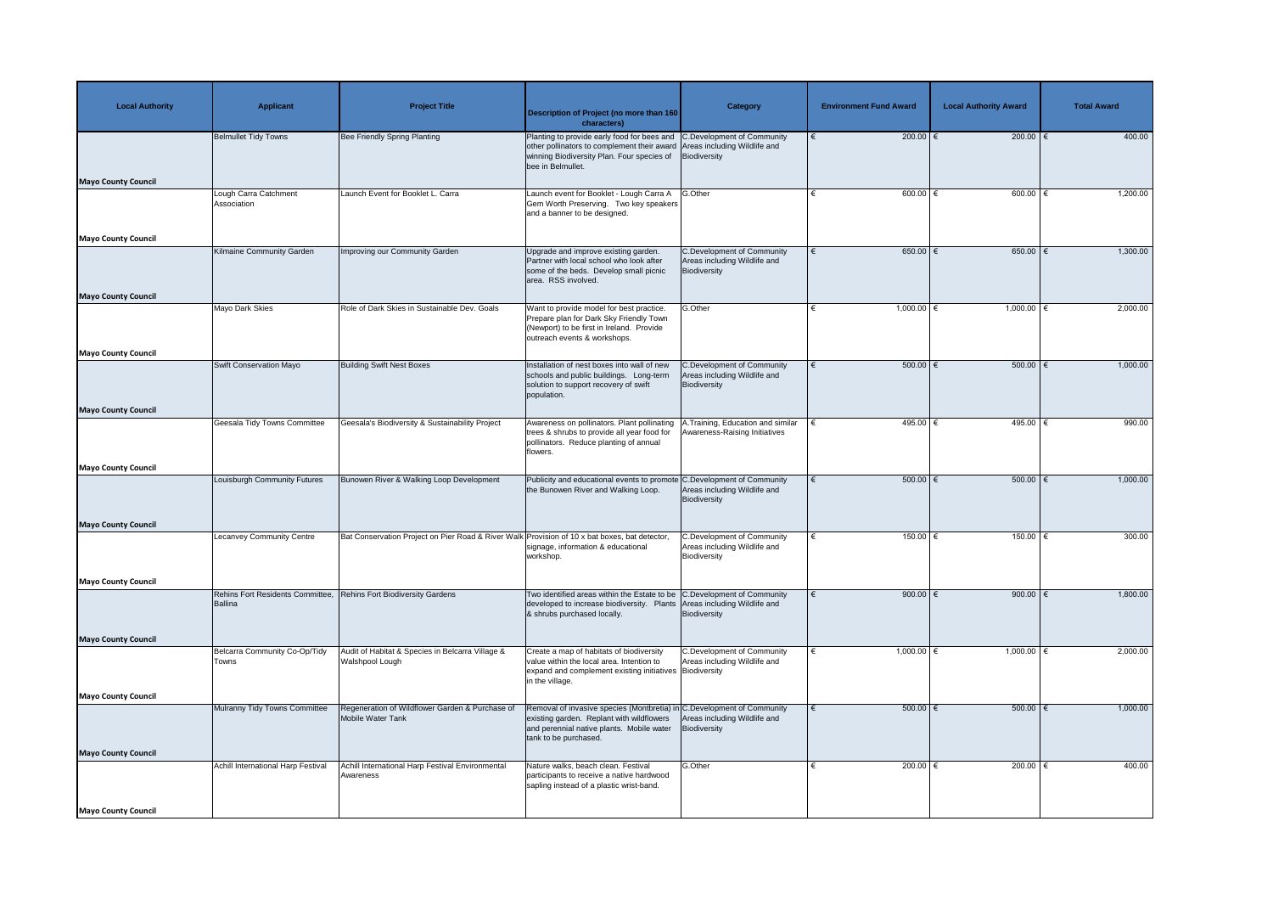| <b>Local Authority</b>     | <b>Applicant</b>                            | <b>Project Title</b>                                                                          | Description of Project (no more than 160<br>characters)                                                                                                                                                               | Category                                                                          | <b>Environment Fund Award</b> | <b>Local Authority Award</b> | <b>Total Award</b> |
|----------------------------|---------------------------------------------|-----------------------------------------------------------------------------------------------|-----------------------------------------------------------------------------------------------------------------------------------------------------------------------------------------------------------------------|-----------------------------------------------------------------------------------|-------------------------------|------------------------------|--------------------|
|                            | <b>Belmullet Tidy Towns</b>                 | <b>Bee Friendly Spring Planting</b>                                                           | Planting to provide early food for bees and C.Development of Community<br>other pollinators to complement their award Areas including Wildlife and<br>winning Biodiversity Plan. Four species of<br>bee in Belmullet. | Biodiversity                                                                      | 200.00 $\epsilon$             | $200.00$ €                   | 400.00             |
| <b>Mayo County Council</b> | Lough Carra Catchment                       | Launch Event for Booklet L. Carra                                                             | Launch event for Booklet - Lough Carra A G.Other                                                                                                                                                                      |                                                                                   | 600.00 $\epsilon$             | 600.00                       | 1,200.00           |
|                            | Association                                 |                                                                                               | Gem Worth Preserving. Two key speakers<br>and a banner to be designed.                                                                                                                                                |                                                                                   |                               |                              |                    |
| <b>Mayo County Council</b> |                                             |                                                                                               |                                                                                                                                                                                                                       |                                                                                   |                               |                              |                    |
|                            | Kilmaine Community Garden                   | Improving our Community Garden                                                                | Upgrade and improve existing garden.<br>Partner with local school who look after<br>some of the beds. Develop small picnic<br>area. RSS involved.                                                                     | <b>C.Development of Community</b><br>Areas including Wildlife and<br>Biodiversity | $650.00$ €<br>€               | $650.00$ $\in$               | 1,300.00           |
| <b>Mayo County Council</b> | Mayo Dark Skies                             | Role of Dark Skies in Sustainable Dev. Goals                                                  | Want to provide model for best practice.                                                                                                                                                                              | G.Other                                                                           | $1,000.00$ €                  | $1,000.00$ €                 | 2,000.00           |
|                            |                                             |                                                                                               | Prepare plan for Dark Sky Friendly Town<br>(Newport) to be first in Ireland. Provide<br>outreach events & workshops.                                                                                                  |                                                                                   |                               |                              |                    |
| <b>Mayo County Council</b> |                                             |                                                                                               |                                                                                                                                                                                                                       |                                                                                   |                               |                              |                    |
|                            | Swift Conservation Mayo                     | <b>Building Swift Nest Boxes</b>                                                              | Installation of nest boxes into wall of new<br>schools and public buildings. Long-term<br>solution to support recovery of swift<br>population.                                                                        | C.Development of Community<br>Areas including Wildlife and<br>Biodiversity        | $500.00$   €<br>€             | 500.00   €                   | 1,000.00           |
| <b>Mayo County Council</b> |                                             |                                                                                               |                                                                                                                                                                                                                       |                                                                                   |                               |                              |                    |
|                            | <b>Geesala Tidy Towns Committee</b>         | Geesala's Biodiversity & Sustainability Project                                               | Awareness on pollinators. Plant pollinating   A. Training, Education and similar<br>trees & shrubs to provide all year food for   Awareness-Raising Initiatives<br>pollinators. Reduce planting of annual<br>flowers. |                                                                                   | 495.00 €                      | 495.00                       | 990.00             |
| <b>Mayo County Council</b> |                                             |                                                                                               |                                                                                                                                                                                                                       |                                                                                   |                               |                              |                    |
|                            | Louisburgh Community Futures                | Bunowen River & Walking Loop Development                                                      | Publicity and educational events to promote C.Development of Community<br>the Bunowen River and Walking Loop.                                                                                                         | Areas including Wildlife and<br>Biodiversity                                      | $500.00$ $\in$                | $500.00$ $\epsilon$          | 1,000.00           |
| <b>Mayo County Council</b> |                                             |                                                                                               |                                                                                                                                                                                                                       |                                                                                   |                               |                              |                    |
|                            | Lecanvey Community Centre                   | Bat Conservation Project on Pier Road & River Walk Provision of 10 x bat boxes, bat detector, | signage, information & educational<br>workshop.                                                                                                                                                                       | <b>C.Development of Community</b><br>Areas including Wildlife and<br>Biodiversity | $150.00$ €                    | $150.00$ €                   | 300.00             |
| <b>Mayo County Council</b> |                                             |                                                                                               |                                                                                                                                                                                                                       |                                                                                   |                               |                              |                    |
|                            | Rehins Fort Residents Committee,<br>Ballina | <b>Rehins Fort Biodiversity Gardens</b>                                                       | Two identified areas within the Estate to be C.Development of Community<br>developed to increase biodiversity. Plants Areas including Wildlife and<br>& shrubs purchased locally.                                     | Biodiversity                                                                      | 900.00 $\in$                  | 900.00 $ \epsilon$           | 1,800.00           |
| <b>Mayo County Council</b> |                                             |                                                                                               |                                                                                                                                                                                                                       |                                                                                   |                               |                              |                    |
|                            | Belcarra Community Co-Op/Tidy<br>Towns      | Audit of Habitat & Species in Belcarra Village &<br>Walshpool Lough                           | Create a map of habitats of biodiversity<br>value within the local area. Intention to<br>expand and complement existing initiatives Biodiversity<br>in the village.                                                   | <b>C.Development of Community</b><br>Areas including Wildlife and                 | 1,000.00 $\in$                | 1,000.00 $ \epsilon$         | 2,000.00           |
| <b>Mayo County Council</b> |                                             |                                                                                               |                                                                                                                                                                                                                       |                                                                                   |                               |                              |                    |
|                            | Mulranny Tidy Towns Committee               | Regeneration of Wildflower Garden & Purchase of<br>Mobile Water Tank                          | Removal of invasive species (Montbretia) in C.Development of Community<br>existing garden. Replant with wildflowers<br>and perennial native plants. Mobile water<br>tank to be purchased.                             | Areas including Wildlife and<br>Biodiversity                                      | $500.00$ $\in$                | 500.00   €                   | 1,000.00           |
| <b>Mayo County Council</b> | <b>Achill International Harp Festival</b>   | Achill International Harp Festival Environmental                                              | Nature walks, beach clean. Festival                                                                                                                                                                                   | G.Other                                                                           | 200.00 $ \epsilon$            | 200.00 $ \epsilon$           | 400.00             |
|                            |                                             | Awareness                                                                                     | participants to receive a native hardwood<br>sapling instead of a plastic wrist-band.                                                                                                                                 |                                                                                   |                               |                              |                    |
| <b>Mayo County Council</b> |                                             |                                                                                               |                                                                                                                                                                                                                       |                                                                                   |                               |                              |                    |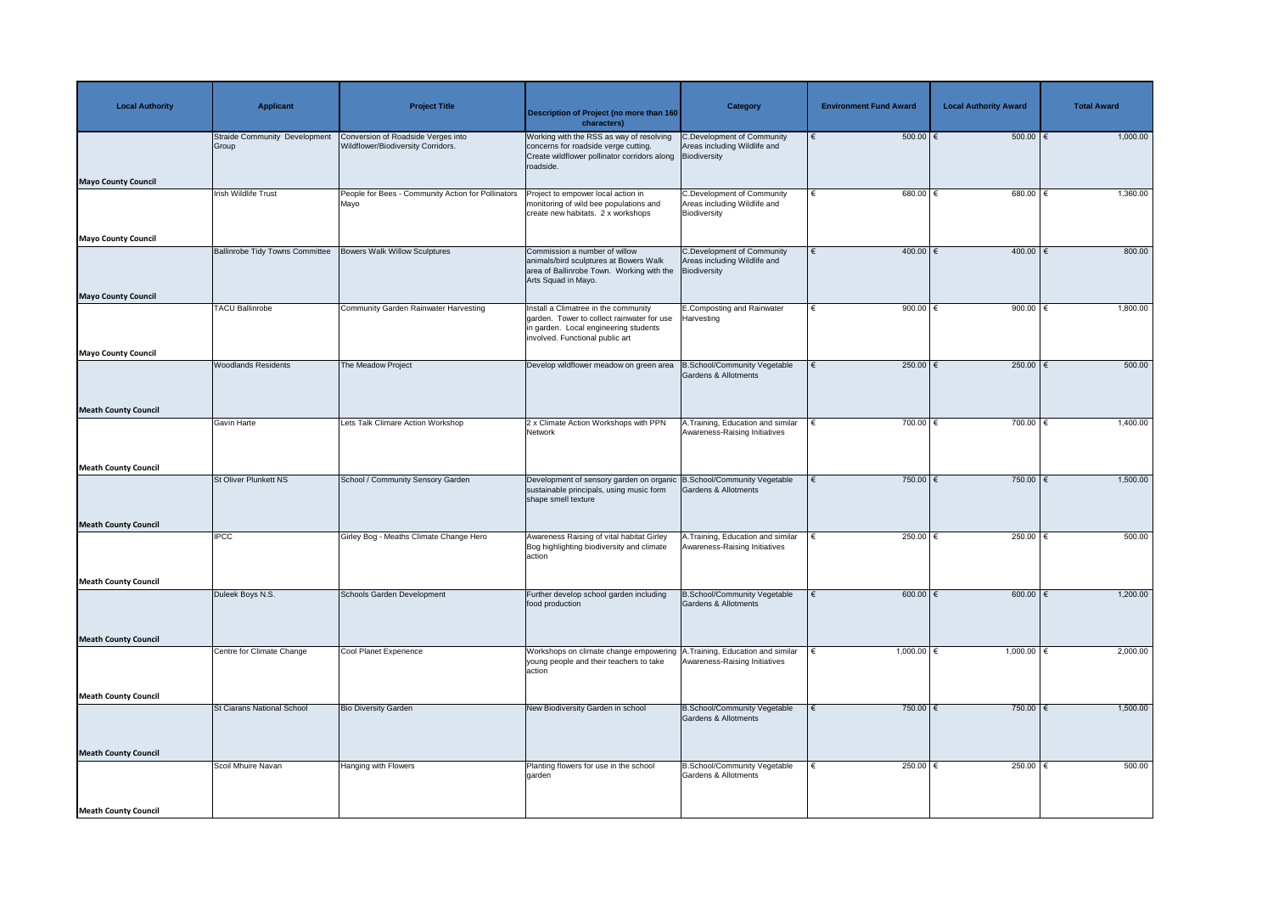| <b>Local Authority</b>      | <b>Applicant</b>                       | <b>Project Title</b>                                                     | <b>Description of Project (no more than 160</b><br>characters)                                                                                                 | <b>Category</b>                                                                   | <b>Environment Fund Award</b> | <b>Local Authority Award</b> | <b>Total Award</b> |
|-----------------------------|----------------------------------------|--------------------------------------------------------------------------|----------------------------------------------------------------------------------------------------------------------------------------------------------------|-----------------------------------------------------------------------------------|-------------------------------|------------------------------|--------------------|
|                             | Straide Community Development<br>Group | Conversion of Roadside Verges into<br>Wildflower/Biodiversity Corridors. | Working with the RSS as way of resolving<br>concerns for roadside verge cutting.<br>Create wildflower pollinator corridors along Biodiversity<br>roadside.     | C.Development of Community<br>Areas including Wildlife and                        | $500.00$ $\epsilon$           | $500.00$ $\epsilon$          | 1,000.00           |
| <b>Mayo County Council</b>  |                                        |                                                                          |                                                                                                                                                                |                                                                                   |                               |                              |                    |
|                             | <b>Irish Wildlife Trust</b>            | People for Bees - Community Action for Pollinators<br>Mayo               | Project to empower local action in<br>monitoring of wild bee populations and<br>create new habitats. 2 x workshops                                             | <b>C.Development of Community</b><br>Areas including Wildlife and<br>Biodiversity | $680.00$ €                    | 680.00   €                   | 1,360.00           |
| <b>Mayo County Council</b>  |                                        |                                                                          |                                                                                                                                                                |                                                                                   |                               |                              |                    |
| <b>Mayo County Council</b>  | <b>Ballinrobe Tidy Towns Committee</b> | <b>Bowers Walk Willow Sculptures</b>                                     | Commission a number of willow<br>animals/bird sculptures at Bowers Walk<br>area of Ballinrobe Town. Working with the<br>Arts Squad in Mayo.                    | <b>C.Development of Community</b><br>Areas including Wildlife and<br>Biodiversity | 400.00   €<br>€               | 400.00   €                   | 800.00             |
|                             | <b>TACU Ballinrobe</b>                 | Community Garden Rainwater Harvesting                                    | Install a Climatree in the community<br>garden. Tower to collect rainwater for use<br>in garden. Local engineering students<br>involved. Functional public art | E.Composting and Rainwater<br>Harvesting                                          | 900.00 $\xi$<br>€             | 900.00 $\xi$                 | 1,800.00           |
| Mayo County Council         |                                        |                                                                          |                                                                                                                                                                |                                                                                   |                               |                              |                    |
|                             | <b>Woodlands Residents</b>             | The Meadow Project                                                       | Develop wildflower meadow on green area                                                                                                                        | <b>B.School/Community Vegetable</b><br>Gardens & Allotments                       | 250.00 $\epsilon$             | 250.00   €                   | 500.00             |
| <b>Meath County Council</b> |                                        |                                                                          |                                                                                                                                                                |                                                                                   |                               |                              |                    |
|                             | <b>Gavin Harte</b>                     | Lets Talk Climare Action Workshop                                        | 2 x Climate Action Workshops with PPN<br>Network                                                                                                               | A. Training, Education and similar<br>Awareness-Raising Initiatives               | 700.00 $\epsilon$             | 700.00 $\epsilon$            | 1,400.00           |
| <b>Meath County Council</b> |                                        |                                                                          |                                                                                                                                                                |                                                                                   |                               |                              |                    |
|                             | <b>St Oliver Plunkett NS</b>           | School / Community Sensory Garden                                        | Development of sensory garden on organic B.School/Community Vegetable<br>sustainable principals, using music form<br>shape smell texture                       | <b>Gardens &amp; Allotments</b>                                                   | 750.00 $\epsilon$             | 750.00 $\epsilon$            | 1,500.00           |
| <b>Meath County Council</b> |                                        |                                                                          |                                                                                                                                                                |                                                                                   |                               |                              |                    |
|                             | <b>IPCC</b>                            | Girley Bog - Meaths Climate Change Hero                                  | Awareness Raising of vital habitat Girley<br>Bog highlighting biodiversity and climate<br>action                                                               | A. Training, Education and similar<br>Awareness-Raising Initiatives               | 250.00 $\epsilon$             | 250.00 $\epsilon$            | 500.00             |
| <b>Meath County Council</b> |                                        |                                                                          |                                                                                                                                                                |                                                                                   |                               |                              |                    |
|                             | Duleek Boys N.S.                       | <b>Schools Garden Development</b>                                        | Further develop school garden including<br>food production                                                                                                     | <b>B.School/Community Vegetable</b><br>Gardens & Allotments                       | $600.00$ $\in$                | $600.00$ $\in$               | 1,200.00           |
| <b>Meath County Council</b> |                                        |                                                                          |                                                                                                                                                                |                                                                                   |                               |                              |                    |
|                             | Centre for Climate Change              | Cool Planet Experience                                                   | Workshops on climate change empowering A. Training, Education and similar<br>young people and their teachers to take<br>action                                 | Awareness-Raising Initiatives                                                     | $1,000.00$ €                  | $1,000.00$ €                 | 2,000.00           |
| <b>Meath County Council</b> |                                        |                                                                          |                                                                                                                                                                |                                                                                   |                               |                              |                    |
|                             | <b>St Ciarans National School</b>      | <b>Bio Diversity Garden</b>                                              | New Biodiversity Garden in school                                                                                                                              | <b>B.School/Community Vegetable</b><br><b>Gardens &amp; Allotments</b>            | 750.00 €                      | 750.00   €                   | 1,500.00           |
| <b>Meath County Council</b> |                                        |                                                                          |                                                                                                                                                                |                                                                                   |                               |                              |                    |
|                             | Scoil Mhuire Navan                     | Hanging with Flowers                                                     | Planting flowers for use in the school<br>garden                                                                                                               | <b>B.School/Community Vegetable</b><br>Gardens & Allotments                       | 250.00 $ \epsilon$<br>€       | 250.00   €                   | 500.00             |
| <b>Meath County Council</b> |                                        |                                                                          |                                                                                                                                                                |                                                                                   |                               |                              |                    |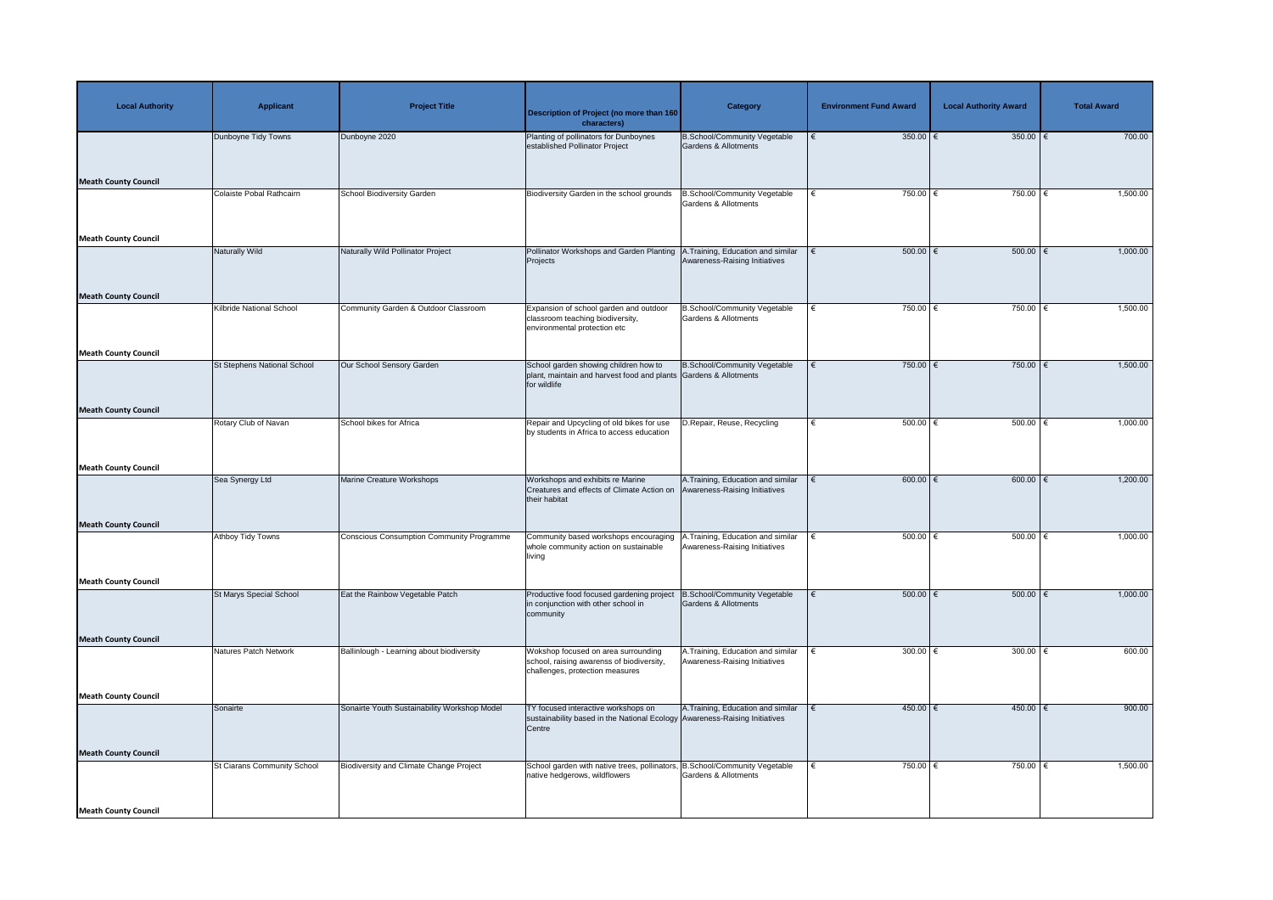| <b>Local Authority</b>      | <b>Applicant</b>                   | <b>Project Title</b>                             | <b>Description of Project (no more than 160</b><br>characters)                                                              | Category                                                            | <b>Environment Fund Award</b> | <b>Local Authority Award</b> | <b>Total Award</b> |
|-----------------------------|------------------------------------|--------------------------------------------------|-----------------------------------------------------------------------------------------------------------------------------|---------------------------------------------------------------------|-------------------------------|------------------------------|--------------------|
|                             | Dunboyne Tidy Towns                | Dunboyne 2020                                    | Planting of pollinators for Dunboynes<br>established Pollinator Project                                                     | <b>B.School/Community Vegetable</b><br>Gardens & Allotments         | 350.00 $\epsilon$<br>€        | 350.00 $\epsilon$            | 700.00             |
| <b>Meath County Council</b> |                                    |                                                  |                                                                                                                             |                                                                     |                               |                              |                    |
|                             | Colaiste Pobal Rathcairn           | <b>School Biodiversity Garden</b>                | Biodiversity Garden in the school grounds                                                                                   | B.School/Community Vegetable<br>Gardens & Allotments                | 750.00 $\epsilon$             | 750.00 €                     | 1,500.00           |
| <b>Meath County Council</b> |                                    |                                                  |                                                                                                                             |                                                                     |                               |                              |                    |
| <b>Meath County Council</b> | Naturally Wild                     | Naturally Wild Pollinator Project                | Pollinator Workshops and Garden Planting<br>Projects                                                                        | .Training, Education and similar<br>Awareness-Raising Initiatives   | $500.00$ $\in$<br>∣€          | $500.00$ $\epsilon$          | 1,000.00           |
|                             | <b>Kilbride National School</b>    | Community Garden & Outdoor Classroom             | Expansion of school garden and outdoor<br>classroom teaching biodiversity,<br>environmental protection etc                  | <b>B.School/Community Vegetable</b><br>Gardens & Allotments         | 750.00 $\epsilon$             | 750.00 $\epsilon$            | 1,500.00           |
| <b>Meath County Council</b> |                                    |                                                  |                                                                                                                             |                                                                     |                               |                              |                    |
|                             | <b>St Stephens National School</b> | Our School Sensory Garden                        | School garden showing children how to<br>plant, maintain and harvest food and plants Gardens & Allotments<br>for wildlife   | <b>B.School/Community Vegetable</b>                                 | 750.00 $\epsilon$<br>€        | $750.00$ €                   | 1,500.00           |
| <b>Meath County Council</b> |                                    |                                                  |                                                                                                                             |                                                                     |                               |                              |                    |
|                             | Rotary Club of Navan               | School bikes for Africa                          | Repair and Upcycling of old bikes for use<br>by students in Africa to access education                                      | D.Repair, Reuse, Recycling                                          | $500.00$ $\in$                | 500.00                       | 1,000.00           |
| <b>Meath County Council</b> |                                    |                                                  |                                                                                                                             |                                                                     |                               |                              |                    |
|                             | Sea Synergy Ltd                    | Marine Creature Workshops                        | Workshops and exhibits re Marine<br>Creatures and effects of Climate Action on<br>their habitat                             | A. Training, Education and similar<br>Awareness-Raising Initiatives | $600.00$ $\in$                | $600.00$ $\in$               | 1,200.00           |
| <b>Meath County Council</b> |                                    |                                                  |                                                                                                                             |                                                                     |                               |                              |                    |
|                             | <b>Athboy Tidy Towns</b>           | <b>Conscious Consumption Community Programme</b> | Community based workshops encouraging<br>whole community action on sustainable<br>living                                    | A. Training, Education and similar<br>Awareness-Raising Initiatives | $500.00$ $\in$                | 500.00                       | 1,000.00           |
| <b>Meath County Council</b> |                                    |                                                  |                                                                                                                             |                                                                     |                               |                              |                    |
|                             | <b>St Marys Special School</b>     | Eat the Rainbow Vegetable Patch                  | Productive food focused gardening project<br>in conjunction with other school in<br>community                               | <b>B.School/Community Vegetable</b><br>Gardens & Allotments         | 500.00 $ \epsilon$            | 500.00   €                   | 1,000.00           |
| <b>Meath County Council</b> |                                    |                                                  |                                                                                                                             |                                                                     |                               |                              |                    |
|                             | Natures Patch Network              | Ballinlough - Learning about biodiversity        | Wokshop focused on area surrounding<br>school, raising awarenss of biodiversity,<br>challenges, protection measures         | A. Training, Education and similar<br>Awareness-Raising Initiatives | 300.00 $\in$                  | 300.00   €                   | 600.00             |
| <b>Meath County Council</b> |                                    |                                                  |                                                                                                                             |                                                                     |                               |                              |                    |
|                             | Sonairte                           | Sonairte Youth Sustainability Workshop Model     | TY focused interactive workshops on<br>sustainability based in the National Ecology Awareness-Raising Initiatives<br>Centre | A. Training, Education and similar                                  | $450.00$ €                    | $450.00$ €                   | 900.00             |
| <b>Meath County Council</b> |                                    |                                                  |                                                                                                                             |                                                                     |                               |                              |                    |
|                             | <b>St Ciarans Community School</b> | <b>Biodiversity and Climate Change Project</b>   | School garden with native trees, pollinators,<br>native hedgerows, wildflowers                                              | B.School/Community Vegetable<br><b>Gardens &amp; Allotments</b>     | 750.00 $\epsilon$<br>€        | 750.00   €                   | 1,500.00           |
| <b>Meath County Council</b> |                                    |                                                  |                                                                                                                             |                                                                     |                               |                              |                    |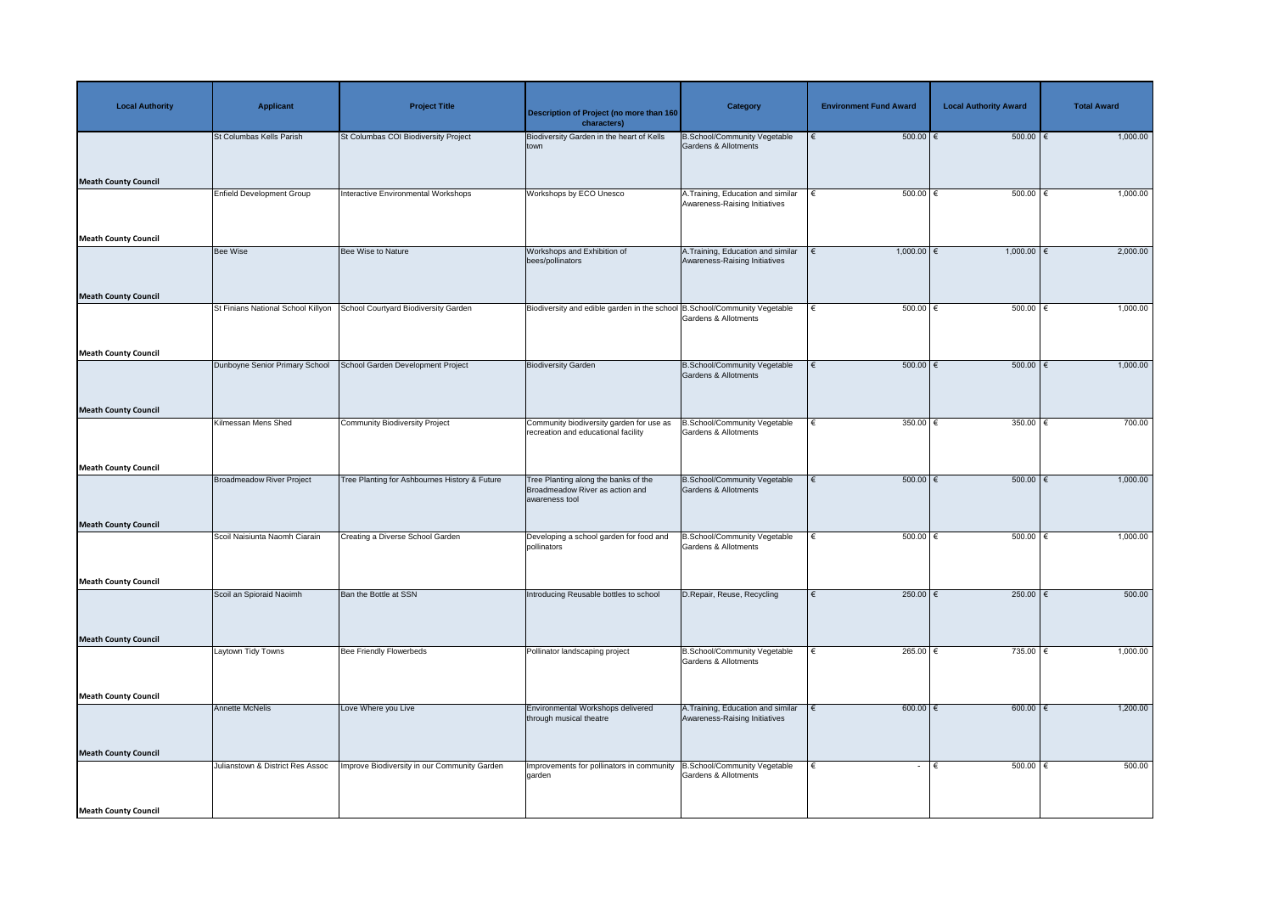| <b>Local Authority</b>      | <b>Applicant</b>                   | <b>Project Title</b>                          | <b>Description of Project (no more than 160</b><br>characters)                            | <b>Category</b>                                                        | <b>Environment Fund Award</b> | <b>Local Authority Award</b> | <b>Total Award</b> |
|-----------------------------|------------------------------------|-----------------------------------------------|-------------------------------------------------------------------------------------------|------------------------------------------------------------------------|-------------------------------|------------------------------|--------------------|
| <b>Meath County Council</b> | St Columbas Kells Parish           | St Columbas COI Biodiversity Project          | Biodiversity Garden in the heart of Kells<br>town                                         | <b>B.School/Community Vegetable</b><br>Gardens & Allotments            | $500.00$ $\in$<br>€           | 500.00                       | 1,000.00           |
| <b>Meath County Council</b> | <b>Enfield Development Group</b>   | Interactive Environmental Workshops           | Workshops by ECO Unesco                                                                   | A. Training, Education and similar<br>Awareness-Raising Initiatives    | $500.00$ $\in$<br>∣€          | $500.00$ $\in$               | 1,000.00           |
| <b>Meath County Council</b> | Bee Wise                           | Bee Wise to Nature                            | Workshops and Exhibition of<br>bees/pollinators                                           | A. Training, Education and similar<br>Awareness-Raising Initiatives    | $1,000.00$ $\in$              | $1,000.00$ €                 | 2,000.00           |
| <b>Meath County Council</b> | St Finians National School Killyon | School Courtyard Biodiversity Garden          | Biodiversity and edible garden in the school B.School/Community Vegetable                 | <b>Gardens &amp; Allotments</b>                                        | $500.00$ $\in$<br>$\epsilon$  | 500.00                       | 1,000.00           |
|                             | Dunboyne Senior Primary School     | School Garden Development Project             | <b>Biodiversity Garden</b>                                                                | <b>B.School/Community Vegetable</b><br><b>Gardens &amp; Allotments</b> | $500.00$ $\in$<br>€           | $500.00$ $\in$               | 1,000.00           |
| <b>Meath County Council</b> | Kilmessan Mens Shed                | <b>Community Biodiversity Project</b>         | Community biodiversity garden for use as<br>recreation and educational facility           | B.School/Community Vegetable<br><b>Gardens &amp; Allotments</b>        | 350.00 $\xi$<br>€             | 350.00 $\epsilon$            | 700.00             |
| <b>Meath County Council</b> | Broadmeadow River Project          | Tree Planting for Ashbournes History & Future | Tree Planting along the banks of the<br>Broadmeadow River as action and<br>awareness tool | <b>B.School/Community Vegetable</b><br>Gardens & Allotments            | $500.00$ $\in$<br>€           | $500.00$ $\epsilon$          | 1,000.00           |
| <b>Meath County Council</b> | Scoil Naisiunta Naomh Ciarain      | Creating a Diverse School Garden              | Developing a school garden for food and<br>pollinators                                    | <b>B.School/Community Vegetable</b><br><b>Gardens &amp; Allotments</b> | $500.00$ $\in$                | $500.00$ $\in$               | 1,000.00           |
| <b>Meath County Council</b> | Scoil an Spioraid Naoimh           | Ban the Bottle at SSN                         | Introducing Reusable bottles to school                                                    | D.Repair, Reuse, Recycling                                             | $250.00$ €<br>€               | 250.00   €                   | 500.00             |
| <b>Meath County Council</b> | Laytown Tidy Towns                 | <b>Bee Friendly Flowerbeds</b>                | Pollinator landscaping project                                                            | B.School/Community Vegetable<br><b>Gardens &amp; Allotments</b>        | 265.00 $\xi$                  | 735.00 $\epsilon$            | 1,000.00           |
| <b>Meath County Council</b> | <b>Annette McNelis</b>             | Love Where you Live                           | Environmental Workshops delivered<br>through musical theatre                              | A. Training, Education and similar<br>Awareness-Raising Initiatives    | $600.00$ $\in$<br>$\epsilon$  | $600.00$ $\epsilon$          | 1,200.00           |
| <b>Meath County Council</b> | Julianstown & District Res Assoc   | Improve Biodiversity in our Community Garden  | Improvements for pollinators in community<br>garden                                       | <b>B.School/Community Vegetable</b><br>Gardens & Allotments            | $\epsilon$<br>$\sim$          | 500.00<br>l €                | 500.00             |
| <b>Meath County Council</b> |                                    |                                               |                                                                                           |                                                                        |                               |                              |                    |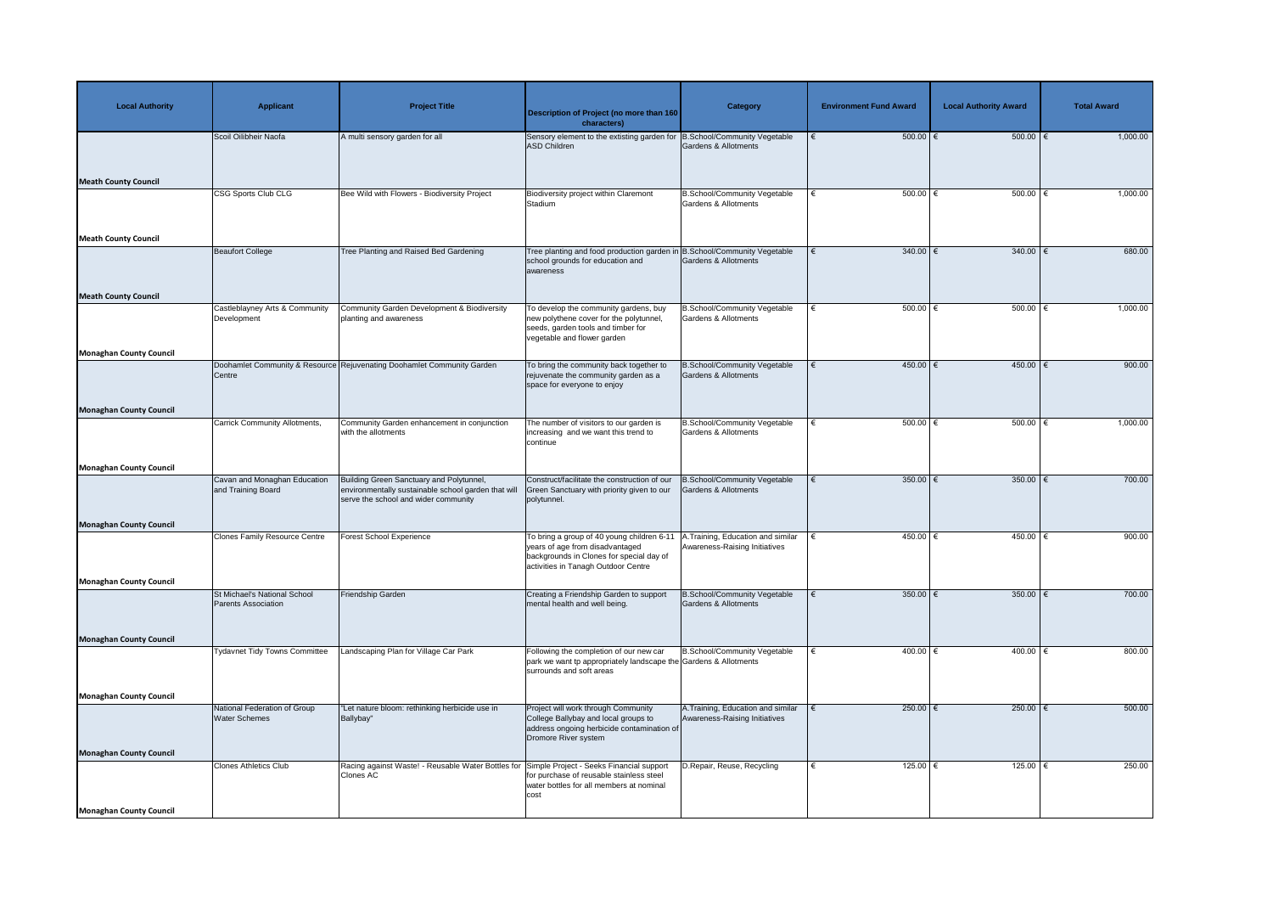| <b>Local Authority</b>         | <b>Applicant</b>                                           | <b>Project Title</b>                                                                                                                   | <b>Description of Project (no more than 160</b><br>characters)                                                                                                   | <b>Category</b>                                                     | <b>Environment Fund Award</b> | <b>Local Authority Award</b> | <b>Total Award</b> |
|--------------------------------|------------------------------------------------------------|----------------------------------------------------------------------------------------------------------------------------------------|------------------------------------------------------------------------------------------------------------------------------------------------------------------|---------------------------------------------------------------------|-------------------------------|------------------------------|--------------------|
|                                | Scoil Oilibheir Naofa                                      | A multi sensory garden for all                                                                                                         | Sensory element to the extisting garden for B.School/Community Vegetable<br>ASD Children                                                                         | Gardens & Allotments                                                | $500.00$ $\epsilon$           | 500.00                       | 1,000.00           |
| <b>Meath County Council</b>    | <b>CSG Sports Club CLG</b>                                 | Bee Wild with Flowers - Biodiversity Project                                                                                           | Biodiversity project within Claremont                                                                                                                            | <b>B.School/Community Vegetable</b>                                 | $500.00$ $\in$                | 500.00   €                   | 1,000.00           |
|                                |                                                            |                                                                                                                                        | Stadium                                                                                                                                                          | Gardens & Allotments                                                |                               |                              |                    |
| <b>Meath County Council</b>    |                                                            |                                                                                                                                        |                                                                                                                                                                  |                                                                     |                               |                              |                    |
| <b>Meath County Council</b>    | <b>Beaufort College</b>                                    | Tree Planting and Raised Bed Gardening                                                                                                 | Tree planting and food production garden ir<br>school grounds for education and<br>awareness                                                                     | B.School/Community Vegetable<br>Gardens & Allotments                | $340.00$ €                    | $340.00$   €                 | 680.00             |
|                                | Castleblayney Arts & Community                             | Community Garden Development & Biodiversity                                                                                            | To develop the community gardens, buy                                                                                                                            | <b>B.School/Community Vegetable</b>                                 | $500.00$ $\in$                | $500.00$ $\in$               | 1,000.00           |
|                                | Development                                                | planting and awareness                                                                                                                 | new polythene cover for the polytunnel,<br>seeds, garden tools and timber for<br>vegetable and flower garden                                                     | Gardens & Allotments                                                |                               |                              |                    |
| <b>Monaghan County Council</b> |                                                            |                                                                                                                                        |                                                                                                                                                                  |                                                                     |                               |                              |                    |
|                                | Centre                                                     | Doohamlet Community & Resource Rejuvenating Doohamlet Community Garden                                                                 | To bring the community back together to<br>rejuvenate the community garden as a<br>space for everyone to enjoy                                                   | B.School/Community Vegetable<br>Gardens & Allotments                | 450.00   €                    | 450.00   €                   | 900.00             |
| <b>Monaghan County Council</b> |                                                            |                                                                                                                                        |                                                                                                                                                                  |                                                                     |                               |                              |                    |
|                                | <b>Carrick Community Allotments,</b>                       | Community Garden enhancement in conjunction<br>with the allotments                                                                     | The number of visitors to our garden is<br>increasing and we want this trend to<br>continue                                                                      | B.School/Community Vegetable<br>Gardens & Allotments                | $500.00$ $\in$                | $500.00$ $\in$               | 1,000.00           |
| <b>Monaghan County Council</b> |                                                            |                                                                                                                                        |                                                                                                                                                                  |                                                                     |                               |                              |                    |
|                                | Cavan and Monaghan Education<br>and Training Board         | Building Green Sanctuary and Polytunnel,<br>environmentally sustainable school garden that wil<br>serve the school and wider community | Construct/facilitate the construction of our<br>Green Sanctuary with priority given to our<br>polytunnel.                                                        | <b>B.School/Community Vegetable</b><br>Gardens & Allotments         | 350.00 $\epsilon$             | 350.00 $\sqrt{6}$            | 700.00             |
| <b>Monaghan County Council</b> |                                                            |                                                                                                                                        |                                                                                                                                                                  |                                                                     |                               |                              |                    |
|                                | <b>Clones Family Resource Centre</b>                       | <b>Forest School Experience</b>                                                                                                        | To bring a group of 40 young children 6-11<br>years of age from disadvantaged<br>backgrounds in Clones for special day of<br>activities in Tanagh Outdoor Centre | A.Training, Education and similar<br>Awareness-Raising Initiatives  | $450.00$ €                    | $450.00$ $\in$               | 900.00             |
| Monaghan County Council        |                                                            |                                                                                                                                        |                                                                                                                                                                  |                                                                     |                               |                              |                    |
|                                | St Michael's National School<br><b>Parents Association</b> | Friendship Garden                                                                                                                      | Creating a Friendship Garden to support<br>mental health and well being.                                                                                         | B.School/Community Vegetable<br>Gardens & Allotments                | 350.00   €                    | 350.00   €                   | 700.00             |
| <b>Monaghan County Council</b> |                                                            |                                                                                                                                        |                                                                                                                                                                  |                                                                     |                               |                              |                    |
|                                | Tydavnet Tidy Towns Committee                              | Landscaping Plan for Village Car Park                                                                                                  | Following the completion of our new car<br>park we want tp appropriately landscape the Gardens & Allotments<br>surrounds and soft areas                          | B.School/Community Vegetable                                        | 400.00 $ \epsilon$            | 400.00 $ \epsilon$           | 800.00             |
| <b>Monaghan County Council</b> |                                                            |                                                                                                                                        |                                                                                                                                                                  |                                                                     |                               |                              |                    |
|                                | National Federation of Group<br><b>Water Schemes</b>       | "Let nature bloom: rethinking herbicide use in<br>Ballybay"                                                                            | Project will work through Community<br>College Ballybay and local groups to<br>address ongoing herbicide contamination of<br>Dromore River system                | A. Training, Education and similar<br>Awareness-Raising Initiatives | $250.00$ €                    | 250.00                       | 500.00             |
| <b>Monaghan County Council</b> | <b>Clones Athletics Club</b>                               | Racing against Waste! - Reusable Water Bottles for Simple Project - Seeks Financial support                                            |                                                                                                                                                                  | D. Repair, Reuse, Recycling                                         | 125.00 $ \epsilon$            | 125.00   €                   | 250.00             |
|                                |                                                            | <b>Clones AC</b>                                                                                                                       | for purchase of reusable stainless steel<br>water bottles for all members at nominal<br>cost                                                                     |                                                                     |                               |                              |                    |
| Monaghan County Council        |                                                            |                                                                                                                                        |                                                                                                                                                                  |                                                                     |                               |                              |                    |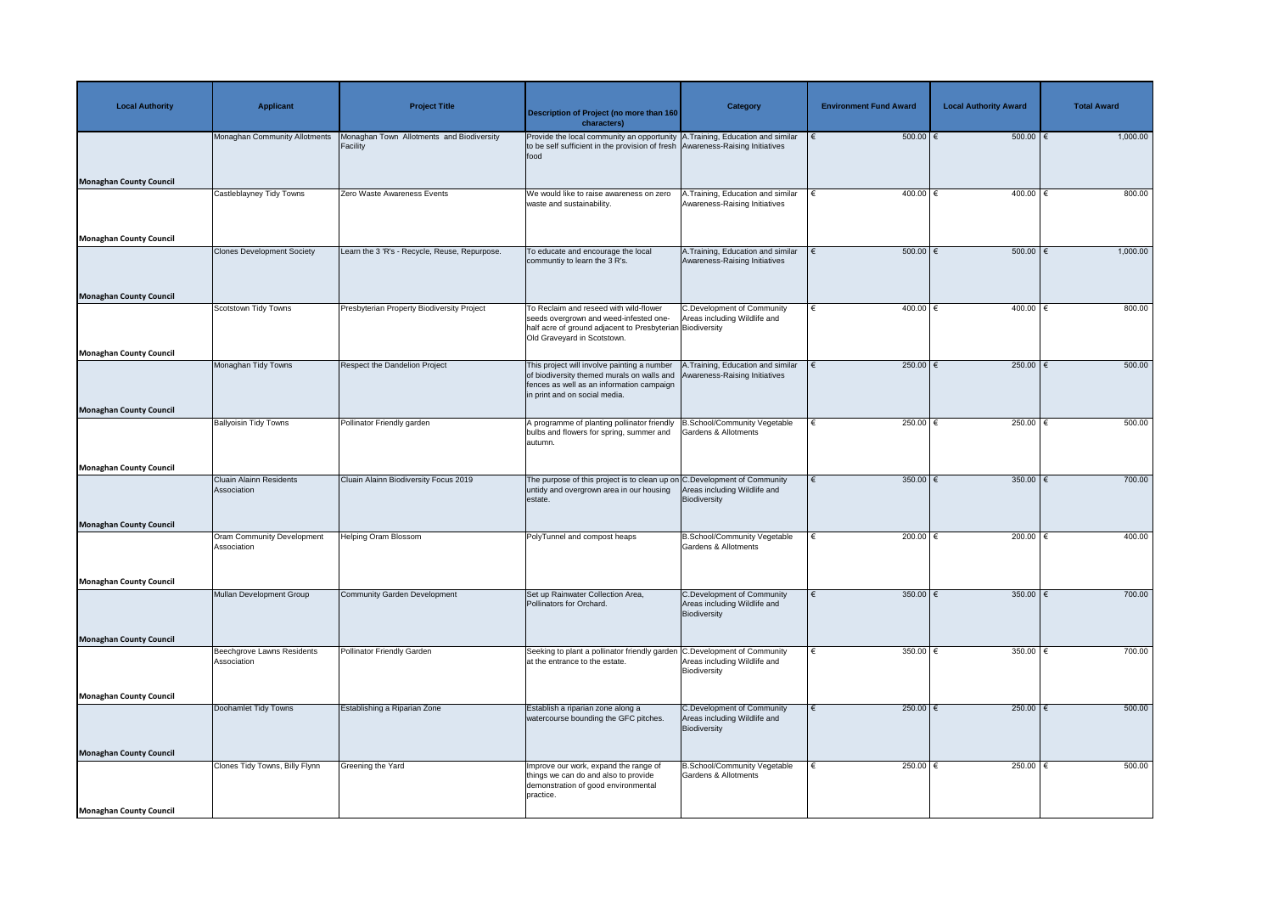| <b>Local Authority</b>         | <b>Applicant</b>                                 | <b>Project Title</b>                                  | <b>Description of Project (no more than 160</b><br>characters)                                                                                                               | <b>Category</b>                                                                   | <b>Environment Fund Award</b> | <b>Local Authority Award</b> | <b>Total Award</b> |
|--------------------------------|--------------------------------------------------|-------------------------------------------------------|------------------------------------------------------------------------------------------------------------------------------------------------------------------------------|-----------------------------------------------------------------------------------|-------------------------------|------------------------------|--------------------|
|                                | Monaghan Community Allotments                    | Monaghan Town Allotments and Biodiversity<br>Facility | Provide the local community an opportunity A. Training, Education and similar<br>to be self sufficient in the provision of fresh Awareness-Raising Initiatives<br>food       |                                                                                   | $500.00$ $\in$                | $500.00$ $\in$               | 1,000.00           |
| <b>Monaghan County Council</b> |                                                  | Zero Waste Awareness Events                           | We would like to raise awareness on zero                                                                                                                                     | .Training, Education and similar                                                  | 400.00 $ \epsilon$            | 400.00   €                   | 800.00             |
|                                | Castleblayney Tidy Towns                         |                                                       | waste and sustainability.                                                                                                                                                    | Awareness-Raising Initiatives                                                     |                               |                              |                    |
| <b>Monaghan County Council</b> |                                                  | Learn the 3 'R's - Recycle, Reuse, Repurpose.         |                                                                                                                                                                              |                                                                                   |                               | 500.00   €                   | 1,000.00           |
| <b>Monaghan County Council</b> | <b>Clones Development Society</b>                |                                                       | To educate and encourage the local<br>communtiy to learn the 3 R's.                                                                                                          | A. Training, Education and similar<br>Awareness-Raising Initiatives               | $500.00$   €                  |                              |                    |
|                                | <b>Scotstown Tidy Towns</b>                      | Presbyterian Property Biodiversity Project            | To Reclaim and reseed with wild-flower<br>seeds overgrown and weed-infested one-<br>half acre of ground adjacent to Presbyterian Biodiversity<br>Old Graveyard in Scotstown. | <b>C.Development of Community</b><br>Areas including Wildlife and                 | $400.00$ €<br>€               | $400.00$ €                   | 800.00             |
| Monaghan County Council        |                                                  |                                                       |                                                                                                                                                                              |                                                                                   |                               |                              |                    |
|                                | Monaghan Tidy Towns                              | Respect the Dandelion Project                         | This project will involve painting a number<br>of biodiversity themed murals on walls and<br>fences as well as an information campaign<br>in print and on social media.      | A.Training, Education and similar<br>Awareness-Raising Initiatives                | 250.00 $\epsilon$             | $250.00$   $\leftarrow$      | 500.00             |
| <b>Monaghan County Council</b> |                                                  |                                                       |                                                                                                                                                                              |                                                                                   |                               |                              |                    |
|                                | <b>Ballyoisin Tidy Towns</b>                     | Pollinator Friendly garden                            | A programme of planting pollinator friendly   B. School/Community Vegetable<br>bulbs and flowers for spring, summer and   Gardens & Allotments<br>autumn.                    |                                                                                   | 250.00 $ \epsilon$<br>€       | 250.00   €                   | 500.00             |
| Monaghan County Council        |                                                  |                                                       |                                                                                                                                                                              |                                                                                   |                               |                              |                    |
|                                | <b>Cluain Alainn Residents</b><br>Association    | Cluain Alainn Biodiversity Focus 2019                 | The purpose of this project is to clean up on C. Development of Community<br>untidy and overgrown area in our housing<br>estate.                                             | Areas including Wildlife and<br>Biodiversity                                      | 350.00 $\epsilon$             | 350.00                       | 700.00             |
| <b>Monaghan County Council</b> |                                                  |                                                       |                                                                                                                                                                              |                                                                                   |                               |                              |                    |
|                                | <b>Oram Community Development</b><br>Association | <b>Helping Oram Blossom</b>                           | PolyTunnel and compost heaps                                                                                                                                                 | <b>B.School/Community Vegetable</b><br>Gardens & Allotments                       | 200.00 $\epsilon$<br>€        | 200.00 $\epsilon$            | 400.00             |
| <b>Monaghan County Council</b> |                                                  |                                                       |                                                                                                                                                                              |                                                                                   |                               |                              |                    |
|                                | Mullan Development Group                         | <b>Community Garden Development</b>                   | Set up Rainwater Collection Area,<br>Pollinators for Orchard.                                                                                                                | <b>C.Development of Community</b><br>Areas including Wildlife and<br>Biodiversity | 350.00 $\epsilon$             | 350.00 $\epsilon$            | 700.00             |
| <b>Monaghan County Council</b> |                                                  |                                                       |                                                                                                                                                                              |                                                                                   |                               |                              |                    |
|                                | Beechgrove Lawns Residents<br>Association        | <b>Pollinator Friendly Garden</b>                     | Seeking to plant a pollinator friendly garden C.Development of Community<br>at the entrance to the estate.                                                                   | Areas including Wildlife and<br>Biodiversity                                      | 350.00 $ \epsilon$            | 350.00   €                   | 700.00             |
| <b>Monaghan County Council</b> |                                                  |                                                       |                                                                                                                                                                              |                                                                                   |                               |                              |                    |
|                                | Doohamlet Tidy Towns                             | Establishing a Riparian Zone                          | Establish a riparian zone along a<br>watercourse bounding the GFC pitches.                                                                                                   | <b>C.Development of Community</b><br>Areas including Wildlife and<br>Biodiversity | 250.00 $ \epsilon$            | 250.00   €                   | 500.00             |
| <b>Monaghan County Council</b> |                                                  |                                                       |                                                                                                                                                                              |                                                                                   |                               |                              |                    |
|                                | Clones Tidy Towns, Billy Flynn                   | Greening the Yard                                     | Improve our work, expand the range of<br>things we can do and also to provide<br>demonstration of good environmental<br>practice.                                            | <b>B.School/Community Vegetable</b><br><b>Gardens &amp; Allotments</b>            | 250.00 $ \epsilon$<br>€       | 250.00   €                   | 500.00             |
| Monaghan County Council        |                                                  |                                                       |                                                                                                                                                                              |                                                                                   |                               |                              |                    |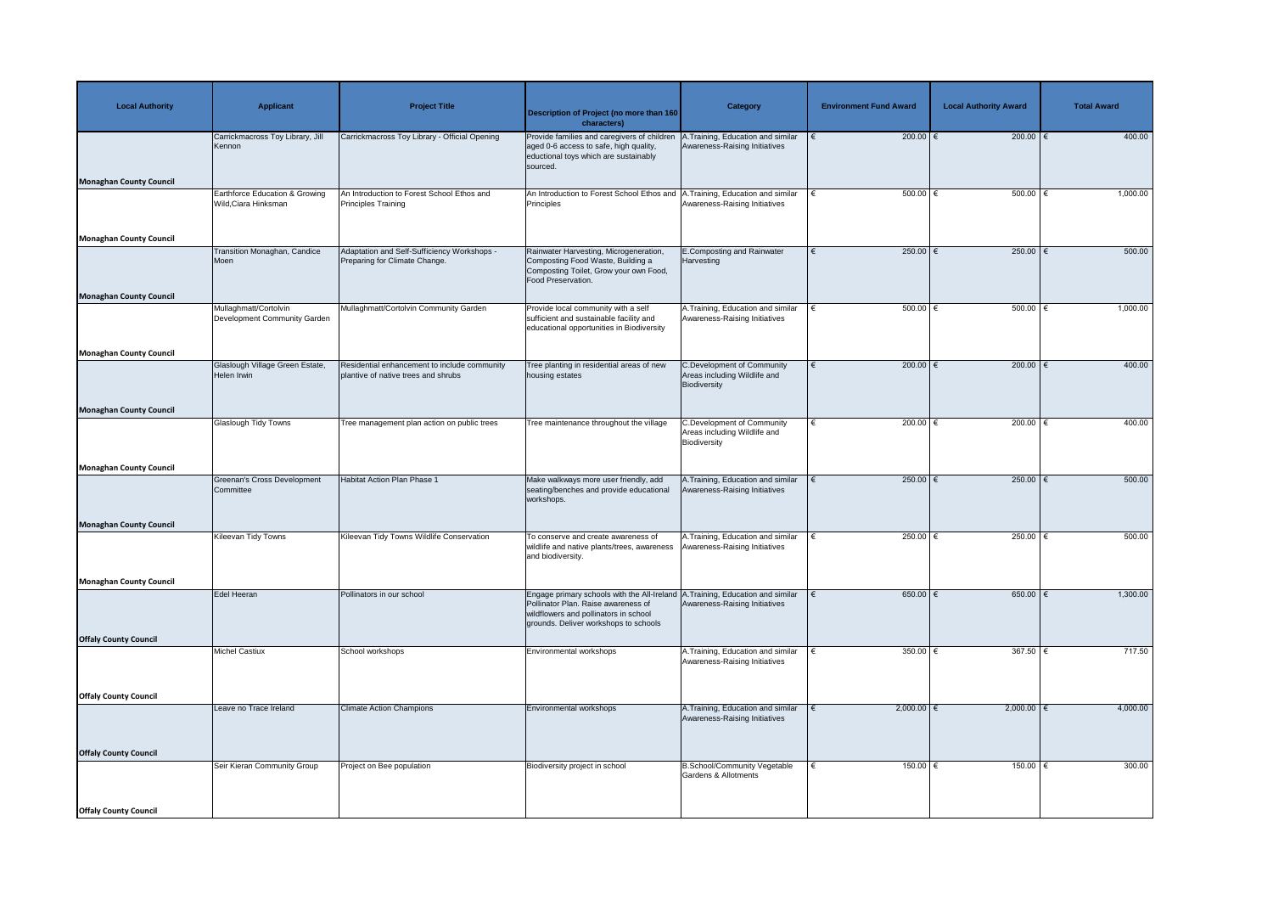| <b>Local Authority</b>         | <b>Applicant</b>                                       | <b>Project Title</b>                                                                | Description of Project (no more than 160<br>characters)                                                                                                              | <b>Category</b>                                                                   | <b>Environment Fund Award</b> | <b>Local Authority Award</b> | <b>Total Award</b> |
|--------------------------------|--------------------------------------------------------|-------------------------------------------------------------------------------------|----------------------------------------------------------------------------------------------------------------------------------------------------------------------|-----------------------------------------------------------------------------------|-------------------------------|------------------------------|--------------------|
| <b>Monaghan County Council</b> | Carrickmacross Toy Library, Jill<br>Kennon             | Carrickmacross Toy Library - Official Opening                                       | Provide families and caregivers of children  <br>aged 0-6 access to safe, high quality,<br>eductional toys which are sustainably<br>sourced.                         | A.Training, Education and similar<br>Awareness-Raising Initiatives                | 200.00 $\epsilon$             | 200.00 $\epsilon$            | 400.00             |
|                                | Earthforce Education & Growing<br>Wild, Ciara Hinksman | An Introduction to Forest School Ethos and<br>Principles Training                   | An Introduction to Forest School Ethos and<br>Principles                                                                                                             | Training, Education and similar<br>Awareness-Raising Initiatives                  | $500.00$ $\in$                | $500.00$ $\in$               | 1,000.00           |
| <b>Monaghan County Council</b> |                                                        |                                                                                     |                                                                                                                                                                      |                                                                                   |                               |                              |                    |
|                                | <b>Transition Monaghan, Candice</b><br>Moen            | Adaptation and Self-Sufficiency Workshops -<br>Preparing for Climate Change.        | Rainwater Harvesting, Microgeneration,<br>Composting Food Waste, Building a<br>Composting Toilet, Grow your own Food,<br>Food Preservation.                          | <b>E.Composting and Rainwater</b><br>Harvesting                                   | 250.00 $\epsilon$             | 250.00                       | 500.00             |
| <b>Monaghan County Council</b> |                                                        |                                                                                     |                                                                                                                                                                      |                                                                                   |                               |                              |                    |
|                                | Mullaghmatt/Cortolvin<br>Development Community Garden  | Mullaghmatt/Cortolvin Community Garden                                              | Provide local community with a self<br>sufficient and sustainable facility and<br>educational opportunities in Biodiversity                                          | A.Training, Education and similar<br>Awareness-Raising Initiatives                | $500.00$ $\in$                | $500.00$ $\in$               | 1,000.00           |
| <b>Monaghan County Council</b> |                                                        |                                                                                     |                                                                                                                                                                      |                                                                                   |                               |                              |                    |
|                                | Glaslough Village Green Estate,<br>Helen Irwin         | Residential enhancement to include community<br>plantive of native trees and shrubs | Tree planting in residential areas of new<br>housing estates                                                                                                         | C.Development of Community<br>Areas including Wildlife and<br>Biodiversity        | 200.00 $ \epsilon$            | 200.00                       | 400.00             |
| <b>Monaghan County Council</b> |                                                        |                                                                                     |                                                                                                                                                                      |                                                                                   |                               |                              |                    |
|                                | <b>Glaslough Tidy Towns</b>                            | Tree management plan action on public trees                                         | Tree maintenance throughout the village                                                                                                                              | <b>C.Development of Community</b><br>Areas including Wildlife and<br>Biodiversity | 200.00 $\epsilon$             | 200.00 $\epsilon$            | 400.00             |
| <b>Monaghan County Council</b> |                                                        |                                                                                     |                                                                                                                                                                      |                                                                                   |                               |                              |                    |
|                                | Greenan's Cross Development<br>Committee               | Habitat Action Plan Phase 1                                                         | Make walkways more user friendly, add<br>seating/benches and provide educational<br>workshops.                                                                       | A. Training, Education and similar<br>Awareness-Raising Initiatives               | 250.00 $\epsilon$             | 250.00                       | 500.00             |
| <b>Monaghan County Council</b> |                                                        |                                                                                     |                                                                                                                                                                      |                                                                                   |                               |                              |                    |
|                                | <b>Kileevan Tidy Towns</b>                             | Kileevan Tidy Towns Wildlife Conservation                                           | To conserve and create awareness of<br>wildlife and native plants/trees, awareness<br>and biodiversity.                                                              | A. Training, Education and similar<br>Awareness-Raising Initiatives               | 250.00 $\epsilon$             | 250.00 $\epsilon$            | 500.00             |
| <b>Monaghan County Council</b> |                                                        |                                                                                     |                                                                                                                                                                      |                                                                                   |                               |                              |                    |
|                                | Edel Heeran                                            | Pollinators in our school                                                           | Engage primary schools with the All-Ireland<br>Pollinator Plan. Raise awareness of<br>wildflowers and pollinators in school<br>grounds. Deliver workshops to schools | A.Training, Education and similar<br>Awareness-Raising Initiatives                | 650.00 $ \epsilon$            | 650.00   €                   | 1,300.00           |
| <b>Offaly County Council</b>   |                                                        |                                                                                     |                                                                                                                                                                      |                                                                                   |                               |                              |                    |
|                                | <b>Michel Castiux</b>                                  | School workshops                                                                    | Environmental workshops                                                                                                                                              | A.Training, Education and similar<br>Awareness-Raising Initiatives                | 350.00 $ \epsilon$            | 367.50   €                   | 717.50             |
| <b>Offaly County Council</b>   |                                                        |                                                                                     |                                                                                                                                                                      |                                                                                   |                               |                              |                    |
|                                | Leave no Trace Ireland                                 | <b>Climate Action Champions</b>                                                     | Environmental workshops                                                                                                                                              | A. Training, Education and similar<br>Awareness-Raising Initiatives               | $2,000.00$ €                  | $2,000.00$ $∈$               | 4,000.00           |
| <b>Offaly County Council</b>   |                                                        |                                                                                     |                                                                                                                                                                      |                                                                                   |                               |                              |                    |
|                                | Seir Kieran Community Group                            | Project on Bee population                                                           | Biodiversity project in school                                                                                                                                       | <b>B.School/Community Vegetable</b><br><b>Gardens &amp; Allotments</b>            | 150.00 $ \epsilon$<br>€       | 150.00   €                   | 300.00             |
| <b>Offaly County Council</b>   |                                                        |                                                                                     |                                                                                                                                                                      |                                                                                   |                               |                              |                    |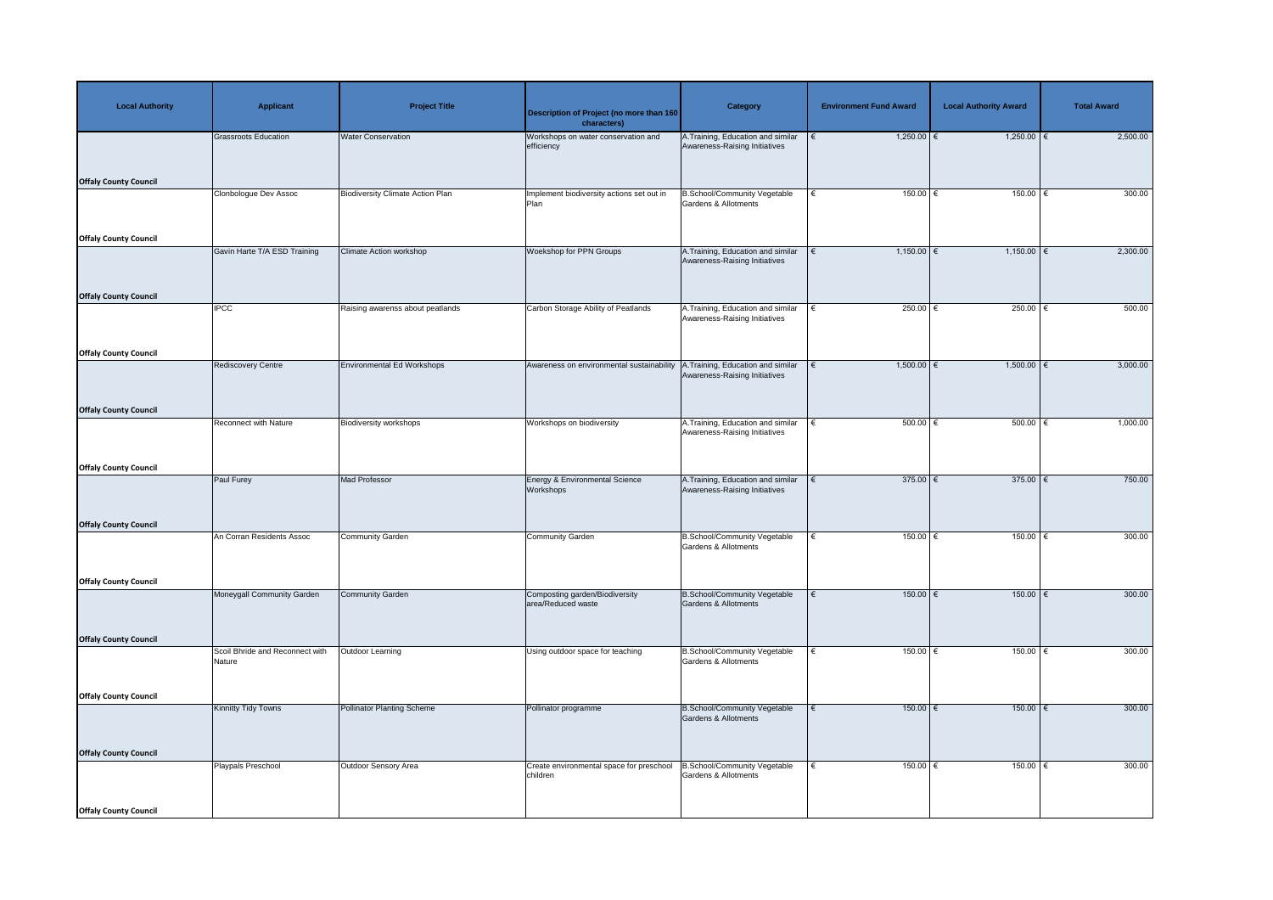| <b>Local Authority</b>       | <b>Applicant</b>                          | <b>Project Title</b>                    | Description of Project (no more than 160<br>characters) | <b>Category</b>                                                        | <b>Environment Fund Award</b> | <b>Local Authority Award</b> | <b>Total Award</b> |
|------------------------------|-------------------------------------------|-----------------------------------------|---------------------------------------------------------|------------------------------------------------------------------------|-------------------------------|------------------------------|--------------------|
|                              | Grassroots Education                      | <b>Water Conservation</b>               | Workshops on water conservation and<br>efficiency       | A.Training, Education and similar<br>Awareness-Raising Initiatives     | $1,250.00$ €                  | $1,250.00$ €                 | 2,500.00           |
| <b>Offaly County Council</b> | Clonbologue Dev Assoc                     | <b>Biodiversity Climate Action Plan</b> | Implement biodiversity actions set out in<br>Plan       | <b>B.School/Community Vegetable</b><br>Gardens & Allotments            | $150.00$ €<br>$\epsilon$      | 150.00                       | 300.00             |
| <b>Offaly County Council</b> |                                           |                                         |                                                         |                                                                        |                               |                              |                    |
|                              | Gavin Harte T/A ESD Training              | <b>Climate Action workshop</b>          | <b>Woekshop for PPN Groups</b>                          | A. Training, Education and similar<br>Awareness-Raising Initiatives    | $1,150.00$ €                  | $1,150.00$ €                 | 2,300.00           |
| <b>Offaly County Council</b> | <b>IPCC</b>                               | Raising awarenss about peatlands        | Carbon Storage Ability of Peatlands                     | A.Training, Education and similar<br>Awareness-Raising Initiatives     | 250.00 $\epsilon$<br>l€       | 250.00 $\epsilon$            | 500.00             |
| <b>Offaly County Council</b> |                                           |                                         |                                                         |                                                                        |                               |                              |                    |
|                              | <b>Rediscovery Centre</b>                 | <b>Environmental Ed Workshops</b>       | Awareness on environmental sustainability               | .Training, Education and similar<br>Awareness-Raising Initiatives      | $1,500.00$ €                  | $1,500.00$ €                 | 3,000.00           |
| <b>Offaly County Council</b> |                                           |                                         |                                                         |                                                                        |                               |                              |                    |
|                              | <b>Reconnect with Nature</b>              | <b>Biodiversity workshops</b>           | Workshops on biodiversity                               | A. Training, Education and similar<br>Awareness-Raising Initiatives    | 500.00<br>ا €                 | 500.00                       | 1,000.00           |
| <b>Offaly County Council</b> |                                           |                                         |                                                         |                                                                        |                               |                              |                    |
|                              | Paul Furey                                | <b>Mad Professor</b>                    | Energy & Environmental Science<br><b>Workshops</b>      | A. Training, Education and similar<br>Awareness-Raising Initiatives    | 375.00 $\epsilon$             | 375.00 $\epsilon$            | 750.00             |
| <b>Offaly County Council</b> | An Corran Residents Assoc                 | Community Garden                        | <b>Community Garden</b>                                 | <b>B.School/Community Vegetable</b>                                    | 150.00<br>€                   | $150.00$ €                   | 300.00             |
|                              |                                           |                                         |                                                         | <b>Gardens &amp; Allotments</b>                                        |                               |                              |                    |
| <b>Offaly County Council</b> |                                           |                                         |                                                         |                                                                        |                               |                              |                    |
|                              | Moneygall Community Garden                | <b>Community Garden</b>                 | Composting garden/Biodiversity<br>area/Reduced waste    | <b>B.School/Community Vegetable</b><br><b>Gardens &amp; Allotments</b> | 150.00<br>∣€                  | $150.00$ €                   | 300.00             |
| <b>Offaly County Council</b> |                                           |                                         |                                                         |                                                                        |                               |                              |                    |
|                              | Scoil Bhride and Reconnect with<br>Nature | Outdoor Learning                        | Using outdoor space for teaching                        | <b>B.School/Community Vegetable</b><br><b>Gardens &amp; Allotments</b> | 150.00<br>∣€                  | $150.00$ €                   | 300.00             |
| <b>Offaly County Council</b> |                                           |                                         |                                                         |                                                                        |                               |                              |                    |
|                              | <b>Kinnitty Tidy Towns</b>                | <b>Pollinator Planting Scheme</b>       | Pollinator programme                                    | <b>B.School/Community Vegetable</b><br>Gardens & Allotments            | 150.00<br>$\epsilon$          | $150.00$ €                   | 300.00             |
| <b>Offaly County Council</b> |                                           |                                         |                                                         |                                                                        |                               |                              |                    |
|                              | Playpals Preschool                        | Outdoor Sensory Area                    | Create environmental space for preschool<br>children    | 3.School/Community Vegetable<br><b>Gardens &amp; Allotments</b>        | 150.00<br>€                   | $150.00$ €                   | 300.00             |
| <b>Offaly County Council</b> |                                           |                                         |                                                         |                                                                        |                               |                              |                    |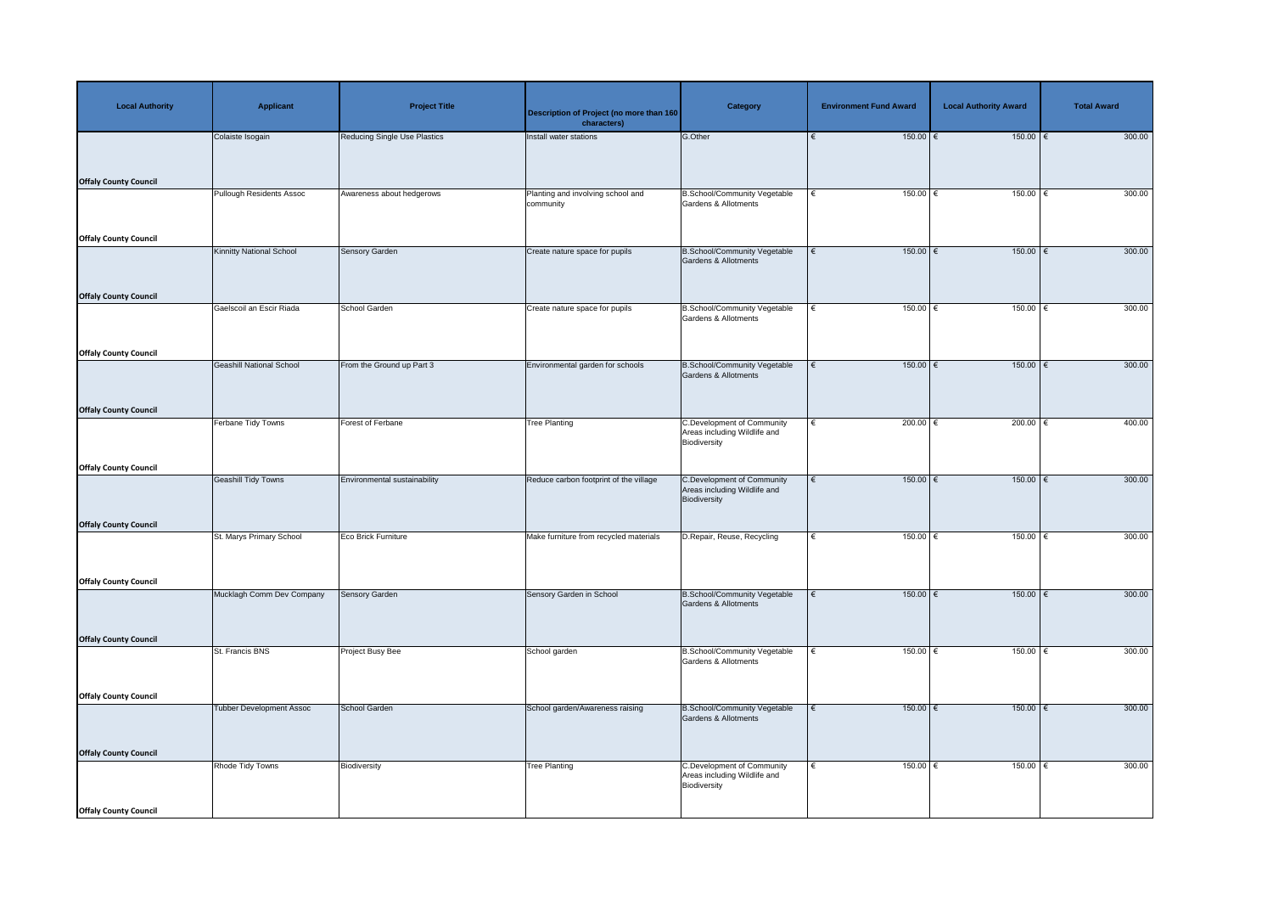| <b>Local Authority</b>       | <b>Applicant</b>                | <b>Project Title</b>                | Description of Project (no more than 160<br>characters) | <b>Category</b>                                                                   | <b>Environment Fund Award</b> | <b>Local Authority Award</b> | <b>Total Award</b> |
|------------------------------|---------------------------------|-------------------------------------|---------------------------------------------------------|-----------------------------------------------------------------------------------|-------------------------------|------------------------------|--------------------|
|                              | Colaiste Isogain                | <b>Reducing Single Use Plastics</b> | Install water stations                                  | G.Other                                                                           | $150.00$ $\in$                | $150.00$ €                   | 300.00             |
|                              |                                 |                                     |                                                         |                                                                                   |                               |                              |                    |
| <b>Offaly County Council</b> |                                 |                                     |                                                         |                                                                                   |                               |                              |                    |
|                              | <b>Pullough Residents Assoc</b> | Awareness about hedgerows           | Planting and involving school and<br>community          | <b>B.School/Community Vegetable</b><br><b>Gardens &amp; Allotments</b>            | 150.00<br>€                   | 150.00                       | 300.00             |
| <b>Offaly County Council</b> |                                 |                                     |                                                         |                                                                                   |                               |                              |                    |
|                              | <b>Kinnitty National School</b> | <b>Sensory Garden</b>               | Create nature space for pupils                          | <b>B.School/Community Vegetable</b>                                               | $150.00$ €<br>€               | $150.00$ €                   | 300.00             |
|                              |                                 |                                     |                                                         | Gardens & Allotments                                                              |                               |                              |                    |
| <b>Offaly County Council</b> |                                 |                                     |                                                         |                                                                                   |                               |                              |                    |
|                              | Gaelscoil an Escir Riada        | School Garden                       | Create nature space for pupils                          | <b>B.School/Community Vegetable</b><br><b>Gardens &amp; Allotments</b>            | 150.00<br>€                   | 150.00                       | 300.00             |
| <b>Offaly County Council</b> |                                 |                                     |                                                         |                                                                                   |                               |                              |                    |
|                              | <b>Geashill National School</b> | From the Ground up Part 3           | Environmental garden for schools                        | <b>B.School/Community Vegetable</b>                                               | $150.00$ €<br>€               | $150.00$ €                   | 300.00             |
|                              |                                 |                                     |                                                         | <b>Gardens &amp; Allotments</b>                                                   |                               |                              |                    |
| <b>Offaly County Council</b> |                                 |                                     |                                                         |                                                                                   |                               |                              |                    |
|                              | Ferbane Tidy Towns              | <b>Forest of Ferbane</b>            | Tree Planting                                           | <b>C.Development of Community</b><br>Areas including Wildlife and                 | 200.00 $\epsilon$<br>€        | 200.00 $\epsilon$            | 400.00             |
|                              |                                 |                                     |                                                         | Biodiversity                                                                      |                               |                              |                    |
| <b>Offaly County Council</b> |                                 |                                     |                                                         |                                                                                   |                               |                              |                    |
|                              | <b>Geashill Tidy Towns</b>      | Environmental sustainability        | Reduce carbon footprint of the village                  | <b>C.Development of Community</b><br>Areas including Wildlife and<br>Biodiversity | $150.00$ €                    | $150.00$ €                   | 300.00             |
| <b>Offaly County Council</b> |                                 |                                     |                                                         |                                                                                   |                               |                              |                    |
|                              | St. Marys Primary School        | Eco Brick Furniture                 | Make furniture from recycled materials                  | D.Repair, Reuse, Recycling                                                        | 150.00                        | 150.00                       | 300.00             |
|                              |                                 |                                     |                                                         |                                                                                   |                               |                              |                    |
| <b>Offaly County Council</b> | Mucklagh Comm Dev Company       | Sensory Garden                      | Sensory Garden in School                                | <b>B.School/Community Vegetable</b>                                               | $150.00$ $\in$<br>€           | $150.00$ €                   | 300.00             |
|                              |                                 |                                     |                                                         | <b>Gardens &amp; Allotments</b>                                                   |                               |                              |                    |
| <b>Offaly County Council</b> |                                 |                                     |                                                         |                                                                                   |                               |                              |                    |
|                              | St. Francis BNS                 | Project Busy Bee                    | School garden                                           | <b>B.School/Community Vegetable</b><br><b>Gardens &amp; Allotments</b>            | 150.00<br>€                   | 150.00                       | 300.00             |
|                              |                                 |                                     |                                                         |                                                                                   |                               |                              |                    |
| <b>Offaly County Council</b> | <b>Tubber Development Assoc</b> | School Garden                       | School garden/Awareness raising                         | <b>B.School/Community Vegetable</b>                                               | $150.00$ €                    | $150.00$ €                   | 300.00             |
|                              |                                 |                                     |                                                         | <b>Gardens &amp; Allotments</b>                                                   |                               |                              |                    |
| <b>Offaly County Council</b> |                                 |                                     |                                                         |                                                                                   |                               |                              |                    |
|                              | Rhode Tidy Towns                | Biodiversity                        | <b>Tree Planting</b>                                    | <b>C.Development of Community</b><br>Areas including Wildlife and<br>Biodiversity | 150.00<br>€                   | $150.00$ €                   | 300.00             |
| <b>Offaly County Council</b> |                                 |                                     |                                                         |                                                                                   |                               |                              |                    |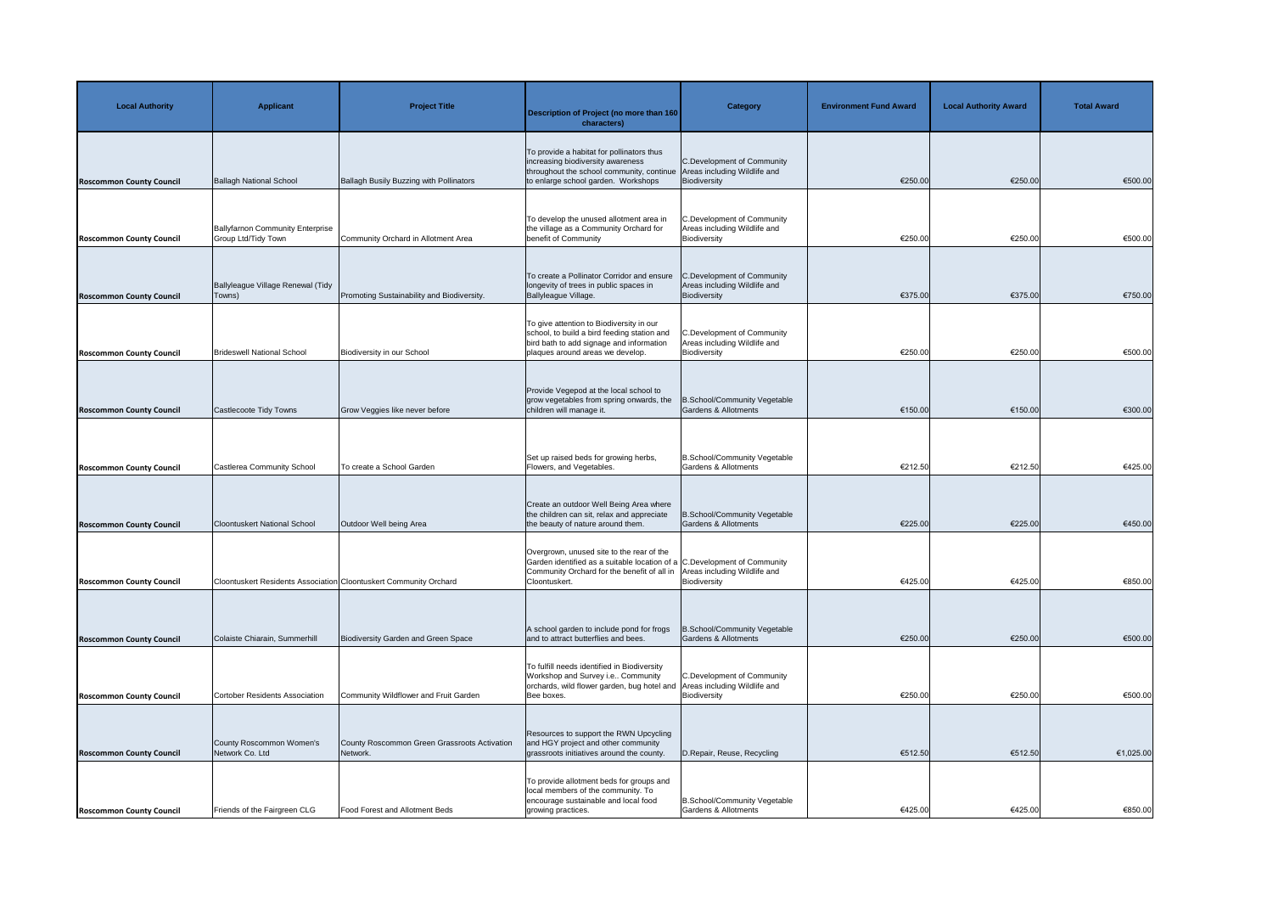| <b>Local Authority</b>          | <b>Applicant</b>                                                  | <b>Project Title</b>                                     | <b>Description of Project (no more than 160</b><br>characters)                                                                                                                                                     | <b>Category</b>                                                            | <b>Environment Fund Award</b> | <b>Local Authority Award</b> | <b>Total Award</b> |
|---------------------------------|-------------------------------------------------------------------|----------------------------------------------------------|--------------------------------------------------------------------------------------------------------------------------------------------------------------------------------------------------------------------|----------------------------------------------------------------------------|-------------------------------|------------------------------|--------------------|
| <b>Roscommon County Council</b> | <b>Ballagh National School</b>                                    | Ballagh Busily Buzzing with Pollinators                  | To provide a habitat for pollinators thus<br>increasing biodiversity awareness<br>throughout the school community, continue Areas including Wildlife and<br>to enlarge school garden. Workshops                    | C.Development of Community<br>Biodiversity                                 | €250.00                       | €250.00                      | €500.00            |
| <b>Roscommon County Council</b> | <b>Ballyfarnon Community Enterprise</b><br>Group Ltd/Tidy Town    | Community Orchard in Allotment Area                      | To develop the unused allotment area in<br>the village as a Community Orchard for<br>benefit of Community                                                                                                          | C.Development of Community<br>Areas including Wildlife and<br>Biodiversity | €250.00                       | €250.00                      | €500.00            |
| <b>Roscommon County Council</b> | Ballyleague Village Renewal (Tidy<br>Towns)                       | Promoting Sustainability and Biodiversity.               | To create a Pollinator Corridor and ensure<br>longevity of trees in public spaces in<br>Ballyleague Village.                                                                                                       | C.Development of Community<br>Areas including Wildlife and<br>Biodiversity | €375.00                       | €375.00                      | €750.00            |
| <b>Roscommon County Council</b> | <b>Brideswell National School</b>                                 | Biodiversity in our School                               | To give attention to Biodiversity in our<br>school, to build a bird feeding station and<br>bird bath to add signage and information<br>plaques around areas we develop.                                            | C.Development of Community<br>Areas including Wildlife and<br>Biodiversity | €250.00                       | €250.00                      | €500.00            |
| <b>Roscommon County Council</b> | Castlecoote Tidy Towns                                            | Grow Veggies like never before                           | Provide Vegepod at the local school to<br>grow vegetables from spring onwards, the<br>children will manage it.                                                                                                     | School/Community Vegetable<br>Gardens & Allotments                         | €150.00                       | €150.00                      | €300.00            |
| <b>Roscommon County Council</b> | Castlerea Community School                                        | To create a School Garden                                | Set up raised beds for growing herbs,<br>Flowers, and Vegetables.                                                                                                                                                  | B.School/Community Vegetable<br>Gardens & Allotments                       | €212.50                       | €212.50                      | €425.00            |
| <b>Roscommon County Council</b> | <b>Cloontuskert National School</b>                               | Outdoor Well being Area                                  | Create an outdoor Well Being Area where<br>the children can sit, relax and appreciate<br>the beauty of nature around them.                                                                                         | B.School/Community Vegetable<br>Gardens & Allotments                       | €225.00                       | €225.00                      | €450.00            |
| <b>Roscommon County Council</b> | Cloontuskert Residents Association Cloontuskert Community Orchard |                                                          | Overgrown, unused site to the rear of the<br>Garden identified as a suitable location of a C.Development of Community<br>Community Orchard for the benefit of all in Areas including Wildlife and<br>Cloontuskert. | Biodiversity                                                               | €425.00                       | €425.00                      | €850.00            |
| <b>Roscommon County Council</b> | Colaiste Chiarain, Summerhill                                     | <b>Biodiversity Garden and Green Space</b>               | A school garden to include pond for frogs<br>and to attract butterflies and bees.                                                                                                                                  | B.School/Community Vegetable<br>Gardens & Allotments                       | €250.00                       | €250.00                      | €500.00            |
| <b>Roscommon County Council</b> | Cortober Residents Association                                    | Community Wildflower and Fruit Garden                    | To fulfill needs identified in Biodiversity<br>Workshop and Survey i.e Community<br>orchards, wild flower garden, bug hotel and<br>Bee boxes.                                                                      | C.Development of Community<br>Areas including Wildlife and<br>Biodiversity | €250.00                       | €250.00                      | €500.00            |
| <b>Roscommon County Council</b> | County Roscommon Women's<br>Network Co. Ltd                       | County Roscommon Green Grassroots Activation<br>Network. | Resources to support the RWN Upcycling<br>and HGY project and other community<br>grassroots initiatives around the county.                                                                                         | D.Repair, Reuse, Recycling                                                 | €512.50                       | €512.50                      | €1,025.00          |
| <b>Roscommon County Council</b> | Friends of the Fairgreen CLG                                      | <b>Food Forest and Allotment Beds</b>                    | To provide allotment beds for groups and<br>local members of the community. To<br>encourage sustainable and local food<br>growing practices.                                                                       | B.School/Community Vegetable<br>Gardens & Allotments                       | €425.00                       | €425.00                      | €850.00            |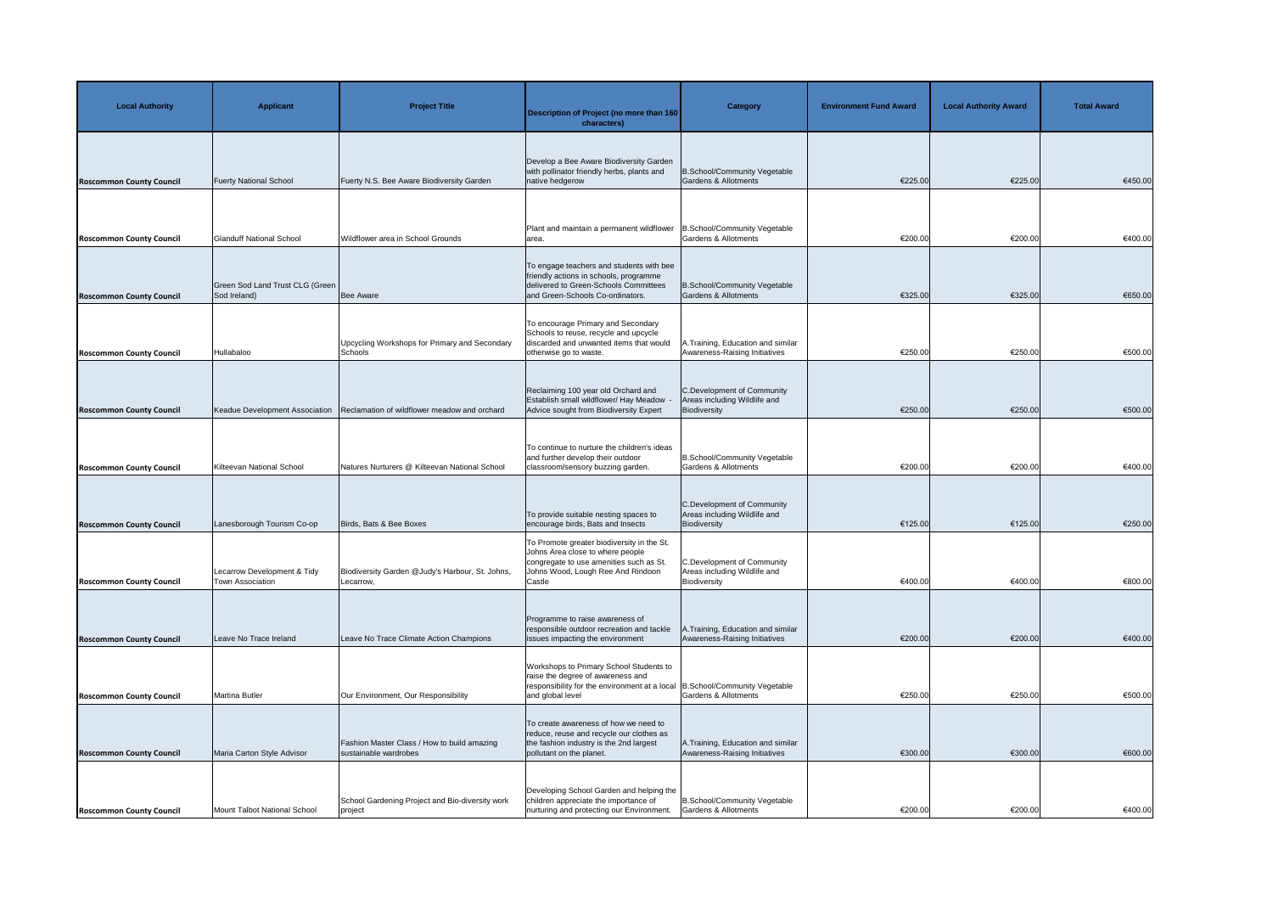| <b>Local Authority</b>          | <b>Applicant</b>                                | <b>Project Title</b>                                                 | <b>Description of Project (no more than 160</b><br>characters)                                                                                                           | <b>Category</b>                                                            | <b>Environment Fund Award</b> | <b>Local Authority Award</b> | <b>Total Award</b> |
|---------------------------------|-------------------------------------------------|----------------------------------------------------------------------|--------------------------------------------------------------------------------------------------------------------------------------------------------------------------|----------------------------------------------------------------------------|-------------------------------|------------------------------|--------------------|
| <b>Roscommon County Council</b> | <b>Fuerty National School</b>                   | Fuerty N.S. Bee Aware Biodiversity Garden                            | Develop a Bee Aware Biodiversity Garden<br>with pollinator friendly herbs, plants and<br>native hedgerow                                                                 | B.School/Community Vegetable<br>Gardens & Allotments                       | €225.00                       | €225.00                      | €450.00            |
| <b>Roscommon County Council</b> | <b>Glanduff National School</b>                 | Wildflower area in School Grounds                                    | Plant and maintain a permanent wildflower<br>area.                                                                                                                       | B.School/Community Vegetable<br><b>Gardens &amp; Allotments</b>            | €200.00                       | €200.00                      | €400.00            |
| <b>Roscommon County Council</b> | Green Sod Land Trust CLG (Green<br>Sod Ireland) | Bee Aware                                                            | To engage teachers and students with bee<br>friendly actions in schools, programme<br>delivered to Green-Schools Committees<br>and Green-Schools Co-ordinators.          | B.School/Community Vegetable<br><b>Gardens &amp; Allotments</b>            | €325.00                       | €325.00                      | €650.00            |
| <b>Roscommon County Council</b> | Hullabaloo                                      | Upcycling Workshops for Primary and Secondary<br>Schools             | To encourage Primary and Secondary<br>Schools to reuse, recycle and upcycle<br>discarded and unwanted items that would<br>otherwise go to waste.                         | <b>A.Training, Education and similar</b><br>Awareness-Raising Initiatives  | €250.00                       | €250.00                      | €500.00            |
| <b>Roscommon County Council</b> | Keadue Development Association                  | Reclamation of wildflower meadow and orchard                         | Reclaiming 100 year old Orchard and<br>Establish small wildflower/ Hay Meadow<br>Advice sought from Biodiversity Expert                                                  | C.Development of Community<br>Areas including Wildlife and<br>Biodiversity | €250.00                       | €250.00                      | €500.00            |
| <b>Roscommon County Council</b> | Kilteevan National School                       | Natures Nurturers @ Kilteevan National School                        | To continue to nurture the children's ideas<br>and further develop their outdoor<br>classroom/sensory buzzing garden.                                                    | B.School/Community Vegetable<br>Gardens & Allotments                       | €200.00                       | €200.00                      | €400.00            |
| <b>Roscommon County Council</b> | Lanesborough Tourism Co-op                      | Birds, Bats & Bee Boxes                                              | To provide suitable nesting spaces to<br>encourage birds, Bats and Insects                                                                                               | C.Development of Community<br>Areas including Wildlife and<br>Biodiversity | €125.00                       | €125.00                      | €250.00            |
| <b>Roscommon County Council</b> | Lecarrow Development & Tidy<br>Town Association | Biodiversity Garden @Judy's Harbour, St. Johns,<br>Lecarrow,         | To Promote greater biodiversity in the St.<br>Johns Area close to where people<br>congregate to use amenities such as St.<br>Johns Wood, Lough Ree And Rindoon<br>Castle | C.Development of Community<br>Areas including Wildlife and<br>Biodiversity | €400.00                       | €400.00                      | €800.00            |
| <b>Roscommon County Council</b> | Leave No Trace Ireland                          | Leave No Trace Climate Action Champions                              | Programme to raise awareness of<br>responsible outdoor recreation and tackle<br>issues impacting the environment                                                         | A.Training, Education and similar<br>Awareness-Raising Initiatives         | €200.00                       | €200.00                      | €400.00            |
| <b>Roscommon County Council</b> | <b>Martina Butler</b>                           | Our Environment, Our Responsibility                                  | Workshops to Primary School Students to<br>raise the degree of awareness and<br>responsibility for the environment at a local<br>and global level                        | B.School/Community Vegetable<br><b>Gardens &amp; Allotments</b>            | €250.00                       | €250.00                      | €500.00            |
| <b>Roscommon County Council</b> | Maria Carton Style Advisor                      | Fashion Master Class / How to build amazing<br>sustainable wardrobes | To create awareness of how we need to<br>reduce, reuse and recycle our clothes as<br>the fashion industry is the 2nd largest<br>pollutant on the planet.                 | A. Training, Education and similar<br>Awareness-Raising Initiatives        | €300.00                       | €300.00                      | €600.00            |
| <b>Roscommon County Council</b> | Mount Talbot National School                    | School Gardening Project and Bio-diversity work<br>project           | Developing School Garden and helping the<br>children appreciate the importance of<br>nurturing and protecting our Environment.                                           | B.School/Community Vegetable<br>Gardens & Allotments                       | €200.00                       | €200.00                      | €400.00            |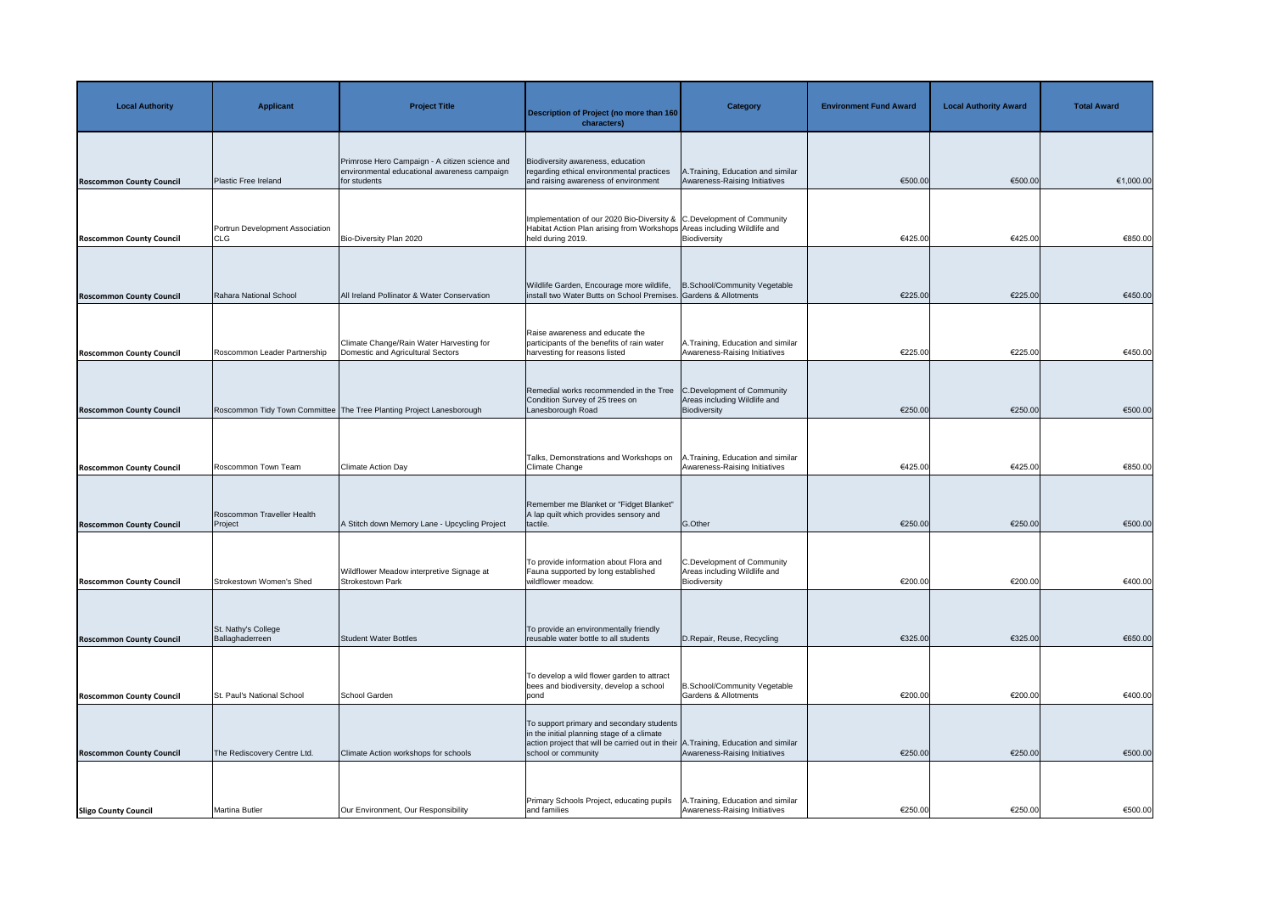| <b>Local Authority</b>          | <b>Applicant</b>                              | <b>Project Title</b>                                                                                           | <b>Description of Project (no more than 160</b><br>characters)                                                                                                                                        | <b>Category</b>                                                            | <b>Environment Fund Award</b> | <b>Local Authority Award</b> | <b>Total Award</b> |
|---------------------------------|-----------------------------------------------|----------------------------------------------------------------------------------------------------------------|-------------------------------------------------------------------------------------------------------------------------------------------------------------------------------------------------------|----------------------------------------------------------------------------|-------------------------------|------------------------------|--------------------|
| <b>Roscommon County Council</b> | Plastic Free Ireland                          | Primrose Hero Campaign - A citizen science and<br>environmental educational awareness campaign<br>for students | Biodiversity awareness, education<br>regarding ethical environmental practices<br>and raising awareness of environment                                                                                | A.Training, Education and similar<br>Awareness-Raising Initiatives         | €500.00                       | €500.00                      | €1,000.00          |
| <b>Roscommon County Council</b> | Portrun Development Association<br><b>CLG</b> | Bio-Diversity Plan 2020                                                                                        | Implementation of our 2020 Bio-Diversity & C.Development of Community<br>Habitat Action Plan arising from Workshops Areas including Wildlife and<br>held during 2019.                                 | Biodiversity                                                               | €425.00                       | €425.00                      | €850.00            |
| <b>Roscommon County Council</b> | Rahara National School                        | All Ireland Pollinator & Water Conservation                                                                    | Wildlife Garden, Encourage more wildlife,<br>install two Water Butts on School Premises. Gardens & Allotments                                                                                         | B.School/Community Vegetable                                               | €225.00                       | €225.00                      | €450.00            |
| <b>Roscommon County Council</b> | Roscommon Leader Partnership                  | Climate Change/Rain Water Harvesting for<br>Domestic and Agricultural Sectors                                  | Raise awareness and educate the<br>participants of the benefits of rain water<br>harvesting for reasons listed                                                                                        | A. Training, Education and similar<br>Awareness-Raising Initiatives        | €225.00                       | €225.00                      | €450.00            |
| <b>Roscommon County Council</b> |                                               | Roscommon Tidy Town Committee The Tree Planting Project Lanesborough                                           | Remedial works recommended in the Tree<br>Condition Survey of 25 trees on<br>Lanesborough Road                                                                                                        | C.Development of Community<br>Areas including Wildlife and<br>Biodiversity | €250.00                       | €250.00                      | €500.00            |
| <b>Roscommon County Council</b> | Roscommon Town Team                           | <b>Climate Action Day</b>                                                                                      | Talks, Demonstrations and Workshops on<br>Climate Change                                                                                                                                              | A.Training, Education and similar<br>Awareness-Raising Initiatives         | €425.00                       | €425.00                      | €850.00            |
| <b>Roscommon County Council</b> | Roscommon Traveller Health<br>Project         | A Stitch down Memory Lane - Upcycling Project                                                                  | Remember me Blanket or "Fidget Blanket"<br>A lap quilt which provides sensory and<br>tactile.                                                                                                         | G.Other                                                                    | €250.00                       | €250.00                      | €500.00            |
| <b>Roscommon County Council</b> | Strokestown Women's Shed                      | Wildflower Meadow interpretive Signage at<br>Strokestown Park                                                  | To provide information about Flora and<br>Fauna supported by long established<br>wildflower meadow.                                                                                                   | C.Development of Community<br>Areas including Wildlife and<br>Biodiversity | €200.00                       | €200.00                      | €400.00            |
| <b>Roscommon County Council</b> | St. Nathy's College<br>Ballaghaderreen        | <b>Student Water Bottles</b>                                                                                   | To provide an environmentally friendly<br>reusable water bottle to all students                                                                                                                       | D.Repair, Reuse, Recycling                                                 | €325.00                       | €325.00                      | €650.00            |
| <b>Roscommon County Council</b> | St. Paul's National School                    | School Garden                                                                                                  | To develop a wild flower garden to attract<br>bees and biodiversity, develop a school<br>pond                                                                                                         | B.School/Community Vegetable<br>Gardens & Allotments                       | €200.00                       | €200.00                      | €400.00            |
| <b>Roscommon County Council</b> | The Rediscovery Centre Ltd.                   | Climate Action workshops for schools                                                                           | To support primary and secondary students<br>in the initial planning stage of a climate<br>action project that will be carried out in their A. Training, Education and similar<br>school or community | Awareness-Raising Initiatives                                              | €250.00                       | €250.00                      | €500.00            |
| <b>Sligo County Council</b>     | Martina Butler                                | Our Environment, Our Responsibility                                                                            | Primary Schools Project, educating pupils<br>and families                                                                                                                                             | <b>A.Training, Education and similar</b><br>Awareness-Raising Initiatives  | €250.00                       | €250.00                      | €500.00            |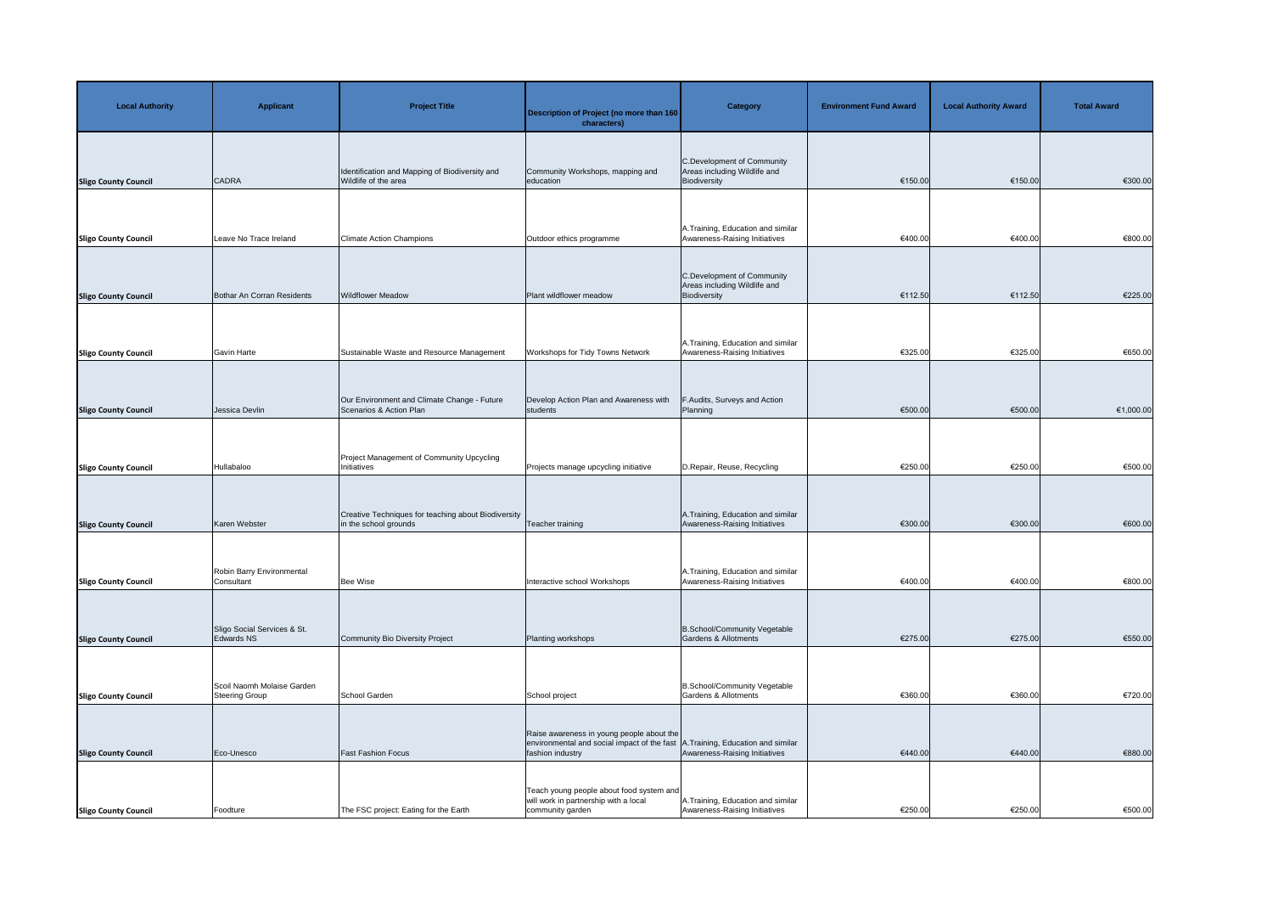| <b>Local Authority</b>      | <b>Applicant</b>                                    | <b>Project Title</b>                                                         | Description of Project (no more than 160<br>characters)                                                      | <b>Category</b>                                                            | <b>Environment Fund Award</b> | <b>Local Authority Award</b> | <b>Total Award</b> |
|-----------------------------|-----------------------------------------------------|------------------------------------------------------------------------------|--------------------------------------------------------------------------------------------------------------|----------------------------------------------------------------------------|-------------------------------|------------------------------|--------------------|
| <b>Sligo County Council</b> | <b>CADRA</b>                                        | Identification and Mapping of Biodiversity and<br>Wildlife of the area       | Community Workshops, mapping and<br>education                                                                | C.Development of Community<br>Areas including Wildlife and<br>Biodiversity | €150.00                       | €150.00                      | €300.00            |
| <b>Sligo County Council</b> | Leave No Trace Ireland                              | <b>Climate Action Champions</b>                                              | Outdoor ethics programme                                                                                     | A. Training, Education and similar<br>Awareness-Raising Initiatives        | €400.00                       | €400.00                      | €800.00            |
| <b>Sligo County Council</b> | Bothar An Corran Residents                          | <b>Wildflower Meadow</b>                                                     | Plant wildflower meadow                                                                                      | C.Development of Community<br>Areas including Wildlife and<br>Biodiversity | €112.50                       | €112.50                      | €225.00            |
| <b>Sligo County Council</b> | <b>Gavin Harte</b>                                  | Sustainable Waste and Resource Management                                    | Workshops for Tidy Towns Network                                                                             | A. Training, Education and similar<br>Awareness-Raising Initiatives        | €325.00                       | €325.00                      | €650.00            |
| <b>Sligo County Council</b> | Jessica Devlin                                      | Our Environment and Climate Change - Future<br>Scenarios & Action Plan       | Develop Action Plan and Awareness with<br>students                                                           | F.Audits, Surveys and Action<br>Planning                                   | €500.00                       | €500.00                      | €1,000.00          |
| <b>Sligo County Council</b> | Hullabaloo                                          | Project Management of Community Upcycling<br>Initiatives                     | Projects manage upcycling initiative                                                                         | D.Repair, Reuse, Recycling                                                 | €250.00                       | €250.00                      | €500.00            |
| <b>Sligo County Council</b> | Karen Webster                                       | Creative Techniques for teaching about Biodiversity<br>in the school grounds | Teacher training                                                                                             | A. Training, Education and similar<br>Awareness-Raising Initiatives        | €300.00                       | €300.00                      | €600.00            |
| <b>Sligo County Council</b> | Robin Barry Environmental<br>Consultant             | Bee Wise                                                                     | Interactive school Workshops                                                                                 | A. Training, Education and similar<br>Awareness-Raising Initiatives        | €400.00                       | €400.00                      | €800.00            |
| <b>Sligo County Council</b> | Sligo Social Services & St.<br>Edwards NS           | Community Bio Diversity Project                                              | Planting workshops                                                                                           | B.School/Community Vegetable<br>Gardens & Allotments                       | €275.00                       | €275.00                      | €550.00            |
| <b>Sligo County Council</b> | Scoil Naomh Molaise Garden<br><b>Steering Group</b> | School Garden                                                                | School project                                                                                               | B.School/Community Vegetable<br><b>Gardens &amp; Allotments</b>            | €360.00                       | €360.00                      | €720.00            |
| <b>Sligo County Council</b> | Eco-Unesco                                          | <b>Fast Fashion Focus</b>                                                    | Raise awareness in young people about the<br>environmental and social impact of the fast<br>fashion industry | <b>A.Training, Education and similar</b><br>Awareness-Raising Initiatives  | €440.00                       | €440.00                      | €880.00            |
| <b>Sligo County Council</b> | Foodture                                            | The FSC project: Eating for the Earth                                        | Teach young people about food system and<br>will work in partnership with a local<br>community garden        | A. Training, Education and similar<br>Awareness-Raising Initiatives        | €250.00                       | €250.00                      | €500.00            |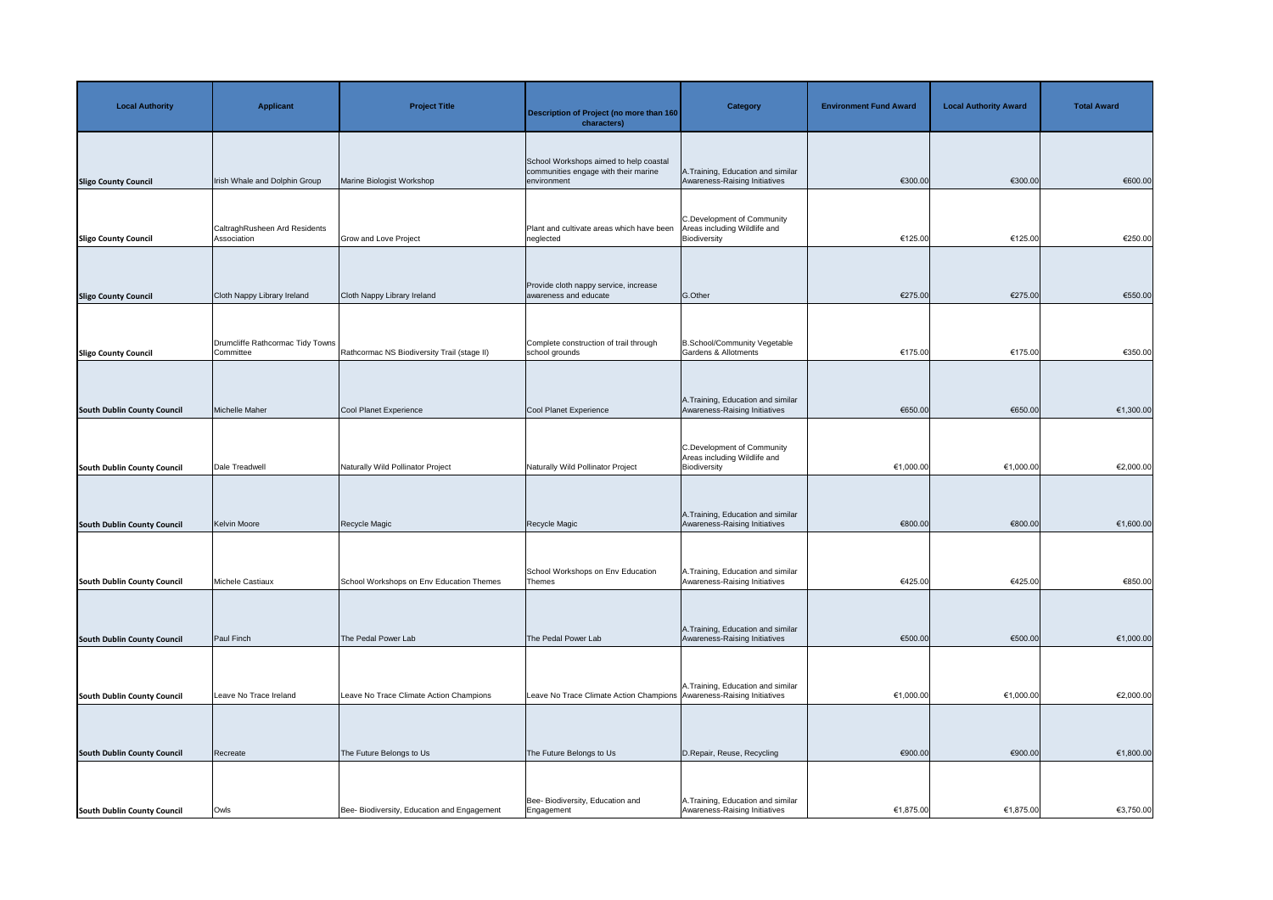| <b>Local Authority</b>             | <b>Applicant</b>                              | <b>Project Title</b>                        | Description of Project (no more than 160<br>characters)                                       | <b>Category</b>                                                            | <b>Environment Fund Award</b> | <b>Local Authority Award</b> | <b>Total Award</b> |
|------------------------------------|-----------------------------------------------|---------------------------------------------|-----------------------------------------------------------------------------------------------|----------------------------------------------------------------------------|-------------------------------|------------------------------|--------------------|
| <b>Sligo County Council</b>        | Irish Whale and Dolphin Group                 | Marine Biologist Workshop                   | School Workshops aimed to help coastal<br>communities engage with their marine<br>environment | A. Training, Education and similar<br>Awareness-Raising Initiatives        | €300.00                       | €300.00                      | €600.00            |
| <b>Sligo County Council</b>        | CaltraghRusheen Ard Residents<br>Association  | <b>Grow and Love Project</b>                | Plant and cultivate areas which have been<br>neglected                                        | C.Development of Community<br>Areas including Wildlife and<br>Biodiversity | €125.00                       | €125.00                      | €250.00            |
| <b>Sligo County Council</b>        | Cloth Nappy Library Ireland                   | Cloth Nappy Library Ireland                 | Provide cloth nappy service, increase<br>awareness and educate                                | G.Other                                                                    | €275.00                       | €275.00                      | €550.00            |
| <b>Sligo County Council</b>        | Drumcliffe Rathcormac Tidy Towns<br>Committee | Rathcormac NS Biodiversity Trail (stage II) | Complete construction of trail through<br>school grounds                                      | B.School/Community Vegetable<br><b>Gardens &amp; Allotments</b>            | €175.00                       | €175.00                      | €350.00            |
| <b>South Dublin County Council</b> | Michelle Maher                                | Cool Planet Experience                      | Cool Planet Experience                                                                        | A. Training, Education and similar<br>Awareness-Raising Initiatives        | €650.00                       | €650.00                      | €1,300.00          |
| <b>South Dublin County Council</b> | Dale Treadwell                                | Naturally Wild Pollinator Project           | Naturally Wild Pollinator Project                                                             | C.Development of Community<br>Areas including Wildlife and<br>Biodiversity | €1,000.00                     | €1,000.00                    | €2,000.00          |
| <b>South Dublin County Council</b> | Kelvin Moore                                  | Recycle Magic                               | Recycle Magic                                                                                 | A. Training, Education and similar<br>Awareness-Raising Initiatives        | €800.00                       | €800.00                      | €1,600.00          |
|                                    |                                               |                                             | School Workshops on Env Education                                                             | A.Training, Education and similar<br>Awareness-Raising Initiatives         |                               | €425.00                      | €850.00            |
| <b>South Dublin County Council</b> | Michele Castiaux                              | School Workshops on Env Education Themes    | <b>Themes</b>                                                                                 | A. Training, Education and similar                                         | €425.00                       |                              |                    |
| <b>South Dublin County Council</b> | Paul Finch                                    | The Pedal Power Lab                         | The Pedal Power Lab                                                                           | Awareness-Raising Initiatives                                              | €500.00                       | €500.00                      | €1,000.00          |
| <b>South Dublin County Council</b> | Leave No Trace Ireland                        | Leave No Trace Climate Action Champions     | Leave No Trace Climate Action Champions Awareness-Raising Initiatives                         | A. Training, Education and similar                                         | €1,000.00                     | €1,000.00                    | €2,000.00          |
| <b>South Dublin County Council</b> | Recreate                                      | The Future Belongs to Us                    | The Future Belongs to Us                                                                      | D.Repair, Reuse, Recycling                                                 | €900.00                       | €900.00                      | €1,800.00          |
| <b>South Dublin County Council</b> | Owls                                          | Bee- Biodiversity, Education and Engagement | Bee-Biodiversity, Education and<br>Engagement                                                 | A. Training, Education and similar<br>Awareness-Raising Initiatives        | €1,875.00                     | €1,875.00                    | €3,750.00          |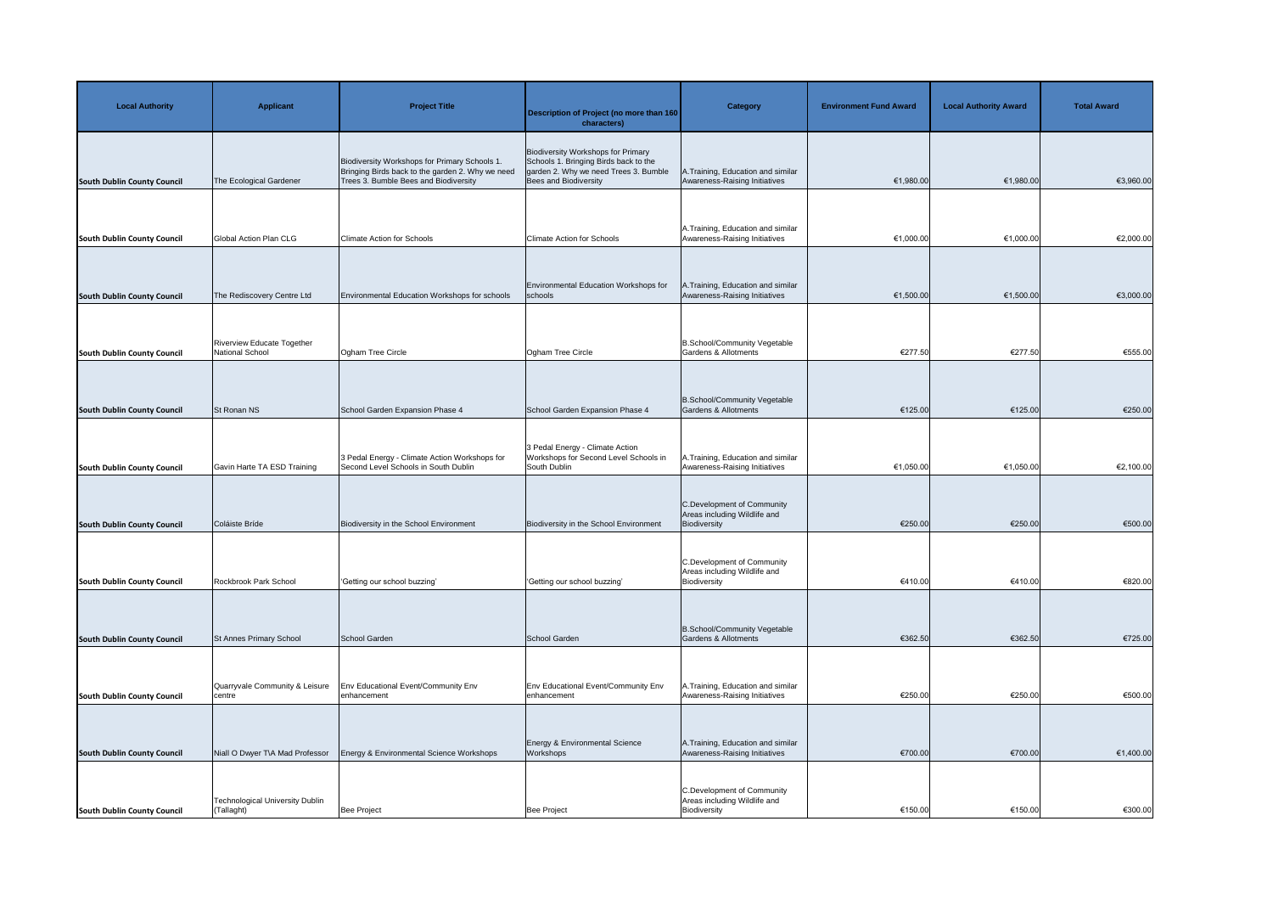| <b>Local Authority</b>             | <b>Applicant</b>                                     | <b>Project Title</b>                                                                                                                       | <b>Description of Project (no more than 160</b><br>characters)                                                                                       | <b>Category</b>                                                            | <b>Environment Fund Award</b> | <b>Local Authority Award</b> | <b>Total Award</b> |
|------------------------------------|------------------------------------------------------|--------------------------------------------------------------------------------------------------------------------------------------------|------------------------------------------------------------------------------------------------------------------------------------------------------|----------------------------------------------------------------------------|-------------------------------|------------------------------|--------------------|
| <b>South Dublin County Council</b> | The Ecological Gardener                              | Biodiversity Workshops for Primary Schools 1.<br>Bringing Birds back to the garden 2. Why we need<br>Trees 3. Bumble Bees and Biodiversity | <b>Biodiversity Workshops for Primary</b><br>Schools 1. Bringing Birds back to the<br>garden 2. Why we need Trees 3. Bumble<br>Bees and Biodiversity | A. Training, Education and similar<br>Awareness-Raising Initiatives        | €1,980.00                     | €1,980.00                    | €3,960.00          |
|                                    |                                                      |                                                                                                                                            |                                                                                                                                                      | A. Training, Education and similar                                         |                               |                              |                    |
| <b>South Dublin County Council</b> | <b>Global Action Plan CLG</b>                        | <b>Climate Action for Schools</b>                                                                                                          | <b>Climate Action for Schools</b>                                                                                                                    | Awareness-Raising Initiatives                                              | €1,000.00                     | €1,000.00                    | €2,000.00          |
| <b>South Dublin County Council</b> | The Rediscovery Centre Ltd                           | Environmental Education Workshops for schools                                                                                              | Environmental Education Workshops for<br>schools                                                                                                     | A. Training, Education and similar<br>Awareness-Raising Initiatives        | €1,500.00                     | €1,500.00                    | €3,000.00          |
| <b>South Dublin County Council</b> | <b>Riverview Educate Together</b><br>National School | Ogham Tree Circle                                                                                                                          | Ogham Tree Circle                                                                                                                                    | B.School/Community Vegetable<br>Gardens & Allotments                       | €277.50                       | €277.50                      | €555.00            |
| <b>South Dublin County Council</b> | St Ronan NS                                          | School Garden Expansion Phase 4                                                                                                            | School Garden Expansion Phase 4                                                                                                                      | B.School/Community Vegetable<br>Gardens & Allotments                       | €125.00                       | €125.00                      | €250.00            |
| <b>South Dublin County Council</b> | Gavin Harte TA ESD Training                          | 3 Pedal Energy - Climate Action Workshops for<br>Second Level Schools in South Dublin                                                      | 3 Pedal Energy - Climate Action<br>Workshops for Second Level Schools in<br>South Dublin                                                             | A. Training, Education and similar<br>Awareness-Raising Initiatives        | €1,050.00                     | €1,050.00                    | €2,100.00          |
| <b>South Dublin County Council</b> | Coláiste Bríde                                       | Biodiversity in the School Environment                                                                                                     | Biodiversity in the School Environment                                                                                                               | C.Development of Community<br>Areas including Wildlife and<br>Biodiversity | €250.00                       | €250.00                      | €500.00            |
| <b>South Dublin County Council</b> | Rockbrook Park School                                | 'Getting our school buzzing'                                                                                                               | 'Getting our school buzzing'                                                                                                                         | C.Development of Community<br>Areas including Wildlife and<br>Biodiversity | €410.00                       | €410.00                      | €820.00            |
| <b>South Dublin County Council</b> | St Annes Primary School                              | School Garden                                                                                                                              | School Garden                                                                                                                                        | B.School/Community Vegetable<br>Gardens & Allotments                       | €362.50                       | €362.50                      | €725.00            |
|                                    |                                                      |                                                                                                                                            |                                                                                                                                                      |                                                                            |                               |                              |                    |
| <b>South Dublin County Council</b> | Quarryvale Community & Leisure<br>centre             | Env Educational Event/Community Env<br>enhancement                                                                                         | Env Educational Event/Community Env<br>enhancement                                                                                                   | A. Training, Education and similar<br>Awareness-Raising Initiatives        | €250.00                       | €250.00                      | €500.00            |
| <b>South Dublin County Council</b> | Niall O Dwyer T\A Mad Professor                      | Energy & Environmental Science Workshops                                                                                                   | Energy & Environmental Science<br>Workshops                                                                                                          | A. Training, Education and similar<br>Awareness-Raising Initiatives        | €700.00                       | €700.00                      | €1,400.00          |
| <b>South Dublin County Council</b> | Technological University Dublin<br>(Tallaght)        | Bee Project                                                                                                                                | Bee Project                                                                                                                                          | C.Development of Community<br>Areas including Wildlife and<br>Biodiversity | €150.00                       | €150.00                      | €300.00            |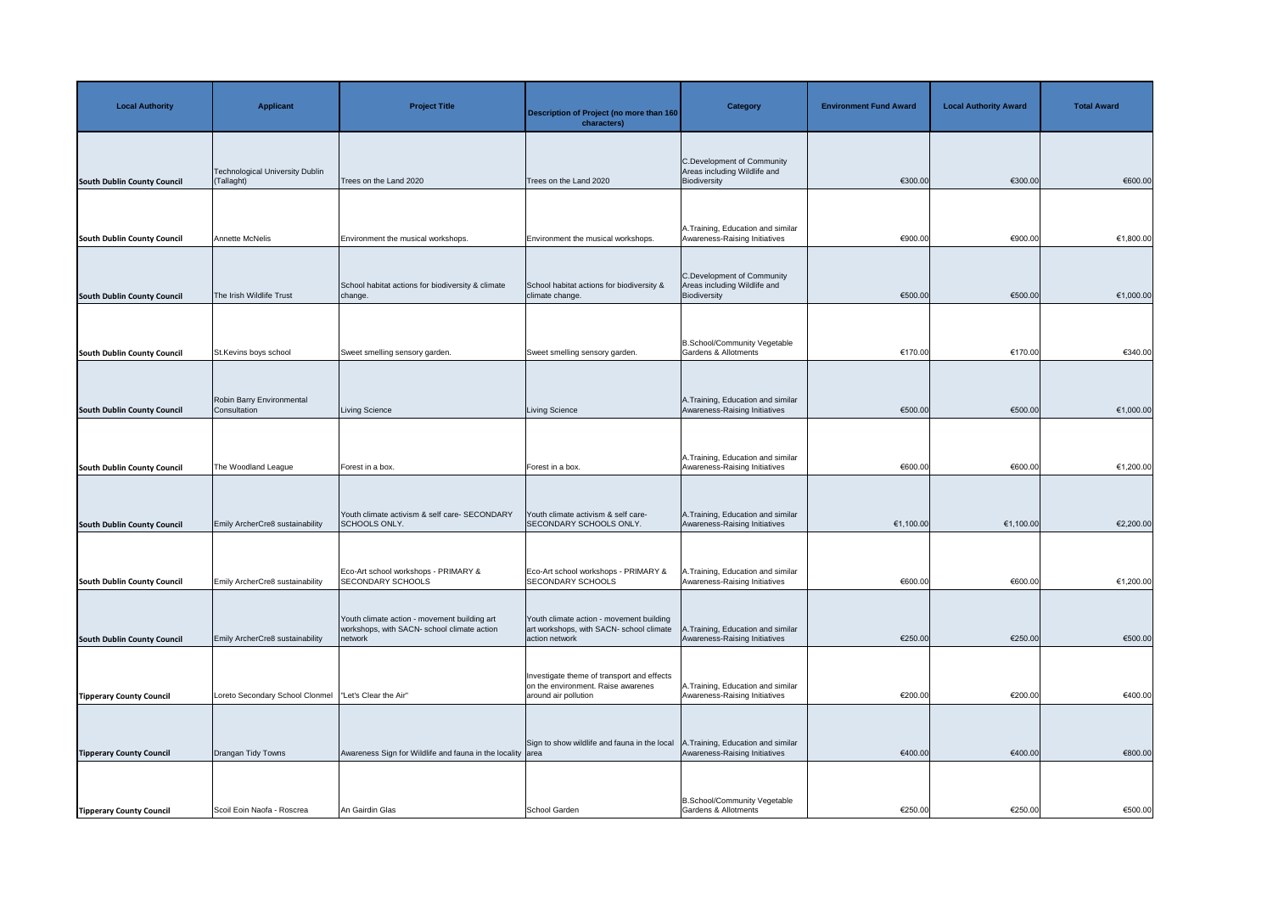| <b>Local Authority</b>             | <b>Applicant</b>                                       | <b>Project Title</b>                                                                                   | Description of Project (no more than 160<br>characters)                                                  | <b>Category</b>                                                            | <b>Environment Fund Award</b> | <b>Local Authority Award</b> | <b>Total Award</b> |
|------------------------------------|--------------------------------------------------------|--------------------------------------------------------------------------------------------------------|----------------------------------------------------------------------------------------------------------|----------------------------------------------------------------------------|-------------------------------|------------------------------|--------------------|
| <b>South Dublin County Council</b> | Technological University Dublin<br>(Tallaght)          | Trees on the Land 2020                                                                                 | Trees on the Land 2020                                                                                   | C.Development of Community<br>Areas including Wildlife and<br>Biodiversity | €300.00                       | €300.00                      | €600.00            |
| <b>South Dublin County Council</b> | <b>Annette McNelis</b>                                 | Environment the musical workshops.                                                                     | Environment the musical workshops.                                                                       | A. Training, Education and similar<br>Awareness-Raising Initiatives        | €900.00                       | €900.00                      | €1,800.00          |
| <b>South Dublin County Council</b> | The Irish Wildlife Trust                               | School habitat actions for biodiversity & climate<br>change.                                           | School habitat actions for biodiversity &<br>climate change.                                             | C.Development of Community<br>Areas including Wildlife and<br>Biodiversity | €500.00                       | €500.00                      | €1,000.00          |
| <b>South Dublin County Council</b> | St.Kevins boys school                                  | Sweet smelling sensory garden.                                                                         | Sweet smelling sensory garden.                                                                           | B.School/Community Vegetable<br>Gardens & Allotments                       | €170.00                       | €170.00                      | €340.00            |
| <b>South Dublin County Council</b> | Robin Barry Environmental<br>Consultation              | Living Science                                                                                         | Living Science                                                                                           | A. Training, Education and similar<br>Awareness-Raising Initiatives        | €500.00                       | €500.00                      | €1,000.00          |
| <b>South Dublin County Council</b> | The Woodland League                                    | Forest in a box.                                                                                       | Forest in a box.                                                                                         | A. Training, Education and similar<br>Awareness-Raising Initiatives        | €600.00                       | €600.00                      | €1,200.00          |
| <b>South Dublin County Council</b> | Emily ArcherCre8 sustainability                        | Youth climate activism & self care- SECONDARY<br>SCHOOLS ONLY.                                         | Youth climate activism & self care-<br>SECONDARY SCHOOLS ONLY.                                           | A. Training, Education and similar<br>Awareness-Raising Initiatives        | €1,100.00                     | €1,100.00                    | €2,200.00          |
| <b>South Dublin County Council</b> | Emily ArcherCre8 sustainability                        | Eco-Art school workshops - PRIMARY &<br>SECONDARY SCHOOLS                                              | Eco-Art school workshops - PRIMARY &<br><b>SECONDARY SCHOOLS</b>                                         | A. Training, Education and similar<br>Awareness-Raising Initiatives        | €600.00                       | €600.00                      | €1,200.00          |
| <b>South Dublin County Council</b> | Emily ArcherCre8 sustainability                        | Youth climate action - movement building art<br>workshops, with SACN- school climate action<br>network | Youth climate action - movement building<br>art workshops, with SACN- school climate<br>action network   | A.Training, Education and similar<br>Awareness-Raising Initiatives         | €250.00                       | €250.00                      | €500.00            |
| <b>Tipperary County Council</b>    | Loreto Secondary School Clonmel  "Let's Clear the Air" |                                                                                                        | Investigate theme of transport and effects<br>on the environment. Raise awarenes<br>around air pollution | A. Training, Education and similar<br>Awareness-Raising Initiatives        | €200.00                       | €200.00                      | €400.00            |
| <b>Tipperary County Council</b>    | Drangan Tidy Towns                                     | Awareness Sign for Wildlife and fauna in the locality area                                             | Sign to show wildlife and fauna in the local                                                             | A. Training, Education and similar<br>Awareness-Raising Initiatives        | €400.00                       | €400.00                      | €800.00            |
| <b>Tipperary County Council</b>    | Scoil Eoin Naofa - Roscrea                             | An Gairdin Glas                                                                                        | School Garden                                                                                            | B.School/Community Vegetable<br><b>Gardens &amp; Allotments</b>            | €250.00                       | €250.00                      | €500.00            |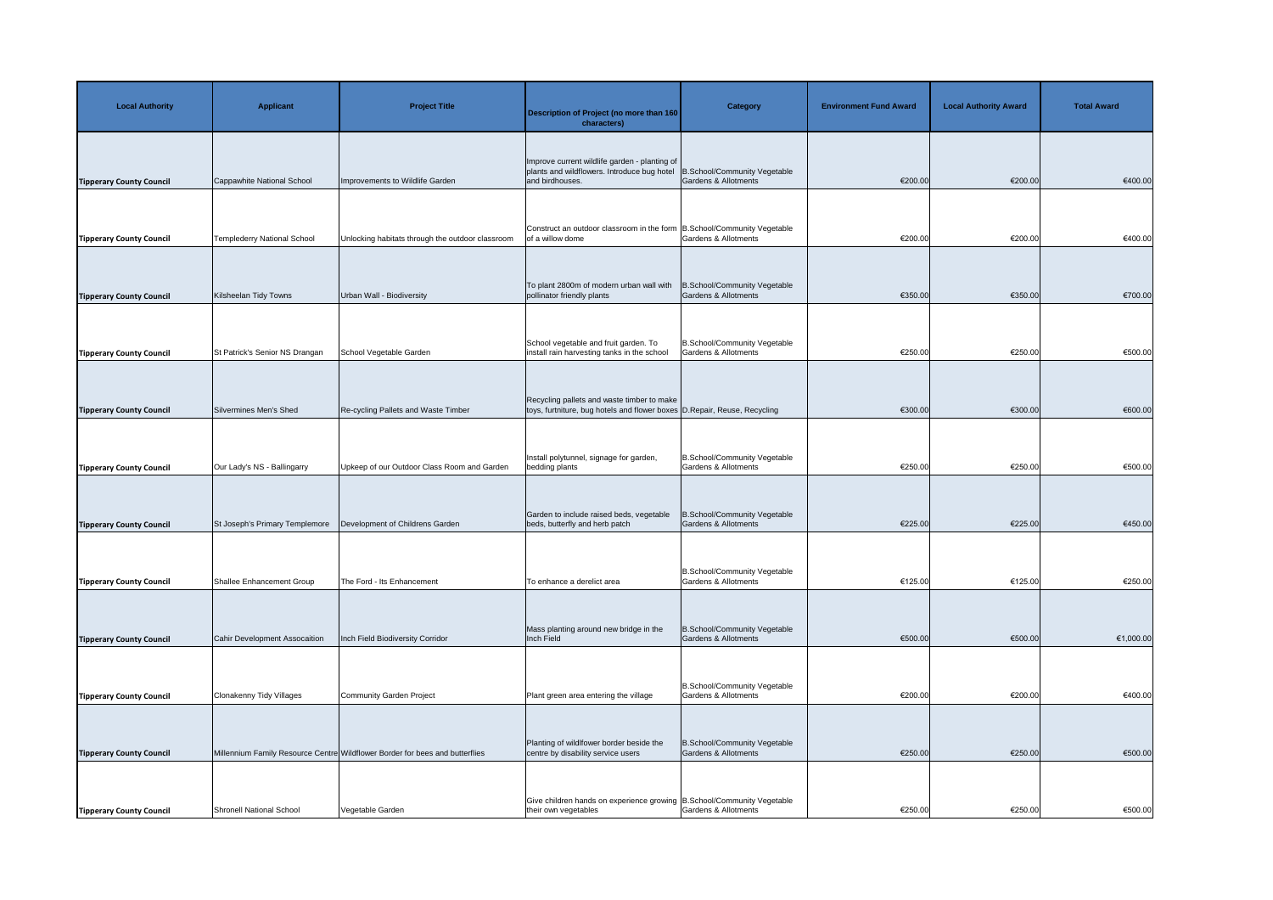| <b>Local Authority</b>                                             | <b>Applicant</b>               | <b>Project Title</b>                                                                             | Description of Project (no more than 160<br>characters)                                                                              | <b>Category</b>                                                 | <b>Environment Fund Award</b> | <b>Local Authority Award</b> | <b>Total Award</b> |
|--------------------------------------------------------------------|--------------------------------|--------------------------------------------------------------------------------------------------|--------------------------------------------------------------------------------------------------------------------------------------|-----------------------------------------------------------------|-------------------------------|------------------------------|--------------------|
| <b>Tipperary County Council</b>                                    | Cappawhite National School     | Improvements to Wildlife Garden                                                                  | Improve current wildlife garden - planting of<br>plants and wildflowers. Introduce bug hotel<br>and birdhouses.                      | B.School/Community Vegetable<br>Gardens & Allotments            | €200.00                       | €200.00                      | €400.00            |
| <b>Tipperary County Council</b>                                    | Templederry National School    | Unlocking habitats through the outdoor classroom                                                 | Construct an outdoor classroom in the form   B.School/Community Vegetable<br>of a willow dome                                        | <b>Gardens &amp; Allotments</b>                                 | €200.00                       | €200.00                      | €400.00            |
| <b>Tipperary County Council</b>                                    | Kilsheelan Tidy Towns          | Urban Wall - Biodiversity                                                                        | To plant 2800m of modern urban wall with<br>pollinator friendly plants                                                               | B.School/Community Vegetable<br><b>Gardens &amp; Allotments</b> | €350.00                       | €350.00                      | €700.00            |
| <b>Tipperary County Council</b>                                    | St Patrick's Senior NS Drangan | School Vegetable Garden                                                                          | School vegetable and fruit garden. To<br>install rain harvesting tanks in the school                                                 | B.School/Community Vegetable<br><b>Gardens &amp; Allotments</b> | €250.00                       | €250.00                      | €500.00            |
| <b>Tipperary County Council</b>                                    | Silvermines Men's Shed         | Re-cycling Pallets and Waste Timber                                                              | Recycling pallets and waste timber to make<br>toys, furtniture, bug hotels and flower boxes D.Repair, Reuse, Recycling               |                                                                 | €300.00                       | €300.00                      | €600.00            |
| <b>Tipperary County Council</b>                                    | Our Lady's NS - Ballingarry    | Upkeep of our Outdoor Class Room and Garden                                                      | Install polytunnel, signage for garden,<br>bedding plants                                                                            | B.School/Community Vegetable<br><b>Gardens &amp; Allotments</b> | €250.00                       | €250.00                      | €500.00            |
| <b>Tipperary County Council</b>                                    | St Joseph's Primary Templemore | Development of Childrens Garden                                                                  | Garden to include raised beds, vegetable<br>beds, butterfly and herb patch                                                           | B.School/Community Vegetable<br>Gardens & Allotments            | €225.00                       | €225.00                      | €450.00            |
| <b>Tipperary County Council</b>                                    | Shallee Enhancement Group      | The Ford - Its Enhancement                                                                       | To enhance a derelict area                                                                                                           | B.School/Community Vegetable<br><b>Gardens &amp; Allotments</b> | €125.00                       | €125.00                      | €250.00            |
|                                                                    | Cahir Development Assocaition  | Inch Field Biodiversity Corridor                                                                 | Mass planting around new bridge in the<br>Inch Field                                                                                 | B.School/Community Vegetable<br>Gardens & Allotments            | €500.00                       | €500.00                      | €1,000.00          |
| <b>Tipperary County Council</b>                                    |                                | Community Garden Project                                                                         | Plant green area entering the village                                                                                                | B.School/Community Vegetable<br><b>Gardens &amp; Allotments</b> | €200.00                       | €200.00                      | €400.00            |
| <b>Tipperary County Council</b>                                    | Clonakenny Tidy Villages       |                                                                                                  | Planting of wildlfower border beside the                                                                                             | B.School/Community Vegetable                                    |                               |                              |                    |
| <b>Tipperary County Council</b><br><b>Tipperary County Council</b> | Shronell National School       | Millennium Family Resource Centre Wildflower Border for bees and butterflies<br>Vegetable Garden | centre by disability service users<br>Give children hands on experience growing B.School/Community Vegetable<br>their own vegetables | <b>Gardens &amp; Allotments</b><br>Gardens & Allotments         | €250.00<br>€250.00            | €250.00<br>€250.00           | €500.00<br>€500.00 |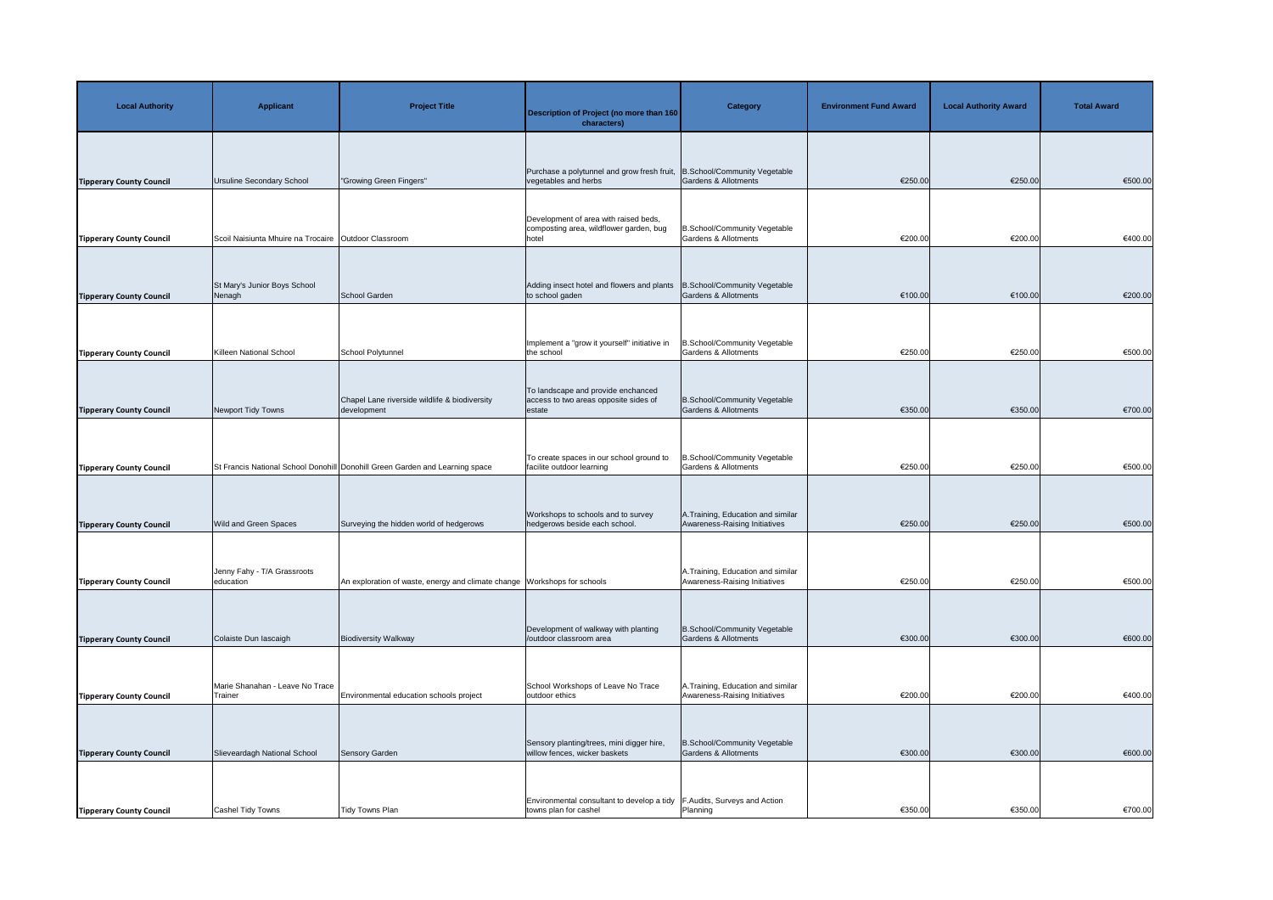| <b>Local Authority</b>          | <b>Applicant</b>                                         | <b>Project Title</b>                                                         | Description of Project (no more than 160<br>characters)                                                           | <b>Category</b>                                                     | <b>Environment Fund Award</b> | <b>Local Authority Award</b> | <b>Total Award</b> |
|---------------------------------|----------------------------------------------------------|------------------------------------------------------------------------------|-------------------------------------------------------------------------------------------------------------------|---------------------------------------------------------------------|-------------------------------|------------------------------|--------------------|
| <b>Tipperary County Council</b> | Ursuline Secondary School                                | "Growing Green Fingers"                                                      | Purchase a polytunnel and grow fresh fruit,<br>vegetables and herbs                                               | B.School/Community Vegetable<br>Gardens & Allotments                | €250.00                       | €250.00                      | €500.00            |
| <b>Tipperary County Council</b> | Scoil Naisiunta Mhuire na Trocaire   Outdoor Classroom   |                                                                              | Development of area with raised beds,<br>composting area, wildflower garden, bug<br>hotel                         | B.School/Community Vegetable<br><b>Gardens &amp; Allotments</b>     | €200.00                       | €200.00                      | €400.00            |
| <b>Tipperary County Council</b> | St Mary's Junior Boys School<br>Nenagh                   | School Garden                                                                | Adding insect hotel and flowers and plants<br>to school gaden                                                     | B.School/Community Vegetable<br>Gardens & Allotments                | €100.00                       | €100.00                      | €200.00            |
| <b>Tipperary County Council</b> | Killeen National School                                  | School Polytunnel                                                            | Implement a "grow it yourself" initiative in<br>the school                                                        | B.School/Community Vegetable<br><b>Gardens &amp; Allotments</b>     | €250.00                       | €250.00                      | €500.00            |
| <b>Tipperary County Council</b> | Newport Tidy Towns                                       | Chapel Lane riverside wildlife & biodiversity<br>development                 | To landscape and provide enchanced<br>access to two areas opposite sides of<br>estate                             | B.School/Community Vegetable<br>Gardens & Allotments                | €350.00                       | €350.00                      | €700.00            |
| <b>Tipperary County Council</b> |                                                          | St Francis National School Donohill Donohill Green Garden and Learning space | To create spaces in our school ground to<br>facilite outdoor learning                                             | B.School/Community Vegetable<br>Gardens & Allotments                | €250.00                       | €250.00                      | €500.00            |
| <b>Tipperary County Council</b> | <b>Wild and Green Spaces</b>                             | Surveying the hidden world of hedgerows                                      | Workshops to schools and to survey<br>hedgerows beside each school.                                               | A. Training, Education and similar<br>Awareness-Raising Initiatives | €250.00                       | €250.00                      | €500.00            |
|                                 | Jenny Fahy - T/A Grassroots<br>education                 | An exploration of waste, energy and climate change Workshops for schools     |                                                                                                                   | A. Training, Education and similar<br>Awareness-Raising Initiatives | €250.00                       | €250.00                      | €500.00            |
| <b>Tipperary County Council</b> |                                                          |                                                                              | Development of walkway with planting                                                                              | B.School/Community Vegetable                                        |                               |                              |                    |
| <b>Tipperary County Council</b> | Colaiste Dun lascaigh<br>Marie Shanahan - Leave No Trace | <b>Biodiversity Walkway</b>                                                  | /outdoor classroom area<br>School Workshops of Leave No Trace                                                     | Gardens & Allotments<br>A. Training, Education and similar          | €300.00                       | €300.00                      | €600.00            |
| <b>Tipperary County Council</b> | Trainer                                                  | Environmental education schools project                                      | outdoor ethics<br>Sensory planting/trees, mini digger hire,                                                       | Awareness-Raising Initiatives<br>B.School/Community Vegetable       | €200.00                       | €200.00                      | €400.00            |
| <b>Tipperary County Council</b> | Slieveardagh National School                             | <b>Sensory Garden</b>                                                        | willow fences, wicker baskets<br>Environmental consultant to develop a tidy $\vert$ F. Audits, Surveys and Action | Gardens & Allotments                                                | €300.00                       | €300.00                      | €600.00            |
| <b>Tipperary County Council</b> | <b>Cashel Tidy Towns</b>                                 | Tidy Towns Plan                                                              | towns plan for cashel                                                                                             | Planning                                                            | €350.00                       | €350.00                      | €700.00            |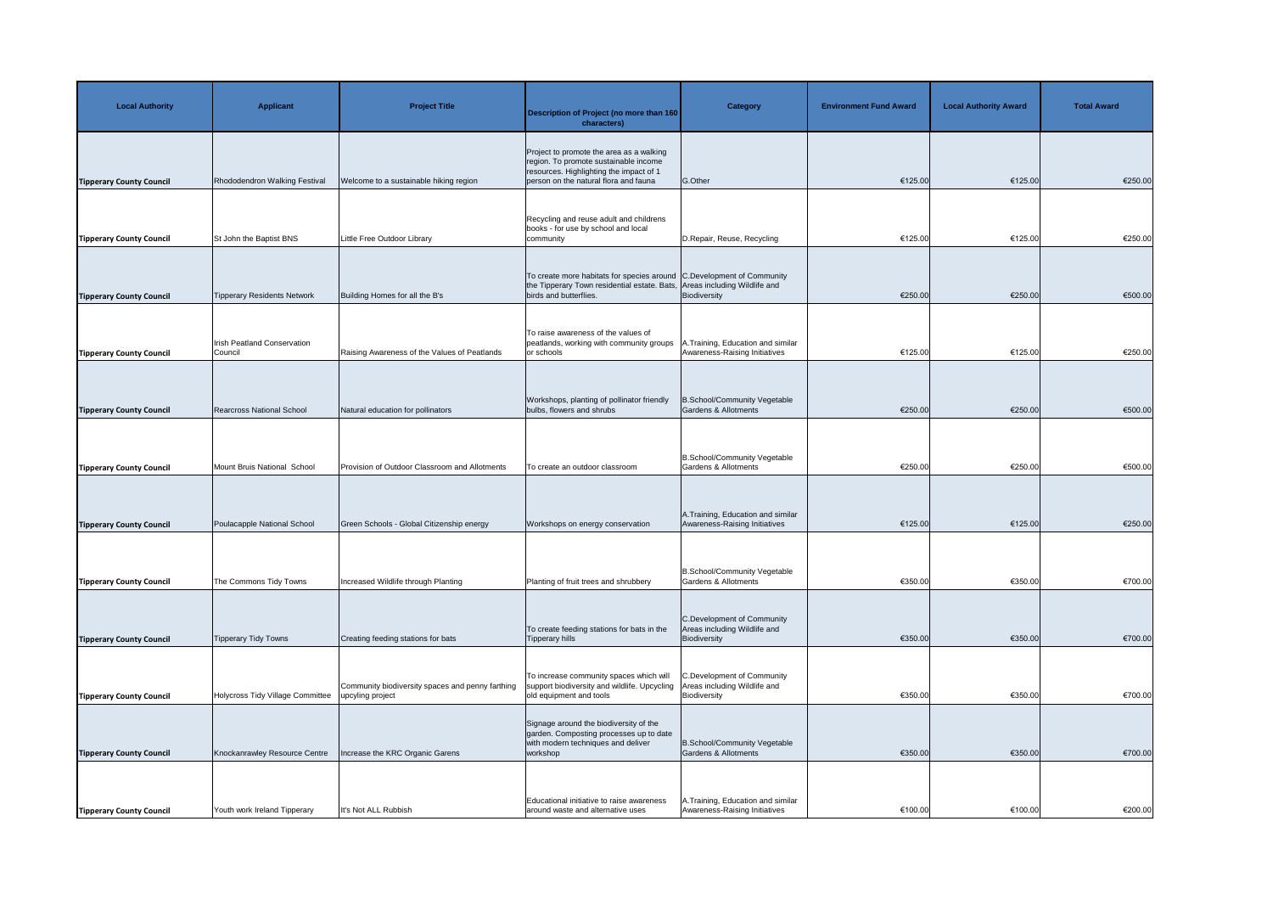| <b>Local Authority</b>          | <b>Applicant</b>                              | <b>Project Title</b>                                                 | <b>Description of Project (no more than 160</b><br>characters)                                                                                                               | <b>Category</b>                                                            | <b>Environment Fund Award</b> | <b>Local Authority Award</b> | <b>Total Award</b> |
|---------------------------------|-----------------------------------------------|----------------------------------------------------------------------|------------------------------------------------------------------------------------------------------------------------------------------------------------------------------|----------------------------------------------------------------------------|-------------------------------|------------------------------|--------------------|
| <b>Tipperary County Council</b> | Rhododendron Walking Festival                 | Welcome to a sustainable hiking region                               | Project to promote the area as a walking<br>region. To promote sustainable income<br>resources. Highlighting the impact of 1<br>person on the natural flora and fauna        | G.Other                                                                    | €125.00                       | €125.00                      | €250.00            |
| <b>Tipperary County Council</b> | St John the Baptist BNS                       | Little Free Outdoor Library                                          | Recycling and reuse adult and childrens<br>books - for use by school and local<br>community                                                                                  | D.Repair, Reuse, Recycling                                                 | €125.00                       | €125.00                      | €250.00            |
| <b>Tipperary County Council</b> | Tipperary Residents Network                   | Building Homes for all the B's                                       | To create more habitats for species around C.Development of Community<br>the Tipperary Town residential estate. Bats, Areas including Wildlife and<br>birds and butterflies. | Biodiversity                                                               | €250.00                       | €250.00                      | €500.00            |
| <b>Tipperary County Council</b> | <b>Irish Peatland Conservation</b><br>Council | Raising Awareness of the Values of Peatlands                         | To raise awareness of the values of<br>peatlands, working with community groups<br>or schools                                                                                | <b>A.Training, Education and similar</b><br>Awareness-Raising Initiatives  | €125.00                       | €125.00                      | €250.00            |
| <b>Tipperary County Council</b> | <b>Rearcross National School</b>              | Natural education for pollinators                                    | Workshops, planting of pollinator friendly<br>bulbs, flowers and shrubs                                                                                                      | B.School/Community Vegetable<br><b>Gardens &amp; Allotments</b>            | €250.00                       | €250.00                      | €500.00            |
| <b>Tipperary County Council</b> | Mount Bruis National School                   | Provision of Outdoor Classroom and Allotments                        | To create an outdoor classroom                                                                                                                                               | B.School/Community Vegetable<br>Gardens & Allotments                       | €250.00                       | €250.00                      | €500.00            |
| <b>Tipperary County Council</b> | Poulacapple National School                   | Green Schools - Global Citizenship energy                            | Workshops on energy conservation                                                                                                                                             | A. Training, Education and similar<br>Awareness-Raising Initiatives        | €125.00                       | €125.00                      | €250.00            |
| <b>Tipperary County Council</b> | The Commons Tidy Towns                        | Increased Wildlife through Planting                                  | Planting of fruit trees and shrubbery                                                                                                                                        | B.School/Community Vegetable<br>Gardens & Allotments                       | €350.00                       | €350.00                      | €700.00            |
| <b>Tipperary County Council</b> | Tipperary Tidy Towns                          | Creating feeding stations for bats                                   | To create feeding stations for bats in the<br><b>Tipperary hills</b>                                                                                                         | C.Development of Community<br>Areas including Wildlife and<br>Biodiversity | €350.00                       | €350.00                      | €700.00            |
| <b>Tipperary County Council</b> | Holycross Tidy Village Committee              | Community biodiversity spaces and penny farthing<br>upcyling project | To increase community spaces which will<br>support biodiversity and wildlife. Upcycling<br>old equipment and tools                                                           | C.Development of Community<br>Areas including Wildlife and<br>Biodiversity | €350.00                       | €350.00                      | €700.00            |
| <b>Tipperary County Council</b> | Knockanrawley Resource Centre                 | Increase the KRC Organic Garens                                      | Signage around the biodiversity of the<br>garden. Composting processes up to date<br>with modern techniques and deliver<br>workshop                                          | B.School/Community Vegetable<br>Gardens & Allotments                       | €350.00                       | €350.00                      | €700.00            |
| <b>Tipperary County Council</b> | Youth work Ireland Tipperary                  | It's Not ALL Rubbish                                                 | Educational initiative to raise awareness<br>around waste and alternative uses                                                                                               | A. Training, Education and similar<br>Awareness-Raising Initiatives        | €100.00                       | €100.00                      | €200.00            |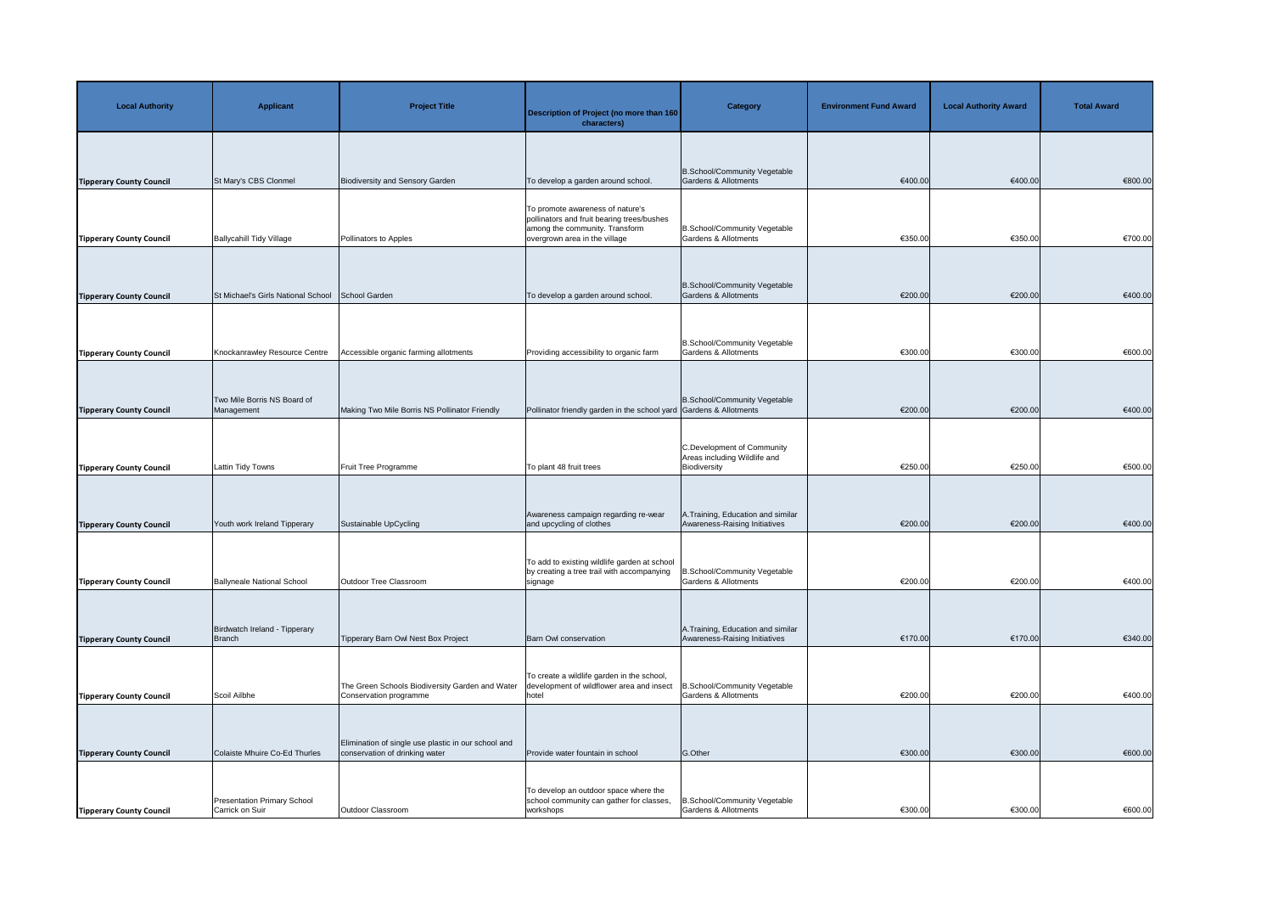| <b>Local Authority</b>                                             | <b>Applicant</b>                                      | <b>Project Title</b>                                                                  | <b>Description of Project (no more than 160</b><br>characters)                                                                                    | <b>Category</b>                                                            | <b>Environment Fund Award</b> | <b>Local Authority Award</b> | <b>Total Award</b> |
|--------------------------------------------------------------------|-------------------------------------------------------|---------------------------------------------------------------------------------------|---------------------------------------------------------------------------------------------------------------------------------------------------|----------------------------------------------------------------------------|-------------------------------|------------------------------|--------------------|
| <b>Tipperary County Council</b>                                    | St Mary's CBS Clonmel                                 | Biodiversity and Sensory Garden                                                       | To develop a garden around school.                                                                                                                | B.School/Community Vegetable<br>Gardens & Allotments                       | €400.00                       | €400.00                      | €800.00            |
|                                                                    | <b>Ballycahill Tidy Village</b>                       | Pollinators to Apples                                                                 | To promote awareness of nature's<br>pollinators and fruit bearing trees/bushes<br>among the community. Transform<br>overgrown area in the village | B.School/Community Vegetable<br>Gardens & Allotments                       | €350.00                       | €350.00                      | €700.00            |
| <b>Tipperary County Council</b>                                    |                                                       |                                                                                       |                                                                                                                                                   | B.School/Community Vegetable                                               |                               |                              |                    |
| <b>Tipperary County Council</b>                                    | St Michael's Girls National School                    | School Garden                                                                         | To develop a garden around school.                                                                                                                | <b>Gardens &amp; Allotments</b>                                            | €200.00                       | €200.00                      | €400.00            |
| <b>Tipperary County Council</b>                                    | Knockanrawley Resource Centre                         | Accessible organic farming allotments                                                 | Providing accessibility to organic farm                                                                                                           | B.School/Community Vegetable<br>Gardens & Allotments                       | €300.00                       | €300.00                      | €600.00            |
| <b>Tipperary County Council</b>                                    | Two Mile Borris NS Board of<br>Management             | Making Two Mile Borris NS Pollinator Friendly                                         | Pollinator friendly garden in the school yard Gardens & Allotments                                                                                | B.School/Community Vegetable                                               | €200.00                       | €200.00                      | €400.00            |
| <b>Tipperary County Council</b>                                    | <b>Lattin Tidy Towns</b>                              | Fruit Tree Programme                                                                  | To plant 48 fruit trees                                                                                                                           | C.Development of Community<br>Areas including Wildlife and<br>Biodiversity | €250.00                       | €250.00                      | €500.00            |
| <b>Tipperary County Council</b>                                    | Youth work Ireland Tipperary                          | Sustainable UpCycling                                                                 | Awareness campaign regarding re-wear<br>and upcycling of clothes                                                                                  | A. Training, Education and similar<br>Awareness-Raising Initiatives        | €200.00                       | €200.00                      | €400.00            |
| <b>Tipperary County Council</b>                                    | <b>Ballyneale National School</b>                     | Outdoor Tree Classroom                                                                | To add to existing wildlife garden at school<br>by creating a tree trail with accompanying<br>signage                                             | B.School/Community Vegetable<br>Gardens & Allotments                       | €200.00                       | €200.00                      | €400.00            |
| <b>Tipperary County Council</b>                                    | Birdwatch Ireland - Tipperary<br>Branch               | Tipperary Barn Owl Nest Box Project                                                   | Barn Owl conservation                                                                                                                             | A. Training, Education and similar<br>Awareness-Raising Initiatives        | €170.00                       | €170.00                      | €340.00            |
| <b>Tipperary County Council</b>                                    | Scoil Ailbhe                                          | The Green Schools Biodiversity Garden and Water<br>Conservation programme             | To create a wildlife garden in the school,<br>development of wildflower area and insect<br>hotel                                                  | B.School/Community Vegetable<br><b>Gardens &amp; Allotments</b>            | €200.00                       | €200.00                      | €400.00            |
|                                                                    | Colaiste Mhuire Co-Ed Thurles                         | Elimination of single use plastic in our school and<br>conservation of drinking water | Provide water fountain in school                                                                                                                  | G.Other                                                                    | €300.00                       | €300.00                      | €600.00            |
| <b>Tipperary County Council</b><br><b>Tipperary County Council</b> | <b>Presentation Primary School</b><br>Carrick on Suir | Outdoor Classroom                                                                     | To develop an outdoor space where the<br>school community can gather for classes,<br>workshops                                                    | B.School/Community Vegetable<br><b>Gardens &amp; Allotments</b>            | €300.00                       | €300.00                      | €600.00            |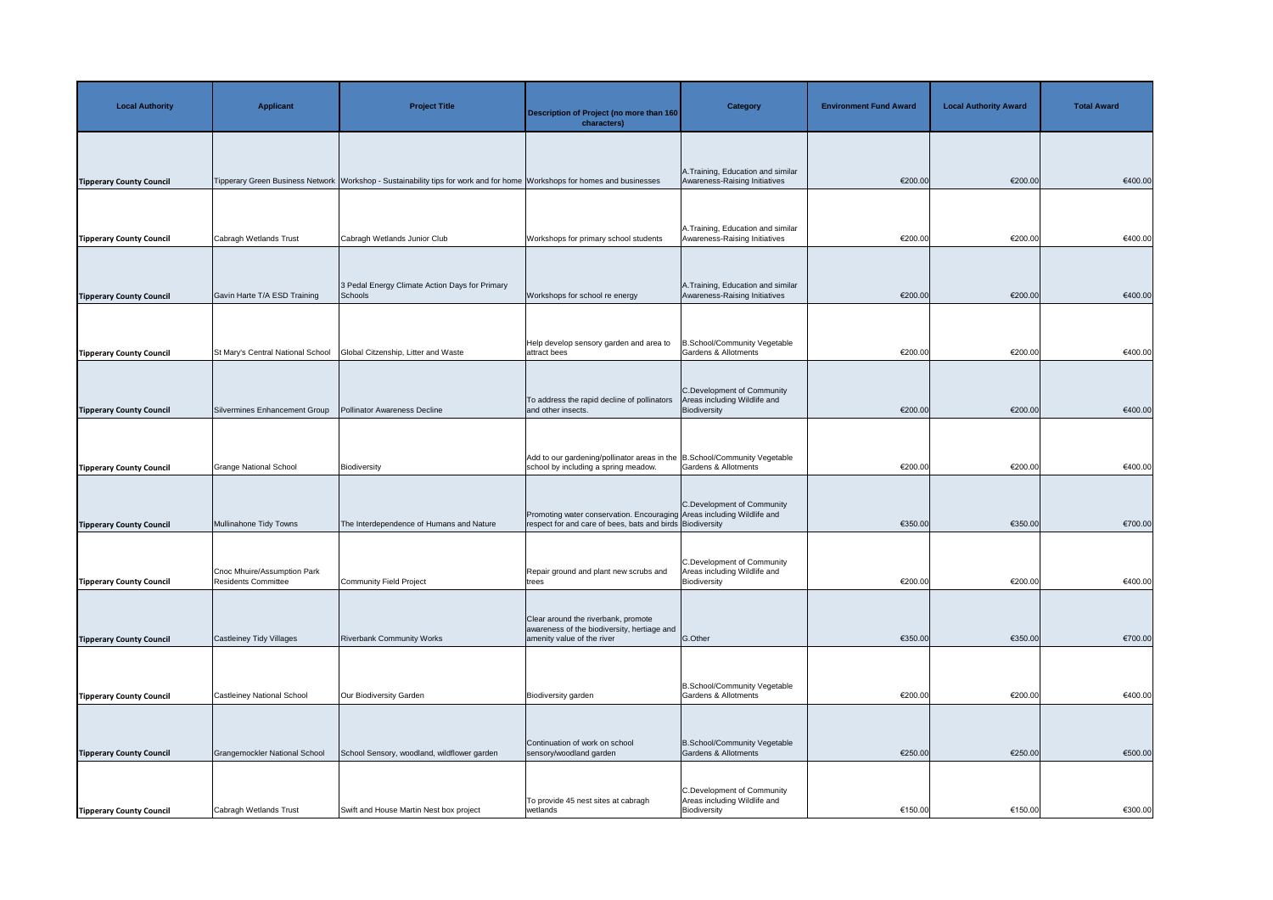| <b>Local Authority</b>          | <b>Applicant</b>                                          | <b>Project Title</b>                                                                                                     | <b>Description of Project (no more than 160</b><br>characters)                                                                      | <b>Category</b>                                                            | <b>Environment Fund Award</b> | <b>Local Authority Award</b> | <b>Total Award</b> |
|---------------------------------|-----------------------------------------------------------|--------------------------------------------------------------------------------------------------------------------------|-------------------------------------------------------------------------------------------------------------------------------------|----------------------------------------------------------------------------|-------------------------------|------------------------------|--------------------|
| <b>Tipperary County Council</b> |                                                           | Tipperary Green Business Network Workshop - Sustainability tips for work and for home Workshops for homes and businesses |                                                                                                                                     | A. Training, Education and similar<br>Awareness-Raising Initiatives        | €200.00                       | €200.00                      | €400.00            |
| <b>Tipperary County Council</b> | Cabragh Wetlands Trust                                    | Cabragh Wetlands Junior Club                                                                                             | Workshops for primary school students                                                                                               | A. Training, Education and similar<br>Awareness-Raising Initiatives        | €200.00                       | €200.00                      | €400.00            |
| <b>Tipperary County Council</b> | Gavin Harte T/A ESD Training                              | 3 Pedal Energy Climate Action Days for Primary<br>Schools                                                                | Workshops for school re energy                                                                                                      | A. Training, Education and similar<br>Awareness-Raising Initiatives        | €200.00                       | €200.00                      | €400.00            |
| <b>Tipperary County Council</b> | St Mary's Central National School                         | Global Citzenship, Litter and Waste                                                                                      | Help develop sensory garden and area to<br>attract bees                                                                             | B.School/Community Vegetable<br>Gardens & Allotments                       | €200.00                       | €200.00                      | €400.00            |
| <b>Tipperary County Council</b> | Silvermines Enhancement Group                             | Pollinator Awareness Decline                                                                                             | To address the rapid decline of pollinators<br>and other insects.                                                                   | C.Development of Community<br>Areas including Wildlife and<br>Biodiversity | €200.00                       | €200.00                      | €400.00            |
| <b>Tipperary County Council</b> | <b>Grange National School</b>                             | Biodiversity                                                                                                             | Add to our gardening/pollinator areas in the B.School/Community Vegetable<br>school by including a spring meadow.                   | <b>Gardens &amp; Allotments</b>                                            | €200.00                       | €200.00                      | €400.00            |
| <b>Tipperary County Council</b> | Mullinahone Tidy Towns                                    | The Interdependence of Humans and Nature                                                                                 | Promoting water conservation. Encouraging Areas including Wildlife and<br>respect for and care of bees, bats and birds Biodiversity | C.Development of Community                                                 | €350.00                       | €350.00                      | €700.00            |
| <b>Tipperary County Council</b> | Cnoc Mhuire/Assumption Park<br><b>Residents Committee</b> | Community Field Project                                                                                                  | Repair ground and plant new scrubs and<br>trees                                                                                     | C.Development of Community<br>Areas including Wildlife and<br>Biodiversity | €200.00                       | €200.00                      | €400.00            |
|                                 |                                                           |                                                                                                                          | Clear around the riverbank, promote<br>awareness of the biodiversity, hertiage and                                                  |                                                                            |                               |                              |                    |
| <b>Tipperary County Council</b> | Castleiney Tidy Villages                                  | <b>Riverbank Community Works</b>                                                                                         | amenity value of the river                                                                                                          | G.Other                                                                    | €350.00                       | €350.00                      | €700.00            |
| <b>Tipperary County Council</b> | <b>Castleiney National School</b>                         | Our Biodiversity Garden                                                                                                  | Biodiversity garden                                                                                                                 | B.School/Community Vegetable<br>Gardens & Allotments                       | €200.00                       | €200.00                      | €400.00            |
| <b>Tipperary County Council</b> | Grangemockler National School                             | School Sensory, woodland, wildflower garden                                                                              | Continuation of work on school<br>sensory/woodland garden                                                                           | B.School/Community Vegetable<br><b>Gardens &amp; Allotments</b>            | €250.00                       | €250.00                      | €500.00            |
| <b>Tipperary County Council</b> | Cabragh Wetlands Trust                                    | Swift and House Martin Nest box project                                                                                  | To provide 45 nest sites at cabragh<br>wetlands                                                                                     | C.Development of Community<br>Areas including Wildlife and<br>Biodiversity | €150.00                       | €150.00                      | €300.00            |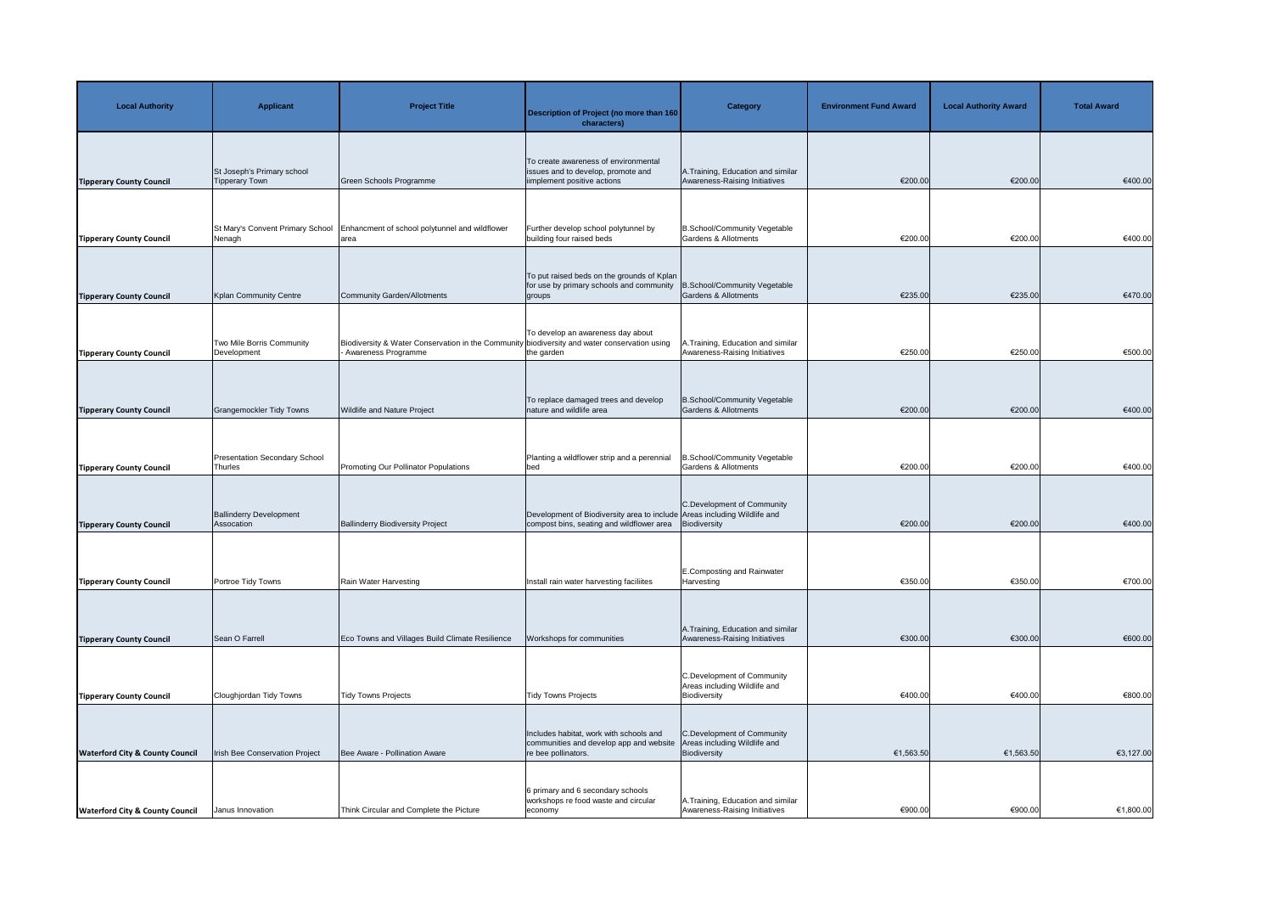| <b>Local Authority</b>                     | <b>Applicant</b>                                | <b>Project Title</b>                                                                                                | <b>Description of Project (no more than 160</b><br>characters)                                                        | <b>Category</b>                                                            | <b>Environment Fund Award</b> | <b>Local Authority Award</b> | <b>Total Award</b> |
|--------------------------------------------|-------------------------------------------------|---------------------------------------------------------------------------------------------------------------------|-----------------------------------------------------------------------------------------------------------------------|----------------------------------------------------------------------------|-------------------------------|------------------------------|--------------------|
| <b>Tipperary County Council</b>            | St Joseph's Primary school<br>Tipperary Town    | Green Schools Programme                                                                                             | To create awareness of environmental<br>issues and to develop, promote and<br>iimplement positive actions             | A. Training, Education and similar<br>Awareness-Raising Initiatives        | €200.00                       | €200.00                      | €400.00            |
| <b>Tipperary County Council</b>            | St Mary's Convent Primary School<br>Nenagh      | Enhancment of school polytunnel and wildflower<br>area                                                              | Further develop school polytunnel by<br>building four raised beds                                                     | B.School/Community Vegetable<br><b>Gardens &amp; Allotments</b>            | €200.00                       | €200.00                      | €400.00            |
| <b>Tipperary County Council</b>            | Kplan Community Centre                          | Community Garden/Allotments                                                                                         | To put raised beds on the grounds of Kplan<br>for use by primary schools and community<br>groups                      | B.School/Community Vegetable<br><b>Gardens &amp; Allotments</b>            | €235.00                       | €235.00                      | €470.00            |
| <b>Tipperary County Council</b>            | Two Mile Borris Community<br>Development        | Biodiversity & Water Conservation in the Community biodiversity and water conservation using<br>Awareness Programme | To develop an awareness day about<br>the garden                                                                       | A.Training, Education and similar<br>Awareness-Raising Initiatives         | €250.00                       | €250.00                      | €500.00            |
| <b>Tipperary County Council</b>            | Grangemockler Tidy Towns                        | <b>Wildlife and Nature Project</b>                                                                                  | To replace damaged trees and develop<br>nature and wildlife area                                                      | B.School/Community Vegetable<br>Gardens & Allotments                       | €200.00                       | €200.00                      | €400.00            |
| <b>Tipperary County Council</b>            | <b>Presentation Secondary School</b><br>Thurles | Promoting Our Pollinator Populations                                                                                | Planting a wildflower strip and a perennial<br>bed                                                                    | B.School/Community Vegetable<br><b>Gardens &amp; Allotments</b>            | €200.00                       | €200.00                      | €400.00            |
| <b>Tipperary County Council</b>            | <b>Ballinderry Development</b><br>Assocation    | <b>Ballinderry Biodiversity Project</b>                                                                             | Development of Biodiversity area to include Areas including Wildlife and<br>compost bins, seating and wildflower area | C.Development of Community<br>Biodiversity                                 | €200.00                       | €200.00                      | €400.00            |
| <b>Tipperary County Council</b>            | Portroe Tidy Towns                              | Rain Water Harvesting                                                                                               | Install rain water harvesting faciliites                                                                              | <b>E.Composting and Rainwater</b><br>Harvesting                            | €350.00                       | €350.00                      | €700.00            |
| <b>Tipperary County Council</b>            | Sean O Farrell                                  | Eco Towns and Villages Build Climate Resilience                                                                     | Workshops for communities                                                                                             | A. Training, Education and similar<br>Awareness-Raising Initiatives        | €300.00                       | €300.00                      | €600.00            |
| <b>Tipperary County Council</b>            | Cloughjordan Tidy Towns                         | Tidy Towns Projects                                                                                                 | <b>Tidy Towns Projects</b>                                                                                            | C.Development of Community<br>Areas including Wildlife and<br>Biodiversity | €400.00                       | €400.00                      | €800.00            |
| <b>Waterford City &amp; County Council</b> | Irish Bee Conservation Project                  | Bee Aware - Pollination Aware                                                                                       | Includes habitat, work with schools and<br>communities and develop app and website<br>re bee pollinators.             | C.Development of Community<br>Areas including Wildlife and<br>Biodiversity | €1,563.50                     | €1,563.50                    | €3,127.00          |
| <b>Waterford City &amp; County Council</b> | Janus Innovation                                | Think Circular and Complete the Picture                                                                             | 6 primary and 6 secondary schools<br>workshops re food waste and circular<br>economy                                  | A. Training, Education and similar<br>Awareness-Raising Initiatives        | €900.00                       | €900.00                      | €1,800.00          |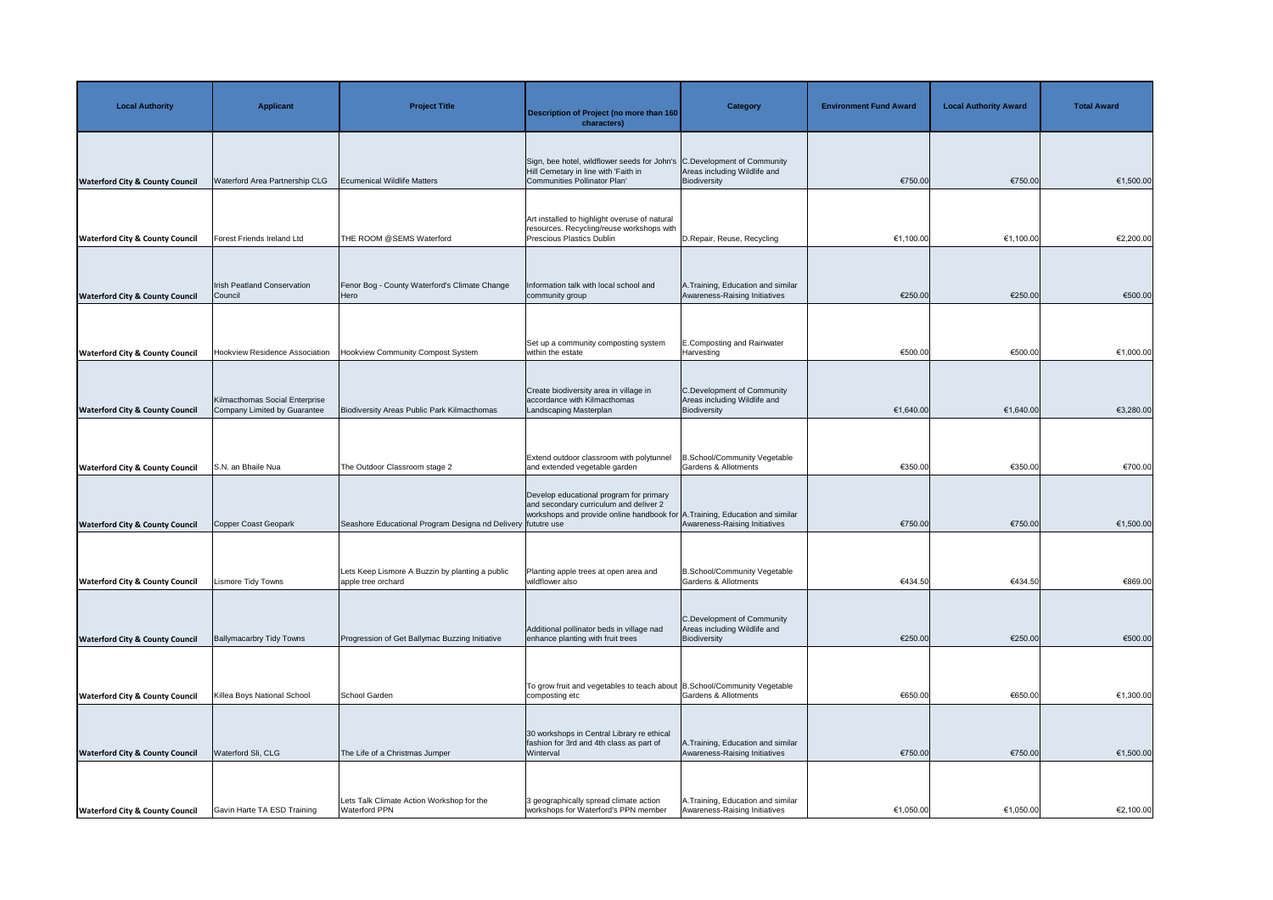| <b>Local Authority</b>                     | <b>Applicant</b>                                               | <b>Project Title</b>                                                                                            | <b>Description of Project (no more than 160</b><br>characters)                                                                                                    | <b>Category</b>                                                                    | <b>Environment Fund Award</b> | <b>Local Authority Award</b> | <b>Total Award</b> |
|--------------------------------------------|----------------------------------------------------------------|-----------------------------------------------------------------------------------------------------------------|-------------------------------------------------------------------------------------------------------------------------------------------------------------------|------------------------------------------------------------------------------------|-------------------------------|------------------------------|--------------------|
| <b>Waterford City &amp; County Council</b> | Waterford Area Partnership CLG                                 | <b>Ecumenical Wildlife Matters</b>                                                                              | Sign, bee hotel, wildflower seeds for John's C.Development of Community<br>Hill Cemetary in line with 'Faith in<br>Communities Pollinator Plan'                   | Areas including Wildlife and<br>Biodiversity                                       | €750.00                       | €750.00                      | €1,500.00          |
| <b>Waterford City &amp; County Council</b> | <b>Forest Friends Ireland Ltd</b>                              | THE ROOM @SEMS Waterford                                                                                        | Art installed to highlight overuse of natural<br>resources. Recycling/reuse workshops with<br>Prescious Plastics Dublin                                           | D.Repair, Reuse, Recycling                                                         | €1,100.00                     | €1,100.00                    | €2,200.00          |
| <b>Waterford City &amp; County Council</b> | Irish Peatland Conservation<br>Council                         | Fenor Bog - County Waterford's Climate Change<br>Hero                                                           | Information talk with local school and<br>community group                                                                                                         | A. Training, Education and similar<br>Awareness-Raising Initiatives                | €250.00                       | €250.00                      | €500.00            |
| <b>Waterford City &amp; County Council</b> | <b>Hookview Residence Association</b>                          | Hookview Community Compost System                                                                               | Set up a community composting system<br>within the estate                                                                                                         | E.Composting and Rainwater<br>Harvesting                                           | €500.00                       | €500.00                      | €1,000.00          |
| <b>Waterford City &amp; County Council</b> | Kilmacthomas Social Enterprise<br>Company Limited by Guarantee | Biodiversity Areas Public Park Kilmacthomas                                                                     | Create biodiversity area in village in<br>accordance with Kilmacthomas<br>Landscaping Masterplan                                                                  | C.Development of Community<br>Areas including Wildlife and<br>Biodiversity         | €1,640.00                     | €1,640.00                    | €3,280.00          |
| <b>Waterford City &amp; County Council</b> | S.N. an Bhaile Nua                                             | The Outdoor Classroom stage 2                                                                                   | Extend outdoor classroom with polytunnel<br>and extended vegetable garden                                                                                         | B.School/Community Vegetable<br>Gardens & Allotments                               | €350.00                       | €350.00                      | €700.00            |
|                                            |                                                                |                                                                                                                 | Develop educational program for primary<br>and secondary curriculum and deliver 2<br>workshops and provide online handbook for A. Training, Education and similar |                                                                                    |                               |                              |                    |
| <b>Waterford City &amp; County Council</b> | Copper Coast Geopark                                           | Seashore Educational Program Designa nd Delivery fututre use<br>Lets Keep Lismore A Buzzin by planting a public | Planting apple trees at open area and                                                                                                                             | Awareness-Raising Initiatives<br>B.School/Community Vegetable                      | €750.00                       | €750.00                      | €1,500.00          |
| <b>Waterford City &amp; County Council</b> | <b>Lismore Tidy Towns</b>                                      | apple tree orchard                                                                                              | wildflower also<br>Additional pollinator beds in village nad                                                                                                      | Gardens & Allotments<br>C.Development of Community<br>Areas including Wildlife and | €434.50                       | €434.50                      | €869.00            |
| <b>Waterford City &amp; County Council</b> | <b>Ballymacarbry Tidy Towns</b>                                | Progression of Get Ballymac Buzzing Initiative                                                                  | enhance planting with fruit trees                                                                                                                                 | Biodiversity                                                                       | €250.00                       | €250.00                      | €500.00            |
| <b>Waterford City &amp; County Council</b> | Killea Boys National School                                    | School Garden                                                                                                   | To grow fruit and vegetables to teach about B. School/Community Vegetable<br>composting etc                                                                       | <b>Gardens &amp; Allotments</b>                                                    | €650.00                       | €650.00                      | €1,300.00          |
| <b>Waterford City &amp; County Council</b> | Waterford Sli, CLG                                             | The Life of a Christmas Jumper                                                                                  | 30 workshops in Central Library re ethical<br>fashion for 3rd and 4th class as part of<br>Winterval                                                               | A. Training, Education and similar<br>Awareness-Raising Initiatives                | €750.00                       | €750.00                      | €1,500.00          |
| <b>Waterford City &amp; County Council</b> | Gavin Harte TA ESD Training                                    | Lets Talk Climate Action Workshop for the<br><b>Waterford PPN</b>                                               | 3 geographically spread climate action<br>workshops for Waterford's PPN member                                                                                    | A. Training, Education and similar<br>Awareness-Raising Initiatives                | €1,050.00                     | €1,050.00                    | €2,100.00          |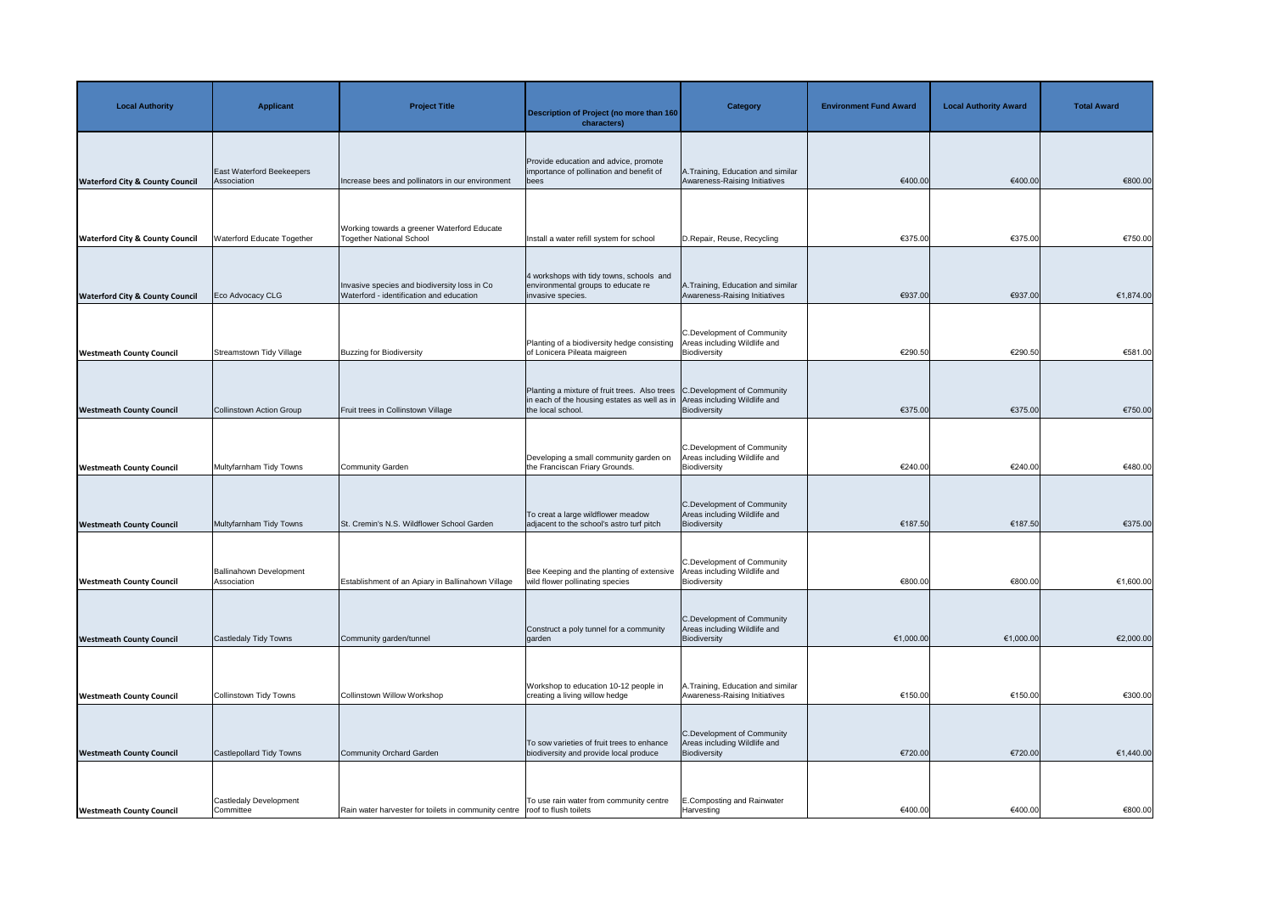| <b>Local Authority</b>                     | <b>Applicant</b>                                | <b>Project Title</b>                                                                     | <b>Description of Project (no more than 160</b><br>characters)                                                                                                              | <b>Category</b>                                                            | <b>Environment Fund Award</b> | <b>Local Authority Award</b> | <b>Total Award</b> |
|--------------------------------------------|-------------------------------------------------|------------------------------------------------------------------------------------------|-----------------------------------------------------------------------------------------------------------------------------------------------------------------------------|----------------------------------------------------------------------------|-------------------------------|------------------------------|--------------------|
| <b>Waterford City &amp; County Council</b> | <b>East Waterford Beekeepers</b><br>Association | Increase bees and pollinators in our environment                                         | Provide education and advice, promote<br>importance of pollination and benefit of<br>bees                                                                                   | A. Training, Education and similar<br>Awareness-Raising Initiatives        | €400.00                       | €400.00                      | €800.00            |
| <b>Waterford City &amp; County Council</b> | Waterford Educate Together                      | Working towards a greener Waterford Educate<br><b>Together National School</b>           | Install a water refill system for school                                                                                                                                    | D.Repair, Reuse, Recycling                                                 | €375.00                       | €375.00                      | €750.00            |
| <b>Waterford City &amp; County Council</b> | Eco Advocacy CLG                                | Invasive species and biodiversity loss in Co<br>Waterford - identification and education | 4 workshops with tidy towns, schools and<br>environmental groups to educate re<br>invasive species.                                                                         | A. Training, Education and similar<br>Awareness-Raising Initiatives        | €937.00                       | €937.00                      | €1,874.00          |
| <b>Westmeath County Council</b>            | Streamstown Tidy Village                        | <b>Buzzing for Biodiversity</b>                                                          | Planting of a biodiversity hedge consisting<br>of Lonicera Pileata maigreen                                                                                                 | C.Development of Community<br>Areas including Wildlife and<br>Biodiversity | €290.50                       | €290.50                      | €581.00            |
| <b>Westmeath County Council</b>            | Collinstown Action Group                        | Fruit trees in Collinstown Village                                                       | Planting a mixture of fruit trees. Also trees C. Development of Community<br>in each of the housing estates as well as in Areas including Wildlife and<br>the local school. | Biodiversity                                                               | €375.00                       | €375.00                      | €750.00            |
| <b>Westmeath County Council</b>            | Multyfarnham Tidy Towns                         | Community Garden                                                                         | Developing a small community garden on<br>the Franciscan Friary Grounds.                                                                                                    | C.Development of Community<br>Areas including Wildlife and<br>Biodiversity | €240.00                       | €240.00                      | €480.00            |
| <b>Westmeath County Council</b>            | Multyfarnham Tidy Towns                         | St. Cremin's N.S. Wildflower School Garden                                               | To creat a large wildflower meadow<br>adjacent to the school's astro turf pitch                                                                                             | C.Development of Community<br>Areas including Wildlife and<br>Biodiversity | €187.50                       | €187.50                      | €375.00            |
| <b>Westmeath County Council</b>            | <b>Ballinahown Development</b><br>Association   | Establishment of an Apiary in Ballinahown Village                                        | Bee Keeping and the planting of extensive<br>wild flower pollinating species                                                                                                | C.Development of Community<br>Areas including Wildlife and<br>Biodiversity | €800.00                       | €800.00                      | €1,600.00          |
|                                            |                                                 |                                                                                          | Construct a poly tunnel for a community                                                                                                                                     | C.Development of Community<br>Areas including Wildlife and                 |                               |                              |                    |
| <b>Westmeath County Council</b>            | Castledaly Tidy Towns                           | Community garden/tunnel                                                                  | garden                                                                                                                                                                      | Biodiversity                                                               | €1,000.00                     | €1,000.00                    | €2,000.00          |
| <b>Westmeath County Council</b>            | Collinstown Tidy Towns                          | Collinstown Willow Workshop                                                              | Workshop to education 10-12 people in<br>creating a living willow hedge                                                                                                     | A. Training, Education and similar<br>Awareness-Raising Initiatives        | €150.00                       | €150.00                      | €300.00            |
| <b>Westmeath County Council</b>            | Castlepollard Tidy Towns                        | Community Orchard Garden                                                                 | To sow varieties of fruit trees to enhance<br>biodiversity and provide local produce                                                                                        | C.Development of Community<br>Areas including Wildlife and<br>Biodiversity | €720.00                       | €720.00                      | €1,440.00          |
| <b>Westmeath County Council</b>            | Castledaly Development<br>Committee             | Rain water harvester for toilets in community centre roof to flush toilets               | To use rain water from community centre                                                                                                                                     | <b>E.Composting and Rainwater</b><br>Harvesting                            | €400.00                       | €400.00                      | €800.00            |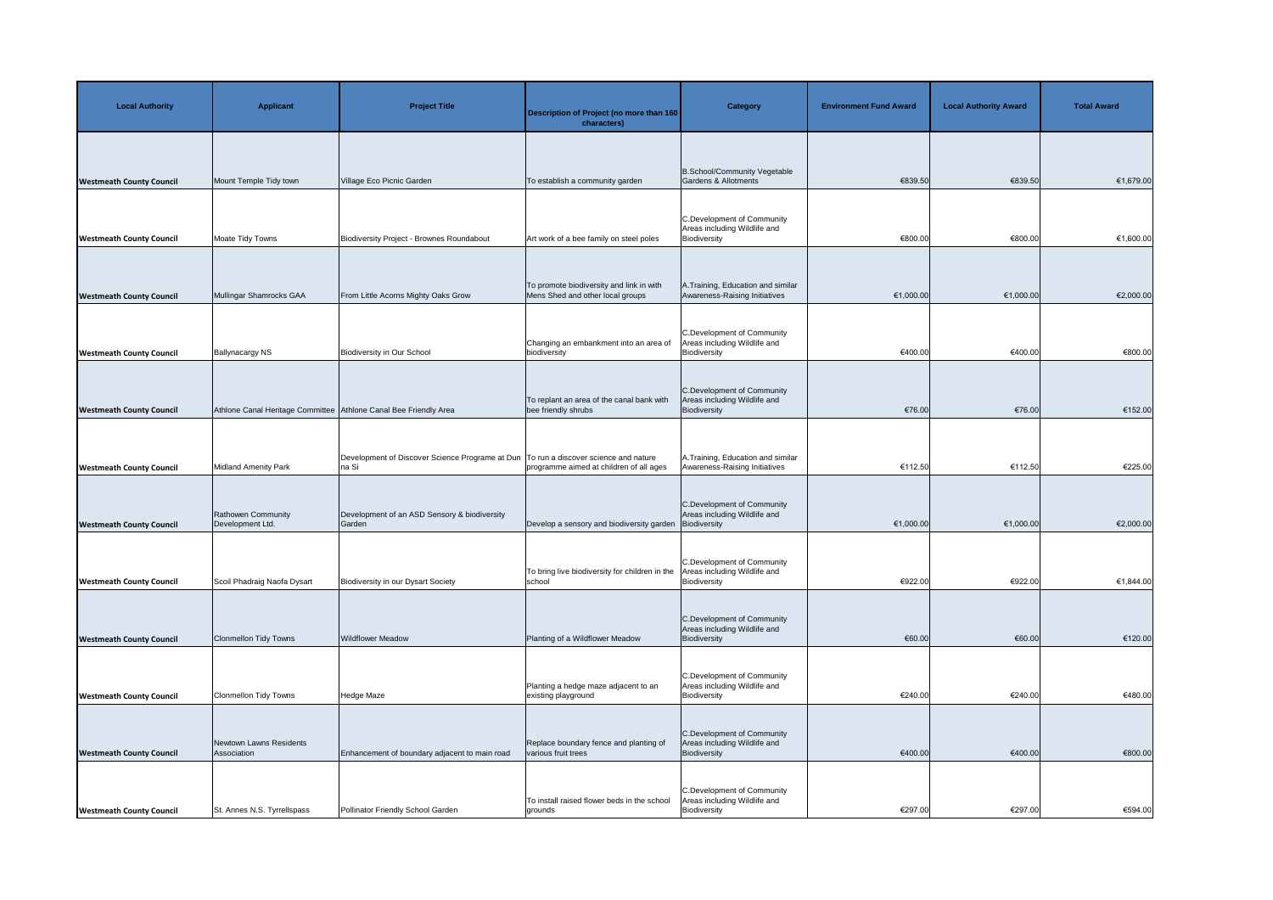| <b>Local Authority</b>          | <b>Applicant</b>                                                 | <b>Project Title</b>                                                                            | Description of Project (no more than 160<br>characters)                      | <b>Category</b>                                                            | <b>Environment Fund Award</b> | <b>Local Authority Award</b> | <b>Total Award</b> |
|---------------------------------|------------------------------------------------------------------|-------------------------------------------------------------------------------------------------|------------------------------------------------------------------------------|----------------------------------------------------------------------------|-------------------------------|------------------------------|--------------------|
| <b>Westmeath County Council</b> | Mount Temple Tidy town                                           | Village Eco Picnic Garden                                                                       | To establish a community garden                                              | B.School/Community Vegetable<br>Gardens & Allotments                       | €839.50                       | €839.50                      | €1,679.00          |
| <b>Westmeath County Council</b> | Moate Tidy Towns                                                 | Biodiversity Project - Brownes Roundabout                                                       | Art work of a bee family on steel poles                                      | C.Development of Community<br>Areas including Wildlife and<br>Biodiversity | €800.00                       | €800.00                      | €1,600.00          |
| <b>Westmeath County Council</b> | Mullingar Shamrocks GAA                                          | From Little Acorns Mighty Oaks Grow                                                             | To promote biodiversity and link in with<br>Mens Shed and other local groups | A. Training, Education and similar<br>Awareness-Raising Initiatives        | €1,000.00                     | €1,000.00                    | €2,000.00          |
| <b>Westmeath County Council</b> | <b>Ballynacargy NS</b>                                           | <b>Biodiversity in Our School</b>                                                               | Changing an embankment into an area of<br>biodiversity                       | C.Development of Community<br>Areas including Wildlife and<br>Biodiversity | €400.00                       | €400.00                      | €800.00            |
| <b>Westmeath County Council</b> | Athlone Canal Heritage Committee Athlone Canal Bee Friendly Area |                                                                                                 | To replant an area of the canal bank with<br>bee friendly shrubs             | C.Development of Community<br>Areas including Wildlife and<br>Biodiversity | €76.00                        | €76.00                       | €152.00            |
| <b>Westmeath County Council</b> | <b>Midland Amenity Park</b>                                      | Development of Discover Science Programe at Dun   To run a discover science and nature<br>na Si | programme aimed at children of all ages                                      | A. Training, Education and similar<br>Awareness-Raising Initiatives        | €112.50                       | €112.50                      | €225.00            |
| <b>Westmeath County Council</b> | Rathowen Community<br>Development Ltd.                           | Development of an ASD Sensory & biodiversity<br>Garden                                          | Develop a sensory and biodiversity garden Biodiversity                       | C.Development of Community<br>Areas including Wildlife and                 | €1,000.00                     | €1,000.00                    | €2,000.00          |
| <b>Westmeath County Council</b> | Scoil Phadraig Naofa Dysart                                      | <b>Biodiversity in our Dysart Society</b>                                                       | To bring live biodiversity for children in the<br>school                     | C.Development of Community<br>Areas including Wildlife and<br>Biodiversity | €922.00                       | €922.00                      | €1,844.00          |
| <b>Westmeath County Council</b> | <b>Clonmellon Tidy Towns</b>                                     | <b>Wildflower Meadow</b>                                                                        | Planting of a Wildflower Meadow                                              | C.Development of Community<br>Areas including Wildlife and<br>Biodiversity | €60.00                        | €60.00                       | €120.00            |
| <b>Westmeath County Council</b> | <b>Clonmellon Tidy Towns</b>                                     | Hedge Maze                                                                                      | Planting a hedge maze adjacent to an<br>existing playground                  | C.Development of Community<br>Areas including Wildlife and<br>Biodiversity | €240.00                       | €240.00                      | €480.00            |
| <b>Westmeath County Council</b> | Newtown Lawns Residents<br>Association                           | Enhancement of boundary adjacent to main road                                                   | Replace boundary fence and planting of<br>various fruit trees                | C.Development of Community<br>Areas including Wildlife and<br>Biodiversity | €400.00                       | €400.00                      | €800.00            |
| <b>Westmeath County Council</b> | St. Annes N.S. Tyrrellspass                                      | Pollinator Friendly School Garden                                                               | To install raised flower beds in the school<br>grounds                       | C.Development of Community<br>Areas including Wildlife and<br>Biodiversity | €297.00                       | €297.00                      | €594.00            |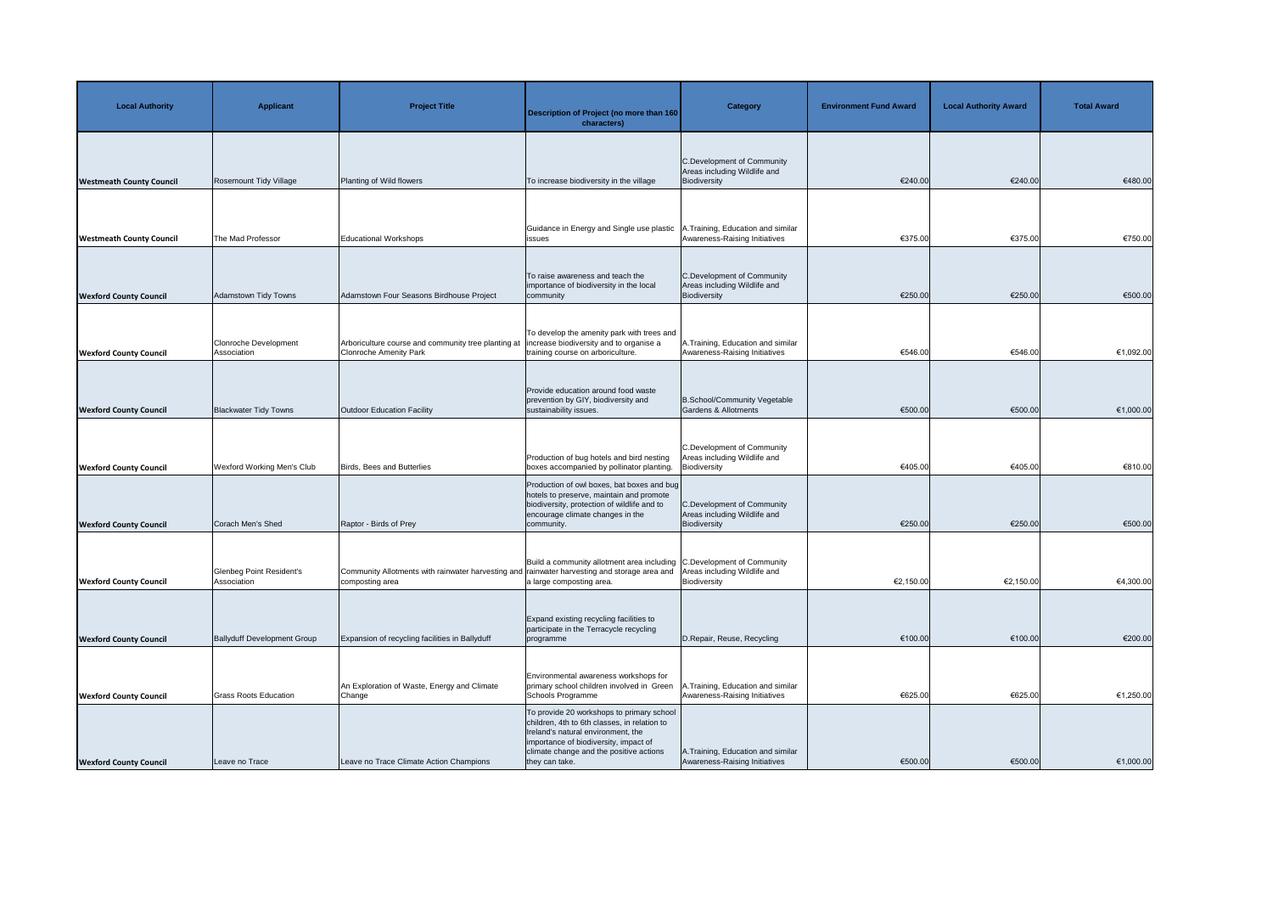| <b>Local Authority</b>          | <b>Applicant</b>                            | <b>Project Title</b>                                                                                            | <b>Description of Project (no more than 160</b><br>characters)                                                                                                                                                                        | <b>Category</b>                                                            | <b>Environment Fund Award</b> | <b>Local Authority Award</b> | <b>Total Award</b> |
|---------------------------------|---------------------------------------------|-----------------------------------------------------------------------------------------------------------------|---------------------------------------------------------------------------------------------------------------------------------------------------------------------------------------------------------------------------------------|----------------------------------------------------------------------------|-------------------------------|------------------------------|--------------------|
| <b>Westmeath County Council</b> | Rosemount Tidy Village                      | Planting of Wild flowers                                                                                        | To increase biodiversity in the village                                                                                                                                                                                               | C.Development of Community<br>Areas including Wildlife and<br>Biodiversity | €240.00                       | €240.00                      | €480.00            |
| <b>Westmeath County Council</b> | The Mad Professor                           | <b>Educational Workshops</b>                                                                                    | Guidance in Energy and Single use plastic<br>issues                                                                                                                                                                                   | 1. Training, Education and similar<br>Awareness-Raising Initiatives        | €375.00                       | €375.00                      | €750.00            |
| <b>Wexford County Council</b>   | Adamstown Tidy Towns                        | Adamstown Four Seasons Birdhouse Project                                                                        | To raise awareness and teach the<br>importance of biodiversity in the local<br>community                                                                                                                                              | C.Development of Community<br>Areas including Wildlife and<br>Biodiversity | €250.00                       | €250.00                      | €500.00            |
| <b>Wexford County Council</b>   | <b>Clonroche Development</b><br>Association | Arboriculture course and community tree planting at<br><b>Clonroche Amenity Park</b>                            | To develop the amenity park with trees and<br>ncrease biodiversity and to organise a<br>training course on arboriculture.                                                                                                             | A. Training, Education and similar<br>Awareness-Raising Initiatives        | €546.00                       | €546.00                      | €1,092.00          |
| <b>Wexford County Council</b>   | <b>Blackwater Tidy Towns</b>                | Outdoor Education Facility                                                                                      | Provide education around food waste<br>prevention by GIY, biodiversity and<br>sustainability issues.                                                                                                                                  | B.School/Community Vegetable<br>Gardens & Allotments                       | €500.00                       | €500.00                      | €1,000.00          |
| <b>Wexford County Council</b>   | <b>Wexford Working Men's Club</b>           | Birds, Bees and Butterlies                                                                                      | Production of bug hotels and bird nesting<br>boxes accompanied by pollinator planting.                                                                                                                                                | C.Development of Community<br>Areas including Wildlife and<br>Biodiversity | €405.00                       | €405.00                      | €810.00            |
| <b>Wexford County Council</b>   | Corach Men's Shed                           | Raptor - Birds of Prey                                                                                          | Production of owl boxes, bat boxes and bug<br>hotels to preserve, maintain and promote<br>biodiversity, protection of wildlife and to<br>encourage climate changes in the<br>community.                                               | C.Development of Community<br>Areas including Wildlife and<br>Biodiversity | €250.00                       | €250.00                      | €500.00            |
| <b>Wexford County Council</b>   | Glenbeg Point Resident's<br>Association     | Community Allotments with rainwater harvesting and rainwater harvesting and storage area and<br>composting area | Build a community allotment area including C. Development of Community<br>a large composting area.                                                                                                                                    | Areas including Wildlife and<br>Biodiversity                               | €2,150.00                     | €2,150.00                    | €4,300.00          |
| <b>Wexford County Council</b>   | <b>Ballyduff Development Group</b>          | Expansion of recycling facilities in Ballyduff                                                                  | Expand existing recycling facilities to<br>participate in the Terracycle recycling<br>programme                                                                                                                                       | D.Repair, Reuse, Recycling                                                 | €100.00                       | €100.00                      | €200.00            |
| <b>Wexford County Council</b>   | <b>Grass Roots Education</b>                | An Exploration of Waste, Energy and Climate<br>Change                                                           | Environmental awareness workshops for<br>primary school children involved in Green<br>Schools Programme                                                                                                                               | Training, Education and similar<br>Awareness-Raising Initiatives           | €625.00                       | €625.00                      | €1,250.00          |
| <b>Wexford County Council</b>   | Leave no Trace                              | Leave no Trace Climate Action Champions                                                                         | To provide 20 workshops to primary school<br>children, 4th to 6th classes, in relation to<br>Ireland's natural environment, the<br>importance of biodiversity, impact of<br>climate change and the positive actions<br>they can take. | A. Training, Education and similar<br>Awareness-Raising Initiatives        | €500.00                       | €500.00                      | €1,000.00          |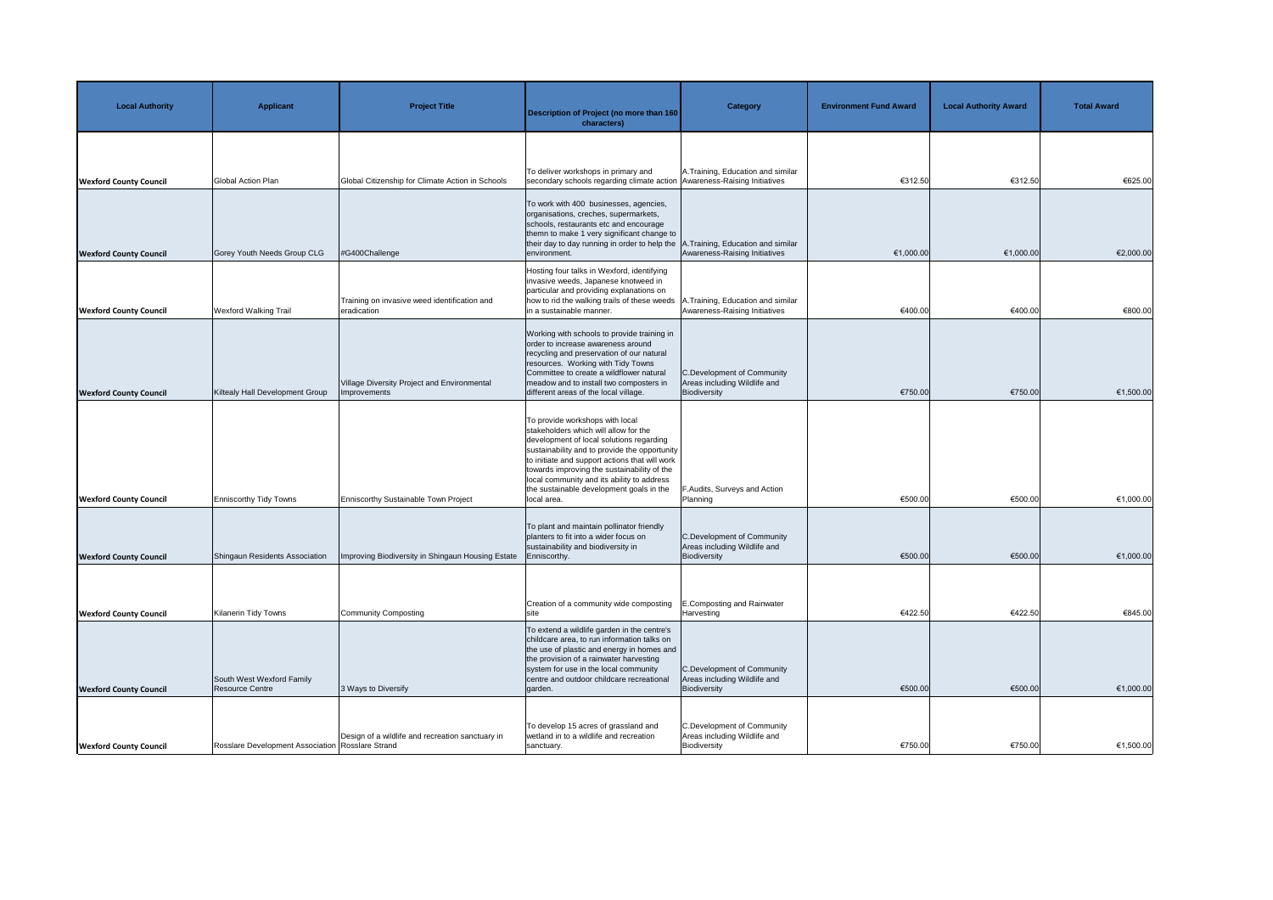| <b>Local Authority</b>        | <b>Applicant</b>                                 | <b>Project Title</b>                                        | <b>Description of Project (no more than 160</b><br>characters)                                                                                                                                                                                                                                                                                                                  | <b>Category</b>                                                            | <b>Environment Fund Award</b> | <b>Local Authority Award</b> | <b>Total Award</b> |
|-------------------------------|--------------------------------------------------|-------------------------------------------------------------|---------------------------------------------------------------------------------------------------------------------------------------------------------------------------------------------------------------------------------------------------------------------------------------------------------------------------------------------------------------------------------|----------------------------------------------------------------------------|-------------------------------|------------------------------|--------------------|
| <b>Wexford County Council</b> | <b>Global Action Plan</b>                        | Global Citizenship for Climate Action in Schools            | To deliver workshops in primary and<br>secondary schools regarding climate action Awareness-Raising Initiatives                                                                                                                                                                                                                                                                 | A. Training, Education and similar                                         | €312.50                       | €312.50                      | €625.00            |
| <b>Wexford County Council</b> | Gorey Youth Needs Group CLG                      | #G400Challenge                                              | To work with 400 businesses, agencies,<br>organisations, creches, supermarkets,<br>schools, restaurants etc and encourage<br>themn to make 1 very significant change to<br>their day to day running in order to help the $ A $<br>environment.                                                                                                                                  | A.Training, Education and similar<br>Awareness-Raising Initiatives         | €1,000.00                     | €1,000.00                    | €2,000.00          |
| <b>Wexford County Council</b> | <b>Wexford Walking Trail</b>                     | Training on invasive weed identification and<br>eradication | Hosting four talks in Wexford, identifying<br>invasive weeds, Japanese knotweed in<br>particular and providing explanations on<br>how to rid the walking trails of these weeds   A. Training, Education and similar<br>in a sustainable manner.                                                                                                                                 | Awareness-Raising Initiatives                                              | €400.00                       | €400.00                      | €800.00            |
| <b>Wexford County Council</b> | Kiltealy Hall Development Group                  | Village Diversity Project and Environmental<br>Improvements | Working with schools to provide training in<br>order to increase awareness around<br>recycling and preservation of our natural<br>resources. Working with Tidy Towns<br>Committee to create a wildflower natural<br>meadow and to install two composters in<br>different areas of the local village.                                                                            | C.Development of Community<br>Areas including Wildlife and<br>Biodiversity | €750.00                       | €750.00                      | €1,500.00          |
| <b>Wexford County Council</b> | <b>Enniscorthy Tidy Towns</b>                    | Enniscorthy Sustainable Town Project                        | To provide workshops with local<br>stakeholders which will allow for the<br>development of local solutions regarding<br>sustainability and to provide the opportunity<br>to initiate and support actions that will work<br>towards improving the sustainability of the<br>local community and its ability to address<br>the sustainable development goals in the<br>local area. | F.Audits, Surveys and Action<br>Planning                                   | €500.00                       | €500.00                      | €1,000.00          |
| <b>Wexford County Council</b> | Shingaun Residents Association                   | Improving Biodiversity in Shingaun Housing Estate           | To plant and maintain pollinator friendly<br>planters to fit into a wider focus on<br>sustainability and biodiversity in<br>Enniscorthy.                                                                                                                                                                                                                                        | C.Development of Community<br>Areas including Wildlife and<br>Biodiversity | €500.00                       | €500.00                      | €1,000.00          |
| <b>Wexford County Council</b> | Kilanerin Tidy Towns                             | Community Composting                                        | Creation of a community wide composting<br>sıte                                                                                                                                                                                                                                                                                                                                 | E.Composting and Rainwater<br>Harvesting                                   | €422.50                       | €422.50                      | €845.00            |
| <b>Wexford County Council</b> | South West Wexford Family<br>Resource Centre     | 3 Ways to Diversify                                         | To extend a wildlife garden in the centre's<br>childcare area, to run information talks on<br>the use of plastic and energy in homes and<br>the provision of a rainwater harvesting<br>system for use in the local community<br>centre and outdoor childcare recreational<br>garden.                                                                                            | C.Development of Community<br>Areas including Wildlife and<br>Biodiversity | €500.00                       | €500.00                      | €1,000.00          |
| <b>Wexford County Council</b> | Rosslare Development Association Rosslare Strand | Design of a wildlife and recreation sanctuary in            | To develop 15 acres of grassland and<br>wetland in to a wildlife and recreation<br>sanctuary.                                                                                                                                                                                                                                                                                   | C.Development of Community<br>Areas including Wildlife and<br>Biodiversity | €750.00                       | €750.00                      | €1,500.00          |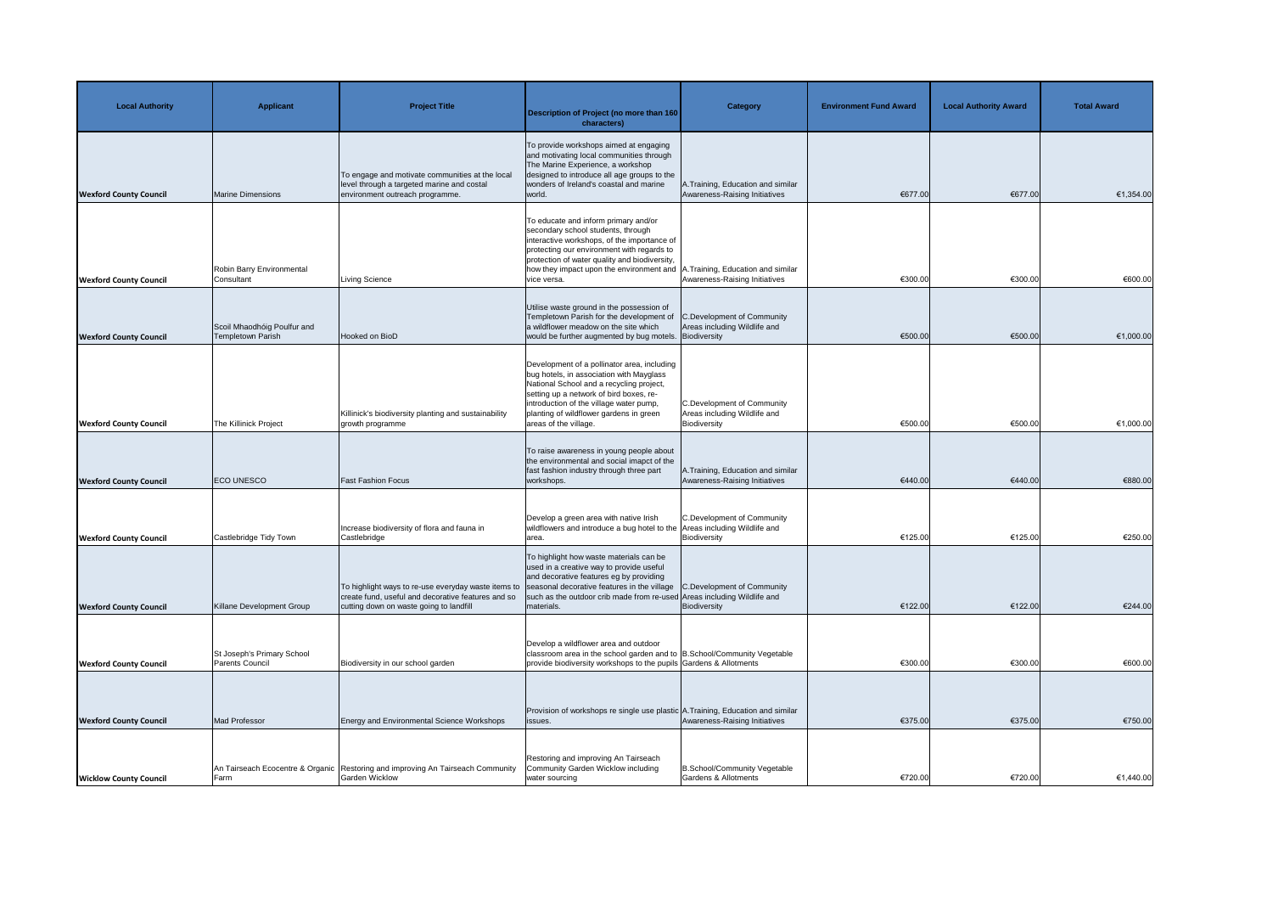| <b>Local Authority</b>        | <b>Applicant</b>                                 | <b>Project Title</b>                                                                                                                                                                             | Description of Project (no more than 160<br>characters)                                                                                                                                                                                                                                       | <b>Category</b>                                                                   | <b>Environment Fund Award</b> | <b>Local Authority Award</b> | <b>Total Award</b> |
|-------------------------------|--------------------------------------------------|--------------------------------------------------------------------------------------------------------------------------------------------------------------------------------------------------|-----------------------------------------------------------------------------------------------------------------------------------------------------------------------------------------------------------------------------------------------------------------------------------------------|-----------------------------------------------------------------------------------|-------------------------------|------------------------------|--------------------|
| <b>Wexford County Council</b> | Marine Dimensions                                | To engage and motivate communities at the local<br>level through a targeted marine and costal<br>environment outreach programme.                                                                 | To provide workshops aimed at engaging<br>and motivating local communities through<br>The Marine Experience, a workshop<br>designed to introduce all age groups to the<br>wonders of Ireland's coastal and marine<br>world.                                                                   | 1. Training, Education and similar<br>Awareness-Raising Initiatives               | €677.00                       | €677.00                      | €1,354.00          |
| <b>Wexford County Council</b> | Robin Barry Environmental<br>Consultant          | Living Science                                                                                                                                                                                   | To educate and inform primary and/or<br>secondary school students, through<br>interactive workshops, of the importance of<br>protecting our environment with regards to<br>protection of water quality and biodiversity,<br>how they impact upon the environment and<br>vice versa.           | 1. Training, Education and similar<br>Awareness-Raising Initiatives               | €300.00                       | €300.00                      | €600.00            |
| <b>Wexford County Council</b> | Scoil Mhaodhóig Poulfur and<br>Templetown Parish | Hooked on BioD                                                                                                                                                                                   | Utilise waste ground in the possession of<br>Templetown Parish for the development of<br>a wildflower meadow on the site which<br>would be further augmented by bug motels. Biodiversity                                                                                                      | C.Development of Community<br>Areas including Wildlife and                        | €500.00                       | €500.00                      | €1,000.00          |
| <b>Wexford County Council</b> | The Killinick Project                            | Killinick's biodiversity planting and sustainability<br>growth programme                                                                                                                         | Development of a pollinator area, including<br>bug hotels, in association with Mayglass<br>National School and a recycling project,<br>setting up a network of bird boxes, re-<br>introduction of the village water pump,<br>planting of wildflower gardens in green<br>areas of the village. | <b>C.Development of Community</b><br>Areas including Wildlife and<br>Biodiversity | €500.00                       | €500.00                      | €1,000.00          |
| <b>Wexford County Council</b> | <b>ECO UNESCO</b>                                | <b>Fast Fashion Focus</b>                                                                                                                                                                        | To raise awareness in young people about<br>the environmental and social imapct of the<br>fast fashion industry through three part<br>workshops.                                                                                                                                              | A. Training, Education and similar<br>Awareness-Raising Initiatives               | €440.00                       | €440.00                      | €880.00            |
| <b>Wexford County Council</b> | Castlebridge Tidy Town                           | Increase biodiversity of flora and fauna in<br>Castlebridge                                                                                                                                      | Develop a green area with native Irish<br>wildflowers and introduce a bug hotel to the Areas including Wildlife and<br>area.                                                                                                                                                                  | <b>C.Development of Community</b><br>Biodiversity                                 | €125.00                       | €125.00                      | €250.00            |
| <b>Wexford County Council</b> | Killane Development Group                        | To highlight ways to re-use everyday waste items to seasonal decorative features in the village<br>create fund, useful and decorative features and so<br>cutting down on waste going to landfill | To highlight how waste materials can be<br>used in a creative way to provide useful<br>and decorative features eg by providing<br>such as the outdoor crib made from re-used Areas including Wildlife and<br>materials.                                                                       | C.Development of Community<br>Biodiversity                                        | €122.00                       | €122.00                      | €244.00            |
| <b>Wexford County Council</b> | St Joseph's Primary School<br>Parents Council    | Biodiversity in our school garden                                                                                                                                                                | Develop a wildflower area and outdoor<br>classroom area in the school garden and to  B.School/Community Vegetable<br>provide biodiversity workshops to the pupils Gardens & Allotments                                                                                                        |                                                                                   | €300.00                       | €300.00                      | €600.00            |
| <b>Wexford County Council</b> | Mad Professor                                    | <b>Energy and Environmental Science Workshops</b>                                                                                                                                                | Provision of workshops re single use plastic A. Training, Education and similar<br>issues.                                                                                                                                                                                                    | Awareness-Raising Initiatives                                                     | €375.00                       | €375.00                      | €750.00            |
| <b>Wicklow County Council</b> | Farm                                             | An Tairseach Ecocentre & Organic Restoring and improving An Tairseach Community<br><b>Garden Wicklow</b>                                                                                         | Restoring and improving An Tairseach<br>Community Garden Wicklow including<br>water sourcing                                                                                                                                                                                                  | <b>B.School/Community Vegetable</b><br><b>Gardens &amp; Allotments</b>            | €720.00                       | €720.00                      | €1,440.00          |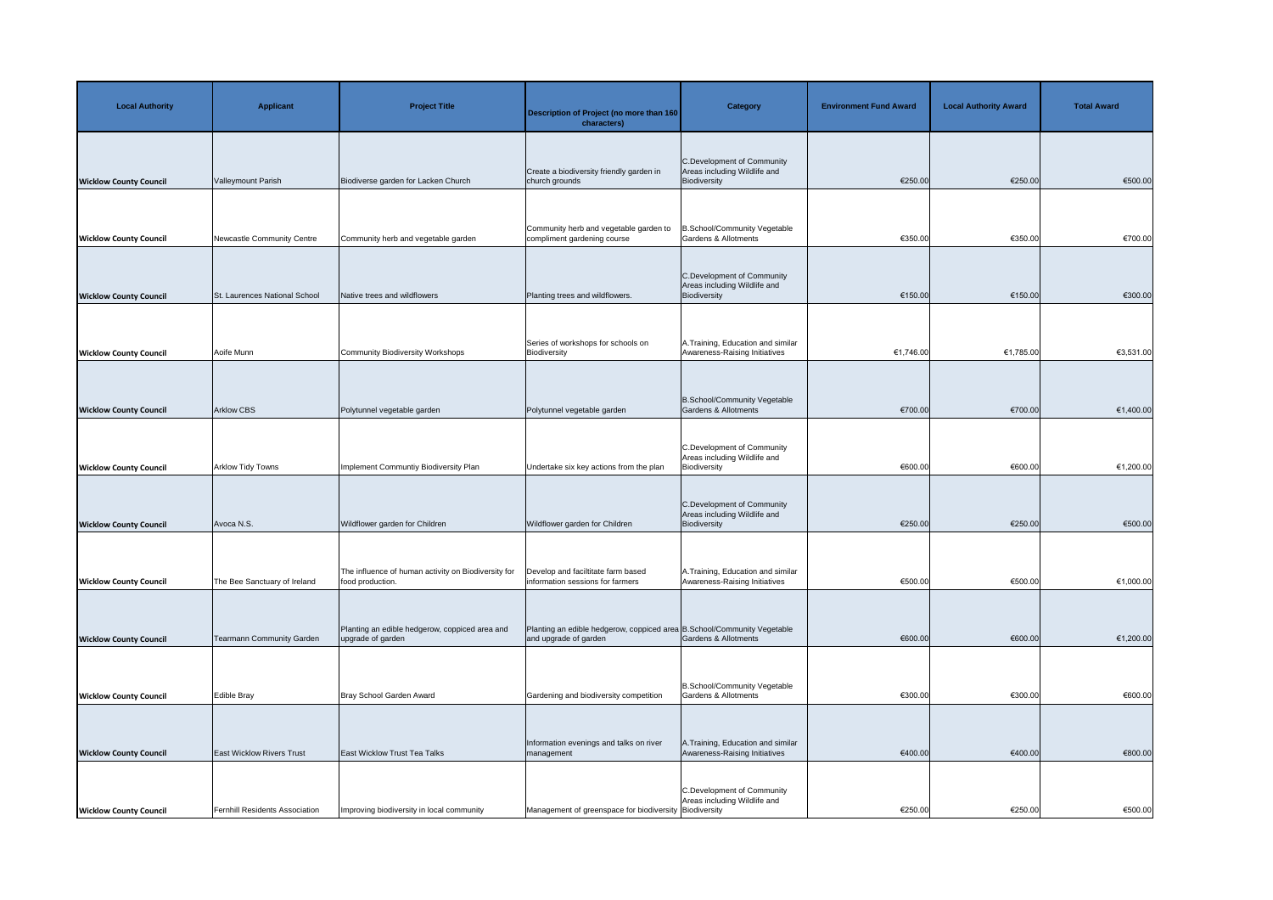| <b>Local Authority</b>        | <b>Applicant</b>                      | <b>Project Title</b>                                                    | Description of Project (no more than 160<br>characters)                                          | <b>Category</b>                                                                             | <b>Environment Fund Award</b> | <b>Local Authority Award</b> | <b>Total Award</b> |
|-------------------------------|---------------------------------------|-------------------------------------------------------------------------|--------------------------------------------------------------------------------------------------|---------------------------------------------------------------------------------------------|-------------------------------|------------------------------|--------------------|
| <b>Wicklow County Council</b> | Valleymount Parish                    | Biodiverse garden for Lacken Church                                     | Create a biodiversity friendly garden in<br>church grounds                                       | C.Development of Community<br>Areas including Wildlife and<br>Biodiversity                  | €250.00                       | €250.00                      | €500.00            |
| <b>Wicklow County Council</b> | Newcastle Community Centre            | Community herb and vegetable garden                                     | Community herb and vegetable garden to<br>compliment gardening course                            | <b>B.School/Community Vegetable</b><br><b>Gardens &amp; Allotments</b>                      | €350.00                       | €350.00                      | €700.00            |
| <b>Wicklow County Council</b> | St. Laurences National School         | Native trees and wildflowers                                            | Planting trees and wildflowers.                                                                  | C.Development of Community<br>Areas including Wildlife and<br>Biodiversity                  | €150.00                       | €150.00                      | €300.00            |
| <b>Wicklow County Council</b> | Aoife Munn                            | Community Biodiversity Workshops                                        | Series of workshops for schools on<br>Biodiversity                                               | A. Training, Education and similar<br>Awareness-Raising Initiatives                         | €1,746.00                     | €1,785.00                    | €3,531.00          |
| <b>Wicklow County Council</b> | <b>Arklow CBS</b>                     | Polytunnel vegetable garden                                             | Polytunnel vegetable garden                                                                      | B.School/Community Vegetable<br><b>Gardens &amp; Allotments</b>                             | €700.00                       | €700.00                      | €1,400.00          |
| <b>Wicklow County Council</b> | <b>Arklow Tidy Towns</b>              | Implement Communtiy Biodiversity Plan                                   | Undertake six key actions from the plan                                                          | <b>C.Development of Community</b><br>Areas including Wildlife and<br>Biodiversity           | €600.00                       | €600.00                      | €1,200.00          |
| <b>Wicklow County Council</b> | Avoca N.S.                            | Wildflower garden for Children                                          | Wildflower garden for Children                                                                   | C.Development of Community<br>Areas including Wildlife and<br>Biodiversity                  | €250.00                       | €250.00                      | €500.00            |
| <b>Wicklow County Council</b> | The Bee Sanctuary of Ireland          | The influence of human activity on Biodiversity for<br>food production. | Develop and faciltitate farm based<br>information sessions for farmers                           | A. Training, Education and similar<br>Awareness-Raising Initiatives                         | €500.00                       | €500.00                      | €1,000.00          |
|                               | Tearmann Community Garden             | Planting an edible hedgerow, coppiced area and<br>upgrade of garden     | Planting an edible hedgerow, coppiced area B.School/Community Vegetable<br>and upgrade of garden | Gardens & Allotments                                                                        | €600.00                       | €600.00                      | €1,200.00          |
| <b>Wicklow County Council</b> |                                       |                                                                         |                                                                                                  | B.School/Community Vegetable                                                                |                               |                              |                    |
| <b>Wicklow County Council</b> | <b>Edible Bray</b>                    | Bray School Garden Award                                                | Gardening and biodiversity competition<br>Information evenings and talks on river                | Gardens & Allotments<br>A. Training, Education and similar                                  | €300.00                       | €300.00                      | €600.00            |
| <b>Wicklow County Council</b> | <b>East Wicklow Rivers Trust</b>      | East Wicklow Trust Tea Talks                                            | management                                                                                       | Awareness-Raising Initiatives<br>C.Development of Community<br>Areas including Wildlife and | €400.00                       | €400.00                      | €800.00            |
| <b>Wicklow County Council</b> | <b>Fernhill Residents Association</b> | Improving biodiversity in local community                               | Management of greenspace for biodiversity Biodiversity                                           |                                                                                             | €250.00                       | €250.00                      | €500.00            |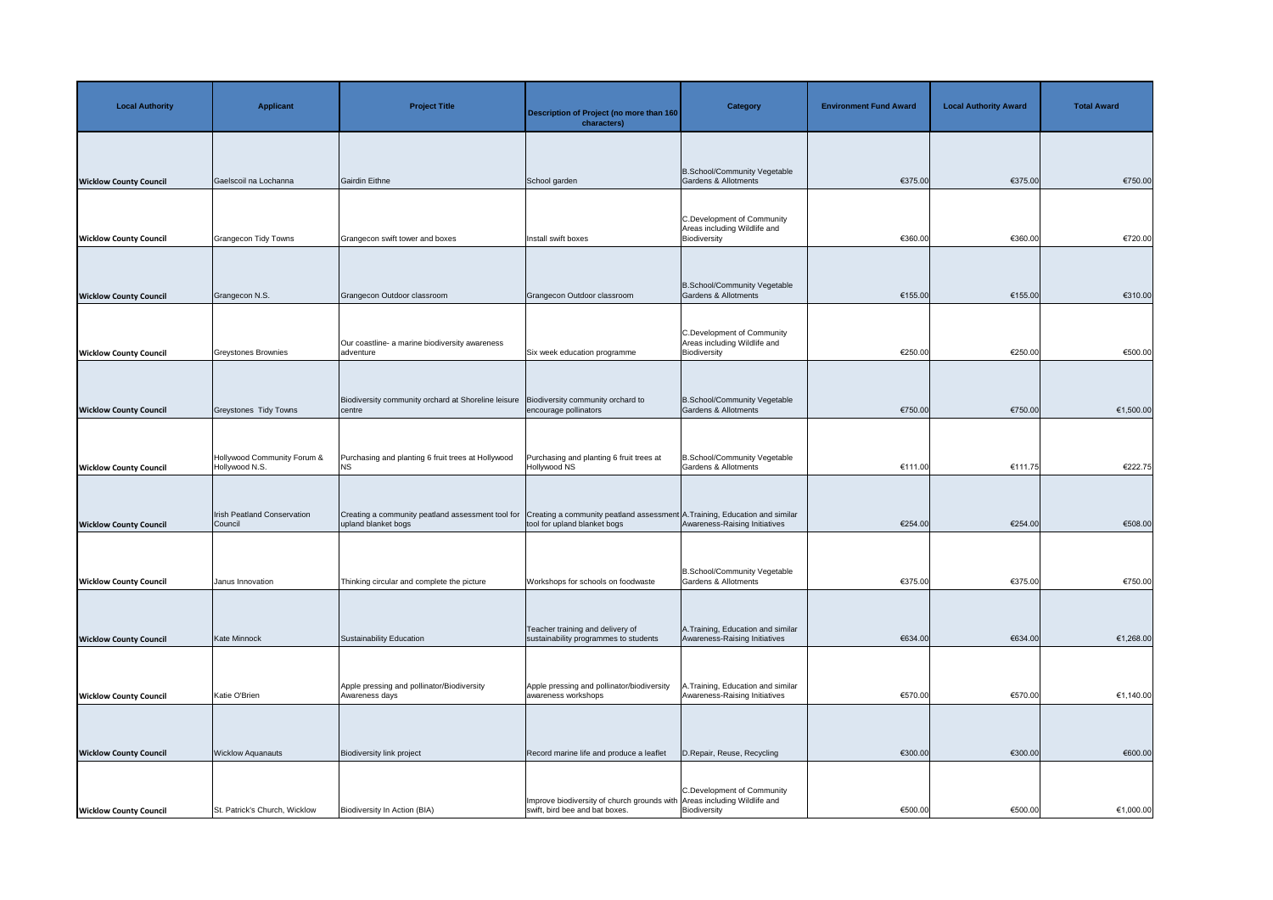| <b>Local Authority</b>        | <b>Applicant</b>                              | <b>Project Title</b>                                                     | Description of Project (no more than 160<br>characters)                                                     | <b>Category</b>                                                            | <b>Environment Fund Award</b> | <b>Local Authority Award</b> | <b>Total Award</b> |
|-------------------------------|-----------------------------------------------|--------------------------------------------------------------------------|-------------------------------------------------------------------------------------------------------------|----------------------------------------------------------------------------|-------------------------------|------------------------------|--------------------|
| <b>Wicklow County Council</b> | Gaelscoil na Lochanna                         | Gairdin Eithne                                                           | School garden                                                                                               | B.School/Community Vegetable<br>Gardens & Allotments                       | €375.00                       | €375.00                      | €750.00            |
| <b>Wicklow County Council</b> | <b>Grangecon Tidy Towns</b>                   | Grangecon swift tower and boxes                                          | Install swift boxes                                                                                         | C.Development of Community<br>Areas including Wildlife and<br>Biodiversity | €360.00                       | €360.00                      | €720.00            |
| <b>Wicklow County Council</b> | Grangecon N.S.                                | Grangecon Outdoor classroom                                              | Grangecon Outdoor classroom                                                                                 | B.School/Community Vegetable<br><b>Gardens &amp; Allotments</b>            | €155.00                       | €155.00                      | €310.00            |
| <b>Wicklow County Council</b> | <b>Greystones Brownies</b>                    | Our coastline- a marine biodiversity awareness<br>adventure              | Six week education programme                                                                                | C.Development of Community<br>Areas including Wildlife and<br>Biodiversity | €250.00                       | €250.00                      | €500.00            |
| <b>Wicklow County Council</b> | Greystones Tidy Towns                         | Biodiversity community orchard at Shoreline leisure<br>centre            | Biodiversity community orchard to<br>encourage pollinators                                                  | B.School/Community Vegetable<br><b>Gardens &amp; Allotments</b>            | €750.00                       | €750.00                      | €1,500.00          |
| <b>Wicklow County Council</b> | Hollywood Community Forum &<br>Hollywood N.S. | Purchasing and planting 6 fruit trees at Hollywood<br>NS.                | Purchasing and planting 6 fruit trees at<br>Hollywood NS                                                    | B.School/Community Vegetable<br>Gardens & Allotments                       | €111.00                       | €111.75                      | €222.75            |
| <b>Wicklow County Council</b> | Irish Peatland Conservation<br>Council        | Creating a community peatland assessment tool for<br>upland blanket bogs | Creating a community peatland assessment A. Training, Education and similar<br>tool for upland blanket bogs | Awareness-Raising Initiatives                                              | €254.00                       | €254.00                      | €508.00            |
| <b>Wicklow County Council</b> | Janus Innovation                              | Thinking circular and complete the picture                               | Workshops for schools on foodwaste                                                                          | B.School/Community Vegetable<br><b>Gardens &amp; Allotments</b>            | €375.00                       | €375.00                      | €750.00            |
| <b>Wicklow County Council</b> | <b>Kate Minnock</b>                           | Sustainability Education                                                 | Teacher training and delivery of<br>sustainability programmes to students                                   | A. Training, Education and similar<br>Awareness-Raising Initiatives        | €634.00                       | €634.00                      | €1,268.00          |
| <b>Wicklow County Council</b> | Katie O'Brien                                 | Apple pressing and pollinator/Biodiversity<br>Awareness days             | Apple pressing and pollinator/biodiversity<br>awareness workshops                                           | A.Training, Education and similar<br>Awareness-Raising Initiatives         | €570.00                       | €570.00                      | €1,140.00          |
| <b>Wicklow County Council</b> | <b>Wicklow Aquanauts</b>                      | Biodiversity link project                                                | Record marine life and produce a leaflet                                                                    | D. Repair, Reuse, Recycling                                                | €300.00                       | €300.00                      | €600.00            |
| <b>Wicklow County Council</b> | St. Patrick's Church, Wicklow                 | Biodiversity In Action (BIA)                                             | Improve biodiversity of church grounds with Areas including Wildlife and<br>swift, bird bee and bat boxes.  | C.Development of Community<br>Biodiversity                                 | €500.00                       | €500.00                      | €1,000.00          |